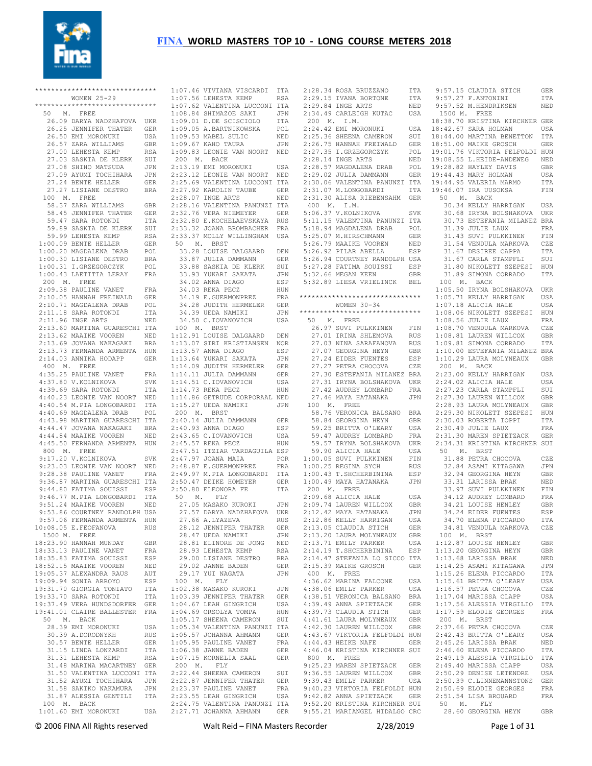

|             | *****************************               |            | 1:07 |
|-------------|---------------------------------------------|------------|------|
|             | WOMEN 25-29                                 |            | 1:07 |
|             | *****************************               |            | 1:07 |
| 50 M.       | FREE                                        |            | 1:08 |
|             | 26.09 DARYA NADZHAFOVA                      | <b>UKR</b> | 1:09 |
|             | 26.25 JENNIFER THATER                       | GER        | 1:09 |
|             | 26.50 EMI MORONUKI                          | USA        | 1:09 |
|             | 26.57 ZARA WILLIAMS                         | GBR        | 1:09 |
|             | 27.00 LEHESTA KEMP                          | RSA        | 1:09 |
|             | 27.03 SASKIA DE KLERK                       | SUI        | 200  |
|             | 27.08 SHIHO MATSUDA                         | JPN        | 2:13 |
|             |                                             |            |      |
|             | 27.09 AYUMI TOCHIHARA                       | JPN        | 2:23 |
|             | 27.24 BENTE HELLER                          | GER        | 2:25 |
|             | 27.27 LISIANE DESTRO                        | BRA        | 2:27 |
| 100 M.      | FREE                                        |            | 2:28 |
|             | 58.37 ZARA WILLIAMS                         | GBR        | 2:28 |
|             | 58.45 JENNIFER THATER                       | GER        | 2:32 |
|             | 59.47 SARA ROTONDI                          | ITA        | 2:32 |
|             | 59.89 SASKIA DE KLERK                       | SUI        | 2:33 |
|             | 59.99 LEHESTA KEMP                          | RSA        | 2:33 |
|             | 1:00.09 BENTE HELLER                        | GER        | 50   |
|             | 1:00.20 MAGDALENA DRAB                      | POL        | 33   |
|             | 1:00.30 LISIANE DESTRO                      | BRA        | 33   |
|             | 1:00.31 I.GRZEGORCZYK                       | POL        | 33   |
|             | 1:00.43 LAETITIA LERAY                      | FRA        | 33   |
| 200 M. FREE |                                             |            | 34   |
|             | 2:09.38 PAULINE VANET                       | FRA        | 34   |
|             | 2:10.05 HANNAH FREIWALD                     | GER        | 34   |
|             | 2:10.71 MAGDALENA DRAB                      | POL        | 34   |
|             | 2:11.18 SARA ROTONDI                        | ITA        | 34   |
|             | 2:11.96 INGE ARTS                           | NED        | 34   |
|             | 2:13.60 MARTINA GUARESCHI ITA               |            | 100  |
|             | 2:13.62 MAAIKE VOOREN                       | NED        | 1:12 |
|             | 2:13.69 JOVANA NAKAGAKI                     | BRA        | 1:13 |
|             | 2:13.73 FERNANDA ARMENTA                    | HUN        | 1:13 |
|             | 2:14.03 ANNIKA HODAPP                       | GER        | 1:13 |
|             | 400 M. FREE                                 |            | 1:14 |
|             |                                             |            | 1:14 |
|             | 4:35.25 PAULINE VANET                       | FRA        | 1:14 |
|             | 4:37.80 V.KOLNIKOVA<br>4:39.69 SARA ROTONDI | SVK        | 1:14 |
|             | 4:40.23 LEONIE VAN NOORT                    | ITA        |      |
|             |                                             | NED        | 1:14 |
|             | 4:40.54 M.PIA LONGOBARDI                    | ITA        | 1:15 |
|             | 4:40.69 MAGDALENA DRAB                      | POL        | 200  |
|             | 4:43.98 MARTINA GUARESCHI                   | ITA        | 2:40 |
|             | 4:44.47 JOVANA NAKAGAKI                     | BRA        | 2:40 |
|             | 4:44.84 MAAIKE VOOREN                       | NED        | 2:43 |
|             | 4:45.50 FERNANDA ARMENTA                    | HUN        | 2:45 |
|             | 800 M. FREE                                 |            | 2:47 |
|             | 9:17.20 V. KOLNIKOVA                        | SVK        | 2:47 |
|             | 9:23.03 LEONIE VAN NOORT                    | NED        | 2:48 |
|             | 9:28.38 PAULINE VANET                       | FRA        | 2:49 |
|             | 9:36.87 MARTINA GUARESCHI ITA               |            | 2:50 |
|             | 9:44.80 FATIMA SOUISSI                      | ESP        | 2:50 |
|             | 9:46.77 M.PIA LONGOBARDI                    | ITA        | 50   |
|             | 9:51.24 MAAIKE VOOREN                       | NED        | 27   |
|             | 9:53.86 COURTNEY RANDOLPH USA               |            | 27   |
|             | 9:57.06 FERNANDA ARMENTA HUN                |            | 27   |
|             | 10:08.05 E.FEOFANOVA                        | <b>RUS</b> | 28   |
| 1500 M.     | FREE                                        |            | 28   |
|             | 18:23.90 HANNAH MUNDAY                      | GBR        | 28   |
|             | 18:33.13 PAULINE VANET                      | FRA        | 28   |
|             | 18:35.83 FATIMA SOUISSI                     | ESP        | 29   |
|             | 18:52.15 MAAIKE VOOREN                      | NED        | 29   |
|             | 19:05.37 ALEXANDRA RAUS                     | AUT        | 29   |
|             | 19:09.94 SONIA ARROYO                       | ESP        | 100  |
|             | 19:31.70 GIORGIA TONIATO                    | ITA        | 1:02 |
|             | 19:33.70 SARA ROTONDI                       | ITA        | 1:03 |
|             | 19:37.49 VERA HUNDSDORFER                   | GER        | 1:04 |
|             | 19:41.01 CLAIRE BALLESTER FRA               |            | 1:04 |
|             | 50 M. BACK                                  |            | 1:05 |
|             | 28.39 EMI MORONUKI                          | USA        | 1:05 |
|             | 30.39 A.DORODNYKH                           | RUS        | 1:05 |
|             | 30.57 BENTE HELLER                          | GER        | 1:05 |
|             | 31.15 LINDA LONZARDI                        | ITA        | 1:06 |
|             | 31.31 LEHESTA KEMP                          | RSA        | 1:07 |
|             | 31.48 MARINA MACARTNEY                      | GER        | 200  |
|             | 31.50 VALENTINA LUCCONI ITA                 |            | 2:22 |
|             | 31.52 AYUMI TOCHIHARA                       | JPN        | 2:22 |
|             | 31.58 SAKIKO NAKAMURA                       | JPN        | 2:23 |
|             | 31.87 ALESSIA GENTILI                       | ITA        | 2:23 |
| 100 M.      | BACK                                        |            | 2:24 |
|             | 1:01.60 EMI MORONUKI USA 2:27               |            |      |
|             |                                             |            |      |

| 1:07.46 VIVIANA VISCARDI ITA<br>1:07.56 LEHESTA KEMP RSA<br>1:07.62 VALENTINA LUCCONI ITA<br>1:09.62 SUIMAZOE SAKI ITA                                                                                                                                  |            |
|---------------------------------------------------------------------------------------------------------------------------------------------------------------------------------------------------------------------------------------------------------|------------|
|                                                                                                                                                                                                                                                         |            |
|                                                                                                                                                                                                                                                         |            |
|                                                                                                                                                                                                                                                         | JPN        |
|                                                                                                                                                                                                                                                         |            |
| 1:08.84 SHIMAZOE SAKI<br>1:09.01 D.DE SCISCIOLO<br>1:09.05 A.BARTNIKOWSKA                                                                                                                                                                               | ITA<br>POL |
| 1:09.53 MABEL SULIC                                                                                                                                                                                                                                     | NED        |
|                                                                                                                                                                                                                                                         |            |
| 1:09.67 KAHO TAURA JPN<br>1:09.83 LEONIE VAN NOORT NED                                                                                                                                                                                                  |            |
|                                                                                                                                                                                                                                                         |            |
| 200 M. BACK                                                                                                                                                                                                                                             |            |
| 2:13.19 EMI MORONUKI                                                                                                                                                                                                                                    | USA        |
| 2:23.12 LEONIE VAN NOORT NED                                                                                                                                                                                                                            |            |
| 2:25.69 VALENTINA LUCCONI                                                                                                                                                                                                                               | ITA        |
|                                                                                                                                                                                                                                                         |            |
|                                                                                                                                                                                                                                                         |            |
|                                                                                                                                                                                                                                                         |            |
|                                                                                                                                                                                                                                                         |            |
| 2:32.76 VERA NIEMEYER                                                                                                                                                                                                                                   | GER        |
| 2:32.80 E.KOCHELAEVSKAYA RUS                                                                                                                                                                                                                            |            |
| 2:33.32 JOANA BROMBACHER                                                                                                                                                                                                                                | FRA        |
| 2:33.37 MOLLY WILLINGHAM USA                                                                                                                                                                                                                            |            |
| 50 M. BRST                                                                                                                                                                                                                                              |            |
|                                                                                                                                                                                                                                                         |            |
| 33.28 LOUISE DALGAARD                                                                                                                                                                                                                                   | DEN        |
| 33.87 JULIA DAMMANN                                                                                                                                                                                                                                     | GER        |
|                                                                                                                                                                                                                                                         | SUI        |
|                                                                                                                                                                                                                                                         | <b>JPN</b> |
| 33.88 SASKIA DE KLERK<br>33.93 YUKARI SAKATA<br>34.02 ANNA DIAGO<br>34.03 PEKA PECZ                                                                                                                                                                     | ESP        |
|                                                                                                                                                                                                                                                         | HUN        |
| 34.03 REKA PECZ<br>34.19 E.GUERMONPREZ                                                                                                                                                                                                                  |            |
|                                                                                                                                                                                                                                                         | FRA        |
| 34.28 JUDITH HERMELER                                                                                                                                                                                                                                   | GER        |
| 34.39 UEDA NAMIKI                                                                                                                                                                                                                                       | JPN        |
| 34.50 C.IOVANOVICH                                                                                                                                                                                                                                      | USA        |
| 100 M. BRST                                                                                                                                                                                                                                             |            |
|                                                                                                                                                                                                                                                         | DEN        |
| 1:12.91 LOUISE DALGAARD<br>1:13.07 SIRI KRISTIANSEN                                                                                                                                                                                                     | <b>NOR</b> |
|                                                                                                                                                                                                                                                         |            |
|                                                                                                                                                                                                                                                         | ESP        |
| 1:13.57 ANNA DIAGO<br>1:13.64 YUKARI SAKATA<br>1:14.09 JUDITH HERMELER                                                                                                                                                                                  | JPN        |
|                                                                                                                                                                                                                                                         | GER        |
| 1:14.11 JULIA DAMMANN<br>1:14.51 C.IOVANOVICH<br>1:14.73 REKA PECZ                                                                                                                                                                                      | GER        |
|                                                                                                                                                                                                                                                         | USA        |
|                                                                                                                                                                                                                                                         | HUN        |
| 1:14.86 GETRUDE CORPORAAL NED                                                                                                                                                                                                                           |            |
|                                                                                                                                                                                                                                                         |            |
| $1:15.27$ UEDA NAMIKI                                                                                                                                                                                                                                   | JPN        |
| 200 M. BRST                                                                                                                                                                                                                                             |            |
| 2:40.14 JULIA DAMMANN                                                                                                                                                                                                                                   | GER        |
| 2:40.93 ANNA DIAGO                                                                                                                                                                                                                                      | ESP        |
| 2:43.65 C.IOVANOVICH                                                                                                                                                                                                                                    | USA        |
| 2:45.57 REKA PECZ HUN<br>2:47.51 ITZIAR TARDAGUILA ESP<br>2:47.97 JOANA MAIA POR<br>2:48.87 E.GUERMONPREZ FRA                                                                                                                                           |            |
|                                                                                                                                                                                                                                                         |            |
|                                                                                                                                                                                                                                                         |            |
|                                                                                                                                                                                                                                                         |            |
|                                                                                                                                                                                                                                                         |            |
| -<br>19.97 M.PIA LONGOBARDI<br>2:50.47 DEIKE HOMEYER                                                                                                                                                                                                    | ITA        |
|                                                                                                                                                                                                                                                         | GER        |
| $2:50.80$ ELEONORA FE                                                                                                                                                                                                                                   |            |
|                                                                                                                                                                                                                                                         |            |
|                                                                                                                                                                                                                                                         | ITA        |
| 50 M. FLY                                                                                                                                                                                                                                               |            |
|                                                                                                                                                                                                                                                         |            |
| -<br>27.05 MASAKO KUROKI - JPN<br>27.57 DARYA NADZHAFOVA - UKR                                                                                                                                                                                          |            |
| 27.66 A.LYAZEVA                                                                                                                                                                                                                                         | <b>RUS</b> |
|                                                                                                                                                                                                                                                         | GER        |
| 28.12 JENNIFER THATER<br>28.47 UEDA NAMIKI                                                                                                                                                                                                              | JPN        |
|                                                                                                                                                                                                                                                         | NED        |
| 28.81 ELINORE DE JONG                                                                                                                                                                                                                                   |            |
|                                                                                                                                                                                                                                                         | RSA        |
| -<br>28.93 LEHESTA KEMP<br>29.00 LISIANE DESTRO                                                                                                                                                                                                         | BRA        |
|                                                                                                                                                                                                                                                         | GER        |
| 29.02 JANNE BADEN<br>29.17 VIII NACATA<br>29.17 YUI NAGATA                                                                                                                                                                                              | JPN        |
| 100 M.<br><b>FLY</b>                                                                                                                                                                                                                                    |            |
| $1:02.38$ MASAKO KUROKI                                                                                                                                                                                                                                 | JPN        |
|                                                                                                                                                                                                                                                         |            |
|                                                                                                                                                                                                                                                         |            |
|                                                                                                                                                                                                                                                         |            |
|                                                                                                                                                                                                                                                         |            |
|                                                                                                                                                                                                                                                         |            |
|                                                                                                                                                                                                                                                         |            |
|                                                                                                                                                                                                                                                         |            |
|                                                                                                                                                                                                                                                         |            |
|                                                                                                                                                                                                                                                         |            |
|                                                                                                                                                                                                                                                         |            |
| $1:02.39$ THE SERIES THATER THATER GER<br>$1:03.39$ JENNIFER THATER GER<br>$1:04.67$ LEAH GINGRICH USA<br>$1:05.17$ SHEENA CAMERON SUI<br>$1:05.54$ VALENTINA PANNINI TRANINI<br>$1:05.54$ VALENTINA PANNINI GER<br>$1:05.59$ PAULINE VAN<br>200 M. FLY |            |
|                                                                                                                                                                                                                                                         |            |
|                                                                                                                                                                                                                                                         | SUI        |
| 2:22.44 SHEENA CAMERON<br>2:22.87 JENNIFER THATER                                                                                                                                                                                                       | GER        |
|                                                                                                                                                                                                                                                         | FRA        |
|                                                                                                                                                                                                                                                         |            |
|                                                                                                                                                                                                                                                         |            |
| 2:23.37 PAULINE VANET FRA<br>2:23.37 PAULINE VANET FRA<br>2:23.55 LEAH GINGRICH USA<br>2:24.75 VALENTINA PANUNZI ITA<br>$2:27.71$ JOHANNA AHMANN                                                                                                        | GER        |

|                                                                                                                                                                                                                                                                | ITA        |
|----------------------------------------------------------------------------------------------------------------------------------------------------------------------------------------------------------------------------------------------------------------|------------|
| 2:28.34 ROSA BRUZZANO<br>2:29.15 IVANA BORTONE<br>2:29.84 INGE ARTS                                                                                                                                                                                            | ITA<br>NED |
|                                                                                                                                                                                                                                                                |            |
| 2:34.49 CARLEIGH KUTAC                                                                                                                                                                                                                                         | USA        |
| 200 M. I.M.                                                                                                                                                                                                                                                    |            |
| 2:24.42 EMI MORONUKI                                                                                                                                                                                                                                           |            |
|                                                                                                                                                                                                                                                                | USA<br>SUI |
|                                                                                                                                                                                                                                                                |            |
|                                                                                                                                                                                                                                                                |            |
|                                                                                                                                                                                                                                                                |            |
| $2:28.57$ MAGDALENA DRAB                                                                                                                                                                                                                                       | POL        |
|                                                                                                                                                                                                                                                                |            |
| 2:29.02 JULIA DAMMANN GER<br>2:30.06 VALENTINA PANUNZI ITA                                                                                                                                                                                                     |            |
| 2:31.07 M.LONGOBARDI                                                                                                                                                                                                                                           | ITA        |
| 2:31.30 ALISA RIEBENSAHM GER                                                                                                                                                                                                                                   |            |
| 400 M. I.M.                                                                                                                                                                                                                                                    |            |
| 5:06.37 V.KOLNIKOVA                                                                                                                                                                                                                                            | SVK        |
| 5:11.15 VALENTINA PANUNZI ITA                                                                                                                                                                                                                                  |            |
| 5:11.13 VADDALENA DRAB<br>5:18.94 MAGDALENA DRAB                                                                                                                                                                                                               | POL        |
|                                                                                                                                                                                                                                                                | GER        |
|                                                                                                                                                                                                                                                                | NED        |
| :<br>5:25.07 M.HIRSCHMANN<br>5:26.79 MAAIKE VOOREN<br>5:26.92 PILAR ABELLA                                                                                                                                                                                     | ESP        |
| 5:26.94 COURTNEY RANDOLPH USA                                                                                                                                                                                                                                  |            |
| 5:27.28 FATIMA SOUISSI ESP                                                                                                                                                                                                                                     |            |
| 5:32.66 MEGAN KEEN                                                                                                                                                                                                                                             | GBR        |
| 5:32.89 LIESA VRIELINCK BEL                                                                                                                                                                                                                                    |            |
|                                                                                                                                                                                                                                                                |            |
| ******************************                                                                                                                                                                                                                                 |            |
| WOMEN 30-34                                                                                                                                                                                                                                                    |            |
| *****************************                                                                                                                                                                                                                                  |            |
| 50 M. FREE<br>0 M. FREE<br>26.97 SUVI PULKKINEN FIN<br>27.03 NINA SARAFANOVA RUS<br>27.03 NINA SARAFANOVA RUS<br>27.03 NINA SARAFANOVA RUS<br>27.07 GEORGINA HEYN GBR<br>27.24 EIDER FUENTES ESP<br>27.27 PETRA CHOCOVA CZE<br>27.31 IRYNA BOLSHAKOVA UKR<br>2 |            |
|                                                                                                                                                                                                                                                                |            |
|                                                                                                                                                                                                                                                                |            |
|                                                                                                                                                                                                                                                                |            |
|                                                                                                                                                                                                                                                                |            |
|                                                                                                                                                                                                                                                                |            |
|                                                                                                                                                                                                                                                                |            |
|                                                                                                                                                                                                                                                                |            |
|                                                                                                                                                                                                                                                                |            |
|                                                                                                                                                                                                                                                                |            |
| 27.46 MAYA HATANAKA                                                                                                                                                                                                                                            | JPN        |
|                                                                                                                                                                                                                                                                |            |
| 100 M. FREE                                                                                                                                                                                                                                                    |            |
| 58.76 VERONICA BALSANO BRA                                                                                                                                                                                                                                     |            |
| 58.84 GEORGINA HEYN                                                                                                                                                                                                                                            | GBR        |
|                                                                                                                                                                                                                                                                |            |
|                                                                                                                                                                                                                                                                | USA<br>FRA |
|                                                                                                                                                                                                                                                                | <b>UKR</b> |
| 59.25 BRITTA O'LEARY<br>59.25 BRITTA O'LEARY<br>59.57 IRYNA BOLSHAKOVA<br>59.90 ALICIA HALE                                                                                                                                                                    | USA        |
|                                                                                                                                                                                                                                                                | FIN        |
|                                                                                                                                                                                                                                                                | RUS        |
|                                                                                                                                                                                                                                                                |            |
| 1:00.05 SUVI PULKKINEN<br>1:00.25 REGINA SYCH<br>1:00.43 T.SHCHERBININA<br>1:00.49 MAYA HATANAKA                                                                                                                                                               | ESP<br>JPN |
|                                                                                                                                                                                                                                                                |            |
| 200 M. FREE<br>2:09.68 ALICIA HALE                                                                                                                                                                                                                             | USA        |
|                                                                                                                                                                                                                                                                |            |
| 2:09.74 LAUREN WILLCOX GBR<br>2:12.42 MAYA HATANAKA JPN                                                                                                                                                                                                        |            |
| 2:12.86 KELLY HARRIGAN                                                                                                                                                                                                                                         | USA        |
| 2:13.05 CLAUDIA STICH                                                                                                                                                                                                                                          | GER        |
|                                                                                                                                                                                                                                                                | GBR        |
| 2:13.20 LAURA MOLYNEAUX<br>2:13.71 EMILY PARKER                                                                                                                                                                                                                | USA        |
| 2:14.19 T. SHCHERBININA ESP                                                                                                                                                                                                                                    |            |
| 2:14.47 STEFANIA LO SICCO ITA                                                                                                                                                                                                                                  |            |
| 2:15.39 MAIKE GROSCH                                                                                                                                                                                                                                           | GER        |
|                                                                                                                                                                                                                                                                |            |
| 400 M. FREE<br>4:36.62 MARINA FALCONE                                                                                                                                                                                                                          | USA        |
|                                                                                                                                                                                                                                                                | USA        |
|                                                                                                                                                                                                                                                                |            |
| 4:38.06 EMILY PARKER<br>4:38.51 VERONICA BALSANO<br>4:39.49 ANNA SPIETZACK                                                                                                                                                                                     | BRA<br>GER |
|                                                                                                                                                                                                                                                                |            |
|                                                                                                                                                                                                                                                                |            |
|                                                                                                                                                                                                                                                                |            |
| 4:39.73 CLAUDIA STICH GER<br>4:41.61 LAURA MOLYNEAUX GBR<br>4:42.30 LAUREN WILLCOX GBR<br>4:43.67 VIKTORIA FELFOLDI HUN<br>5.71 VIKTORIA FELFOLDI HUN                                                                                                          |            |
|                                                                                                                                                                                                                                                                |            |
| 4:44.43 HEIKE NAFE GER<br>4:46.04 KRISTINA KIRCHNER SUI                                                                                                                                                                                                        |            |
|                                                                                                                                                                                                                                                                |            |
| 800 M. FREE<br>9:25.23 MAREN SPIETZACK                                                                                                                                                                                                                         | GER        |
| 9:36.55 LAUREN WILLCOX                                                                                                                                                                                                                                         | GBR        |
| 9:39.43 EMILY PARKER                                                                                                                                                                                                                                           | USA        |
|                                                                                                                                                                                                                                                                |            |
|                                                                                                                                                                                                                                                                |            |
| 9:40.23 VIKTORIA FELFOLDI HUN<br>9:42.82 ANNA SPIETZACK GER<br>9:52.20 KRISTINA KIRCHNER SUI<br>9:55.21 MARIANGEL HIDALGO CRC                                                                                                                                  |            |

 9:57.15 CLAUDIA STICH GER 9:57.27 F.ANTONINI ITA 9:57.52 M.HENDRIKSEN NED 1500 M. FREE 18:38.70 KRISTINA KIRCHNER GER 18:42.67 SARA HOLMAN USA 18:44.00 MARTINA BENETTON ITA 18:51.00 MAIKE GROSCH GER 19:01.76 VIKTORIA FELFOLDI HUN 19:08.55 L.HEIDE-ANDEWEG NED 19:28.82 HAYLEY DAVIS GBR  $19.44$  43 MARY HOLMAN UISA 19:44.95 VALERIA MARMO ITA 19:46.07 IRA UUSOKSA FIN 50 M. BACK 30.34 KELLY HARRIGAN USA 30.68 IRYNA BOLSHAKOVA UKR 30.73 ESTEFANIA MILANEZ BRA 31.39 JULIE LAUX FRA 31.43 SUVI PULKKINEN FIN 31.54 VENDULA MARKOVA CZE 31.67 DESIREE CAPPA ITA 31.67 CARLA STAMPFLI SUI 31.80 NIKOLETT SZEPESI HUN 31.89 SIMONA CORRADO ITA 100 M. BACK 1:05.50 IRYNA BOLSHAKOVA UKR 1:05.71 KELLY HARRIGAN USA 1:07.18 ALICIA HALE USA 1:08.06 NIKOLETT SZEPESI HUN 1:08.56 JULIE LAUX FRA 1:08.70 VENDULA MARKOVA CZE 1:08.81 LAUREN WILLCOX GBR 1:09.81 SIMONA CORRADO ITA 1:10.00 ESTEFANIA MILANEZ BRA 1:10.29 LAURA MOLYNEAUX GBR 200 M. BACK 2:23.00 KELLY HARRIGAN USA  $2 \cdot 24$  02 ALICIA HALE USA 2:27.23 CARLA STAMPFLI SUI 2:27.30 LAUREN WILLCOX GBR 2:28.93 LAURA MOLYNEAUX GBR 2:29.30 NIKOLETT SZEPESI HUN 2:30.03 ROBERTA IOPPI ITA 2:30.49 JULIE LAUX FRA 2:31.30 MAREN SPIETZACK GER 2:34.31 KRISTINA KIRCHNER SUI 50 M. BRST 31.88 PETRA CHOCOVA CZE 32.84 ASAMI KITAGAWA JPN 32.94 GEORGINA HEYN GBR 33.31 LARISSA BRAK NED 33.97 SUVI PULKKINEN FIN 34.12 AUDREY LOMBARD FRA 34.21 LOUISE HENLEY GBR 34.24 EIDER FUENTES ESP 34.70 ELENA PICCARDO ITA 34.81 VENDULA MARKOVA CZE 100 M. BRST 1:12.87 LOUISE HENLEY GBR 1:13.20 GEORGINA HEYN GBR 1:13.68 LARISSA BRAK NED 1:14.25 ASAMI KITAGAWA JPN 1:15.26 ELENA PICCARDO ITA 1:15.61 BRITTA O'LEARY USA 1:16.57 PETRA CHOCOVA CZE 1:17.04 MARISSA CLAPP USA 1:17.56 ALESSIA VIRGILIO ITA 1:17.59 ELODIE GEORGES FRA 200 M. BRST 2:37.66 PETRA CHOCOVA CZE<br>2:42.43 BRITTA O'LEARY USA  $2:42.43$  BRITTA O'LEARY 2:45.26 LARISSA BRAK NED 2:46.60 ELENA PICCARDO ITA 2:49.19 ALESSIA VIRGILIO ITA 2:49.40 MARISSA CLAPP USA 2:50.29 DENISE LETENDRE USA 2:50.39 C.LINNEMANNSTONS GER 2:50.69 ELODIE GEORGES FRA 2:51.54 LISA BROUARD FRA 50 M. FLY 28.60 GEORGINA HEYN GBR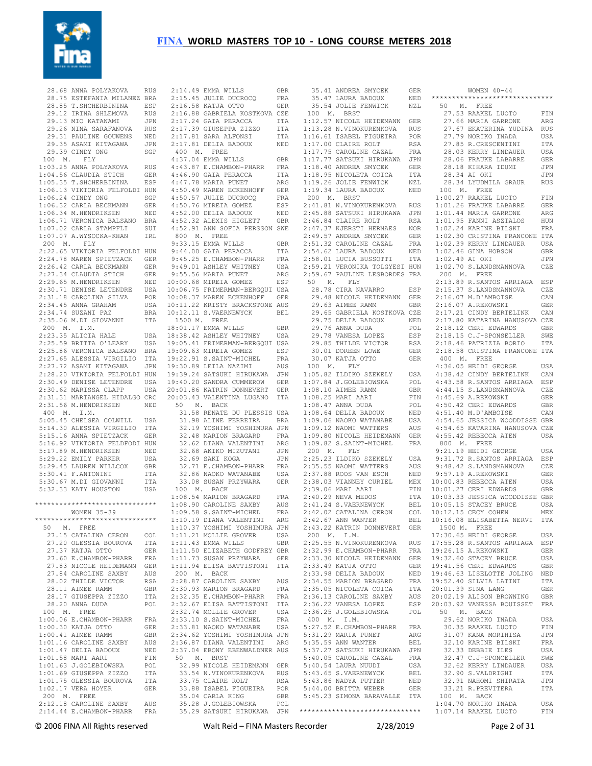

28.68 ANNA POLYAKOVA 28.75 ESTEFANIA MILANEZ BRA 28.85 T.SHCHERBININA ESP 2:15.45 JULIE DUCROCQ FRA 2:16.58 KATJA OTTO GER 29.12 IRINA SHLEMOVA RUS 29.13 MIO KATANAMI JPN 29.26 NINA SARAFANOVA RUS 29.31 PAULINE GOUWENS NED 29.35 ASAMI KITAGAWA 29.39 CINDY ONG SGP 100 M. FLY 1:03.25 ANNA POLYAKOVA RUS 4:43.87 E.CHAMBON-PHARR FRA 1:04.56 CLAUDIA STICH GER 4:46.90 GAIA PERACCA ITA 1:05.35 T.SHCHERBININA ESP 1:06.13 VIKTORIA FELFOLDI HUN 1:06.24 CINDY ONG SGP 1:06.32 CARLA BECKMANN GER  $1.06.34$  M HENDRIKSEN 1:06.71 VERONICA BALSANO BRA 1:07.02 CARLA STAMPFLI SUI 4:52.91 ANN SOFIA PERSSON SWE 1:07.07 A.WYSOCKA-KHAN IRL 200 M. FLY 2:22.65 VIKTORIA FELFOLDI HUN 2:24.78 MAREN SPIETZACK GER 9:44.00 GAIA PERACCA ITA 9:45.25 E.CHAMBON-PHARR FRA 2:26.42 CARLA BECKMANN GER 2:27.34 CLAUDIA STICH GER 2:29.65 M. HENDRIKSEN 2:30.71 DENISE LETENDRE  $2:31.18$  CAROLINA SILVA  $2:34.45$  ANNA GRAHAM  $2.34$  74 SUZANI PAZ 2:35.06 M.DI GIOVANNI ITA 200 M. I.M. 2:23.35 ALICIA HALE USA 2:25.59 BRITTA O'LEARY USA 2:25.86 VERONICA BALSANO BRA 19:05.41 FRIMERMAN-BERGQUI USA 19:09.63 MIREIA GOMEZ ESP 2:27.65 ALESSIA VIRGILIO ITA 2:27.72 ASAMI KITAGAWA JPN 19:22.91 S.SAINT-MICHEL FRA 19:30.89 LEILA NAZIMI AUS 2:28.20 VIKTORIA FELFOLDI HUN 2:30.49 DENISE LETENDRE USA 19:39.24 SATSUKI HIRUKAWA JPN 19:40.20 SANDRA CUMMEROW GER 2:30.62 MARISSA CLAPP 2:31.31 MARIANGEL HIDALGO CRC 2:31.56 M.HENDRIKSEN NED 50 M. BACK 400 M. I.M. 5:05.45 CHELSEA COLWILL USA 5:14.30 ALESSIA VIRGILIO ITA 5:15.16 ANNA SPIETZACK GER 5:16.92 VIKTORIA FELDFODI HUN 5:17.89 M.HENDRIKSEN NED 5:29.22 EMILY PARKER USA<br>5:29.45 LAUREN WILLCOX GBR 5:29.45 LAUREN WILLCOX GBR<br>5:30.41 F.ANTONINI ITA<br>5:30.67 M.DI GIOVANNI ITA<br>5:32.33 KATY HOUSTON USA \*\*\*\*\*\*\*\*\*\*\*\*\*\*\*\*\*\*\*\*\*\*\*\*\*\*\*\*\*\* 1:08.54 MARION BRAGARD FRA 1:08.90 CAROLINE SAXBY AUS WOMEN 35-39 \*\*\*\*\*\*\*\*\*\*\*\*\*\*\*\*\*\*\*\*\*\*\*\*\*\*\*\*\*\* 50 M. FREE 27.15 CATALINA CERON 27.20 OLESSIA BOUROVA ITA 27.37 KATJA OTTO GER 1:11.43 EMMA WILLS GBR 1:11.50 ELIZABETH GODFREY GBR 27.60 E.CHAMBON-PHARR 27.83 NICOLE HEIDEMANN GER 27.84 CAROLINE SAXBY AUS 27.03 CHRONIC CHRONIC CHRONIC RSA<br>28.11 AIMEE RAMM 28.11 AIMEE RAMM GBR 28.17 GIUSEPPA ZIZZO ITA 28.20 ANNA DUDA 100 M. FREE 1:00.06 E.CHAMBON-PHARR FRA 2:33.10 S.SAINT-MICHEL FRA 1:00.30 KATJA OTTO GER 1:00.41 AIMEE RAMM GBR 1:01.16 CAROLINE SAXBY AUS 1:01.47 DELIA BADOUX NED 1:01.58 MARI AARI FIN 1:01.63 J.GOLEBIOWSKA POL 1:01.69 GIUSEPPA ZIZZO ITA 1:01.75 OLESSIA BOUROVA ITA 1:02.17 VERA HOYER GER 200 M. FREE 2:12.18 CAROLINE SAXBY AUS 2:14.44 E.CHAMBON-PHARR FRA 35.29 SATSUKI HIRUKAWA JPN

RUS 2:14.49 EMMA WILLS GBR 2:16.88 GABRIELA KOSTKOVA CZE 2:17.24 GAIA PERACCA ITA 2:17.39 GIUSEPPA ZIZZO ITA 2:17.81 SARA ALFONSI ITA 2:17.81 DELIA BADOUX NED 400 M. FREE 4:37.04 EMMA WILLS GBR 4:47.78 MARIA PUNET ARG 4:50.49 MAREN ECKENHOFF GER 4:50.57 JULIE DUCROCO FRA 4:50.76 MIREIA GOMEZ ESP NED 4:52.00 DELIA BADOUX NED 4:52.32 ALEXIS HIGLETT GBR 800 M. FREE 9:33.15 EMMA WILLS GBR 9:49.01 ASHLEY WHITNEY USA 9:55.56 MARIA PUNET ARG 10:00.68 MIREIA GOMEZ ESP 10:06.75 FRIMERMAN-BERGQUI USA 10:08.37 MAREN ECKENHOFF GER USA 10:11.22 KRISTY BRACKSTONE AUS 10:12.11 S.VAERNEWYCK BEL 1500 M. FREE 18:01.17 EMMA WILLS GBR USA 18:38.42 ASHLEY WHITNEY USA 20:01.86 KATRIN DONNEVERT GER 20:03.43 VALENTINA LUGANO ITA 31.58 RENATE DU PLESSIS USA<br>
31.98 ALINE FERREIRA BRA<br>
32.19 YOSHIMI YOSHIMURA JPN<br>
32.48 MARION BRAGARD FRA<br>
32.62 DIANA VALENTINI ARG<br>
32.68 AKIKO MIZUTANI JPN<br>
32.69 SAKI KOGA JPN 32.71 E.CHAMBON-PHARR FRA 32.86 NAOKO WATANABE USA ITA 32.86 NAUNU WALENLED<br>ITA 33.08 SUSAN PRZYWARA GER 100 M. BACK 1:09.58 S.SAINT-MICHEL FRA 1:10.19 DIANA VALENTINI ARG 1:10.37 YOSHIMI YOSHIMURA JPN COL 1:11.21 MOLLIE GROVER USA 1:11.73 SUSAN PRZYWARA GER 1:11.94 ELISA BATTISTONI ITA 200 M. BACK 2:28.87 CAROLINE SAXBY AUS 2:30.93 MARION BRAGARD FRA 2:32.35 E.CHAMBON-PHARR FRA<br>2:32.35 E.CHAMBON-PHARR FRA 2:32.67 ELISA BATTISTONI ITA 2:32.74 MOLLIE GROVER USA 2:33.81 NAOKO WATANABE USA 2:34.62 YOSHIMI YOSHIMURA JPN 2:36.87 DIANA VALENTINI ARG 2:37.04 EBONY EBENWALDNER AUS 50 M. BRST 32.99 NICOLE HEIDEMANN GER 33.54 N.VINOKURENKOVA RUS 33.75 CLAIRE ROLT RSA 33.88 ISABEL FIGUEIRA POR 35.04 CARLA KING GBR 35.28 J.GOLEBIOWSKA POL

|             | 35.41 ANDREA SMYCEK GER<br>35.47 LAURA BADOUX NED                                                                                                                                                                                                                     |                                        |                |
|-------------|-----------------------------------------------------------------------------------------------------------------------------------------------------------------------------------------------------------------------------------------------------------------------|----------------------------------------|----------------|
|             |                                                                                                                                                                                                                                                                       |                                        | $^{\star}$     |
|             | 35.54 JOLIE FENWICK NZL                                                                                                                                                                                                                                               |                                        |                |
|             |                                                                                                                                                                                                                                                                       |                                        |                |
|             | 100 M. BRST                                                                                                                                                                                                                                                           |                                        |                |
|             | 1:12.57 NICOLE HEIDEMANN GER                                                                                                                                                                                                                                          |                                        |                |
|             | 1:13.28 N.VINOKURENKOVA                                                                                                                                                                                                                                               | RUS                                    |                |
|             |                                                                                                                                                                                                                                                                       |                                        |                |
|             |                                                                                                                                                                                                                                                                       |                                        |                |
|             |                                                                                                                                                                                                                                                                       |                                        |                |
|             |                                                                                                                                                                                                                                                                       |                                        |                |
|             |                                                                                                                                                                                                                                                                       |                                        |                |
|             |                                                                                                                                                                                                                                                                       |                                        |                |
|             |                                                                                                                                                                                                                                                                       |                                        |                |
|             |                                                                                                                                                                                                                                                                       |                                        |                |
|             |                                                                                                                                                                                                                                                                       |                                        |                |
|             |                                                                                                                                                                                                                                                                       |                                        |                |
|             |                                                                                                                                                                                                                                                                       |                                        |                |
|             | 1:15.28 N.VINOKURENKOVA RUS<br>1:16.61 ISABEL FIGUEIRA POR<br>1:17.00 CLAIRE ROLT<br>1:17.75 CAROLINE CAZAL FRA<br>1:17.77 SATSUKI HIRUKAWA JPN<br>1:18.40 ANDREA SMYCEK GER<br>1:19.26 JOLIE FENWICK NZL<br>1:19.26 JOLIE FENWICK NZL<br>1:19.34 LAUR<br>200 M. BRST |                                        |                |
|             |                                                                                                                                                                                                                                                                       |                                        |                |
|             | 2:41.81 N.VINOKURENKOVA RUS<br>2:45.88 SATSUKI HIRUKAWA JPN                                                                                                                                                                                                           |                                        |                |
|             |                                                                                                                                                                                                                                                                       |                                        |                |
|             |                                                                                                                                                                                                                                                                       |                                        |                |
|             |                                                                                                                                                                                                                                                                       |                                        |                |
|             |                                                                                                                                                                                                                                                                       |                                        |                |
|             |                                                                                                                                                                                                                                                                       |                                        |                |
|             |                                                                                                                                                                                                                                                                       |                                        |                |
|             |                                                                                                                                                                                                                                                                       |                                        |                |
|             |                                                                                                                                                                                                                                                                       |                                        |                |
|             |                                                                                                                                                                                                                                                                       |                                        |                |
|             |                                                                                                                                                                                                                                                                       |                                        |                |
|             | 2:46.84 CLAIRE ROLT THOMANA PTO<br>2:46.84 CLAIRE ROLT RSA<br>2:47.37 KJERSTI HERNAES NOR<br>2:51.32 CAROLINE CAZAL FRA<br>2:51.32 CAROLINE CAZAL FRA<br>2:54.62 LAURA BADOUX NED<br>2:59.21 VERONIKA TOLGYESI HUN<br>2:59.21 VERONIKA TOLGYESI HUN                   |                                        |                |
|             | 2:59.67 PAULINE LESBORDES FRA                                                                                                                                                                                                                                         |                                        |                |
|             | 50 M. FLY<br>28.78 CIRA NAVARRO                                                                                                                                                                                                                                       |                                        |                |
|             |                                                                                                                                                                                                                                                                       |                                        |                |
|             |                                                                                                                                                                                                                                                                       | ESP                                    |                |
|             |                                                                                                                                                                                                                                                                       |                                        |                |
|             | 29.48 NICOLE HEIDEMANN GER<br>29.63 AIMEE RAMM GBR                                                                                                                                                                                                                    |                                        |                |
|             |                                                                                                                                                                                                                                                                       |                                        |                |
|             | 29.65 GABRIELA KOSTKOVA CZE                                                                                                                                                                                                                                           |                                        |                |
|             | 29.75 DELIA BADOUX NED<br>29.76 ANNA DUDA POL<br>29.78 VANESA LOPEZ ESP                                                                                                                                                                                               |                                        |                |
|             |                                                                                                                                                                                                                                                                       |                                        |                |
|             |                                                                                                                                                                                                                                                                       |                                        |                |
|             |                                                                                                                                                                                                                                                                       |                                        |                |
|             |                                                                                                                                                                                                                                                                       |                                        |                |
|             |                                                                                                                                                                                                                                                                       | ESP<br>RSA<br>GER                      |                |
|             |                                                                                                                                                                                                                                                                       |                                        |                |
|             | 29.85 THILDE VICTOR<br>30.01 DOREEN LOWE<br>30.07 KATJA OTTO<br>00 M FLY                                                                                                                                                                                              | GER                                    |                |
|             | 100 M. FLY                                                                                                                                                                                                                                                            |                                        |                |
|             | 1:05.82 ILDIKO SZEKELY USA<br>1:07.84 J.GOLEBIOWSKA POL<br>1:08.10 AIMEE RAMM GBR<br>1:08.25 MARI AARI FIN<br>1:08.47 ANNA DUDA POL                                                                                                                                   |                                        |                |
|             |                                                                                                                                                                                                                                                                       |                                        |                |
|             |                                                                                                                                                                                                                                                                       |                                        |                |
|             |                                                                                                                                                                                                                                                                       |                                        |                |
|             |                                                                                                                                                                                                                                                                       |                                        |                |
|             |                                                                                                                                                                                                                                                                       |                                        |                |
|             |                                                                                                                                                                                                                                                                       |                                        |                |
|             | $1:08.64$ DELIA BADOUX                                                                                                                                                                                                                                                |                                        |                |
|             |                                                                                                                                                                                                                                                                       |                                        |                |
|             |                                                                                                                                                                                                                                                                       |                                        |                |
|             |                                                                                                                                                                                                                                                                       |                                        |                |
|             | 1:09.80 NICOLE HEIDEMANN GER<br>1:09.82 S.SAINT-MICHEL FRA                                                                                                                                                                                                            |                                        |                |
|             |                                                                                                                                                                                                                                                                       |                                        |                |
| 200 M. FLY  |                                                                                                                                                                                                                                                                       |                                        |                |
|             |                                                                                                                                                                                                                                                                       |                                        |                |
|             |                                                                                                                                                                                                                                                                       | USA                                    |                |
|             |                                                                                                                                                                                                                                                                       | AUS                                    |                |
|             |                                                                                                                                                                                                                                                                       | NED                                    |                |
|             |                                                                                                                                                                                                                                                                       |                                        |                |
|             |                                                                                                                                                                                                                                                                       |                                        |                |
|             |                                                                                                                                                                                                                                                                       |                                        | $\mathbf{1}$   |
|             |                                                                                                                                                                                                                                                                       |                                        | $\mathbf{1}$   |
|             |                                                                                                                                                                                                                                                                       |                                        |                |
|             |                                                                                                                                                                                                                                                                       |                                        | $\,1\,$        |
|             |                                                                                                                                                                                                                                                                       |                                        | 1              |
|             | 2:05.23 ILDIKO SZEKELY<br>2:25.55 NAOMI WATTERS<br>2:37.88 ROOS VAN ESCH<br>2:38.03 VIANNEY CURIEL<br>2:39.06 MARI AARI<br>2:40.29 NEVA MEDOS<br>2:41.24 S.VAERNEWYCK<br>2:41.24 S.VAERNEWYCK                                                                         |                                        | $\mathbf{1}$   |
|             | 2:42.02 CATALINA CERON                                                                                                                                                                                                                                                | MEX<br>FIN<br>ITA<br>BEL<br>COL<br>--- |                |
|             | $2:42.67$ ANN WANTER                                                                                                                                                                                                                                                  | BEL                                    | 1              |
|             | 2:43.22 KATRIN DONNEVERT GER                                                                                                                                                                                                                                          |                                        |                |
| 200 M. I.M. |                                                                                                                                                                                                                                                                       |                                        | $\mathbf{1}$   |
|             |                                                                                                                                                                                                                                                                       |                                        |                |
|             |                                                                                                                                                                                                                                                                       |                                        | $\mathbf{1}$   |
|             | 2:25.55 N.VINOKURENKOVA RUS<br>2:32.99 E.CHAMBON-PHARR FRA                                                                                                                                                                                                            |                                        | 1              |
|             |                                                                                                                                                                                                                                                                       |                                        | 1              |
|             | $2:33.30$ NICOLE HEIDEMANN                                                                                                                                                                                                                                            |                                        | $\mathbf{1}$   |
|             |                                                                                                                                                                                                                                                                       |                                        |                |
|             |                                                                                                                                                                                                                                                                       | GER<br>GER<br>NED                      | $\mathbf{1}$   |
|             | 2:33.98 DELIA BADOUX<br>2:33.98 DELIA BADOUX<br>2:34.55 MADION TEL                                                                                                                                                                                                    |                                        | 1              |
|             |                                                                                                                                                                                                                                                                       |                                        | $\overline{c}$ |
|             |                                                                                                                                                                                                                                                                       | FRA<br>ITA                             |                |
|             |                                                                                                                                                                                                                                                                       | AUS                                    | $\overline{c}$ |
|             |                                                                                                                                                                                                                                                                       | ESP                                    | $\overline{c}$ |
|             |                                                                                                                                                                                                                                                                       | POL                                    |                |
| 400 M. I.M. | 2:34.55 MARION BRAGARD<br>2:35.05 MICOLETA COICA<br>2:36.13 CAROLINE SAXBY<br>2:36.22 VANESA LOPEZ<br>2:36.25 J.GOLEBIOWSKA                                                                                                                                           |                                        |                |
|             |                                                                                                                                                                                                                                                                       |                                        |                |
|             | 5:27.52 E.CHAMBON-PHARR                                                                                                                                                                                                                                               | FRA                                    |                |
|             |                                                                                                                                                                                                                                                                       | ARG                                    |                |
|             | 5:31.29 MARIA PUNET<br>5·35.59 ANN WANTER                                                                                                                                                                                                                             | BEL                                    |                |
|             | 5:35.59 ANN WANTER                                                                                                                                                                                                                                                    |                                        |                |
|             | 5:37.27 SATSUKI HIRUKAWA                                                                                                                                                                                                                                              | JPN                                    |                |
|             |                                                                                                                                                                                                                                                                       | FRA                                    |                |
|             | $5:40.05$ CAROLINE CAZAL                                                                                                                                                                                                                                              | USA                                    |                |
|             | $5:40.54$ LAURA NUUDI                                                                                                                                                                                                                                                 |                                        |                |
|             | 5:43.65 S.VAERNEWYCK                                                                                                                                                                                                                                                  | BEL                                    |                |
|             | 5:43.86 NADYA PUTTER                                                                                                                                                                                                                                                  | NED                                    |                |
|             | $5:44.00$ BRITTA WEBER                                                                                                                                                                                                                                                | GER                                    |                |
|             | 5:45.23 SIMONA BARAVALLE                                                                                                                                                                                                                                              | ITA                                    |                |
|             |                                                                                                                                                                                                                                                                       |                                        |                |
|             | *****************************                                                                                                                                                                                                                                         |                                        |                |

 WOMEN 40-44 \*\*\*\*\*\*\*\*\*\*\*\*\*\*\*\*\*\*\*\*\*\*\*\*\*\*\*\*\*\* 50 M. FREE 27.53 RAAKEL LUOTO FIN 27.66 MARIA GARRONE ARG 27.67 EKATERINA YUDINA RUS 27.79 NORIKO INADA USA 27.85 R.CRESCENTINI ITA 28.03 KERRY LINDAUER USA 28.06 FRAUKE LABARRE GER 28.18 KIHARA IDUMI JPN 28.34 AI OKI JPN<br>28.34 LYUDMILA GRAUR RUS 28.34 LYUDMILA GRAUR 100 M. FREE 1:00.27 RAAKEL LUOTO FIN 1:01.26 FRAUKE LABARRE GER 1:01.44 MARIA GARRONE ARG 1:01.95 FANNI ASZTALOS HUN 1:02.24 KARINE BILSKI FRA 1:02.30 CRISTINA FRANCONE ITA 1:02.39 KERRY LINDAUER USA 1:02.46 GINA HOBSON GBR 1:02.49 AI OKI JPN 1:02.70 S.LANDSMANNOVA CZE 200 M. FREE 2:13.89 R.SANTOS ARRIAGA ESP 2:15.37 S.LANDSMANNOVA CZE 2:16.07 M.D'AMBOISE CAN 2:16.07 A.REKOWSKI GER 2:17.21 CINDY BERTELINK CAN 2:17.80 KATARINA HANUSOVA CZE 2:18.12 CERI EDWARDS GBR 2:18.15 C.J-SPONSELLER SWE 2:18.46 PATRIZIA BORIO ITA 2:18.58 CRISTINA FRANCONE ITA 400 M. FREE 4:36.05 HEIDI GEORGE USA 4:38.42 CINDY BERTELINK CAN 4:43.58 R.SANTOS ARRIAGA ESP 4:44.15 S.LANDSMANNOVA CZE 4:45.69 A.REKOWSKI GER 4:50.42 CERI EDWARDS GBR 4:51.40 M.D'AMBOISE CAN 4:54.65 JESSICA WOODDISSE GBR 4:54.65 KATARINA HANUSOVA CZE 4:55.42 REBECCA ATEN USA 800 M. FREE 9:21.19 HEIDI GEORGE USA 9:31.72 R.SANTOS ARRIAGA ESP 9:48.42 S.LANDSMANNOVA CZE 9:57.19 A.REKOWSKI GER 10:00.83 REBECCA ATEN USA 10:01.27 CERI EDWARDS GBR 10:03.33 JESSICA WOODDISSE GBR 10:05.15 STACEY BRUCE USA 10:12.15 CECY COHEN MEX 10:16.08 ELISABETTA NERVI ITA 1500 M. FREE 17:30.65 HEIDI GEORGE USA 17:55.28 R.SANTOS ARRIAGA ESP 19:26.15 A.REKOWSKI GER 19:32.60 STACEY BRUCE USA 19:41.56 CERI EDWARDS GBR 19:46.63 LISELOTTE JOLING NED 19:52.40 SILVIA LATINI ITA  $20 \cdot 01$  39 SINA LANG GER 20:02.19 ALISON BROWNING GBR 20:03.92 VANESSA BOUISSET FRA 50 M. BACK 29.62 NORIKO INADA USA 30.35 RAAKEL LUOTO FIN 31.07 KANA MORIHISA JPN 32.10 KARINE BILSKI FRA 32.33 DEBBIE ILES USA 32.47 C.J-SPONCELLER SWE 32.62 KERRY LINDAUER USA 32.90 S.VALDRIGHI ITA 32.91 NAHOMI SHIRATA JPN 33.21 R.PREVITERA ITA 100 M. BACK 1:04.70 NORIKO INADA USA 1:07.14 RAAKEL LUOTO FIN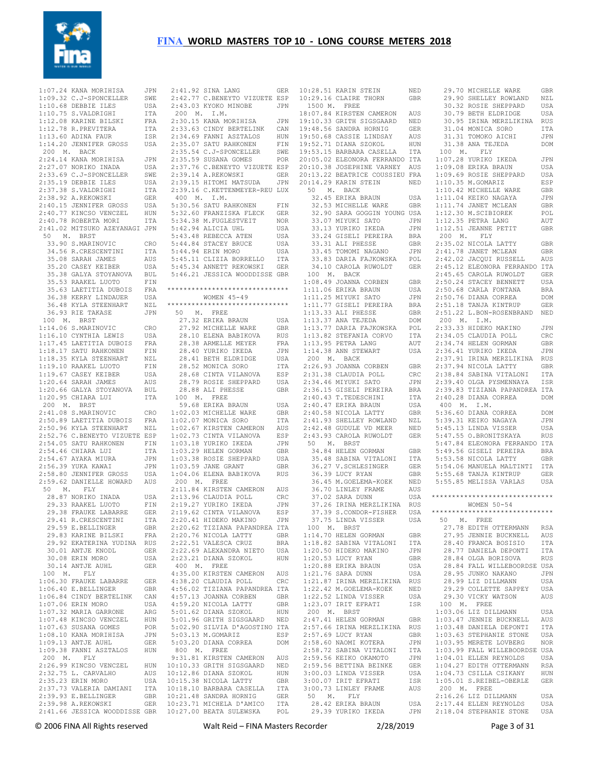

| 1:07.24 KANA MORIHISA                                                                                                                                                               | JPN        | 2:41.92 SINA LANG                               | <b>GER</b> |              | 10:28.51 KARIN STEIN                                                        | NED          | 29.70 MICHELLE WARE                                                                                                                                                                                                                                                                                                                                                                                                              | GBR                      |
|-------------------------------------------------------------------------------------------------------------------------------------------------------------------------------------|------------|-------------------------------------------------|------------|--------------|-----------------------------------------------------------------------------|--------------|----------------------------------------------------------------------------------------------------------------------------------------------------------------------------------------------------------------------------------------------------------------------------------------------------------------------------------------------------------------------------------------------------------------------------------|--------------------------|
| 1:09.32 C.J-SPONCELLER                                                                                                                                                              | SWE        | 2:42.77 C.BENEYTO VIZUETE ESP                   |            |              | 10:29.16 CLAIRE THORN                                                       | <b>GBR</b>   | 29.90 SHELLEY ROWLAND                                                                                                                                                                                                                                                                                                                                                                                                            | NZL                      |
| 1:10.68 DEBBIE ILES                                                                                                                                                                 | USA        | 2:43.03 KYOKO MINOBE                            | <b>JPN</b> | 1500 M. FREE |                                                                             |              | 30.32 ROSIE SHEPPARD                                                                                                                                                                                                                                                                                                                                                                                                             | <b>USA</b>               |
| 1:10.75 S.VALDRIGHI                                                                                                                                                                 | ITA        | 200 M. I.M.                                     |            |              | 18:07.84 KIRSTEN CAMERON                                                    | AUS          | 30.79 BETH ELDRIDGE                                                                                                                                                                                                                                                                                                                                                                                                              | USA                      |
| 1:12.08 KARINE BILSKI                                                                                                                                                               | FRA        | 2:30.15 KANA MORIHISA                           | JPN        |              | 19:10.33 GRITH SIGSGAARD                                                    | NED          | 30.95 IRINA MERZLIKINA                                                                                                                                                                                                                                                                                                                                                                                                           | <b>RUS</b>               |
| 1:12.78 R. PREVITERA                                                                                                                                                                | ITA        | 2:33.63 CINDY BERTELINK                         | CAN        |              | 19:48.56 SANDRA HORNIG                                                      | GER          | 31.04 MONICA SORO                                                                                                                                                                                                                                                                                                                                                                                                                | ITA                      |
| 1:13.60 ADINA FAUR<br>1:14.20 JENNIFER GROSS                                                                                                                                        | ISR<br>USA | 2:34.69 FANNI ASZTALOS<br>2:35.07 SATU RAHKONEN | HUN<br>FIN |              | 19:50.68 CASSIE LINDSAY<br>19:52.71 DIANA SZOKOL                            | AUS<br>HUN   | 31.31 TOMOKO AICHI<br>31.38 ANA TEJEDA                                                                                                                                                                                                                                                                                                                                                                                           | <b>JPN</b><br><b>DOM</b> |
| 200 M. BACK                                                                                                                                                                         |            | 2:35.54 C.J-SPONCELLER                          | SWE        |              | 19:53.15 BARBARA CASELLA                                                    | ITA          | 100 M.<br>FLY                                                                                                                                                                                                                                                                                                                                                                                                                    |                          |
| 2:24.14 KANA MORIHISA                                                                                                                                                               | JPN        | 2:35.59 SUSANA GOMES                            | POR        |              | 20:05.02 ELEONORA FERRANDO ITA                                              |              | 1:07.28 YURIKO IKEDA                                                                                                                                                                                                                                                                                                                                                                                                             | JPN                      |
| 2:27.07 NORIKO INADA                                                                                                                                                                | USA        | 2:37.76 C.BENEYTO VIZUETE ESP                   |            |              | 20:10.38 JOSEPHINE VARNEY AUS                                               |              | 1:09.08 ERIKA BRAUN                                                                                                                                                                                                                                                                                                                                                                                                              | USA                      |
| 2:33.69 C.J-SPONCELLER                                                                                                                                                              | SWE        | 2:39.14 A.REKOWSKI                              | GER        |              | 20:13.22 BEATRICE COUSSIEU FRA                                              |              | 1:09.69 ROSIE SHEPPARD                                                                                                                                                                                                                                                                                                                                                                                                           | USA                      |
| 2:35.19 DEBBIE ILES                                                                                                                                                                 | USA        | 2:39.15 HITOMI MATSUDA                          | JPN        |              | 20:14.29 KARIN STEIN                                                        | NED          | 1:10.35 M.GOMARIZ                                                                                                                                                                                                                                                                                                                                                                                                                | ESP                      |
| 2:37.38 S.VALDRIGHI                                                                                                                                                                 | <b>ITA</b> | 2:39.16 C.KETTENMEYER-REU LUX                   |            |              | 50 M. BACK                                                                  |              | 1:10.42 MICHELLE WARE                                                                                                                                                                                                                                                                                                                                                                                                            | <b>GBR</b>               |
| 2:38.92 A.REKOWSKI                                                                                                                                                                  | <b>GER</b> | 400 M. I.M.                                     |            |              | 32.45 ERIKA BRAUN                                                           | USA          | 1:11.04 KEIKO NAGAYA                                                                                                                                                                                                                                                                                                                                                                                                             | JPN                      |
| 2:40.15 JENNIFER GROSS                                                                                                                                                              | USA        | 5:30.56 SATU RAHKONEN                           | FIN        |              | 32.53 MICHELLE WARE                                                         | <b>GBR</b>   | 1:11.74 JANET MCLEAN                                                                                                                                                                                                                                                                                                                                                                                                             | <b>GBR</b>               |
| 2:40.77 KINCSO VENCZEL                                                                                                                                                              | HUN        | 5:32.60 FRANZISKA FLECK                         | <b>GER</b> |              | 32.90 SARA GOGGIN YOUNG USA                                                 |              | 1:12.30 M.SCIBIOREK                                                                                                                                                                                                                                                                                                                                                                                                              | POL                      |
| 2:40.78 ROBERTA MORI                                                                                                                                                                | ITA        | 5:34.38 M.FUGLESTVEIT                           | NOR        |              | 33.07 MIYUKI SATO                                                           | JPN          | 1:12.35 PETRA LANG                                                                                                                                                                                                                                                                                                                                                                                                               | AUT                      |
| 2:41.02 MITSUKO AZEYANAGI JPN                                                                                                                                                       |            | 5:42.94 ALICIA UHL                              | USA        |              | 33.13 YURIKO IKEDA                                                          | JPN          | 1:12.51 JEANNE PETIT                                                                                                                                                                                                                                                                                                                                                                                                             | <b>GBR</b>               |
| 50 M. BRST                                                                                                                                                                          |            | 5:43.48 REBECCA ATEN                            | USA        |              | 33.24 GISELI PEREIRA                                                        | <b>BRA</b>   | 200 M.<br>FLY                                                                                                                                                                                                                                                                                                                                                                                                                    |                          |
| 33.90 S.MARINOVIC<br>34.56 R.CRESCENTINI                                                                                                                                            | CRO        | 5:44.84 STACEY BRUCE                            | USA        |              | 33.31 ALI PHESSE                                                            | GBR<br>JPN   | 2:35.02 NICOLA LATTY<br>2:41.78 JANET MCLEAN                                                                                                                                                                                                                                                                                                                                                                                     | GBR                      |
| 35.08 SARAH JAMES                                                                                                                                                                   | ITA<br>AUS | 5:44.94 ERIN MORO<br>5:45.11 CLIZIA BORRELLO    | USA<br>ITA |              | 33.45 TOMOMI NAGANO<br>33.83 DARIA FAJKOWSKA                                | POL          | 2:42.02 JACQUI RUSSELL                                                                                                                                                                                                                                                                                                                                                                                                           | GBR<br>AUS               |
| 35.20 CASEY KEIBER                                                                                                                                                                  | USA        | 5:45.34 ANNETT REKOWSKI                         | <b>GER</b> |              | 34.10 CAROLA RUWOLDT                                                        | GER          | 2:45.12 ELEONORA FERRANDO ITA                                                                                                                                                                                                                                                                                                                                                                                                    |                          |
| 35.38 GALYA STOYANOVA                                                                                                                                                               | <b>BUL</b> | 5:46.21 JESSICA WOODDISSE GBR                   |            |              | 100 M. BACK                                                                 |              | 2:45.65 CAROLA RUWOLDT                                                                                                                                                                                                                                                                                                                                                                                                           | <b>GER</b>               |
| 35.53 RAAKEL LUOTO                                                                                                                                                                  | FIN        |                                                 |            |              | 1:08.49 JOANNA CORBEN                                                       | GBR          | 2:50.24 STACEY BENNETT                                                                                                                                                                                                                                                                                                                                                                                                           | USA                      |
| 35.63 LAETITIA DUBOIS                                                                                                                                                               | FRA        | ******************************                  |            |              | 1:11.06 ERIKA BRAUN                                                         | USA          | 2:50.68 CARLA FONTANA                                                                                                                                                                                                                                                                                                                                                                                                            | <b>BRA</b>               |
| 36.38 KERRY LINDAUER                                                                                                                                                                | USA        | WOMEN $45 - 49$                                 |            |              | 1:11.25 MIYUKI SATO                                                         | JPN          | 2:50.76 DIANA CORREA                                                                                                                                                                                                                                                                                                                                                                                                             | <b>DOM</b>               |
| 36.48 KYLA STEENHART                                                                                                                                                                | NZL        | ******************************                  |            |              | 1:11.77 GISELI PEREIRA                                                      | BRA          | 2:51.18 TANJA KINTRUP                                                                                                                                                                                                                                                                                                                                                                                                            | <b>GER</b>               |
| 36.93 RIE TAKASE                                                                                                                                                                    | JPN        | 50 M. FREE                                      |            |              | 1:13.33 ALI PHESSE                                                          | <b>GBR</b>   | 2:51.22 L.BON-ROSENBRAND                                                                                                                                                                                                                                                                                                                                                                                                         | NED                      |
| 100 M. BRST                                                                                                                                                                         |            | 27.32 ERIKA BRAUN                               | USA        |              | 1:13.37 ANA TEJEDA                                                          | <b>DOM</b>   | 200 M. I.M.                                                                                                                                                                                                                                                                                                                                                                                                                      |                          |
| 1:14.06 S.MARINOVIC                                                                                                                                                                 | CRO        | 27.92 MICHELLE WARE                             | <b>GBR</b> |              | 1:13.77 DARIA FAJKOWSKA                                                     | POL          | 2:33.33 HIDEKO MAKINO                                                                                                                                                                                                                                                                                                                                                                                                            | JPN                      |
| 1:16.10 CYNTHIA LEWIS                                                                                                                                                               | USA        | 28.10 ELENA BABIKOVA                            | <b>RUS</b> |              | 1:13.82 STEFANIA CORVO                                                      | ITA          | 2:34.05 CLAUDIA POLL                                                                                                                                                                                                                                                                                                                                                                                                             | $_{\rm CRC}$             |
| 1:17.45 LAETITIA DUBOIS                                                                                                                                                             | FRA        | 28.38 ARMELLE MEYER                             | FRA        |              | 1:13.95 PETRA LANG                                                          | AUT          | 2:34.74 HELEN GORMAN                                                                                                                                                                                                                                                                                                                                                                                                             | <b>GBR</b>               |
| 1:18.17 SATU RAHKONEN                                                                                                                                                               | FIN        | 28.40 YURIKO IKEDA                              | JPN        |              | 1:14.38 ANN STEWART                                                         | USA          | 2:36.41 YURIKO IKEDA                                                                                                                                                                                                                                                                                                                                                                                                             | <b>JPN</b>               |
| 1:18.35 KYLA STEENHART                                                                                                                                                              | NZL        | 28.41 BETH ELDRIDGE                             | USA        |              | 200 M. BACK                                                                 |              | 2:37.91 IRINA MERZLIKINA                                                                                                                                                                                                                                                                                                                                                                                                         | <b>RUS</b><br><b>GBR</b> |
| 1:19.10 RAAKEL LUOTO<br>1:19.67 CASEY KEIBER                                                                                                                                        | FIN<br>USA | 28.52 MONICA SORO<br>28.68 CINTA VILANOVA       | ITA<br>ESP |              | 2:26.93 JOANNA CORBEN<br>2:31.38 CLAUDIA POLL                               | GBR<br>CRC   | 2:37.94 NICOLA LATTY<br>2:38.84 SABINA VITALONI                                                                                                                                                                                                                                                                                                                                                                                  | ITA                      |
| 1:20.64 SARAH JAMES                                                                                                                                                                 | AUS        | 28.79 ROSIE SHEPPARD                            | USA        |              | 2:34.46 MIYUKI SATO                                                         | JPN          | 2:39.40 OLGA PYSMENNAYA                                                                                                                                                                                                                                                                                                                                                                                                          | ISR                      |
| 1:20.66 GALYA STOYANOVA                                                                                                                                                             | <b>BUL</b> | 28.88 ALI PHESSE                                | <b>GBR</b> |              | 2:36.15 GISELI PEREIRA                                                      | <b>BRA</b>   | 2:39.83 TIZIANA PAPANDREA ITA                                                                                                                                                                                                                                                                                                                                                                                                    |                          |
| 1:20.95 CHIARA LUI                                                                                                                                                                  | ITA        | 100 M. FREE                                     |            |              | 2:40.43 T. TEDESCHINI                                                       | ITA          | 2:40.28 DIANA CORREA                                                                                                                                                                                                                                                                                                                                                                                                             | <b>DOM</b>               |
| 200 M. BRST                                                                                                                                                                         |            | 59.68 ERIKA BRAUN                               | USA        |              | 2:40.47 ERIKA BRAUN                                                         | USA          | 400 M. I.M.                                                                                                                                                                                                                                                                                                                                                                                                                      |                          |
| 2:41.08 S.MARINOVIC                                                                                                                                                                 | CRO        | 1:02.03 MICHELLE WARE                           | GBR        |              | 2:40.58 NICOLA LATTY                                                        | <b>GBR</b>   | 5:36.60 DIANA CORREA                                                                                                                                                                                                                                                                                                                                                                                                             | <b>DOM</b>               |
| 2:50.89 LAETITIA DUBOIS                                                                                                                                                             | FRA        | 1:02.07 MONICA SORO                             | ITA        |              | 2:41.93 SHELLEY ROWLAND                                                     | NZL          | 5:39.31 KEIKO NAGAYA                                                                                                                                                                                                                                                                                                                                                                                                             | JPN                      |
| 2:50.96 KYLA STEENHART                                                                                                                                                              | NZL        | 1:02.67 KIRSTEN CAMERON                         | AUS        |              | 2:42.48 GUDULE VD MEER                                                      | $_{\rm NED}$ | 5:45.13 LINDA VISSER                                                                                                                                                                                                                                                                                                                                                                                                             | <b>USA</b>               |
| 2:52.76 C.BENEYTO VIZUETE ESP                                                                                                                                                       |            | 1:02.73 CINTA VILANOVA                          | ESP        |              | 2:43.93 CAROLA RUWOLDT                                                      | <b>GER</b>   | 5:47.55 O.BRONITSKAYA                                                                                                                                                                                                                                                                                                                                                                                                            | <b>RUS</b>               |
| 2:54.05 SATU RAHKONEN                                                                                                                                                               | FIN        | 1:03.18 YURIKO IKEDA                            | JPN        | 50 M. BRST   |                                                                             |              | 5:47.84 ELEONORA FERRANDO ITA                                                                                                                                                                                                                                                                                                                                                                                                    |                          |
| 2:54.46 CHIARA LUI                                                                                                                                                                  | ITA        | 1:03.29 HELEN GORMAN                            | GBR        |              | 34.84 HELEN GORMAN                                                          | GBR          | 5:49.56 GISELI PEREIRA                                                                                                                                                                                                                                                                                                                                                                                                           | <b>BRA</b>               |
| 2:54.67 AYAKA MIURA                                                                                                                                                                 | JPN        | 1:03.38 ROSIE SHEPPARD                          | USA        |              | 35.48 SABINA VITALONI                                                       | ITA          | 5:53.58 NICOLA LATTY                                                                                                                                                                                                                                                                                                                                                                                                             | <b>GBR</b>               |
| 2:56.39 YUKA KAWAI                                                                                                                                                                  | JPN        | 1:03.59 JANE GRANT                              | GBR        |              | 36.27 V.SCHLESINGER                                                         | <b>GER</b>   | 5:54.06 MANUELA MALTINTI ITA                                                                                                                                                                                                                                                                                                                                                                                                     |                          |
| 2:58.80 JENNIFER GROSS<br>2:59.62 DANIELLE HOWARD                                                                                                                                   | USA        | 1:04.06 ELENA BABIKOVA<br>200 M. FREE           | <b>RUS</b> |              | 36.39 LUCY RYAN                                                             | <b>GBR</b>   | 5:55.68 TANJA KINTRUP                                                                                                                                                                                                                                                                                                                                                                                                            | <b>GER</b>               |
| FLY<br>50<br>М.                                                                                                                                                                     | AUS        | 2:11.84 KIRSTEN CAMERON                         | AUS        |              | 36.45 M.GOELEMA-KOEK<br>36.70 LINLEY FRAME                                  | NED<br>AUS   | 5:55.85 MELISSA VARLAS                                                                                                                                                                                                                                                                                                                                                                                                           | USA                      |
| 28.87 NORIKO INADA                                                                                                                                                                  | USA        | 2:13.96 CLAUDIA POLL                            | CRC        |              | 37.02 SARA DUNN                                                             | USA          | ******************************                                                                                                                                                                                                                                                                                                                                                                                                   |                          |
| 29.33 RAAKEL LUOTO                                                                                                                                                                  | FIN        | 2:19.27 YURIKO IKEDA                            | JPN        |              | 37.26 IRINA MERZLIKINA                                                      | RUS          | WOMEN $50 - 54$                                                                                                                                                                                                                                                                                                                                                                                                                  |                          |
| 29.38 FRAUKE LABARRE                                                                                                                                                                | <b>GER</b> | 2:19.62 CINTA VILANOVA                          | ESP        |              | 37.39 S.CONDOR-FISHER                                                       | USA          | ******************************                                                                                                                                                                                                                                                                                                                                                                                                   |                          |
| 29.41 R.CRESCENTINI                                                                                                                                                                 | ITA        | 2:20.41 HIDEKO MAKINO JPN                       |            |              | 37.75 LINDA VISSER                                                          | USA          | 50 M. FREE                                                                                                                                                                                                                                                                                                                                                                                                                       |                          |
|                                                                                                                                                                                     |            |                                                 |            |              |                                                                             |              |                                                                                                                                                                                                                                                                                                                                                                                                                                  |                          |
|                                                                                                                                                                                     |            |                                                 |            |              |                                                                             |              |                                                                                                                                                                                                                                                                                                                                                                                                                                  |                          |
|                                                                                                                                                                                     |            |                                                 |            |              |                                                                             |              |                                                                                                                                                                                                                                                                                                                                                                                                                                  |                          |
|                                                                                                                                                                                     |            |                                                 |            |              |                                                                             |              |                                                                                                                                                                                                                                                                                                                                                                                                                                  |                          |
|                                                                                                                                                                                     |            |                                                 |            |              |                                                                             |              |                                                                                                                                                                                                                                                                                                                                                                                                                                  |                          |
|                                                                                                                                                                                     |            |                                                 |            |              |                                                                             |              |                                                                                                                                                                                                                                                                                                                                                                                                                                  |                          |
| 100 M. FLY                                                                                                                                                                          |            |                                                 |            |              |                                                                             |              |                                                                                                                                                                                                                                                                                                                                                                                                                                  |                          |
| 1:06.30 FRAUKE LABARRE GER 4:38.20 CLAUDIA POLL CRC 1:21.87 IRINA MERZLIKINA RUS                                                                                                    |            |                                                 |            |              |                                                                             |              |                                                                                                                                                                                                                                                                                                                                                                                                                                  |                          |
| $1:06.40 \text{ E.BELINGER} \hspace{1.5cm} \text{GBR} \hspace{1.5cm} 4:56.02 \text{ TIZIANA PAPANDREA ITA} \hspace{1.5cm} 1:22.42 \text{ M.GOELEMA-ROEK} \hspace{1.5cm} \text{NED}$ |            |                                                 |            |              |                                                                             |              |                                                                                                                                                                                                                                                                                                                                                                                                                                  |                          |
|                                                                                                                                                                                     |            |                                                 |            |              |                                                                             |              | 100 M. FREE                                                                                                                                                                                                                                                                                                                                                                                                                      |                          |
|                                                                                                                                                                                     |            |                                                 |            |              |                                                                             |              |                                                                                                                                                                                                                                                                                                                                                                                                                                  | USA                      |
|                                                                                                                                                                                     |            |                                                 |            |              |                                                                             |              | $1:07.32 \text{ MARIA GARRONE} \qquad \qquad \text{ARG} \qquad \qquad 5:01.62 \text{ DIANA} \text{ S2OKOL} \qquad \qquad \text{HUN} \qquad \qquad 200 \text{ M} \qquad \text{BRST} \qquad \qquad 1:03.06 \text{ LIZ DILLMANN} \qquad \qquad \text{USA} \qquad \qquad 1:07.48 \text{ KINCSO VENCZEL} \qquad \qquad \text{HUN} \qquad \qquad 5:01.96 \text{ GRITH} \text{ SIGSGARD} \qquad \text{NED} \qquad \qquad 2:47.41 \text$ |                          |
| 1:07.63 SUSANA GOMES POR 5:02.90 SILVIA D'AGOSTINO ITA 2:57.66 IRINA MERZLIKINA RUS                                                                                                 |            |                                                 |            |              |                                                                             |              | 1:03.48 DANIELA DEPONTI ITA                                                                                                                                                                                                                                                                                                                                                                                                      |                          |
|                                                                                                                                                                                     |            |                                                 |            |              |                                                                             |              | 1:03.63 STEPHANIE STONE USA                                                                                                                                                                                                                                                                                                                                                                                                      |                          |
|                                                                                                                                                                                     |            |                                                 |            |              |                                                                             |              | 1:03.95 MERETE LOVBERG                                                                                                                                                                                                                                                                                                                                                                                                           | NOR                      |
|                                                                                                                                                                                     |            |                                                 |            |              |                                                                             |              | 2:58.72 SABINA VITALONI ITA 1:03.99 FALL WILLEBOORDSE USA                                                                                                                                                                                                                                                                                                                                                                        |                          |
| 200 M. FLY                                                                                                                                                                          |            |                                                 |            |              |                                                                             |              | ------<br>9:31.81 KIRSTEN CAMERON AUS 2:59.56 KEIKO OKAMOTO JPN 1:04.01 ELLEN REYNOLDS<br>NCZEL HUN 10:10.33 GRITH SIGSGAARD NED 2:59.56 BETTINA BEINKE GER 1:04.27 EDITH OTTERMANN                                                                                                                                                                                                                                              | USA                      |
| 2:26.99 KINCSO VENCZEL                                                                                                                                                              |            |                                                 |            |              |                                                                             |              |                                                                                                                                                                                                                                                                                                                                                                                                                                  | RSA                      |
|                                                                                                                                                                                     |            |                                                 |            |              |                                                                             |              |                                                                                                                                                                                                                                                                                                                                                                                                                                  |                          |
|                                                                                                                                                                                     |            |                                                 |            |              |                                                                             |              |                                                                                                                                                                                                                                                                                                                                                                                                                                  |                          |
|                                                                                                                                                                                     |            |                                                 |            |              |                                                                             |              |                                                                                                                                                                                                                                                                                                                                                                                                                                  |                          |
|                                                                                                                                                                                     |            |                                                 |            |              |                                                                             |              |                                                                                                                                                                                                                                                                                                                                                                                                                                  |                          |
|                                                                                                                                                                                     |            |                                                 |            |              |                                                                             |              | 2.32.75 L. CARVALHO NUS 10:12.86 DIANA SZOKOL HUN 3:00.03 LINDA VISSER USA 1:04.73 CSILLA CSIKANY HUN 2:32.75 L. CARVALHO NUS 10:12.86 DIANA SZOKOL HUN 3:00.03 LINDA VISSER USA 1:04.73 CSILLA CSIKANY HUN 2:32.75 L. CARVALH                                                                                                                                                                                                   |                          |
|                                                                                                                                                                                     |            |                                                 |            |              |                                                                             |              |                                                                                                                                                                                                                                                                                                                                                                                                                                  |                          |
|                                                                                                                                                                                     |            |                                                 |            |              | © 2006 FINA All Rights reserved Walt Reid - FINA Masters Recorder 2/28/2019 |              | Page 3 of 31                                                                                                                                                                                                                                                                                                                                                                                                                     |                          |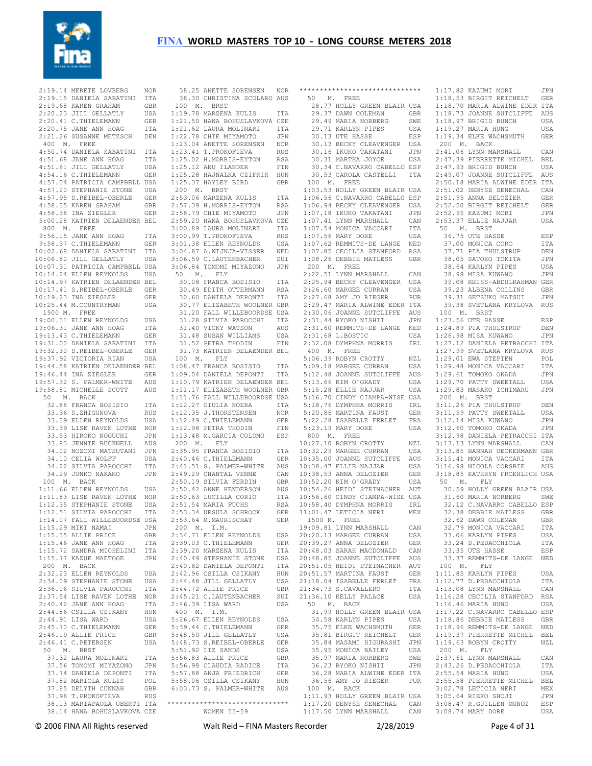

 2:19.14 MERETE LOVBERG NOR 2:19.15 DANIELA SABATINI ITA 2:19.68 KAREN GRAHAM GBR 2:20.23 JILL GELLATLY USA 2:20.41 C.THIELEMANN GER 2:20.75 JANE ANN HOAG ITA 2:21.26 SUSANNE METZSCH DEN 400 M. FREE 4:50.74 DANIELA SABATINI ITA 4:51.68 JANE ANN HOAG ITA 4:51.81 JILL GELLATLY USA 4:54.16 C.THIELEMANN GER 4:57.04 PATRICIA CAMPBELL USA 4:57.20 STEPHANIE STONE USA 4:57.95 S.REIBEL-OBERLE GER 4:58.35 KAREN GRAHAM GBR 4:58.38 INA ZIEGLER GER 5:00.28 KATRIEN DELAENDER BEL 800 M. FREE 9:56.15 JANE ANN HOAG ITA 9:58.37 C.THIELEMANN GER 10:02.68 DANIELA SABATINI ITA 10:06.80 JILL GELLATLY USA 10:07.31 PATRICIA CAMPBELL USA 10:14.24 ELLEN REYNOLDS USA 10:14.97 KATRIEN DELAENDER BEL 10:17.41 S.REIBEL-OBERLE GER 10:19.23 INA ZIEGLER GER 10:25.44 M.COUNTRYMAN USA 1500 M. FREE 19:00.31 ELLEN REYNOLDS USA 19:06.31 JANE ANN HOAG ITA 19:13.43 C.THIELEMANN GER 19:31.00 DANIELA SABATINI ITA 19:32.30 S.REIBEL-OBERLE GER 19:37.92 VICTORIA RIAN USA 19:44.58 KATRIEN DELAENDER BEL 19:46.44 INA ZIEGLER GER 19:57.32 S. PALMER-WHITE AUS 19:58.81 MICHELLE SCOTT AUS 50 M. BACK 32.88 FRANCA BOSISIO ITA 33.36 S.ZHIGUNOVA RUS 33.39 ELLEN REYNOLDS USA 33.39 LISE RAVEN LOTHE NOR 33.53 HIROKO NOGUCHI JPN 33.83 JENNIE BUCKNELL AUS 34.02 NOZOMI MATSUTANI JPN 34.10 CELIA WOLFF USA 34.22 SILVIA PAROCCHI ITA 34.29 JUNKO NAKANO JPN 100 M. BACK 1:11.66 ELLEN REYNOLDS USA 1:11.83 LISE RAVEN LOTHE NOR 1:12.35 STEPHANIE STONE USA 1:12.51 SILVIA PAROCCHI ITA 1:14.07 FALL WILLEBOORDSE USA 1:15.29 MIKI NAMAI JPN 1:15.35 ALLIE PRICE GBR 1:15.46 JANE ANN HOAG ITA 1:15.72 SANDRA MICHELINI ITA 1:15.77 KAZUE MAETOGE JPN 200 M. BACK 2:40.49 STEPHANIE STONE USA 2:40.82 DANIELA DEPONTI ITA 2:32.23 ELLEN REYNOLDS USA 2:34.09 STEPHANIE STONE USA 2:36.06 SILVIA PAROCCHI ITA 2:37.54 LISE RAVEN LOTHE NOR 2:40.42 JANE ANN HOAG ITA 2:44.86 CSILLA CSIKANY HUN<br>2:44.91 LISA WARD USA  $2:44.91$  LISA WARD 2:45.70 C.THIELEMANN GER<br>2:46.19 ALLIE PRICE GBR  $2:46.19$  ALLIE PRICE 2:46.41 C.PETERSEN USA 50 M. BRST 37.32 LAURA MOLINARI ITA<br>37.56 TOMOMI MIYAZONO JPN 37.56 TOMOMI MIYAZONO 37.74 DANIELA DEPONTI ITA 37.82 MARIOLA KULIS POL 37.85 DELYTH CUNNAH GBR 37.98 T.PROKOFIEVA RUS 38.13 MARIAPAOLA UBERTI ITA \*\*\*\*\*\*\*\*\*\*\*\*\*\*\*\*\*\*\*\*\*\*\*\*\*\*\*\*\*\* 38.14 HANA BOHUSLAVKOVA CZE

 38.30 CHRISTINA SCOLARO AUS 100 M. BRST 1:19.78 MARZENA KULIS ITA 1:21.50 HANA BOHUSLAVKOVA CZE 1:21.62 LAURA MOLINARI ITA 1:22.78 CHIE MIYAMOTO JPN 1:23.04 ANETTE SORENSEN NOR 1:23.41 T.PROKOFIEVA RUS 1:25.02 H.MORRIS-EYTON RSA 1:25.12 ANU ILANDER FIN 1:25.28 HAJNALKA CZIFRIK HUN 1:25.37 HAYLEY BIRD GBR 200 M. BRST 2:53.06 MARZENA KULIS TTA 2:57.39 H.MORRIS-EYTON RSA 2:58.79 CHIE MIYAMOTO JPN 2:59.20 HANA BOHUSLAVKOVA CZE 3:00.89 LAURA MOLINARI ITA 3:00.99 T.PROKOFIEVA RUS 3:01.38 ELLEN REYNOLDS USA 3:04.87 A.WIJNJA-VISSER NED 3:06.59 C.LAUTENBACHER SUI 3:06.84 TOMOMI MIYAZONO JPN 50 M. FLY 30.08 FRANCA BOSISIO ITA 30.49 EDITH OTTERMANN RSA 30.60 DANIELA DEPONTI ITA 30.77 ELIZABETH WOOLNER GBR 31.20 FALL WILLEBOORDSE USA 31.28 SILVIA PAROCCHI ITA 31.40 VICKY WATSON AUS 31.48 SUSAN WILLIAMS USA 31.52 PETRA THODIN FIN 31.73 KATRIEN DELAENDER BEL 100 M. FLY 1:08.47 FRANCA BOSISIO ITA 1:09.04 DANIELA DEPONTI ITA 1:10.79 KATRIEN DELAENDER BEL 1:11.17 ELIZABETH WOOLNER GBR 1:11.76 FALL WILLEBOORDSE USA 1:12.27 GIULIA NOERA ITA 1:12.35 J.THORSTENSEN NOR 1:12.00 C.THIELEMANN GER<br>1:12.49 C.THIELEMANN GER 1:12.98 PETRA THODIN FIN 1:13.48 M.GARCIA COLOMO ESP 200 M. FLY 2:35.95 FRANCA BOSISIO ITA 2:40.46 C.THIELEMANN GER 2:41.51 S. PALMER-WHITE AUS 2:49.29 CHANTAL VENNE CAN 2:50.19 SILVIA FERDIN GBR 2:50.42 ANNE HENDERSON AUS 2:50.63 LUCILLA CORIO ITA<br>?·51.54 MARIA FUCHS RSA  $2:51.54$  MARIA FUCHS 2:53.34 URSULA SCHROCK GER 2:53.64 M.MAURISCHAT GER 200 M. I.M. 2:34.71 ELLEN REYNOLDS USA<br>2:39.03 C.THIELEMANN GER  $2.39.03$  C.THIELEMANN 2:39.20 MARZENA KULIS ITA 2:42.96 CSILLA CSIKANY HUN 2:44.48 JILL GELLATLY USA<br>2:44 72 ALLIE PRICE GBR  $2:44.72$  ALLIE PRICE 2:45.21 C.LAUTENBACHER SUI 2:46.39 LISA WARD USA 400 M. I.M. 5:26.67 ELLEN REYNOLDS USA<br>5:39.44 C.THIELEMANN GER 5:39.44 C.THIELEMANN GER 5:48.50 JILL GELLATLY USA 5:48.73 S.REIBEL-OBERLE GER 5:51.92 LIZ SANDS USA 5:56.83 ALLIE PRICE GBR 5:56.98 CLAUDIA RADICE ITA 5:57.88 ANJA FRIEDRICH GER 5:58.06 CSILLA CSIKANY HUN 6:03.73 S. PALMER-WHITE AUS WOMEN 55-59

 38.25 ANETTE SORENSEN NOR \*\*\*\*\*\*\*\*\*\*\*\*\*\*\*\*\*\*\*\*\*\*\*\*\*\*\*\*\*\* 1:17.82 KAZUMI MORI JPN 50 M. FREE 28.77 HOLLY GREEN BLAIR USA 1:18.70 MARIA ALWINE EDER ITA 29.37 DAWN COLEMAN GBR 29.49 MARIA NORBERG SWE  $29.71$  KARLYN PIPES 30.13 UTE HASSE 30.13 BECKY CLEAVENGER USA 30.16 IKUKO TAKATANI JPN<br>30.31 MARTHA JOYCE USA 30.31 MARTHA JOYCE 30.34 C.NAVARRO CABELLO ESP 30.53 CAROLA CASTELLI ITA 100 M. FREE 1:03.53 HOLLY GREEN BLAIR USA 1:06.56 C.NAVARRO CABELLO ESP 1:06.94 BECKY CLEAVENGER USA 1:07.18 IKUKO TAKATANI JPN 1:07.41 LYNN MARSHALL CAN 1:07.54 MONICA VACCARI ITA 1:07.56 MARY DORE USA 1:07.62 REMMITS-DE LANGE NED 1:07.85 CECILIA STANFORD RSA 1:08.26 DEBBIE MATLESS GBR 200 M. FREE 2:22.51 LYNN MARSHALL CAN 2:25.94 BECKY CLEAVENGER USA 2:26.60 MARGEE CURRAN USA 2:27.68 AMY JO RIEGER PUR 2:29.47 MARIA ALWINE EDER ITA 2:30.06 JOANNE SUTCLIFFE AUS 2:31.44 RYOKO NISHII JPN 2:31.60 REMMITS-DE LANGE NED  $2 \cdot 31$  68 L. BOSTIC 2:32.08 DYMPHNA MORRIS IRL 400 M. FREE 5:06.39 ROBYN CROTTY NZL 5:09.18 MARGEE CURRAN USA 5:12.48 JOANNE SUTCLIFFE AUS 5:13.66 KIM O'GRADY USA<br>5:13.66 KIM O'GRADY USA 5:15.28 ELLIE NAJJAR USA 5:16.70 CINDY CIAMPA-WISE USA 5:18.76 DYMPHNA MORRIS IRL 5:20.86 MARTINA FAUST GER 5:22.28 ISABELLE FERLET FRA 5:23.19 MARY DORE USA 800 M. FREE 10:27.10 ROBYN CROTTY NZL 10:32.29 MARGEE CURRAN USA 10:35.00 JOANNE SUTCLIFFE AUS 10:38.47 ELLIE NAJJAR USA 10:38.53 ANNA DELOZIER GER 10:52.20 KIM O'GRADY USA 10:54.26 HEIDI STEINACHER AUT ITA 10:56.60 CINDY CIAMPA-WISE USA 10:58.40 DYMPHNA MORRIS IRL 11:01.47 LETICIA NERI MEX 11:01.47 LETICIA NERI<br>1500 M. FREE 19:09.81 LYNN MARSHALL CAN 20:20.13 MARGEE CURRAN USA 20:39.27 ANNA DELOZIER GER 20:48.03 SARAH MACDONALD CAN 20:48.85 JOANNE SUTCLIFFE AUS 20:51.05 HEIDI STEINACHER AUT 20:51.57 MARTINA FAUST GER 21:18.04 ISABELLE FERLET FRA 21:34.73 S.CAVALLERO ITA 21:36.10 KELLY PALACE USA 50 M. BACK 31.99 HOLLY GREEN BLAIR USA 34.58 KARLYN PIPES USA<br>34.58 KARLYN PIPES USA 35.75 ELKE WACHSMUTH GER 35.73 BLAE WACHSHOTH GER 35.84 MASAMI HIGURASHI JPN 35.95 MONICA BAILEY USA 35.97 MARIA NORBERG SWE<br>36.23 RYOKO NISHII JPN 36.23 RYOKO NISHII 36.28 MARIA ALWINE EDER ITA 36.56 AMY JO RIEGER PUR 2:55.58 PIERRETTE MICHEL BEL 100 M. BACK 1:11.93 HOLLY GREEN BLAIR USA 1:17.20 DENYSE SENECHAL CAN 1:17.50 LYNN MARSHALL CAN 3:08.47 R.GUILLEN MUNOZ ESP 3:08.74 MARY DORE USA

 1:18.53 BIRGIT REICHELT GER 1:18.73 JOANNE SUTCLIFFE AUS 1:18.97 BRIGID BUNCH USA<br>1:19.27 MARTA HUNG USA 1:19.27 MARIA HUNG USA 1:19.34 ELKE WACHSMUTH GER 200 M. BACK 2:41.06 LYNN MARSHALL CAN 2:47.39 PIERRETTE MICHEL BEL 2:47.93 BRIGID BUNCH USA 2:49.07 JOANNE SUTCLIFFE AUS 2:50.18 MARIA ALWINE EDER ITA 2:51.02 DENYSE SENECHAL CAN 2:51.95 ANNA DELOZIER GER 2:52.50 BIRGIT REICHELT GER 2:52.95 KAZUMI MORI JPN 2:53.37 ELLIE NAJJAR USA 50 M. BRST 36.75 UTE HASSE ESP 37.00 MONICA CORO TTA 37.71 PIA THULSTRUP DEN 38.05 SATOKO TOKITA JPN 38.64 KARLYN PIPES USA 38.98 MISA KUWANO JPN 39.08 REISS-ABDULRAHMAN GER 39.23 ALBENA COLLINS GBR 39.31 SETSUKO MATSUI JPN 39.38 SVETLANA KRYLOVA RUS 100 M. BRST 1:23.56 UTE HASSE ESP 1:24.89 PIA THULSTRUP DEN 1:26.98 MISA KUWANO JPN 1:27.12 DANIELA PETRACCHI ITA 1:27.99 SVETLANA KRYLOVA RUS 1:29.01 EWA STEPIEN POL 1:29.48 MONICA VACCARI ITA 1:29.61 TOMOKO OKADA JPN 1:29.70 PATTY SWEETALL USA 1:29.83 MASAKO ICHIMARU JPN 200 M. BRST 3:11.26 PIA THULSTRUP DEN 3:11.59 PATTY SWEETALL USA 3:12.14 MISA KUWANO JPN 3:12.60 TOMOKO OKADA JPN 3:12.98 DANIELA PETRACCHI ITA 3:13.13 LYNN MARSHALL CAN 3:13.85 HANNAH UECKERMANN GBR 3:15.41 MONICA VACCARI ITA 3:16.98 NICOLA CORSBIE AUS 3:18.85 KATHRYN FROEHLICH USA 50 M. FLY 30.59 HOLLY GREEN BLAIR USA 31.60 MARIA NORBERG SWE 32.12 C.NAVARRO CABELLO ESP 32.38 DEBBIE MATLESS GBR 32.62 DAWN COLEMAN GBR 32.79 MONICA VACCARI ITA 33.06 KARLYN PIPES USA 33.24 D.PEDACCHIOLA ITA 33.35 UTE HASSE ESP 33.37 REMMITS-DE LANGE NED 100 M. FLY 1:11.85 KARLYN PIPES USA 1:12.77 D.PEDACCHIOLA ITA 1:13.08 LYNN MARSHALL CAN 1:16.28 CECILIA STANFORD RSA 1:16.46 MARIA HUNG USA 1:17.22 C.NAVARRO CABELLO ESP 1:18.86 DEBBIE MATLESS GBR 1:18.96 REMMITS-DE LANGE NED 1:19.37 PIERRETTE MICHEL BEL 1:19.63 ROBYN CROTTY NZL 200 M. FLY 2:37.61 LYNN MARSHALL CAN 2:43.26 D.PEDACCHIOLA ITA 2:55.54 MARIA HUNG USA 3:02.78 LETICIA NERI MEX 3:05.64 RIEKO SHOJI JPN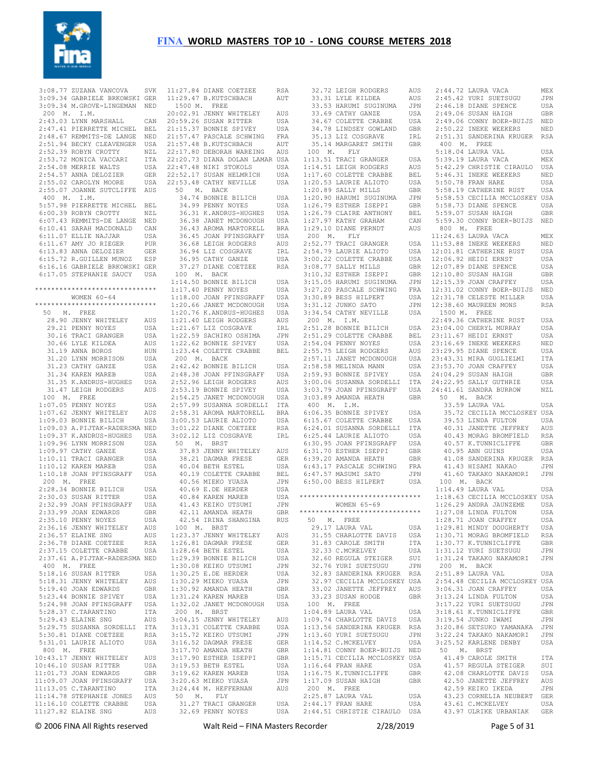

 3:08.77 ZUZANA VANCOVA SVK 3:09.34 GABRIELE BRKOWSKI GER 11:27.84 DIANE COETZEE RSA 11:29.47 B.KUTSCHBACH AUT 3:09.34 M.GROVE-LINGEMAN NED 200 M. I.M. 2:43.03 LYNN MARSHALL CAN 2:47.41 PIERRETTE MICHEL BEL 21:15.37 BONNIE SPIVEY USA<br>2:48.67 REMMITS-DE LANGE NED 21:57.47 PASCALE SCHWING FRA 2:51.94 BECKY CLEAVENGER USA 2:52.39 ROBYN CROTTY NZL 2:53.72 MONICA VACCARI ITA 2:54.08 MERRIE WALTS USA 2:54.57 ANNA DELOZIER GER 2:55.02 CAROLYN MOORE USA 2:55.07 JOANNE SUTCLIFFE AUS 400 M. I.M. 5:57.98 PIERRETTE MICHEL BEL 6:00.39 ROBYN CROTTY NZL 6:07.43 REMMITS-DE LANGE NED 6:10.41 SARAH MACDONALD CAN 6:11.07 ELLIE NAJJAR USA 6:11.67 AMY JO RIEGER PUR 6:13.83 ANNA DELOZIER GER 6:15.72 R.GUILLEN MUNOZ ESP 6:16.16 GABRIELE BRKOWSKI GER 6:17.05 STEPHANIE SAUCY USA \*\*\*\*\*\*\*\*\*\*\*\*\*\*\*\*\*\*\*\*\*\*\*\*\*\*\*\*\*\* WOMEN 60-64 \*\*\*\*\*\*\*\*\*\*\*\*\*\*\*\*\*\*\*\*\*\*\*\*\*\*\*\*\*\* 50 M. FREE 28.90 JENNY WHITELEY AUS 29.21 PENNY NOYES USA 30.16 TRACI GRANGER USA 30.66 LYLE KILDEA AUS 31.19 ANNA BOROS HUN 31.20 LYNN MORRISON USA 31.23 CATHY GANZE USA 31.34 KAREN MAREB USA 31.35 K.ANDRUS-HUGHES USA 31.47 LEIGH RODGERS AUS 100 M. FREE 1:07.05 PENNY NOYES USA 1:07.62 JENNY WHITELEY AUS 1:09.03 BONNIE BILICH USA 1:09.03 A.PIJTAK-RADERSMA NED 1:09.37 K.ANDRUS-HUGHES USA 1:09.96 LYNN MORRISON USA 1:09.97 CATHY GANZE USA 1:10.11 TRACI GRANGER USA 1:10.12 KAREN MAREB USA 1:10.18 JOAN PFINSGRAFF USA 200 M. FREE 2:28.34 BONNIE BILICH USA 2:30.03 SUSAN RITTER USA 2:32.99 JOAN PFINSGRAFF USA 2:33.99 JOAN EDWARDS GBR 2:35.10 PENNY NOYES USA 2:36.16 JENNY WHITELEY AUS 2:36.57 ELAINE SNG AUS 2:36.78 DIANE COETZEE RSA 2:37.15 COLETTE CRABBE USA 2:37.61 A.PIJTAK-RADERSMA NED 1:29.39 BONNIE BILICH USA 400 M. FREE 5:18.16 SUSAN RITTER USA 5:18.31 JENNY WHITELEY AUS 5:19.40 JOAN EDWARDS GBR 5:23.44 BONNIE SPIVEY USA 5:24.98 JOAN PFINSGRAFF USA<br>5:28.37 C.TARANTINO ITA  $5:28.37$  C.TARANTINO 5:29.43 ELAINE SNG AUS 5:29.75 SUSANNA SORDELLI ITA<br>5:30.81 DIANE COETZEE RSA 5:30.81 DIANE COETZEE 5:31.01 LAURIE ALIOTO USA 800 M. FREE 10:43.17 JENNY WHITELEY AUS<br>10:46.10 SUSAN RITTER USA 10:46.10 SUSAN RITTER 11:01.73 JOAN EDWARDS GBR<br>11:09.07 JOAN PFINSGRAFF USA  $11:09.07$  JOAN PFINSGRAFF 11:13.05 C.TARANTINO ITA 11:14.78 STEPHANIE JONES AUS 11:11:10 COLETTE CRABBE USA 11:27.82 ELAINE SNG AUS

 1500 M. FREE 20:02.91 JENNY WHITELEY AUS CAN 20:59.26 SUSAN RITTER USA 21:57.48 B.KUTSCHBACH AUT 22:17.80 DEBORAH WAREING AUS 22:20.73 DIANA DOLAN LAMAR USA 22:47.48 NIKI STOKOLS USA 22:52.17 SUSAN HELMRICH USA 22:53.48 CATHY NEVILLE USA 50 M. BACK 34.74 BONNIE BILICH USA<br>34.99 PENNY NOYES USA 34.99 PENNY NOYES 36.31 K.ANDRUS-HUGHES USA 36.38 JANET MCDONOUGH USA 36.43 AROMA MARTORELL BRA 36.45 JOAN PFINSGRAFF USA 36.68 LEIGH RODGERS AUS 36.94 LIZ COSGRAVE IRL 36.95 CATHY GANZE USA 37.27 DIANE COETZEE RSA 100 M. BACK 1:14.50 BONNIE BILICH USA 1:17.40 PENNY NOYES USA 1:18.00 JOAN PFINSGRAFF USA 1:20.66 JANET MCDONOUGH USA 1:20.76 K.ANDRUS-HUGHES USA 1:21.40 LEIGH RODGERS AUS 1:21.67 LTZ COSGRAVE IRL 1:22.59 SACHIKO OSHIMA JPN 1:22.62 BONNIE SPIVEY USA 1:23.44 COLETTE CRABBE BEL 200 M. BACK 2:42.42 BONNIE BILICH USA 2:48.38 JOAN PFINSGRAFF USA 2:52.96 LEIGH RODGERS AUS 2:53.19 BONNIE SPIVEY USA 2:54.25 JANET MCDONOUGH USA 2:57.99 SUSANNA SORDELLI ITA 2:58.31 AROMA MARTORELL BRA 2:00.53 LAURIE ALIOTO USA<br>3:00.53 LAURIE ALIOTO USA 3:01.22 DIANE COETZEE RSA 3:02.12 LIZ COSGRAVE IRL 50 M. BRST 37.83 JENNY WHITELEY AUS 38.21 DAGMAR FRESE GER 40.04 BETH ESTEL USA 40.19 COLETTE CRABBE BEL 40.56 MIEKO YUASA JPN 40.69 E.DE HERDER USA 40.84 KAREN MAREB 41.43 KEIKO UTSUMI JPN 42.11 AMANDA HEATH GBR 42.54 IRINA SHANGINA RUS 100 M. BRST 1:23.37 JENNY WHITELEY AUS 1:26.81 DAGMAR FRESE GER 1:28.64 BETH ESTEL USA<br>1:29.39 BONNIE BILICH USA 1:30.08 KEIKO UTSUMI JPN<br>1·30.25 E DE HERDER USA  $1:30.25$  E.DE HERDER 1:30.29 MIEKO YUASA JPN 1:30.92 AMANDA HEATH GBR 1:31.24 KAREN MAREB USA 1:32.02 JANET MCDONOUGH USA 200 M. BRST 3:04.15 JENNY WHITELEY AUS 3:13.31 COLETTE CRABBE USA 3:15.72 KEIKO UTSUMI JPN 3:16.52 DAGMAR FRESE GER 3:17.70 AMANDA HEATH GBR 3:17.90 ESTHER ISEPPI GBR<br>3:19.53 BETH ESTEL USA  $3:19.53$  BETH ESTEL 3:19.62 KAREN MAREB USA<br>3:20.63 MIEKO YUASA JPN 3:20.63 MIEKO YUASA 3:24.44 M. HEFFERNAN AUS 50 M. FLY 31.27 TRACI GRANGER USA 32.69 PENNY NOYES USA

32.72 LEIGH RODGERS 33.31 LYLE KILDEA AUS<br>33.53 HARUMI SUGINUMA JPN 33.53 HARUMI SUGINUMA 33.69 CATHY GANZE USA 34.67 COLETTE CRABBE USA 34.78 LINDSEY GOWLAND GBR<br>35.13 LIZ COSGRAVE TRT. 35.13 LIZ COSGRAVE 35.14 MARGARET SMITH GBR 100 M. FLY 1:13.51 TRACI GRANGER USA 1:14.51 LEIGH RODGERS AUS 1:14.51 LEIGH RODGERS AUS<br>1:17.60 COLETTE CRABBE BEL 1.17.000 SULLIE ALIOTO USA<br>1:20.53 LAURIE ALIOTO USA<br>1:20.90 HARUMI SUGINUMA JPN  $1 \cdot 20.89$  SALLY MILLS  $1:20.90$  HARUMI SUGINUMA 1:26.79 ESTHER ISEPPI GBR 1:26.79 CLAIRE ANTHONY BEL 1:27.97 KATHY GRAHAM CAN 1:29.10 DIANE PERNDT AUS 200 M. FLY  $2:52.77$  TRACI GRANGER  $2:54.79$  LAURIE ALIOTO 3:00.22 COLETTE CRABBE  $3:08.77$  SALLY MILLS 3:10.32 ESTHER ISEPPI 3:15.05 HARUMI SUGINUMA 3:27.20 PASCALE SCHWING  $3:30.89$  BESS HILPERT 3:31.12 JUNKO SATO 3:34.54 CATHY NEVILLE USA 200 M. I.M.  $2 \cdot 51$ . 28 BONNIE BILICH  $2:51.29$  COLETTE CRABBE  $2:54.04$  PENNY NOYES 2:55.75 LEIGH RODGERS 2:57.11 JANET MCDONOUGH  $2:58.58$  MELINDA MANN 3:03.89 AMANDA HEATH GBR 400 M. I.M. 6:06.35 BONNIE SPIVEY USA<br>6:15.67 COLETTE CRABBE USA  $6.15.67$  COLETTE CRABBE 6:24.01 SUSANNA SORDELLI ITA 6:25.44 LAURIE ALIOTO USA 6:30.95 JOAN PFINSGRAFF USA 6:31.70 ESTHER ISEPPI GBR 6:39.20 AMANDA HEATH GBR 6:43.17 PASCALE SCHWING FRA 6:47.57 MASUMI SATO JPN 6:50.00 BESS HILPERT USA \*\*\*\*\*\*\*\*\*\*\*\*\*\*\*\*\*\*\*\*\*\*\*\*\*\*\*\*\*\* WOMEN 65-69 \*\*\*\*\*\*\*\*\*\*\*\*\*\*\*\*\*\*\*\*\*\*\*\*\*\*\*\*\*\* 50 M. FREE 29.17 LAURA VAL USA 31.55 CHARLOTTE DAVIS USA<br>31.83 CAROLE SMITH ITA 31.83 CAROLE SMITH 32.33 C.MCKELVEY USA لاداب المستخدمات المعدد ...<br>32.60 REGULA STEIGER SUI<br>32.76 VIIDT SUPPROMON 32.76 YURI SUETSUGU JPN 32.83 SANDERINA KRUGER RSA 32.97 CECILIA MCCLOSKEY USA 33.02 JANETTE JEFFREY AUS 33.23 SUSAN HODGE GBR 33.02 01 Min HODGE<br>33.23 SUSAN HODGE<br>100 M. FREE 1:04.89 LAURA VAL USA 1:09.74 CHARLOTTE DAVIS USA 1:13.56 SANDERINA KRUGER RSA 1:13.60 YURI SUETSUGU JPN 1:14.52 C.MCKELVEY USA 1:14.81 CONNY BOER-BUIJS NED 1:15.71 CECILIA MCCLOSKEY USA 1:16.64 FRAN HARE USA 1:16.75 K.TUNNICLIFFE GBR 1:17.09 SUSAN HAIGH GBR 200 M. FREE

 2:59.93 BONNIE SPIVEY USA 3:00.06 SUSANNA SORDELLI ITA 24:04.29 SUSAN HAIGH GBR 24:22.95 SALLY GUTHRIE USA 3:03.79 JOAN PFINSGRAFF USA 24:41.61 SANDRA BURROW NZL 2:25.87 LAURA VAL USA 2:44.17 FRAN HARE USA 43.61 C.MCKELVEY USA 2:44.51 CHRISTIE CIRAULO USA 43.97 ULRIKE URBANIAK GER 2:44.72 LAURA VACA MEX 2:45.42 YURI SUETSUGU JPN 2:46.18 DIANE SPENCE USA 2:49.06 SUSAN HAIGH GBR 2:49.06 CONNY BOER-BUIJS NED 2:50.22 INEKE WEEKERS NED 2:51.31 SANDERINA KRUGER RSA 400 M. FREE 5:18.04 LAURA VAL USA 5:39.19 LAURA VACA MEX 5:42.29 CHRISTIE CIRAULO USA 5:46.31 INEKE WEEKERS NED 5:50.78 FRAN HARE USA 5:58.19 CATHERINE RUST USA 5:58.53 CECILIA MCCLOSKEY USA 5:58.73 DIANE SPENCE USA 5:59.07 SUSAN HAIGH GBR 5:59.30 CONNY BOER-BUIJS NED 800 M. FREE 11:24.63 LAURA VACA MEX USA 11:53.88 INEKE WEEKERS NED 12:01.81 CATHERINE RUST USA 12:06.92 HEIDI ERNST USA 12:07.89 DIANE SPENCE USA 12:10.80 SUSAN HAIGH GBR 12:15.39 JOAN CRAFFEY USA 12:31.02 CONNY BOER-BUIJS NED 12:31.78 CELESTE MILLER USA 12:38.60 MAUREEN MONS RSA 1500 M. FREE 22:49.36 CATHERINE RUST USA 23:04.00 CHERYL MURRAY USA 23:11.67 HEIDI ERNST USA 23:16.69 INEKE WEEKERS NED 23:29.95 DIANE SPENCE USA 23:43.31 MIRA GUGLIELMI ITA 23:53.70 JOAN CRAFFEY USA 50 M. BACK 33.59 LAURA VAL USA 35.72 CECILIA MCCLOSKEY USA 39.53 LINDA FULTON USA 40.31 JANETTE JEFFREY AUS 40.43 MORAG BROMFIELD RSA 40.57 K.TUNNICLIFFE GBR 40.95 ANN GUINS USA 41.08 SANDERINA KRUGER RSA 41.43 HISAMI NAKAO JPN<br>41 60 TAKAKO NAKAMORI JPN 41.60 TAKAKO NAKAMORI 100 M. BACK 1:14.49 LAURA VAL USA 1:18.63 CECILIA MCCLOSKEY USA 1:26.29 ANDRA JAUNZEME USA 1:27.08 LINDA FULTON USA 1:28.71 JOAN CRAFFEY USA 1:29.81 MINDY DOUGHERTY USA 1:30.71 MORAG BROMFIELD RSA 1:30.77 K.TUNNICLIFFE GBR 1:31.12 YURI SUETSUGU JPN 1:31.24 TAKAKO NAKAMORI JPN 200 M. BACK 2:51.89 LAURA VAL USA 2:54.48 CECILIA MCCLOSKEY USA 3:06.31 JOAN CRAFFEY USA 3:13.24 LINDA FULTON USA 3:17.22 YURI SUETSUGU JPN 3:18.61 K.TUNNICLIFFE GBR 3:19.54 JUNKO IWAMI JPN 3:20.86 SETSUKO YAMANAKA JPN 3:22.24 TAKAKO NAKAMORI JPN 3:25.52 KARLENE DENBY USA 50 M. BRST 41.49 CAROLE SMITH ITA 41.57 REGULA STEIGER SUI 42.08 CHARLOTTE DAVIS USA 42.50 JANETTE JEFFREY AUS 42.59 KEIKO IKEDA JPN 43.23 CORNELIA NEUBERT GER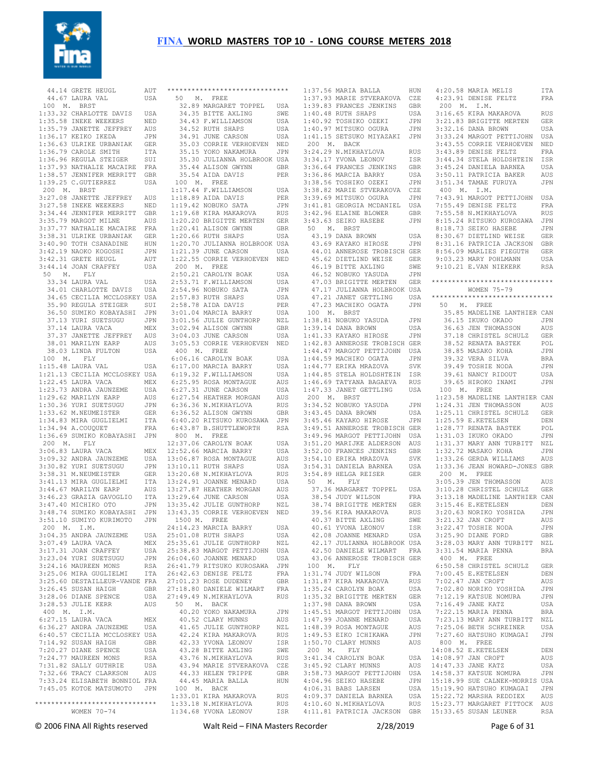

44.14 GRETE HEUGL AUT 44.67 LAURA VAL USA 100 M. BRST 1:33.32 CHARLOTTE DAVIS USA 1:35.58 INEKE WEEKERS NED 1:35.79 JANETTE JEFFREY AUS 1:36.17 KEIKO IKEDA JPN 1:36.63 ULRIKE URBANIAK GER 1:36.79 CAROLE SMITH ITA 1:36.96 REGULA STEIGER SUI 1:37.93 NATHALIE MACAIRE FRA 1:38.57 JENNIFER MERRITT GBR 1:39.25 C.GUTIERREZ USA 200 M. BRST 3:27.08 JANETTE JEFFREY AUS 3:27.58 INEKE WEEKERS NED 3:34.44 JENNIFER MERRITT GBR 3:35.79 MARGOT MILNE AUS 3:37.77 NATHALIE MACAIRE FRA 3:38.31 ULRIKE URBANIAK GER 3:40.90 TOTH CSANADINE HUN 3:42.19 NAOKO KOGOSHI JPN 3:42.31 GRETE HEUGL AUT 3:44.14 JOAN CRAFFEY USA 50 M. FLY 33.34 LAURA VAL USA 34.01 CHARLOTTE DAVIS USA 34.65 CECILIA MCCLOSKEY USA 35.90 REGULA STEIGER SUI 36.50 SUMIKO KOBAYASHI JPN 37.13 YURI SUETSUGU JPN 37.14 LAURA VACA MEX 37.37 JANETTE JEFFREY AUS 38.01 MARILYN EARP AUS 38.03 LINDA FULTON USA 100 M. FLY 1:15.48 LAURA VAL USA 1:21.13 CECILIA MCCLOSKEY USA 1:22.45 LAURA VACA MEX 1:23.73 ANDRA JAUNZEME USA 1:29.62 MARILYN EARP AUS 1:30.36 YURI SUETSUGU JPN 1:33.62 M.NEUMEISTER GER 1:34.83 MIRA GUGLIELMI ITA 1:34.94 A.COUQUET FRA 1:36.69 SUMIKO KOBAYASHI JPN 200 M. FLY 3:06.83 LAURA VACA MEX 3:09.32 ANDRA JAUNZEME USA 3:30.82 YURI SUETSUGU JPN 3:38.31 M.NEUMEISTER GER 3:41.13 MIRA GUGLIELMI ITA 3:44.67 MARILYN EARP AUS 3:46.23 GRAZIA GAVOGLIO TTA 3:47.40 MICHIKO OTO JPN 3:48.74 SUMIKO KOBAYASHI JPN 3:51.10 SUMIYO KURIMOTO JPN 200 M. I.M. 3:04.35 ANDRA JAUNZEME USA 3:07.49 LAURA VACA MEX 3:17.31 JOAN CRAFFEY USA 3:23.04 YURI SUETSUGU JPN 3:24.16 MAUREEN MONS RSA<br>3:25 06 MTRA GUGLIELMI ITA 3:25.06 MIRA GUGLIELMI 3:25.60 DESTAILLEUR-VANDE FRA 3:26.45 SUSAN HAIGH GBR 3:28.06 DIANE SPENCE USA 3:28.53 JULIE KERR AUS 400 M. I.M. 6:27.15 LAURA VACA MEX 6:36.27 ANDRA JAUNZEME USA 6:40.57 CECILIA MCCLOSKEY USA 7:14.92 SUSAN HAIGH GBR 7:20.27 DIANE SPENCE USA 7:24.77 MAUREEN MONS RSA 7:31.82 SALLY GUTHRIE USA 7:32.66 TRACY CLARKSON AUS 7:33.24 ELISABETH BONNIOL FRA 7:45.05 KOTOE MATSUMOTO JPN \*\*\*\*\*\*\*\*\*\*\*\*\*\*\*\*\*\*\*\*\*\*\*\*\*\*\*\*\*\* WOMEN 70-74

| *****************************                                                                                                                                                                                                                  |                   |
|------------------------------------------------------------------------------------------------------------------------------------------------------------------------------------------------------------------------------------------------|-------------------|
| 50 M. FREE                                                                                                                                                                                                                                     |                   |
| 32.89 MARGARET TOPPEL USA                                                                                                                                                                                                                      |                   |
| 32.09 MARGARET LUTTEL USA<br>34.35 BITTE AXLING SWE<br>34.43 F.WILLIAMSON USA<br>34.52 RUTH SHAPS USA<br>34.91 JUNE CARSON USA<br>35.03 CORRIE VERHOEVEN NED<br>35.15 YOKO NAKAMURA JPN<br>35.30 JULIANNA HOLBROOK USA<br>35.30 JULIANNA HOLBR |                   |
|                                                                                                                                                                                                                                                |                   |
|                                                                                                                                                                                                                                                |                   |
|                                                                                                                                                                                                                                                |                   |
|                                                                                                                                                                                                                                                |                   |
|                                                                                                                                                                                                                                                |                   |
|                                                                                                                                                                                                                                                |                   |
| 35.44 ALISON GWYNN<br>35.54 AIDA DAVIS                                                                                                                                                                                                         | GBR               |
| 35.54 AIDA DAVIS                                                                                                                                                                                                                               | PER               |
| 100 M. FREE                                                                                                                                                                                                                                    |                   |
| $1:17.44$ F.WILLIAMSON                                                                                                                                                                                                                         | USA               |
| 1:18.89 AIDA DAVIS<br>1:19.42 NOBUKO SATA JPN<br>1:19.68 KIRA MAKAROVA RUS<br>1:20.20 BRIGITTE MERTEN GER                                                                                                                                      |                   |
|                                                                                                                                                                                                                                                |                   |
|                                                                                                                                                                                                                                                |                   |
|                                                                                                                                                                                                                                                |                   |
| 1:20.41 ALISON GWYNN<br>1:20.41 ALISON GWYNN GBR<br>1:20.70 JULIANNA HOLBROOK USA<br>1:21.39 JUNE CARSON USA                                                                                                                                   |                   |
|                                                                                                                                                                                                                                                |                   |
|                                                                                                                                                                                                                                                |                   |
| 1:22.55 CORRIE VERHOEVEN NED                                                                                                                                                                                                                   |                   |
| 200 M. FREE                                                                                                                                                                                                                                    |                   |
|                                                                                                                                                                                                                                                | USA               |
|                                                                                                                                                                                                                                                | USA               |
|                                                                                                                                                                                                                                                | JPN               |
| 2:50.21 CAROLYN BOAK<br>2:53.71 F.WILLIAMSON<br>2:54.96 NOBUKO SATA<br>2:57.83 RUTH SHAPS<br>2:58.78 AIDA DAVIS<br>3:01.04 MARCIA BARRY<br>3:01.56 JULIE GUNTHORP<br>3:02.94 ALISON GWYNN<br>3:04.03 JUNE CARSON<br>3:05.53 CORRTE VEPHOTTIN   | USA               |
|                                                                                                                                                                                                                                                | PER               |
|                                                                                                                                                                                                                                                |                   |
|                                                                                                                                                                                                                                                | USA<br>NZL        |
|                                                                                                                                                                                                                                                | GBR               |
|                                                                                                                                                                                                                                                | USA               |
| 3:05.53 CORRIE VERHOEVEN NED                                                                                                                                                                                                                   |                   |
| 400 M. FREE                                                                                                                                                                                                                                    |                   |
| 6:06.16 CAROLYN BOAK                                                                                                                                                                                                                           | USA<br>USA        |
| 6:06.16 CAROLYN BOAK<br>6:17.00 MARCIA BARRY<br>6:19.32 F WILLIAMSON                                                                                                                                                                           | USA               |
|                                                                                                                                                                                                                                                | USA               |
| 6:19.32 F.WILLIAMSON<br>6:25.95 ROSA MONTAGUE<br>6:27.31 JUNE CARSON<br>6:27.54 UTATURD MOCAN                                                                                                                                                  | AUS               |
| 6:27.31 JUNE CARSON<br>6:36.36 HEATHER MORGAN<br>6:36.36 N.MIKHAYLOVA<br>6:36.52 ALISON GWYNN<br>6:40.20 RITSUKO KUROSAWA                                                                                                                      | USA<br>AUS        |
|                                                                                                                                                                                                                                                | RUS               |
|                                                                                                                                                                                                                                                | GBR               |
|                                                                                                                                                                                                                                                | $_{\rm JPN}$      |
| 6:43.87 B.SHUTTLEWORTH                                                                                                                                                                                                                         | RSA               |
| 800 M. FREE                                                                                                                                                                                                                                    |                   |
| 12:37.06 CAROLYN BOAK                                                                                                                                                                                                                          | USA               |
| 12:52.66 MARCIA BARRY                                                                                                                                                                                                                          | USA               |
|                                                                                                                                                                                                                                                |                   |
| 12.02.00 MARCIA BARKI USA<br>13:10.11 RUTH SHAPS BUS<br>13:20.68 N.MIKHAYLOVA RUS<br>13:24.91 JOANNE MENARD USA<br>13:27.87 HEATHER MORGAN AUS<br>13:29.64 JUNE CARSON DUSA<br>13:29.64 JUNE CINEMIORE                                         |                   |
|                                                                                                                                                                                                                                                |                   |
|                                                                                                                                                                                                                                                |                   |
|                                                                                                                                                                                                                                                |                   |
| 13:29.64 JUNE CARSON USA<br>13:35.42 JULIE GUNTHORP NZL<br>13:43.35 CORRIE VERHOEVEN NED                                                                                                                                                       |                   |
|                                                                                                                                                                                                                                                |                   |
| 1500 M. FREE                                                                                                                                                                                                                                   |                   |
| 24:14.23 MARCIA BARRY                                                                                                                                                                                                                          | USA               |
|                                                                                                                                                                                                                                                | USA               |
| 25:01.08 RUTH SHAPS<br>25:35.61 JULIE GUNTHORP                                                                                                                                                                                                 | NZL               |
| 25:38.83 MARGOT PETTIJOHN                                                                                                                                                                                                                      | USA               |
| 26:04.60 JOANNE MENARD                                                                                                                                                                                                                         | USA               |
| 26:41.79 RITSUKO KUROSAWA                                                                                                                                                                                                                      | JPN               |
| 26:42.63 DENISE FELTZ<br>27:01.23 ROSE DUDENEY                                                                                                                                                                                                 | FRA               |
|                                                                                                                                                                                                                                                | GBR               |
| 27:18.80 DANIELE WILMART                                                                                                                                                                                                                       | FRA               |
| 27:49.49 N.MIKHAYLOVA                                                                                                                                                                                                                          | ${\tt RUS}$       |
| 50 M. BACK<br>40.20 YOKO NAKAMURA                                                                                                                                                                                                              | JPN               |
| 40.52 CLARY MUNNS                                                                                                                                                                                                                              | AUS               |
|                                                                                                                                                                                                                                                | NZL               |
| 41.65 JULIE GUNTHORP<br>42.24 KIRA MAKAROVA<br>42.24 KIRA MAKAROVA                                                                                                                                                                             | RUS               |
| 42.33 YVONA LEONOV                                                                                                                                                                                                                             | ISR               |
| 43.28 BITTE AXLING                                                                                                                                                                                                                             | SWE               |
| 43.76 N.MIKHAYLOVA                                                                                                                                                                                                                             | RUS               |
| 43.94 MARIE STVERAKOVA                                                                                                                                                                                                                         | CZE               |
| 44.33 HELEN TRIPPE                                                                                                                                                                                                                             | GBR               |
| 44.45 MARIA BALLA                                                                                                                                                                                                                              | HUN               |
| 100 M. BACK                                                                                                                                                                                                                                    |                   |
| 1:33.01 KIRA MAKAROVA<br>1:33.18 N.MIKHAYLOVA                                                                                                                                                                                                  | <b>RUS</b>        |
| $1:34.68$ YVONA LEONOV                                                                                                                                                                                                                         | <b>RUS</b><br>ISR |
|                                                                                                                                                                                                                                                |                   |

 1:37.56 MARIA BALLA HUN 1:37.93 MARIE STVERAKOVA CZE 200 M. I.M. 1:39.83 FRANCES JENKINS GBR 1:40.48 RUTH SHAPS USA<br>1:40.92 TOSHIKO OZEKI JPN<br>1:40.97 MITSUKO OGURA JPN<br>1:41.15 SETSUKO MIYAZAKI JPN 200 M. BACK 3:24.29 N.MIKHAYLOVA RUS 3:34.17 YVONA LEONOV ISR 3:36.64 FRANCES JENKINS GBR 3:44.34 STELA HOLDSHTEIN ISR 3:45.24 DANIELA BARNEA USA 3:36.86 MARCIA BARRY USA 3:38.56 TOSHIKO OZEKI JPN 3:38.82 MARIE STVERAKOVA CZE 3:39.69 MITSUKO OGURA JPN 3:41.81 GEORGIA MCDANIEL USA 3:42.96 ELAINE BLOWER GBR 3:43.63 SEIKO HASEBE JPN 50 M. BRST 43.19 DANA BROWN USA 43.69 KAYAKO HIROSE JPN 44.01 ANNEROSE TROBISCH GER 45.62 DIETLIND WEISE GER 8:56.09 MARLIES FIEGUTH GER 9:03.23 MARY POHLMANN USA 46.19 BITTE AXLING SWE 46.52 NOBUKO YASUDA JPN 47.03 BRIGITTE MERTEN GER 47.17 JULIANNA HOLBROOK USA 47.21 JANET GETTLING USA 47.23 MACHIKO OGATA JPN 100 M. BRST 1:38.81 NOBUKO YASUDA JPN<br>1:39.14 DANA BROWN USA<br>1:41.33 KAYAKO HIROSE JPN<br>1:42.83 ANNEROSE TROBISCH GER<br>1:44.47 MARGOT PETTIJOHN USA 1:44.59 MACHIKO OGATA JPN 1:44.77 ERIKA MRAZOVA SVK 1:44.85 STELA HOLDSHTEIN ISR 1:46.69 TATYANA BAGAEVA RUS 1:47.33 JANET GETTLING USA 100 M. FREE 200 M. BRST<br>
3:34.52 NOBUKO YASUDA JPN USA<br>
3:43.45 DANA BROWN USA<br>
3:45.46 KAYAKO HIROSE JPN<br>
3:49.51 ANNEROSE TROBISCH GER<br>
3:49.96 MARGOT PETTIJOHN USA<br>
3:51.20 MARIJKE ALDERSON AUS 3:52.00 FRANCES JENKINS GBR<br>3:54.10 ERIKA MRAZOVA SVK 3:54.10 ERIKA MRAZOVA SVK 3:54.31 DANIELA BARNEA USA 3:54.89 HELGA REISER GER 50 M. FLY 37.36 MARGARET TOPPEL USA 3:05.39 JEN THOMASSON AUS 3:10.28 CHRISTEL SCHULZ GER 38.54 JUDY WILSON FRA 3:13.18 MADELINE LANTHIER CAN 38.74 BRIGITTE MERTEN GER 39.56 KIRA MAKAROVA RUS 40.37 BITTE AXLING SWE 3:20.63 NORIKO YOSHIDA JPN 3:21.32 JAN CROFT AUS 40.61 YVONA LEONOV ISR 42.08 JOANNE MENARD USA 3:22.47 TOSHIE NODA JPN 3:25.90 DIANE FORD GBR 42.17 JULIANNA HOLBROOK USA 42.50 DANIELE WILMART FRA 43.06 ANNEROSE TROBISCH GER 100 M. FLY<br>1:31.74 JUDY WILSON 1:31.74 JUDY WILSON FRA 1:31.87 KIRA MAKAROVA RUS 1:35.24 CAROLYN BOAK USA 1:35.32 BRIGITTE MERTEN GER 7:02.80 NORIKO YOSHIDA JPN 7:12.19 KATSUE NOMURA JPN  $1:37.98$  DANA BROWN 1:45.51 MARGOT PETTIJOHN USA 1:47.99 JOANNE MENARD USA 7:22.15 MARIA PENNA BRA 7:23.13 MARY ANN TURBITT NZL 1:48.39 ROSA MONTAGUE AUS<br>1:49.53 EIKO ICHIKAWA JPN<br>1:50.70 CLARY MUNNS AUS<br>200 M. FLY 3:41.34 CAROLYN BOAK USA 3:45.92 CLARY MUNNS AUS 3:45.92 CLARY MUNNS AUS 14:47.33 JANE KATZ<br>3:58.73 MARGOT PETTIJOHN USA 14:58.37 KATSUE NOMURA 4:04.96 SEIKO HASEBE JPN 4:06.31 BABS LARSEN USA 15:18.99 SUE CALNEK-MORRIS USA 15:19.90 HATSUHO KUMAGAI JPN 4:09.37 DANIELA BARNEA USA 4:10.60 N.MIKHAYLOVA RUS 15:22.72 MARSHA REDDIEX AUS 15:23.77 MARGARET FITTOCK AUS

 4:11.81 PATRICIA JACKSON GBR 15:33.65 SUSAN LEUNER RSA 4:20.58 MARIA MELIS ITA 4:23.91 DENISE FELTZ FRA 3:16.65 KIRA MAKAROVA RUS 3:21.83 BRIGITTE MERTEN GER 3:32.16 DANA BROWN USA 3:33.24 MARGOT PETTIJOHN USA 3:43.55 CORRIE VERHOEVEN NED 3:43.89 DENISE FELTZ FRA 3:50.11 PATRICIA BAKER AUS 3:51.34 TAMAE FURUYA JPN 400 M. I.M. 7:43.91 MARGOT PETTIJOHN USA 7:55.49 DENISE FELTZ FRA 7:55.58 N.MIKHAYLOVA RUS 8:15.24 RITSUKO KUROSAWA JPN 8:18.73 SEIKO HASEBE JPN 8:30.67 DIETLIND WEISE GER 8:31.16 PATRICIA JACKSON GBR SWE 9:10.21 E.VAN NIEKERK RSA GER \*\*\*\*\*\*\*\*\*\*\*\*\*\*\*\*\*\*\*\*\*\*\*\*\*\*\*\*\*\*\* \*\*\*\*\*\*\*\*\*\*\*\*\*\*\*\*\*\*\*\*\*\*\*\*\*\*\*\*\*\* WOMEN 75-79 \*\*\*\*\*\*\*\*\*\*\*\*\*\*\*\*\*\*\*\*\*\*\*\*\*\*\*\*\*\* 50 M. FREE 35.85 MADELINE LANTHIER CAN<br>36.15 IKUKO OKADO JPN 36.15 IKUKO OKADO JPN<br>36.63 JEN THOMASSON AUS<br>37.18 CHRISTEL SCHULZ GER<br>38.52 RENATA BASTEK POL<br>38.85 MASAKO KOHA JPN 39.32 VERA SILVA BRA 39.49 TOSHIE NODA JPN 39.61 NANCY RIDOUT USA 39.65 HIROKO INAMI JPN 1:23.58 MADELINE LANTHIER CAN<br>
1:24.31 JEN THOMASSON AUS<br>
1:25.11 CHRISTEL SCHULZ GER<br>
1:25.59 E.KETELSEN DEN<br>
1:25.77 RENATA BASTEK POL<br>
1:31.03 IKUKO OKADO JPN<br>
1:31.37 MARY ANN TURBITT NZL 1:32.72 MASAKO KOHA JPN<br>1:33.26 GERDA WILLIAMS AUS 1:33.26 GERDA WILLIAMS AUS 1:33.36 JEAN HOWARD-JONES GBR 200 M. FREE 3:15.46 E.KETELSEN DEN 3:28.03 MARY ANN TURBITT NZL 3:31.54 MARIA PENNA BRA 400 M. FREE 6:50.58 CHRISTEL SCHULZ GER 7:00.45 E.KETELSEN DEN 7:02.47 JAN CROFT AUS 6 GER 7:12.19 KATSUE NOMURA JPN<br>
USA 7:16.49 JANE KATZ USA<br>
USA 7:16.49 JANE RATIZ 7:25.06 BETH SCHREINER USA 7:27.60 HATSUHO KUMAGAI JPN 800 M. FREE 14:08.52 E.KETELSEN DEN 14:08.97 JAN CROFT AUS 14:47.33 JANE KATZ USA 14:58.37 KATSUE NOMURA JPN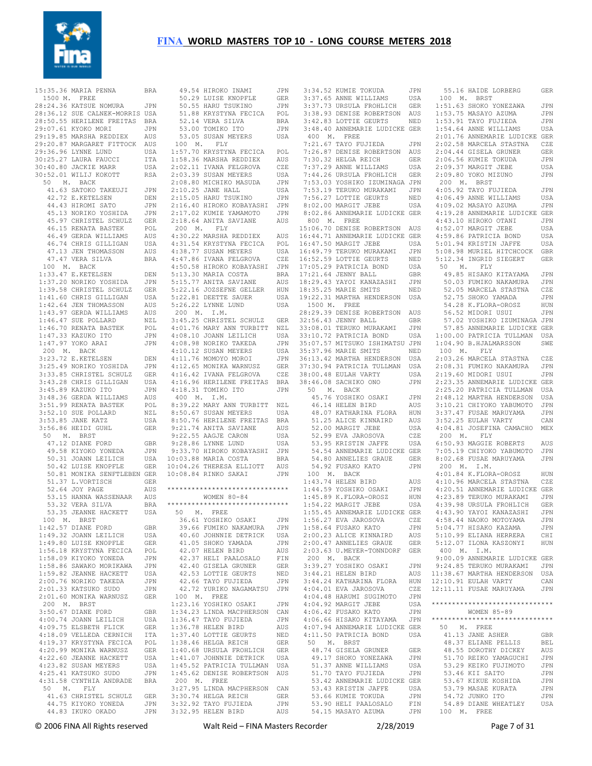

| 15:35.36 MARIA PENNA                                                                                                        | <b>BRA</b> |
|-----------------------------------------------------------------------------------------------------------------------------|------------|
| 1500 M. FREE                                                                                                                |            |
| 28:24.36 KATSUE NOMURA                                                                                                      | JPN        |
|                                                                                                                             |            |
| 28:36.12 SUE CALNEK-MORRIS USA<br>28:50.55 HERILENE FREITAS BRA<br>29:07.61 KYOKO MORI JPN<br>29:19.85 MARSHA REDDIEX AUS   |            |
|                                                                                                                             |            |
| 29:20.87 MARGARET FITTOCK AUS                                                                                               |            |
|                                                                                                                             | USA        |
|                                                                                                                             | ITA        |
| 29:36.96 LYNNE LUND<br>30:25.27 LAURA FAUCCI<br>30:40.80 JACKIE MARR                                                        | USA        |
| 30:52.01 WILIJ KOKOTT                                                                                                       | <b>RSA</b> |
| 50 M. BACK                                                                                                                  |            |
| 41.63 SATOKO TAKEUJI                                                                                                        | JPN        |
| 42.72 E.KETELSEN                                                                                                            | DEN        |
| 44.43 HIROMI SATO<br>45.13 NORIKO YOSHIDA<br>45.13 NORIKO YOSHIDA<br>45.97 CUPICTIC                                         | JPN        |
|                                                                                                                             | JPN        |
| 45.97 CHRISTEL SCHULZ GER<br>46.15 RENATA BASTEK POL                                                                        |            |
| 46.49 GERDA WILLIAMS                                                                                                        | AUS        |
| 46.49 GERDA WILDIAN<br>46.74 CHRIS GILLIGAN<br>47.13 JEN THOMASSON                                                          | USA        |
|                                                                                                                             | AUS        |
| 47.47 VERA SILVA                                                                                                            | <b>BRA</b> |
| 100 M. BACK                                                                                                                 |            |
| $1:33.47$ E.KETELSEN<br>1:33.47 E.KETELSEN<br>1:37.20 NORIKO YOSHIDA                                                        | DEN        |
|                                                                                                                             | JPN        |
| 1:39.58 CHRISTEL SCHULZ<br>1:41.60 CHRIS GILLIGAN                                                                           | <b>GER</b> |
|                                                                                                                             | USA        |
| 1:42.64 JEN THOMASSON<br>1:43.97 GERDA WILLIAMS<br>1:46.47 SUE BOLLARD                                                      | AUS        |
|                                                                                                                             | AUS<br>NZL |
|                                                                                                                             | POL        |
| 1:46.47 SUE POLLARD<br>1:46.47 SUE POLLARD<br>1:47.33 KAZUKO ITO<br>1:47.97 YOKO ARAI                                       | JPN        |
| $1:47.97$ YOKO ARAI                                                                                                         | JPN        |
| 200 M. BACK                                                                                                                 |            |
| 3:23.72 E.KETELSEN                                                                                                          | DEN        |
|                                                                                                                             | JPN        |
|                                                                                                                             | <b>GER</b> |
| 3:25.49 NORIKO YOSHIDA<br>3:25.49 NORIKO YOSHIDA<br>3:33.85 CHRISTEL SCHULZ<br>3:43.28 CHRIS GILLIGAN<br>3:45.89 KAZUKO ITO | USA        |
|                                                                                                                             | JPN        |
| 3.148.36 GERDA WILLIAMS<br>3:51.99 RENATA BASTEK<br>3:52.10 SUE POLLARD<br>3:53.85 JANE KATZ<br>3:56.86 HEIDJ GUHL          | AUS        |
|                                                                                                                             | POL<br>NZL |
|                                                                                                                             | USA        |
| 3:56.86 HEIDI GUHL                                                                                                          | <b>GER</b> |
| 50 M. BRST                                                                                                                  |            |
| 47.12 DIANE FORD                                                                                                            | GBR        |
| 9.58 KIYOKO YONEDA<br>50.31 JOANN LEILICH<br>50.42 LUISE KNOPFLE<br>50.41 MONTH                                             | JPN        |
|                                                                                                                             | USA        |
|                                                                                                                             | GER        |
| 50.81 MONIKA SENFTLEBEN GER<br>51.37 L.VORTISCH GER<br>52.64 JOY PAGE AUS                                                   |            |
|                                                                                                                             |            |
| 53.15 HANNA WASSENAAR<br>53.33 VERA SILVA                                                                                   | AUS        |
| 53.32 VERA SILVA                                                                                                            | <b>BRA</b> |
| 53.35 JEANNE HACKETT                                                                                                        | USA        |
| 100 M. BRST                                                                                                                 |            |
|                                                                                                                             | GBR        |
| 1:42.57 DIANE FORD<br>1:49.32 JOANN LEILICH                                                                                 | USA        |
|                                                                                                                             | GER        |
| 1:49.80 LUISE KNOPFLE<br>1:56.18 KRYSTYNA FECICA<br>1:58.09 KIYOKO YONEDA<br>1:58.86 SAWAKO MORIKAWA                        | POL        |
|                                                                                                                             | JPN        |
|                                                                                                                             | JPN        |
| 1:59.82 JEANNE HACKETT<br>2:00.76 NORIKO TAKEDA                                                                             | USA<br>JPN |
| 2:01.33 KATSUKO SUDO                                                                                                        | JPN        |
| 2:01.60 MONIKA WARNUSZ                                                                                                      | <b>GER</b> |
| $200$ M. BRST                                                                                                               |            |
| 3:50.67 DIANE FORD<br>4:00.74 JOANN LEILICH                                                                                 | GBR        |
|                                                                                                                             | USA        |
| 4:09.75 ELSBETH FLICK<br>4:09.75 ELSBETH FLICK<br>4:18.09 VELLEDA CERNICH                                                   | GER        |
|                                                                                                                             | ITA        |
| 4:19.37 KRYSTYNA FECICA                                                                                                     | POL        |
| $4:20.99$ MONIKA WARNUSZ<br>122.60 JEANNE HACKETT<br>4:22.60 JEANNE HACKETT<br>4:23.82 SHOW                                 | GER<br>USA |
| 4:23.82 SUSAN MEYERS                                                                                                        | USA        |
| 4:25.41 KATSUKO SUDO                                                                                                        | JPN        |
| 4:31.58 CYNTHIA ANDRADE                                                                                                     | BRA        |
| 50 M. FLY                                                                                                                   |            |
| 41.63 CHRISTEL SCHULZ                                                                                                       | GER        |
| 44.75 KIYOKO YONEDA                                                                                                         | JPN        |
| 44.83 IKUKO OKADO                                                                                                           | JPN        |

| 49.54 HIROKO INAMI                                                                                                                                                                                                                                                                                                                                                                                                                                                 | JPN              |
|--------------------------------------------------------------------------------------------------------------------------------------------------------------------------------------------------------------------------------------------------------------------------------------------------------------------------------------------------------------------------------------------------------------------------------------------------------------------|------------------|
| 50.29 LUISE KNOPFLE<br>50.55 HARU TSUKINO                                                                                                                                                                                                                                                                                                                                                                                                                          | GER              |
|                                                                                                                                                                                                                                                                                                                                                                                                                                                                    | JPN              |
| 51.88 KRYSTYNA FECICA<br>52.14 VERA SILVA<br>53.00 TOMIKO ITO                                                                                                                                                                                                                                                                                                                                                                                                      | $\texttt{POL}{}$ |
|                                                                                                                                                                                                                                                                                                                                                                                                                                                                    | BRA              |
|                                                                                                                                                                                                                                                                                                                                                                                                                                                                    | JPN              |
| 53.05 SUSAN MEYERS                                                                                                                                                                                                                                                                                                                                                                                                                                                 | USA              |
| 100 M. FLY                                                                                                                                                                                                                                                                                                                                                                                                                                                         |                  |
| 1:57.70 KRYSTYNA FECICA POL<br>1:58.36 MARSHA REDDIEX AUS<br>2:02.11 IVANA FELGROVA CZE<br>2:03.39 SUSAN MEYERS USA                                                                                                                                                                                                                                                                                                                                                |                  |
|                                                                                                                                                                                                                                                                                                                                                                                                                                                                    |                  |
|                                                                                                                                                                                                                                                                                                                                                                                                                                                                    |                  |
|                                                                                                                                                                                                                                                                                                                                                                                                                                                                    |                  |
|                                                                                                                                                                                                                                                                                                                                                                                                                                                                    | JPN              |
| 2:08.80 MICHIKO MASUDA<br>2:10.25 JANE HALL                                                                                                                                                                                                                                                                                                                                                                                                                        |                  |
| 2:15.05 HARU TSUKINO                                                                                                                                                                                                                                                                                                                                                                                                                                               | USA              |
|                                                                                                                                                                                                                                                                                                                                                                                                                                                                    | $\mathtt{JPN}$   |
| 2:16.40 HIROKO KOBAYASHI<br>2:17.02 KUMIE YAMAMOTO<br>2:18.64 ANITA SAVIANE                                                                                                                                                                                                                                                                                                                                                                                        | JPN              |
|                                                                                                                                                                                                                                                                                                                                                                                                                                                                    | JPN              |
|                                                                                                                                                                                                                                                                                                                                                                                                                                                                    | AUS              |
| 200 M. FLY                                                                                                                                                                                                                                                                                                                                                                                                                                                         |                  |
| $\begin{tabular}{llllllll} \multicolumn{4}{c}{\textbf{1.59}} & \multicolumn{4}{c}{\textbf{MASHA REDDLEX}} & \multicolumn{4}{c}{\textbf{AUS}} \\ \multicolumn{4}{c}{\textbf{4:31}}{\textbf{.54}} & \multicolumn{4}{c}{\textbf{KRSSTINA FELCCA}} & \multicolumn{4}{c}{\textbf{POLA}} \\ \multicolumn{4}{c}{\textbf{4:38}}{\textbf{.77}} & \multicolumn{4}{c}{\textbf{SOSAN MEYERS}} & \multicolumn{4}{c}{\textbf{USA}} \\ \multicolumn{4}{c}{\textbf{4:47}}{\textbf$ |                  |
|                                                                                                                                                                                                                                                                                                                                                                                                                                                                    |                  |
|                                                                                                                                                                                                                                                                                                                                                                                                                                                                    |                  |
|                                                                                                                                                                                                                                                                                                                                                                                                                                                                    |                  |
| 4:50.58 HIROKO KOBAYASHI JPN                                                                                                                                                                                                                                                                                                                                                                                                                                       |                  |
| 5:13.30 MARIA COSTA<br>5:15.77 ANITA SAVIANE                                                                                                                                                                                                                                                                                                                                                                                                                       | <b>BRA</b>       |
|                                                                                                                                                                                                                                                                                                                                                                                                                                                                    | AUS              |
| 5:22.16 JOZSEFNE GELLER HUN                                                                                                                                                                                                                                                                                                                                                                                                                                        |                  |
| 5:22.81 DEETTE SAUER                                                                                                                                                                                                                                                                                                                                                                                                                                               | USA              |
| 5:26.22 LYNNE LUND                                                                                                                                                                                                                                                                                                                                                                                                                                                 | USA              |
| 200 M. I.M.                                                                                                                                                                                                                                                                                                                                                                                                                                                        |                  |
| 3:45.25 CHRISTEL SCHULZ GER                                                                                                                                                                                                                                                                                                                                                                                                                                        |                  |
| 4:01.76 MARY ANN TURBITT<br>4:03.10 JOANN LEILICH<br>4:08.98 NORIKO TAKEDA<br>4:10.12 SUSAN MEYERS                                                                                                                                                                                                                                                                                                                                                                 |                  |
|                                                                                                                                                                                                                                                                                                                                                                                                                                                                    | NZL<br>USA       |
|                                                                                                                                                                                                                                                                                                                                                                                                                                                                    | JPN              |
|                                                                                                                                                                                                                                                                                                                                                                                                                                                                    | USA              |
| 4:10.12 SUSAN MEYERS<br>4:11.76 MOMOYO MOROI                                                                                                                                                                                                                                                                                                                                                                                                                       | JPN              |
| 4:11.76 MONIKA WARNUSZ<br>4:12.65 MONIKA WARNUSZ                                                                                                                                                                                                                                                                                                                                                                                                                   | GER              |
| $4:16.42$ IVANA FELGROVA                                                                                                                                                                                                                                                                                                                                                                                                                                           | CZE              |
| 4:16.96 HERILENE FREITAS                                                                                                                                                                                                                                                                                                                                                                                                                                           | BRA              |
| 4:18.31 TOMIKO ITO                                                                                                                                                                                                                                                                                                                                                                                                                                                 | <b>JPN</b>       |
| 400 M. I.M.                                                                                                                                                                                                                                                                                                                                                                                                                                                        |                  |
| 400 m. 1.m.<br>8:39.22 MARY ANN TURBITT NZL<br>0:50 67 SUSAN MEYERS USA                                                                                                                                                                                                                                                                                                                                                                                            |                  |
|                                                                                                                                                                                                                                                                                                                                                                                                                                                                    |                  |
| 8:50.76 HERILENE FREITAS                                                                                                                                                                                                                                                                                                                                                                                                                                           | <b>BRA</b>       |
|                                                                                                                                                                                                                                                                                                                                                                                                                                                                    | AUS              |
| 9:21.74 ANITA SAVIANE<br>9:22.55 AAGJE CARON<br>9:28.86 LYNNE LUND                                                                                                                                                                                                                                                                                                                                                                                                 |                  |
|                                                                                                                                                                                                                                                                                                                                                                                                                                                                    | USA              |
|                                                                                                                                                                                                                                                                                                                                                                                                                                                                    | USA              |
| 9:33.70 HIROKO KOBAYASHI JPN                                                                                                                                                                                                                                                                                                                                                                                                                                       |                  |
| 10:03.88 MARIA COSTA                                                                                                                                                                                                                                                                                                                                                                                                                                               | BRA              |
| 10:04.26 THERESA ELLIOTT                                                                                                                                                                                                                                                                                                                                                                                                                                           | AUS              |
| 10:08.84 RINKO SAKAI                                                                                                                                                                                                                                                                                                                                                                                                                                               | <b>JPN</b>       |
| ******************************                                                                                                                                                                                                                                                                                                                                                                                                                                     |                  |
|                                                                                                                                                                                                                                                                                                                                                                                                                                                                    |                  |
| WOMEN $80 - 84$<br>*****************************                                                                                                                                                                                                                                                                                                                                                                                                                   |                  |
| 50 M. FREE                                                                                                                                                                                                                                                                                                                                                                                                                                                         |                  |
|                                                                                                                                                                                                                                                                                                                                                                                                                                                                    |                  |
| 36.61 YOSHIKO OSAKI                                                                                                                                                                                                                                                                                                                                                                                                                                                | JPN              |
| 39.66 FUMIKO NAKAMURA<br>40.60 JOHNNIE DETRICK                                                                                                                                                                                                                                                                                                                                                                                                                     | JPN              |
|                                                                                                                                                                                                                                                                                                                                                                                                                                                                    | USA              |
|                                                                                                                                                                                                                                                                                                                                                                                                                                                                    | JPN              |
| 41.05 SHOKO YAMADA<br>42.07 HELEN BIRD<br>42.37 HELI PAALOSALO                                                                                                                                                                                                                                                                                                                                                                                                     | AUS              |
|                                                                                                                                                                                                                                                                                                                                                                                                                                                                    | ${\rm FIN}$      |
| 42.40 GISELA GRUNER                                                                                                                                                                                                                                                                                                                                                                                                                                                | <b>GER</b>       |
| 42.53 LOTTIE GEURTS<br>42.66 TAYO FUJIEDA                                                                                                                                                                                                                                                                                                                                                                                                                          | NED              |
|                                                                                                                                                                                                                                                                                                                                                                                                                                                                    | JPN              |
| 42.72 YURIKO NAGAMATSU<br>100 M. FREE                                                                                                                                                                                                                                                                                                                                                                                                                              | JPN              |
|                                                                                                                                                                                                                                                                                                                                                                                                                                                                    |                  |
| 1:23.16 YOSHIKO OSAKI                                                                                                                                                                                                                                                                                                                                                                                                                                              | JPN              |
| 1:34.23 LINDA MACPHERSON                                                                                                                                                                                                                                                                                                                                                                                                                                           | CAN              |
| $1:36.47$ TAYO FUJIEDA                                                                                                                                                                                                                                                                                                                                                                                                                                             | JPN              |
| $1:36.78$ HELEN BIRD                                                                                                                                                                                                                                                                                                                                                                                                                                               | AUS              |
| 1:37.40 LOTTIE GEURTS                                                                                                                                                                                                                                                                                                                                                                                                                                              | NED              |
| 1:38.46 HELGA REICH                                                                                                                                                                                                                                                                                                                                                                                                                                                | GER              |
| 1:40.68 URSULA FROHLICH<br>1:41.07 JOHNNIE DETRICK                                                                                                                                                                                                                                                                                                                                                                                                                 | GER              |
|                                                                                                                                                                                                                                                                                                                                                                                                                                                                    | USA              |
| 1:45.52 PATRICIA TULLMAN                                                                                                                                                                                                                                                                                                                                                                                                                                           | USA              |
| 1:45.62 DENISE ROBERTSON AUS                                                                                                                                                                                                                                                                                                                                                                                                                                       |                  |
| $200$ M. FREE                                                                                                                                                                                                                                                                                                                                                                                                                                                      |                  |
| 3:27.95 LINDA MACPHERSON CAN                                                                                                                                                                                                                                                                                                                                                                                                                                       |                  |
|                                                                                                                                                                                                                                                                                                                                                                                                                                                                    | GER              |
| 3:30.74 HELGA REICH<br>3:32.92 TAYO FUJIEDA                                                                                                                                                                                                                                                                                                                                                                                                                        | JPN              |
|                                                                                                                                                                                                                                                                                                                                                                                                                                                                    | AUS              |
| 3:32.95 HELEN BIRD                                                                                                                                                                                                                                                                                                                                                                                                                                                 |                  |

| 3:34.52 KUMIE TOKUDA<br>3:37.65 ANNE WILLIAMS                                                                                                                                    | JPN          |
|----------------------------------------------------------------------------------------------------------------------------------------------------------------------------------|--------------|
|                                                                                                                                                                                  | USA          |
|                                                                                                                                                                                  |              |
|                                                                                                                                                                                  |              |
| 3:37.73 URSULA FROHLICH GER<br>3:38.93 DENISE ROBERTSON AUS<br>3:42.83 LOTTIE GEURTS NED                                                                                         |              |
| 3:48.40 ANNEMARIE LUDICKE GER                                                                                                                                                    |              |
| 400 M. FREE                                                                                                                                                                      |              |
| 7:21.67 TAYO FUJIEDA JPN<br>7:26.87 DENISE ROBERTSON AUS<br>7:30.32 HELGA REICH GER                                                                                              |              |
|                                                                                                                                                                                  |              |
| 7:30.32 HELGA REICH<br>7:37.29 ANNE WILLIAMS                                                                                                                                     |              |
| 7:44.26 URSULA FROHLICH GER                                                                                                                                                      | USA          |
| 7:53.03 YOSHIKO IZUMINAGA JPN                                                                                                                                                    |              |
|                                                                                                                                                                                  |              |
|                                                                                                                                                                                  |              |
| 7:53.19 TERUKO MURAKAMI JPN<br>7:56.27 LOTTIE GEURTS NED<br>8:02.00 MARGIT JEBE USA                                                                                              |              |
| 8:02.86 ANNEMARIE LUDICKE GER                                                                                                                                                    |              |
| 800 M. FREE                                                                                                                                                                      |              |
| 15:06.70 DENISE ROBERTSON AUS                                                                                                                                                    |              |
| 16:44.71 ANNEMARIE LUDICKE GER<br>16:47.50 MARGIT JEBE USA                                                                                                                       |              |
|                                                                                                                                                                                  |              |
|                                                                                                                                                                                  |              |
| 16:49.79 TERUKO MURAKAMI JEN<br>16:49.79 TERUKO MURAKAMI JEN<br>16:52.59 LOTTIE GEURTS NED<br>17:05.29 PATRICIA BOND USA<br>17:21.64 JENNY BALL GER<br>18:35.25 MARIE SMITS NED  |              |
|                                                                                                                                                                                  | USA          |
|                                                                                                                                                                                  |              |
|                                                                                                                                                                                  |              |
| 18:35.25 MARIE SMITS                                                                                                                                                             | NED          |
| 19:22.31 MARTHA HENDERSON USA                                                                                                                                                    |              |
| 1500 M. FREE                                                                                                                                                                     |              |
| 28:29.39 DENISE ROBERTSON AUS                                                                                                                                                    |              |
| 20129.39 DENNIS ROBERTSON AUS<br>32:56.43 JENNY BALL GBR<br>33:08.01 TERUKO MURAKAMI JPN<br>33:10.72 PATRICIA BOND USA<br>35:07.57 MITSUKO ISHIMATSU JPN<br>35:37.96 MARIE SMITS |              |
|                                                                                                                                                                                  |              |
|                                                                                                                                                                                  |              |
|                                                                                                                                                                                  |              |
|                                                                                                                                                                                  |              |
| 36:13.42 MARTHA HENDERSON USA<br>37:30.94 PATRICIA TULLMAN USA<br>38:00.48 EULAH VARTY USA                                                                                       |              |
|                                                                                                                                                                                  |              |
| 38:00.48 EULAH VARTY<br>38:46.08 SACHIKO ONO                                                                                                                                     | JPN          |
| $50$ M. BACK                                                                                                                                                                     |              |
|                                                                                                                                                                                  |              |
|                                                                                                                                                                                  |              |
|                                                                                                                                                                                  |              |
|                                                                                                                                                                                  |              |
| 46.76 YOSHIKO OSAKI JPN<br>46.14 HELEN BIRD AUS<br>48.07 KATHARINA FLORA HUN<br>51.25 ALICE KINNAIRD AUS                                                                         |              |
|                                                                                                                                                                                  | USA          |
|                                                                                                                                                                                  | CZE          |
| 52.00 MARGIT JEBE<br>52.99 EVA JAROSOVA<br>53.95 KRISTIN JAFFE                                                                                                                   | USA          |
| 54.54 ANNEMARIE LUDICKE GER                                                                                                                                                      |              |
| 54.80 ANNELIES GRAUE<br>54.92 Eusako kato                                                                                                                                        | GER<br>JPN   |
| 54.92 FUSAKO KATO<br>100 M. BACK                                                                                                                                                 |              |
| 1:43.74 HELEN BIRD                                                                                                                                                               | AUS          |
|                                                                                                                                                                                  | $_{\rm JPN}$ |
|                                                                                                                                                                                  | HUN          |
| 1:44.59 YOSHIKO OSAKI<br>1:45.89 K.FLORA-OROSZ<br>1:54.22 MARGIT JEBE<br>1:54.22 MARGIT JEBE                                                                                     | USA          |
| 1:55.45 ANNEMARIE LUDICKE GER                                                                                                                                                    |              |
| 1:56.27 EVA JAROSOVA CZE                                                                                                                                                         |              |
| 1:58.64 FUSAKO KATO                                                                                                                                                              | JPN          |
| 2:00.23 ALICE KINNAIRD                                                                                                                                                           | AUS          |
| 2:00.47 ANNELIES GRAUE                                                                                                                                                           | GER          |
| 2:03.63 U.MEYER-TONNDORF                                                                                                                                                         | GER          |
| 200 M. BACK<br>3:39.27 YOSHIKO OSAKI                                                                                                                                             | JPN          |
| 3:44.21 HELEN BIRD                                                                                                                                                               | AUS          |
|                                                                                                                                                                                  | HUN          |
| 3:44.24 KATHARINA FLORA<br>4:04.01 EVA JAROSOVA                                                                                                                                  | CZE          |
| 4:04.48 HARUMI SUGIMOTO                                                                                                                                                          | JPN          |
| 4:04.92 MARGIT JEBE                                                                                                                                                              | USA          |
| 4:06.42 FUSAKO KATO                                                                                                                                                              | JPN          |
| 4:06.66 HISAKO KITAYAMA                                                                                                                                                          | JPN          |
| 4:07.94 ANNEMARIE LUDICKE GER                                                                                                                                                    |              |
| 4:11.50 PATRICIA BOND                                                                                                                                                            | USA          |
| 50 M. BRST<br>48.74 GISELA GRUNER                                                                                                                                                | GER          |
| 49.17 SHOKO YONEZAWA                                                                                                                                                             | JPN          |
|                                                                                                                                                                                  | USA          |
| 51.37 ANNE WILLIAMS<br>51.70 TAYO FUJIEDA                                                                                                                                        | JPN          |
| 53.42 ANNEMARIE LUDICKE GER                                                                                                                                                      |              |
| 53.43 KRISTIN JAFFE                                                                                                                                                              | USA          |
| 53.66 KUMIE TOKUDA<br>53.90 HELI PAALOSALO                                                                                                                                       | JPN<br>FIN   |

 55.16 HAIDE LORBERG GER 100 M. BRST 1:51.63 SHOKO YONEZAWA JPN 1:53.75 MASAYO AZUMA JPN 1:53.91 TAYO FUJIEDA JPN 1:54.64 ANNE WILLIAMS USA 2:01.76 ANNEMARIE LUDICKE GER 2:02.58 MARCELA STASTNA CZE 2:04.44 GISELA GRUNER GER 2:06.56 KUMIE TOKUDA JPN 2:09.37 MARGIT JEBE USA 2:09.80 YOKO MIZUNO JPN 200 M. BRST 4:05.92 TAYO FUJIEDA JPN 4:06.49 ANNE WILLIAMS USA 4:09.02 MASAYO AZUMA JPN 4:19.28 ANNEMARIE LUDICKE GER 4:43.10 HIROKO OTANI JPN 4:52.07 MARGIT JEBE USA 4:59.86 PATRICIA BOND USA 5:01.94 KRISTIN JAFFE USA 5:08.98 MURIEL HITCHCOCK GBR 5:12.34 INGRID SIEGERT GER 50 M. FLY 49.85 HISAKO KITAYAMA JPN 50.03 FUMIKO NAKAMURA JPN 52.05 MARCELA STASTNA CZE 52.75 SHOKO YAMADA JPN<br>54.28 K.FLORA-OROSZ HUN 54.28 K.FLORA-OROSZ 56.52 MIDORI USUI JPN 57.02 YOSHIKO IZUMINAGA JPN 57.85 ANNEMARIE LUDICKE GER 1:00.00 PATRICIA TULLMAN USA 1:04.90 B.HJALMARSSON SWE 100 M. FLY 2:03.26 MARCELA STASTNA CZE 2:08.31 FUMIKO NAKAMURA JPN 2:19.60 MIDORI USUI JPN 2:23.35 ANNEMARIE LUDICKE GER 2:25.20 PATRICIA TULLMAN USA 2:48.12 MARTHA HENDERSON USA 3:10.21 CHIYOKO YABUMOTO JPN 3:37.47 FUSAE MARUYAMA JPN 3:52.25 EULAH VARTY CAN 4:04.81 JOSEFINA CAMACHO MEX 200 M. FLY 6:50.93 MAGGIE ROBERTS AUS 7:05.19 CHIYOKO YABUMOTO JPN 8:02.68 FUSAE MARUYAMA JPN 200 M. I.M. 4:01.84 K.FLORA-OROSZ HUN 4:10.96 MARCELA STASTNA CZE 4:20.51 ANNEMARIE LUDICKE GER 4:23.89 TERUKO MURAKAMI JPN 4:39.98 URSULA FROHLICH GER 4:43.90 YAYOI KANAZASHI JPN 4:58.44 NAOKO MOTOYAMA JPN<br>5:04.77 HISAKO KAZAMA JPN 5:04.77 HISAKO KAZAMA 5:10.99 ELIANA HERRERA CHI 5:12.07 ILONA KASZONYI HUN 400 M. I.M. 9:00.09 ANNEMARIE LUDICKE GER 9:24.85 TERUKO MURAKAMI JPN 11:38.67 MARTHA HENDERSON USA 12:10.91 EULAH VARTY CAN<br>12:11.11 FUSAE MARUYAMA JPN  $12:11.11$  FUSAE MARUYAMA \*\*\*\*\*\*\*\*\*\*\*\*\*\*\*\*\*\*\*\*\*\*\*\*\*\*\*\*\*\* WOMEN 85-89 \*\*\*\*\*\*\*\*\*\*\*\*\*\*\*\*\*\*\*\*\*\*\*\*\*\*\*\*\*\* 50 M. FREE 41.13 JANE ASHER GBR 48.37 ELIANE PELLIS BEL 48.55 DOROTHY DICKEY AUS 51.70 REIKO YAMAGUCHI JPN 53.29 KEIKO FUJIMOTO JPN 53.46 KII SAITO JPN 53.67 KIKUE KOSHIDA 53.79 MASAE KURATA JPN 54.72 JUNKO ITO JPN 54.89 DIANE WHEATLEY USA 100 M. FREE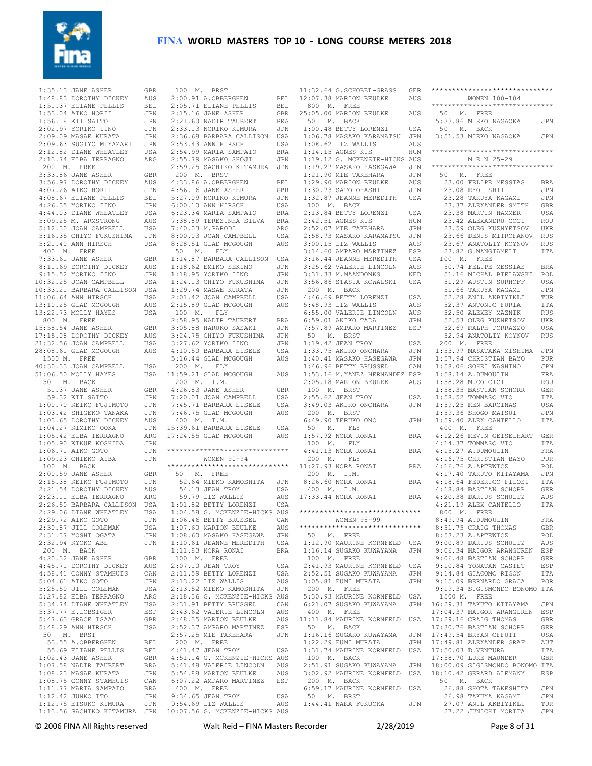

 1:35.13 JANE ASHER GBR 1:48.83 DOROTHY DICKEY AUS 1:51.37 ELIANE PELLIS BEL 1:53.04 AIKO HORII JPN 1:56.18 KII SAITO JPN 2:02.97 YORIKO IINO JPN 2:09.09 MASAE KURATA JPN 2:09.63 SUGIYO MIYAZAKI JPN 2:12.82 DIANE WHEATLEY USA 2:13.74 ELBA TERRAGNO ARG 200 M. FREE 3:33.86 JANE ASHER GBR 3:56.97 DOROTHY DICKEY AUS 4:07.26 AIKO HORII JPN 4:08.67 ELIANE PELLIS BEL 4:26.35 YORIKO IINO JPN 4:44.03 DIANE WHEATLEY USA 5:09.25 M. ARMSTRONG AUS 5:12.30 JOAN CAMPBELL USA 5:16.35 CHIYO FUKUSHIMA JPN 5:21.40 ANN HIRSCH USA 400 M. FREE 7:33.61 JANE ASHER GBR 8:11.69 DOROTHY DICKEY AUS 9:15.52 YORIKO IINO JPN 10:32.25 JOAN CAMPBELL USA 10:33.21 BARBARA CALLISON USA 11:06.64 ANN HIRSCH USA 13:10.25 GLAD MCGOUGH AUS 13:22.73 MOLLY HAYES USA 800 M. FREE 15:58.54 JANE ASHER GBR 17:15.08 DOROTHY DICKEY AUS 21:32.56 JOAN CAMPBELL USA 28:08.61 GLAD MCGOUGH AUS 1500 M. FREE 40:30.33 JOAN CAMPBELL USA 51:06.50 MOLLY HAYES USA 50 M. BACK 51.37 JANE ASHER GBR 59.32 KII SAITO JPN 1:00.70 KEIKO FUJIMOTO JPN 1:03.42 SHIGEKO TANAKA JPN 1:03.65 DOROTHY DICKEY AUS 1:04.27 KIMIKO OOKA JPN 1:05.42 ELBA TERRAGNO ARG 1:05.90 KIKUE KOSHIDA JPN 1:06.71 AIKO GOTO JPN 1:09.23 CHIEKO AIBA JPN 100 M. BACK 2:00.59 JANE ASHER GBR 2:15.38 KEIKO FUJIMOTO JPN 2:21.54 DOROTHY DICKEY AUS 2:23.11 ELBA TERRAGNO ARG 2:26.50 BARBARA CALLISON USA 2:29.06 DIANE WHEATLEY USA 2:29.72 AIKO GOTO JPN 2:30.87 JILL COLEMAN USA 2:31.37 YOSHI OGATA JPN 2:32.94 KYOKO ABE JPN 200 M. BACK 4:20.32 JANE ASHER GBR 4:45.71 DOROTHY DICKEY AUS 4:58.41 CONNY STAMHUIS CAN 5:04.61 AIKO GOTO JPN 5:25.50 JILL COLEMAN USA 5:27.82 ELBA TERRAGNO ARG 5:34.74 DIANE WHEATLEY USA 5:37.77 E.LOBSIGER ESP 5:47.63 GRACE ISAAC GBR 5:48.29 ANN HIRSCH USA 50 M. BRST 53.55 A.OBBERGHEN BEL 55.69 ELIANE PELLIS BEL 1:02.43 JANE ASHER GBR<br>1:07.58 NADIR TAUBERT BRA  $1:07.58$  NADIR TAUBERT 1:08.23 MASAE KURATA JPN 1:08.75 CONNY STAMHUIS CAN 1:11.77 MARIA SAMPAIO BRA 1:12.42 JUNKO ITO JPN 1:12.75 ETSUKO KIMURA JPN 1:13.56 SACHIKO KITAMURA JPN

| 100 M. BRST                                                                                                                                                                                                                                                                                                                                                                                     |            |
|-------------------------------------------------------------------------------------------------------------------------------------------------------------------------------------------------------------------------------------------------------------------------------------------------------------------------------------------------------------------------------------------------|------------|
| 2:00.91 A.OBBERGHEN BEL<br>2:05.71 ELIANE PELLIS BEL<br>2:15.16 JANE ASHER GBR                                                                                                                                                                                                                                                                                                                  |            |
|                                                                                                                                                                                                                                                                                                                                                                                                 |            |
|                                                                                                                                                                                                                                                                                                                                                                                                 |            |
| $2:21.60$ NADIR TAUBERT                                                                                                                                                                                                                                                                                                                                                                         |            |
|                                                                                                                                                                                                                                                                                                                                                                                                 | <b>BRA</b> |
| 2:33.13 NORIKO KIMURA                                                                                                                                                                                                                                                                                                                                                                           | JPN        |
| 2:36.68 BARBARA CALLISON USA<br>2:53.43 ANN HIRSCH USA                                                                                                                                                                                                                                                                                                                                          |            |
|                                                                                                                                                                                                                                                                                                                                                                                                 |            |
| 2:54.99 MARIA SAMPAIO                                                                                                                                                                                                                                                                                                                                                                           | BRA        |
| 2:55.79 MASAKO SHOJI                                                                                                                                                                                                                                                                                                                                                                            | JPN        |
| 2:59.25 SACHIKO KITAMURA JPN                                                                                                                                                                                                                                                                                                                                                                    |            |
| 200 M. BRST                                                                                                                                                                                                                                                                                                                                                                                     |            |
| 4:33.86 A.OBBERGHEN<br>4:56.16 JANE ASHER                                                                                                                                                                                                                                                                                                                                                       | BEL        |
|                                                                                                                                                                                                                                                                                                                                                                                                 | GBR        |
| 5:27.09 NORIKO KIMURA                                                                                                                                                                                                                                                                                                                                                                           | JPN        |
| $6:00.10$ ANN HIRSCH                                                                                                                                                                                                                                                                                                                                                                            | USA        |
| 6:00.10 ANN HINGGH<br>6:23.34 MARIA SAMPAIO<br>7:38.89 TEREZINHA SILVA                                                                                                                                                                                                                                                                                                                          | <b>BRA</b> |
|                                                                                                                                                                                                                                                                                                                                                                                                 | <b>BRA</b> |
| 7:40.03 M.PARODI                                                                                                                                                                                                                                                                                                                                                                                | ARG        |
| 8:00.03 JOAN CAMPBELL<br>8:28.51 GLAD MCGOUGH                                                                                                                                                                                                                                                                                                                                                   | USA        |
| 50 M. FLY                                                                                                                                                                                                                                                                                                                                                                                       | AUS        |
|                                                                                                                                                                                                                                                                                                                                                                                                 |            |
|                                                                                                                                                                                                                                                                                                                                                                                                 |            |
| 1:14.87 BARBARA CALLISON USA<br>1:18.62 EMIKO SEKINO JPN<br>1:18.95 YORIKO IINO JPN<br>1:24.13 CHIYO FUKUSHIMA JPN<br>1:29 74 MASAE KURATA JPN                                                                                                                                                                                                                                                  |            |
|                                                                                                                                                                                                                                                                                                                                                                                                 |            |
|                                                                                                                                                                                                                                                                                                                                                                                                 | JPN        |
|                                                                                                                                                                                                                                                                                                                                                                                                 | USA        |
| 1:29.74 MASAE KURATA<br>2:01.42 JOAN CAMPBELL<br>2:15.89 GLAD MCGOUGH                                                                                                                                                                                                                                                                                                                           | AUS        |
| 100 M. FLY                                                                                                                                                                                                                                                                                                                                                                                      |            |
| 100 m. rui<br>2:58.95 NADIR TAUBERT BRA<br>3:05.88 HARUKO SASAKI JPN<br>3:24.75 CHIYO FUKUSHIMA JPN<br>5:00 m. rui TAMO JPN                                                                                                                                                                                                                                                                     |            |
|                                                                                                                                                                                                                                                                                                                                                                                                 |            |
|                                                                                                                                                                                                                                                                                                                                                                                                 |            |
|                                                                                                                                                                                                                                                                                                                                                                                                 | JPN        |
|                                                                                                                                                                                                                                                                                                                                                                                                 |            |
| 3:27.62 YORIKO IINO<br>4:10.50 BARBARA EISELE<br>5:16.44 GLAD MCGOUGH                                                                                                                                                                                                                                                                                                                           | USA<br>AUS |
| $200$ M. FLY                                                                                                                                                                                                                                                                                                                                                                                    |            |
| 11:59.21 GLAD MCGOUGH AUS                                                                                                                                                                                                                                                                                                                                                                       |            |
| 200 M. I.M.                                                                                                                                                                                                                                                                                                                                                                                     |            |
|                                                                                                                                                                                                                                                                                                                                                                                                 |            |
|                                                                                                                                                                                                                                                                                                                                                                                                 |            |
| $\begin{tabular}{lllllllllll} 200 & \text{M.} & \text{I.M.} & \text{M.} & \text{M.} & \text{M.} & \text{M.} & \text{M.} & \text{M.} & \text{M.} & \text{M.} & \text{M.} & \text{M.} & \text{M.} & \text{M.} & \text{M.} & \text{M.} & \text{M.} & \text{M.} & \text{M.} & \text{M.} & \text{M.} & \text{M.} & \text{M.} & \text{M.} & \text{M.} & \text{M.} & \text{M.} & \text{M.} & \text{M.$ |            |
| 7:46.75 GLAD MCGOUGH                                                                                                                                                                                                                                                                                                                                                                            | AUS        |
| 400 M. I.M.                                                                                                                                                                                                                                                                                                                                                                                     |            |
| 15:39.61 BARBARA EISELE USA<br>17:24.55 GLAD MCGOUGH AUS                                                                                                                                                                                                                                                                                                                                        |            |
|                                                                                                                                                                                                                                                                                                                                                                                                 |            |
| ******************************                                                                                                                                                                                                                                                                                                                                                                  |            |
| WOMEN 90-94                                                                                                                                                                                                                                                                                                                                                                                     |            |
| *****************************                                                                                                                                                                                                                                                                                                                                                                   |            |
| 50 M. FREE                                                                                                                                                                                                                                                                                                                                                                                      |            |
|                                                                                                                                                                                                                                                                                                                                                                                                 |            |
| 52.64 MIEKO KAMOSHITA                                                                                                                                                                                                                                                                                                                                                                           | JPN        |
| 54.13 JEAN TROY USA<br>59.79 LIZ WALLIS AUS<br>1:01.82 BETTY LORENZI USA                                                                                                                                                                                                                                                                                                                        |            |
|                                                                                                                                                                                                                                                                                                                                                                                                 |            |
| 1:04.58 G. MCKENZIE-HICKS AUS                                                                                                                                                                                                                                                                                                                                                                   |            |
| 1:06.46 BETTY BRUSSEL                                                                                                                                                                                                                                                                                                                                                                           | CAN        |
| 1:07.60 MARION BEULKE                                                                                                                                                                                                                                                                                                                                                                           | AUS        |
| $1:08.60$ MASAKO HASEGAWA                                                                                                                                                                                                                                                                                                                                                                       | JPN        |
| 1:10.61 JEANNE MEREDITH                                                                                                                                                                                                                                                                                                                                                                         | USA        |
| $1:11.83$ NORA RONAI                                                                                                                                                                                                                                                                                                                                                                            | <b>BRA</b> |
| 100 M. FREE                                                                                                                                                                                                                                                                                                                                                                                     |            |
| 2:07.10 JEAN TROY                                                                                                                                                                                                                                                                                                                                                                               | USA        |
| 2:11.59 BETTY LORENZI                                                                                                                                                                                                                                                                                                                                                                           | USA        |
| 2:13.22 LIZ WALLIS                                                                                                                                                                                                                                                                                                                                                                              |            |
| 2:13.52 MIEKO KAMOSHITA                                                                                                                                                                                                                                                                                                                                                                         | AUS        |
| 2:18.36 G. MCKENZIE-HICKS AUS                                                                                                                                                                                                                                                                                                                                                                   | JPN        |
|                                                                                                                                                                                                                                                                                                                                                                                                 |            |
|                                                                                                                                                                                                                                                                                                                                                                                                 | CAN        |
| 2:31.91 BETTY BRUSSEL<br>2:43.62 VALERIE LINCOLN                                                                                                                                                                                                                                                                                                                                                | AUS        |
| 2:48.35 MARION BEULKE                                                                                                                                                                                                                                                                                                                                                                           | AUS        |
| 2:52.37 AMPARO MARTINEZ                                                                                                                                                                                                                                                                                                                                                                         | ESP        |
| 2:57.25 MIE TAKEHARA                                                                                                                                                                                                                                                                                                                                                                            | <b>JPN</b> |
| 200 M. FREE                                                                                                                                                                                                                                                                                                                                                                                     |            |
| 4:41.47 JEAN TROY                                                                                                                                                                                                                                                                                                                                                                               | USA        |
| 4:51.14 G. MCKENZIE-HICKS AUS                                                                                                                                                                                                                                                                                                                                                                   |            |
| 5:41.48 VALERIE LINCOLN AUS                                                                                                                                                                                                                                                                                                                                                                     |            |
| 5:54.88 MARION BEULKE                                                                                                                                                                                                                                                                                                                                                                           | AUS        |
| 6:07.22 AMPARO MARTINEZ                                                                                                                                                                                                                                                                                                                                                                         | ESP        |
| 400 M. FREE                                                                                                                                                                                                                                                                                                                                                                                     |            |
| 9:34.65 JEAN TROY                                                                                                                                                                                                                                                                                                                                                                               | USA        |
| 9:54.69 LIZ WALLIS<br>10:07.56 G. MCKENZIE-HICKS AUS                                                                                                                                                                                                                                                                                                                                            | AUS        |

|  |  |  | 11:32.64 G.SCHOBEL-GRASS GER<br>12:07.38 MARION BEULKE AUS                                                                                                       |              | $\star \star$                         |
|--|--|--|------------------------------------------------------------------------------------------------------------------------------------------------------------------|--------------|---------------------------------------|
|  |  |  | 800 M. FREE<br>25:05.00 MARION BEULKE AUS                                                                                                                        |              | $\star\star$                          |
|  |  |  | 50 M. BACK                                                                                                                                                       |              | $\overline{5}$                        |
|  |  |  | 1:00.48 BETTY LORENZI                                                                                                                                            | USA          |                                       |
|  |  |  | 1:06.78 MASAKO KARAMATSU JPN 3                                                                                                                                   |              |                                       |
|  |  |  | 1:08.62 LIZ WALLIS<br>1:14 15 AGNES KIS                                                                                                                          | AUS          |                                       |
|  |  |  | $1:14.15$ AGNES KIS                                                                                                                                              | HUN          | $\ddot{x}$                            |
|  |  |  | 1:19.12 G. MCKENZIE-HICKS AUS                                                                                                                                    |              |                                       |
|  |  |  | 1:19.27 MASAKO HASEGAWA JPN<br>1:19.27 MASAKO HASEGAWA JPN<br>1:21.90 MIE TAKEHARA JPN<br>1:29.90 MARION BEULKE AUS<br>1:30.73 SATO OHASHI JPN                   |              | $\star\star$                          |
|  |  |  |                                                                                                                                                                  |              |                                       |
|  |  |  |                                                                                                                                                                  |              |                                       |
|  |  |  |                                                                                                                                                                  |              |                                       |
|  |  |  |                                                                                                                                                                  |              |                                       |
|  |  |  | 1:32.87 JEANNE MEREDITH USA                                                                                                                                      |              |                                       |
|  |  |  | 100 M. BACK                                                                                                                                                      |              |                                       |
|  |  |  | 2:13.84 BETTY LORENZI                                                                                                                                            | USA          |                                       |
|  |  |  | 2:42.51 AGNES KIS<br>2:52.07 MIE TAKEHARA                                                                                                                        | HUN          |                                       |
|  |  |  |                                                                                                                                                                  | JPN          |                                       |
|  |  |  | 2:58.73 MASAKO KARAMATSU JPN                                                                                                                                     |              |                                       |
|  |  |  |                                                                                                                                                                  |              |                                       |
|  |  |  | 3:00.15 LIZ WALLIS AUS<br>3:14.60 AMPARO MARTINEZ ESP<br>3:16.44 JEANNE MEREDITH USA                                                                             |              |                                       |
|  |  |  |                                                                                                                                                                  |              |                                       |
|  |  |  |                                                                                                                                                                  |              |                                       |
|  |  |  |                                                                                                                                                                  |              |                                       |
|  |  |  | 3:25.62 VALERIE LINCOLN AUS<br>3:31.33 M.MAANDONKS NED                                                                                                           |              |                                       |
|  |  |  | 3:56.86 STASIA KOWALSKI USA                                                                                                                                      |              |                                       |
|  |  |  | 200 M. BACK                                                                                                                                                      |              |                                       |
|  |  |  | 4:46.69 BETTY LORENZI USA<br>5:48.93 LIZ WALLIS AUS<br>6:55.00 VALERIE LINCOLN AUS                                                                               |              |                                       |
|  |  |  |                                                                                                                                                                  |              |                                       |
|  |  |  |                                                                                                                                                                  |              |                                       |
|  |  |  |                                                                                                                                                                  |              |                                       |
|  |  |  | 6:59.01 AKIKO TADA                                                                                                                                               | JPN          |                                       |
|  |  |  | 7:57.89 AMPARO MARTINEZ ESP                                                                                                                                      |              |                                       |
|  |  |  | 50 M. BRST<br>1:19.42 JEAN TROY                                                                                                                                  |              |                                       |
|  |  |  |                                                                                                                                                                  | USA          |                                       |
|  |  |  |                                                                                                                                                                  |              |                                       |
|  |  |  |                                                                                                                                                                  |              | $\begin{array}{c} 1 \\ 1 \end{array}$ |
|  |  |  | 1:33.75 AKIKO ONOHARA JPN<br>1:40.41 MASAKO HASEGAWA JPN<br>1:46.96 BETTY BRUSSEL CAN                                                                            |              | $\mathbf{1}$                          |
|  |  |  |                                                                                                                                                                  |              | $\overline{1}$                        |
|  |  |  |                                                                                                                                                                  |              | $\overline{1}$                        |
|  |  |  |                                                                                                                                                                  |              |                                       |
|  |  |  |                                                                                                                                                                  |              | $\mathbf{1}$                          |
|  |  |  |                                                                                                                                                                  |              | $\overline{1}$                        |
|  |  |  | 1:53.16 M.YANEZ HERNANDEZ ESP<br>2:05.18 MARION BEULKE AUS<br>2:05.18 MARION BEULKE AUS<br>100 M. BRST<br>3:49.03 AKIRO ONOHARA JPN<br>3:49.03 AKIRO ONOHARA JPN |              | $\mathbf{1}$                          |
|  |  |  | 200 M. BRST                                                                                                                                                      |              | $\mathbf{1}$                          |
|  |  |  | 6:49.90 TERUKO ONO                                                                                                                                               | JPN 1        |                                       |
|  |  |  | 50 M. FLY                                                                                                                                                        |              |                                       |
|  |  |  | 1:57.92 NORA RONAI<br>100 M. FLY                                                                                                                                 | <b>BRA</b>   | $\overline{4}$                        |
|  |  |  | 100 M. FLY                                                                                                                                                       |              | $\overline{4}$                        |
|  |  |  |                                                                                                                                                                  | <b>BRA</b>   | $\sqrt{2}$                            |
|  |  |  |                                                                                                                                                                  |              | $\sqrt{2}$                            |
|  |  |  |                                                                                                                                                                  | <b>BRA</b>   | $\overline{4}$                        |
|  |  |  |                                                                                                                                                                  |              | $\overline{4}$                        |
|  |  |  |                                                                                                                                                                  |              |                                       |
|  |  |  |                                                                                                                                                                  |              | $\overline{4}$                        |
|  |  |  |                                                                                                                                                                  |              | $\overline{4}$                        |
|  |  |  | 200 m, 1.m,<br>8:26.60 NORA RONAI BRA<br>400 M, I.M, 17:33.44 NORA RONAI BRA                                                                                     |              | $\overline{4}$                        |
|  |  |  |                                                                                                                                                                  |              | $\overline{4}$                        |
|  |  |  | *****************************                                                                                                                                    |              |                                       |
|  |  |  | WOMEN 95-99                                                                                                                                                      |              | ε                                     |
|  |  |  | ******************************                                                                                                                                   |              | ε                                     |
|  |  |  | 50 M. FREE                                                                                                                                                       |              | ε                                     |
|  |  |  | 1:12.90 MAURINE KORNFELD USA                                                                                                                                     |              | S                                     |
|  |  |  | 1:16.14 SUGAKO KUWAYAMA                                                                                                                                          | JPN          | Š                                     |
|  |  |  | 100 M. FREE                                                                                                                                                      |              | ç                                     |
|  |  |  |                                                                                                                                                                  |              |                                       |
|  |  |  |                                                                                                                                                                  |              | S                                     |
|  |  |  | 2:41.93 MAURINE KORNFELD USA                                                                                                                                     |              |                                       |
|  |  |  | 2:52.51 SUGAKO KUWAYAMA                                                                                                                                          | JPN          | Š                                     |
|  |  |  | 3:05.81 FUMI MURATA                                                                                                                                              | JPN          | Š                                     |
|  |  |  | 200 M. FREE                                                                                                                                                      |              | ç                                     |
|  |  |  | 5:30.93 MAURINE KORNFELD USA                                                                                                                                     |              |                                       |
|  |  |  |                                                                                                                                                                  | JPN          | 16                                    |
|  |  |  | 6:21.07 SUGAKO KUWAYAMA<br>400 M. FREE                                                                                                                           |              | 17                                    |
|  |  |  |                                                                                                                                                                  |              |                                       |
|  |  |  | 11:11.84 MAURINE KORNFELD USA                                                                                                                                    |              | 17                                    |
|  |  |  | 50 M. BACK                                                                                                                                                       |              | 17                                    |
|  |  |  | $1:16.16$ SUGAKO KUWAYAMA                                                                                                                                        | $_{\rm JPN}$ | 17                                    |
|  |  |  | 1:22.29 FUMI MURATA                                                                                                                                              | JPN          | 17                                    |
|  |  |  | 1:31.74 MAURINE KORNFELD USA                                                                                                                                     |              | 17                                    |
|  |  |  | 100 M. BACK                                                                                                                                                      |              | 17                                    |
|  |  |  | 2:51.91 SUGAKO KUWAYAMA JPN                                                                                                                                      |              | 18                                    |
|  |  |  | 3:02.92 MAURINE KORNFELD                                                                                                                                         | USA          | 18                                    |
|  |  |  | 200 M. BACK                                                                                                                                                      |              |                                       |
|  |  |  |                                                                                                                                                                  |              |                                       |
|  |  |  | 6:59.17 MAURINE KORNFELD USA                                                                                                                                     |              |                                       |
|  |  |  | 50 M. BRST<br>1:44.41 NAKA FUKUOKA                                                                                                                               | JPN          |                                       |

|                                                                                                       | ***************************** |
|-------------------------------------------------------------------------------------------------------|-------------------------------|
| WOMEN 100-104                                                                                         |                               |
| ******************************                                                                        |                               |
| 50 M. FREE                                                                                            |                               |
| 5:33.86 MIEKO NAGAOKA                                                                                 | JPN                           |
| 50 M. BACK                                                                                            |                               |
| 3:51.53 MIEKO NAGAOKA                                                                                 | JPN                           |
|                                                                                                       |                               |
| ******************************                                                                        |                               |
| M E N 25-29                                                                                           |                               |
| *****************************                                                                         |                               |
| 50 M. FREE                                                                                            |                               |
| 23.00 FELIPE MESSIAS                                                                                  | BRA                           |
| 23.08 RYO ISHII                                                                                       | JPN                           |
| 23.28 TAKUYA KAGAMI                                                                                   | JPN                           |
| 23.37 ALEXANDER SMITH                                                                                 | GBR                           |
| 23.38 MARTIN HAMMER                                                                                   | USA                           |
| 23.42 ALEXANDRU COCI<br>23.59 OLEG KUZNYETSOV                                                         | ROU                           |
|                                                                                                       | UKR                           |
| 23.66 DENIS MITROFANOV<br>23.66 DENIS MITROFANOV<br>23.67 ANATOLIY KOYNOV                             | RUS                           |
|                                                                                                       | RUS                           |
| 23.82 G.MANGIAMELI                                                                                    | <b>ITA</b>                    |
| 100 M. FREE                                                                                           |                               |
| 50.74 FELIPE MESSIAS                                                                                  | <b>BRA</b>                    |
| 51.16 MICHAL BIELAWSKI                                                                                | POL                           |
| 51.29 AUSTIN SURHOFF                                                                                  | USA                           |
| 51.66 TAKUYA KAGAMI<br>52.28 ANIL AKBIYIKLI                                                           | JPN                           |
|                                                                                                       | TUR                           |
| 52.37 ANTONIO FURIA                                                                                   | ITA                           |
| 52.50 ALEXEY MAZNIK                                                                                   | RUS                           |
| 52.53 OLEG KUZNETSOV                                                                                  | UKR                           |
| 52.69 RALPH PORRAZZO                                                                                  | USA                           |
| 52.94 ANATOLIY KOYNOV RUS                                                                             |                               |
| 200 M. FREE                                                                                           |                               |
| 1:53.97 MASATAKA MISHIMA JPN                                                                          |                               |
| 1:57.94 CHRISTIAN BAYO<br>1:58.06 SOHEI WASHINO                                                       | PUR                           |
|                                                                                                       | JPN                           |
| $1:58.14$ A.DUMOULIN                                                                                  | FRA                           |
| $1:58.28$ M.COICICI                                                                                   | ROU                           |
| 1:58.35 BASTIAN SCHORR                                                                                | GER                           |
| 1:58.52 TOMMASO VIO<br>1:59.25 KEN BARCINAS                                                           | ITA                           |
| $1:59.36$ SHOGO MATSUI                                                                                | USA                           |
| 1:59.40 ALEX CANTELLO                                                                                 | JPN                           |
| 400 M. FREE                                                                                           | ITA                           |
| 4:12.26 KEVIN GEISELHART GER                                                                          |                               |
|                                                                                                       | ITA                           |
| 4:14.37 TOMMASO VIO<br>$4:15.27$ A.DUMOULIN                                                           | FRA                           |
| 4:16.75 CHRISTIAN BAYO                                                                                | PUR                           |
| $4:16.76$ A.APTEWICZ                                                                                  | POL                           |
| 4:17.40 TAKUTO KITAYAMA                                                                               | JPN                           |
|                                                                                                       | ITA                           |
|                                                                                                       |                               |
|                                                                                                       |                               |
|                                                                                                       | GER<br>AUS                    |
|                                                                                                       | ITA                           |
| 4:18.64 FEDERICO FILOSI<br>4:18.64 FEDERICO FILOSI<br>4:20.38 DARIUS SCHULTZ<br>4:21.19 ALEX CANTELLO |                               |
| 800 M. FREE<br>8:49.94 A.DUMOULIN                                                                     | ${\tt FRA}$                   |
| 8:51.75 CRAIG THOMAS                                                                                  | GBR                           |
| 8:53.23 A.APTEWICZ                                                                                    | POL                           |
| 9:00.89 DARIUS SCHULTZ                                                                                | AUS                           |
|                                                                                                       |                               |
| 9:06.34 HAIGOR ARANGUREN ESP<br>9:06.48 BASTIAN SCHORR GER                                            |                               |
| 9:10.84 YONATAN CASTET                                                                                | ESP                           |
| 9:14.84 GIACOMO RIGON                                                                                 | <b>ITA</b>                    |
| 9:15.09 BERNARDO GRACA                                                                                | POR                           |
| 9:19.34 SIGISMONDO BONOMO ITA                                                                         |                               |
| 1500 M. FREE                                                                                          |                               |
| 16:29.31 TAKUTO KITAYAMA                                                                              | JPN                           |
| 17:04.37 HAIGOR ARANGUREN                                                                             | ESP                           |
| 17:29.16 CRAIG THOMAS                                                                                 | GBR                           |
| 17:30.76 BASTIAN SCHORR                                                                               | GER                           |
| 17:49.54 BRYAN OFFUTT                                                                                 | USA                           |
|                                                                                                       | AUT                           |
| 17:49.81 ALEXANDER GRAF<br>17:50.03 D.VENTURA                                                         | ITA                           |
| 17:58.70 LUKE MAUNDER                                                                                 | GBR                           |
| 18:00.09 SIGISMONDO BONOMO ITA                                                                        |                               |
| 18:10.42 GERARD ALEMANY                                                                               | ESP                           |
| 50 M. BACK                                                                                            |                               |
| 26.88 SHOTA TAKESHITA                                                                                 | JPN                           |
| 26.98 TAKUYA KAGAMI                                                                                   | JPN                           |
| 27.07 ANIL AKBIYIKLI<br>27.22 JUNICHI MORITA                                                          | TUR<br>JPN                    |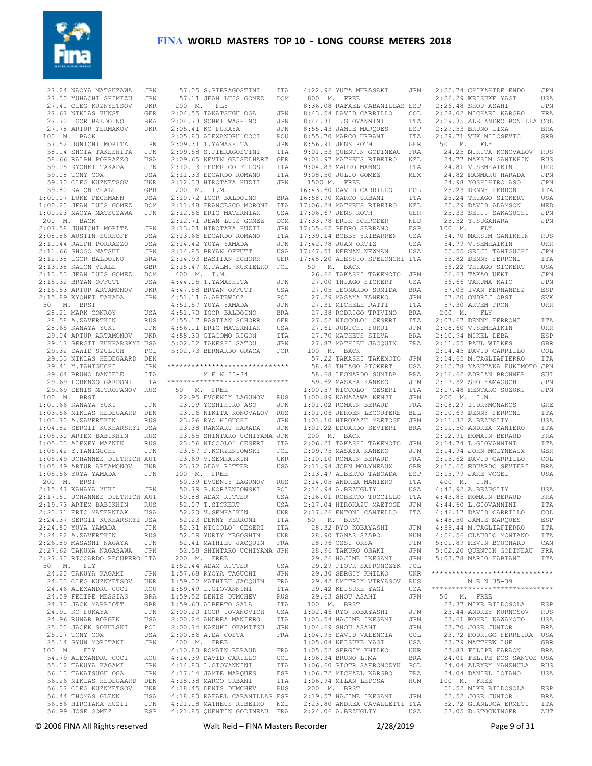

 27.24 NAOYA MATSUZAWA JPN 27.30 YUHACHI SHIMIZU JPN 27.41 OLEG KUZNYETSOV UKR 27.67 NIKLAS KUNST GER 27.70 IGOR BALDOINO BRA 27.78 ARTUR YERMAKOV UKR 100 M. BACK 57.52 JUNICHI MORITA JPN 58.14 SHOTA TAKESHITA JPN 58.66 RALPH PORRAZZO USA 59.05 KYOHEI TAKADA JPN 59.08 TONY COX USA 59.70 OLEG KUZNETSOV UKR 59.80 KALON VEALE GBR 1:00.07 LUKE PECHMANN USA 1:00.20 JEAN LUIS GOMEZ DOM 1:00.23 NAOYA MATSUZAWA JPN 200 M. BACK 2:07.58 JUNICHI MORITA JPN 2:08.86 AUSTIN SURHOFF USA 2:11.44 RALPH PORRAZZO USA 2:11.66 SHOGO MATSUI JPN 2:12.38 IGOR BALDOINO BRA 2:13.38 KALON VEALE GBR 2:13.53 JEAN LUIS GOMEZ DOM 2:15.32 BRYAN OFFUTT USA 2:15.53 ARTUR ARTAMONOV UKR 2:15.89 KYOHEI TAKADA JPN 50 M. BRST 28.21 MARK CONROY USA 28.58 A.ZAVERTKIN RUS 28.65 KANAYA YUKI JPN 29.04 ARTUR ARTAMONOV UKR 29.17 SERGII KUKHARSKYI USA 29.32 DAWID SZULICH POL 29.33 NIKLAS HEDEGAARD DEN 29.41 Y.TANIGUCHI JPN 29.64 BRUNO DANIELE ITA 29.69 LORENZO GARDONI ITA 29.69 DENIS MITROFANOV RUS 100 M. BRST 1:01.66 KANAYA YUKI JPN 1:03.56 NIKLAS HEDEGAARD DEN 1:03.70 A.ZAVERTKIN RUS 1:04.82 SERGII KUKHARSKYI USA 1:05.30 ARTEM BABIKHIN RUS 1:05.33 ALEXEY MAZNIK RUS 1:05.42 Y.TANIGUCHI JPN 1:05.49 JOHANNES DIETRICH AUT 1:05.49 ARTUR ARTAMONOV UKR  $1:05.56$  YUYA YAMADA JPN 200 M. BRST 2:15.47 KANAYA YUKI JPN 2:17.51 JOHANNES DIETRICH AUT 2:19.73 ARTEM BABIKHIN RUS<br>2:23.71 ERIC MATERNIAK USA 2:23.71 ERIC MATERNIAK 2:24.37 SERGII KUKHARSKYI USA 2:24.50 YUYA YAMADA JPN 2:24.82 A.ZAVERTKIN RUS 2:26.89 MASASHI NAGAYA JPN 2:27.62 TAKUMA NAGASAWA JPN 2:27.70 RICCARDO RECUPERO ITA 50 M. FLY 24.20 TAKUYA KAGAMI JPN 24.33 OLEG KUZNYETSOV UKR 24.33 SHES NEWSTHEIN COCI ROU 24.59 FELIPE MESSIAS BRA 24.70 JACK MARRIOTT GBR 24.91 KO FUKAYA JPN<br>24.96 RUNAR BORGEN USA 24.96 RUNAR BORGEN 25.00 JACEK SOKULSKI POL 25.07 TONY COX USA<br>25.14 SYUN MORITANI JPN 25.14 SYUN MORITANI 100 M. FLY 54.79 ALEXANDRU COCI ROU 55.12 TAKUYA KAGAMI 56.13 TAKATSUGU OGA JPN 56.26 NIKLAS HEDEGAARD DEN 56.37 OLEG KUZNYETSOV UKR<br>56.44 THOMAS GLENN USA 56.44 THOMAS GLENN 56.86 HIROTAKA HUZII JPN 56.99 JOSE GOMEZ

 57.11 JEAN LUIS GOMEZ DOM 200 M. FLY 2:04.55 TAKATSUGU OGA JPN 2:04.73 SOHEI WASHINO JPN 2:05.41 KO FUKAYA JPN 2:05.80 ALEXANDRU COCI ROU 2:09.31 T.YAMASHITA JPN 2:09.58 S.PIERAGOSTINI ITA 2:09.65 KEVIN GEISELHART GER 2:10.13 FEDERICO FILOSI ITA 2:11.33 EDOARDO ROMANO ITA 2:12.33 HIROTAKA HUZII JPN 200 M. I.M.  $2:10.72$  IGOR BALDOINO 2:11.48 FRANCESCO MORONI ITA 2:12.56 ERIC MATERNIAK USA 2:12.71 JEAN LUIS GOMEZ DOM 2:13.01 HIROTAKA HUZII JPN 2:13.66 EDOARDO ROMANO ITA 2:14.42 YUYA YAMADA JPN 2:14.85 BRYAN OFFUTT USA 2:14.93 BASTIAN SCHORR GER 2:15.47 M.PALMI-KUKIELKO POL 400 M. I.M. 4:44.05 T.YAMASHITA JPN<br>4·47.58 BRYAN OFFUTT USA 4:47.58 BRYAN OFFUTT 4:51.11 A.APTEWICZ POL 4:51.57 YUYA YAMADA JPN 4:51.70 IGOR BALDOINO BRA 4:55.17 BASTIAN SCHORR GER  $4.56$  11 ERIC MATERNIAK USA 4:58.30 GIACOMO RIGON ITA 5:02.32 TAKESHI SATOU JPN 5:02.73 BERNARDO GRACA \*\*\*\*\*\*\*\*\*\*\*\*\*\*\*\*\*\*\*\*\*\*\*\*\*\*\*\*\*\* M E N 30-34 \*\*\*\*\*\*\*\*\*\*\*\*\*\*\*\*\*\*\*\*\*\*\*\*\*\*\*\*\*\* 50 M. FREE 22.95 EVGENIY LAGUNOV RUS 23.09 YOSHIHIRO ASO JPN<br>23.16 NIKITA KONOVALOV RUS<br>23.26 RYO HIGUCHI JPN<br>23.38 RANMARU HARADA JPN 23.55 SHINTARO UCHIYAMA JPN 23.56 NICCOLO' CESERI ITA 23.57 P.KORZENIOWSKI POL 23.69 V.SEMHAIKIN UKR 23.72 ADAM RITTER USA 100 M. FREE 50.39 EVGENIY LAGUNOV RUS 50.79 P.KORZENIOWSKI POL 50.88 ADAM RITTER USA 52.07 T.SICKERT 52.20 V.SEMHAIKIN UKR 52.23 DENNY FERRONI ITA 52.31 NICCOLO' CESERI ITA 52.39 YURIY YEGOSHIN UKR 52.41 MATHIEU JACQUIN FRA 52.58 SHINTARO UCHIYAMA JPN 200 M. FREE 1:52.44 ADAM RITTER USA 1:57.68 RYOYA TAGUCHI JPN 1:59.02 MATHIEU JACQUIN FRA<br>1·59.49 L GIOVANNINI ITA  $1:59.49$  L.GIOVANNINI 1:59.52 DENIS DUMCHEV RUS 1:59.63 ALBERTO SALA ITA 2:00.20 IGOR IOVANOVICH USA<br>2:00.24 ANDREA MANIERO ITA 2:00.24 ANDREA MANIERO 2:00.74 KAZUKI OKAMITSU JPN 2:00.86 A.DA COSTA FRA 400 M. FREE 4:10.80 ROMAIN BERAUD FRA 4:14.39 DAVID CARILLO COL 4:14.80 L.GIOVANNINI ITA 4:17.14 JAMIE MARQUES ESP<br>4:18.38 MARCO URBANI ITA 4:18.38 MARCO URBANI 4:18.45 DENIS DUMCHEV RUS 4:18.80 RAFAEL CABANILLAS ESP 4:10.00 MALABE COOKSERVING NZL

 57.05 S.PIERAGOSTINI ITA 4:22.96 YUTA MURASAKI JPN 2:25.74 CHIKAHIDE ENDO JPN 4:21.85 QUENTIN GODINEAU FRA 2:24.06 A.BEZUGLIY USA 53.05 D.STOCKINGER AUT 800 M. FREE 8:36.08 RAFAEL CABANILLAS ESP 2:26.48 SHOU ASAHI JPN 8:43.54 DAVID CARRILLO COL 8:44.31 L.GIOVANNINI ITA 8:55.43 JAMIE MARQUES ESP 8:55.70 MARCO URBANI ITA 2:29.<br>8:56.91 JENS ROTH GER 50 8:56.91 JENS ROTH GER 9:01.53 QUENTIN GODINEAU FRA 9:01.97 MATHEUS RIBEIRO NZL 9:04.83 MAURO MANNO ITA 9:08.50 JULIO GOMEZ MEX 1500 M. FREE 16:43.60 DAVID CARRILLO COL<br>16:58.90 MARCO URBANI ITA BRA 16:58.90 MARCO URBANI 17:06.24 MATHEUS RIBEIRO NZL 17:06.67 JENS ROTH GER 17:33.78 ERIK SCHRODER NED 17:35.65 PEDRO SERRANO ESP 17:39.14 BOBBY YRIBARREN USA 17:42.78 JUAN ORTIZ USA<br>17:47.51 KEENAN NEWMAN USA 17:47.51 KEENAN NEWMAN 17:48.20 ALESSIO SPELONCHI ITA 50 M. BACK 26.66 TAKASHI TAKEMOTO JPN 27.00 THIAGO SICKERT USA 27.05 LEONARDO SUMIDA BRA 27.29 MASAYA KANEKO JPN 27.31 MICHELE RATTI ITA 27.38 RODRIGO TRIVINO 27.52 NICCOLO' CESERI<br>27.61 JUNICHI FUKUI 27.61 JUNICHI FUKUI JPN 27.70 MATHEUS SILVA BRA 27.87 MATHIEU JACQUIN FRA 100 M. BACK 57.22 TAKASHI TAKEMOTO JPN 58.46 THIAGO SICKERT USA 58.68 LEONARDO SUMIDA 59.62 MASAYA KANEKO JPN 1:00.57 NICCOLO' CESERI 1:00.89 KANAZAWA KENJI JPN 1:01.02 ROMAIN BERAUD 1:01.06 JEROEN LECOUTERE BEL 1:01.10 HIROKAZU MAETOGE JPN 1:01.22 EDUARDO SEVIERI BRA 200 M. BACK 2:06.21 TAKASHI TAKEMOTO JPN 2:09.75 MASAYA KANEKO JPN 2:10.10 ROMAIN BERAUD FRA<br>2:11.94 JOHN MOLYNEAUX GBR<br>2:12.47 ALREDEO EARAADA ESP 2:11.94 JOHN MOLYNEAUX 2:13.47 ALBERTO TABOADA 2:14.05 ANDREA MANIERO ITA<br>2:14.94 A.BEZUGLIY USA 2:14.94 A. BEZUGLIY 2:16.01 ROBERTO TUCCILLO ITA 2:17.04 HIROKAZU MAETOGE JPN 2:17.26 ENTONI CANTELLO ITA 50 M. BRST 28.32 RYO KOBAYASHI JPN 28.90 TAMAS SZABO HUN 28.96 OSSI OKSA FIN 28.96 TAKURO OSAKI JPN 29.26 HAJIME IKEGAMI 29.29 PIOTR SAFRONCZYK POL 29.30 SERGIY KHILKO UKR 29.42 DMITRIY VIRYASOV RUS 29.42 KEISUKE YAGI USA 29.63 SHOU ASAHI JPN 100 M. BRST 1:02.46 RYO KOBAYASHI JPN 1:03.54 HAJIME IKEGAMI JPN 1:04.69 SHOU ASAHI JPN 1:04.95 DAVID VALENCIA COL<br>1.05.04 KEISUKE YAGI USA 1:05.04 KEISUKE YAGI USA<br>1:05.52 SERGIY KHILKO UKR  $1:05.52$  SERGIY KHILKO 1:06.34 BRUNO LIMA BRA 1:06.60 PIOTR SAFRONCZYK POL 1:06.72 MICHAEL KARGBO FRA 1:06.94 MILAN LEPOSA HUN 100 M. FREE 200 M. BRST 2:19.57 HAJIME IKEGAMI JPN 2:23.80 ANDREA CAVALLETTI ITA

 2:26.29 KEISUKE YAGI USA 2:28.02 MICHAEL KARGBO FRA 2:29.35 ALEJANDRO BONILLA COL 2:29.53 BRUNO LIMA BRA 2:29.71 VUK MILOSEVIC SRB M. FLY 24.25 NIKITA KONOVALOV RUS 24.77 MAKSIM GANIKHIN RUS 24.81 V.SEMHAIKIN UKR 24.82 RANMARU HARADA JPN 24.98 YOSHIHIRO ASO JPN 25.23 DENNY FERRONI ITA 25.24 THIAGO SICKERT USA 25.29 DAVID ADAMSON NED 25.33 SEIJI SAKAGUCHI JPN 25.52 Y.SUGAHARA JPN 100 M. FLY 54.70 MAKSIM GANIKHIN RUS 54.79 V.SEMHAIKIN UKR 55.55 SEIJI TANIGUCHI JPN 55.82 DENNY FERRONI ITA 56.22 THIAGO SICKERT USA 56.63 TAKAO UEKI JPN 56.66 TAKUMA KATO JPN 57.03 IVAN FERNANDEZ ESP 57.20 ONDRIJ OBST SVK 57.30 ARTEM PRON UKR 200 M. FLY 2:07.67 DENNY FERRONI ITA 2:08.60 V.SEMHAIKIN UKR 2:10.94 MIKEL DEBA ESP 2:11.55 PAUL WILKES GBR 2:14.45 DAVID CARRILLO COL 2:14.65 M.TAGLIAFIERRO ITA 2:15.78 YASUTAKA FUKIMOTO JPN 2:16.62 ADRIAN BRONNER SUI 2:17.32 SHO YAMAGUCHI JPN 2:17.48 KENTARO SUZUKI JPN 200 M. I.M. 2:08.29 I.DRYMONAKOS GRE 2:10.69 DENNY FERRONI ITA 2:11.32 A.BEZUGLIY USA 2:11.50 ANDREA MANIERO ITA 2:12.91 ROMAIN BERAUD FRA 2:14.74 L.GIOVANNINI ITA 2:14.94 JOHN MOLYNEAUX GBR 2:15.62 DAVID CARRILLO COL 2:15.65 EDUARDO SEVIERI BRA 2:15.79 JAKE VOGEL USA 400 M. I.M.  $4 \cdot 42$  92 A.BEZUGLIY USA 4:43.85 ROMAIN BERAUD FRA 4:44.60 L.GIOVANNINI ITA 4:46.17 DAVID CARRILLO COL 4:48.50 JAMIE MARQUES ESP 4:55.44 M.TAGLIAFIERRO ITA 4:56.56 CLAUDIO MONTANO ITA 5:01.89 KEVIN BOUCHARD CAN 5:02.20 QUENTIN GODINEAU FRA 5:03.78 MARIO FABIANI ITA \*\*\*\*\*\*\*\*\*\*\*\*\*\*\*\*\*\*\*\*\*\*\*\*\*\*\*\*\*\* M E N 35-39 \*\*\*\*\*\*\*\*\*\*\*\*\*\*\*\*\*\*\*\*\*\*\*\*\*\*\*\*\*\* 50 M. FREE 23.37 MIKE BILDOSOLA ESP 23.44 ANDREY KURNOSOV RUS 23.61 KOHEI KAWAMOTO USA 23.70 JOSE JUNIOR BRA 23.72 RODRIGO FERREIRA USA 23.79 MATTHEW LUE GBR 23.83 FILIPE FARAON BRA 24.01 FELIPE DOS SANTOS USA 24.04 ALEXEY MANZHULA RUS 24.04 DANIEL LOTANO USA 51.52 MIKE BILDOSOLA ESP 52.52 JOSE JUNIOR BRA<br>52.72 GIANLUCA ERMETI ITA 52.72 GIANLUCA ERMETI

© 2006 FINA All Rights reserved Walt Reid – FINA Masters Recorder 2/28/2019 Page 9 of 31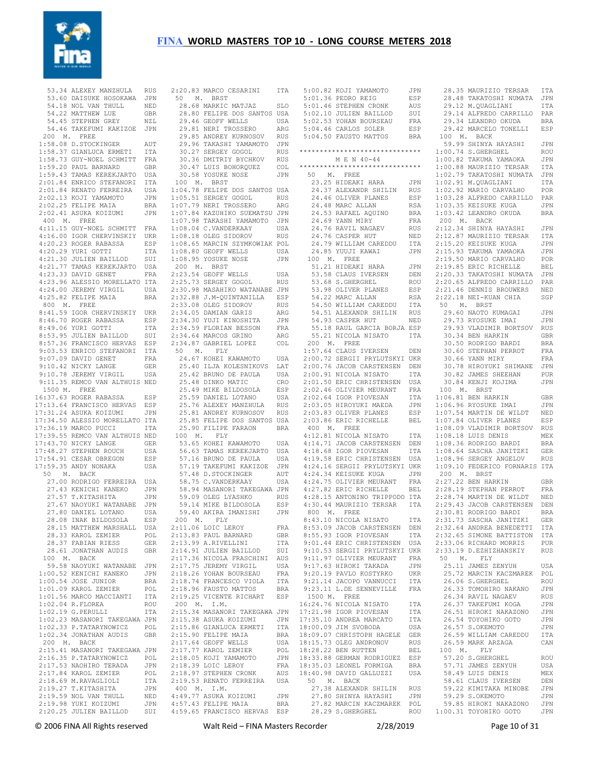

|               | 53.34 ALEXEY MANZHULA RUS                                                                                                                                                                                                                                                                                |            | $\overline{2}$ :                                     |
|---------------|----------------------------------------------------------------------------------------------------------------------------------------------------------------------------------------------------------------------------------------------------------------------------------------------------------|------------|------------------------------------------------------|
|               | 53.60 DAISUKE HOSOKAWA JPN<br>54.18 NOL VAN THULL NED<br>54.22 MATTHEW LUE GBR                                                                                                                                                                                                                           |            | 5                                                    |
|               | 54.18 NOL VAN THULL NED<br>54.22 MATTHEW LUE GBR<br>54.45 STEPHEN GREY NZL<br>54.46 TAKEFUMI KAKIZOE JPN                                                                                                                                                                                                 |            |                                                      |
|               |                                                                                                                                                                                                                                                                                                          |            |                                                      |
|               |                                                                                                                                                                                                                                                                                                          |            |                                                      |
|               |                                                                                                                                                                                                                                                                                                          |            |                                                      |
|               |                                                                                                                                                                                                                                                                                                          |            |                                                      |
|               | 200 M. FREE                                                                                                                                                                                                                                                                                              |            |                                                      |
|               | 200<br>1:58.08 D.STOCKINGER<br>1:58.37 GIANLUCA ERMETI ITA                                                                                                                                                                                                                                               |            |                                                      |
|               |                                                                                                                                                                                                                                                                                                          |            |                                                      |
|               |                                                                                                                                                                                                                                                                                                          |            |                                                      |
|               |                                                                                                                                                                                                                                                                                                          |            |                                                      |
|               |                                                                                                                                                                                                                                                                                                          |            |                                                      |
|               |                                                                                                                                                                                                                                                                                                          |            |                                                      |
|               | 1:58.37 GIANLUCA EKWEIL<br>1:58.73 GUY-NOEL SCHMITT FRA<br>1:59.20 PAUL BARNARD GBR<br>1:59.43 TAMAS KEREKJARTO USA<br>1:59.43 TAMAS KEREKJARTO USA<br>2:01.84 ENRICO STEFANORI ITA<br>2:01.84 ENRICO STEFANORI ITA<br>2:02.13 KOJI YAMAMOTO JPN<br>2:02.25 FELIPE MAIA BRA<br>2:02.41 ASURA KOIZUMI JPN |            |                                                      |
|               |                                                                                                                                                                                                                                                                                                          |            |                                                      |
|               |                                                                                                                                                                                                                                                                                                          |            |                                                      |
|               |                                                                                                                                                                                                                                                                                                          |            | $\begin{array}{c} 1 \\ 1 \\ 1 \\ 1 \\ 1 \end{array}$ |
|               |                                                                                                                                                                                                                                                                                                          |            |                                                      |
|               |                                                                                                                                                                                                                                                                                                          |            | 1:                                                   |
| $400$ M. FREE |                                                                                                                                                                                                                                                                                                          |            | 1:                                                   |
|               |                                                                                                                                                                                                                                                                                                          |            |                                                      |
|               | 4:11.15 GUY-NOEL SCHMITT FRA<br>4:11.15 GUY-NOEL SCHWITT FAR<br>4:20.23 ROGER RABASSA<br>4:20.23 ROGER RABASSA<br>4:20.23 YURI GOTTI ITA<br>4:21.30 JULIEN BAILLOD SUI<br>4:21.77 TAMAS KEREKJARTO USA<br>4:23.33 DAVID GENET FRA<br>4:23.33 DAVID CENET PRA                                             |            | 1:                                                   |
|               |                                                                                                                                                                                                                                                                                                          |            | 1:                                                   |
|               |                                                                                                                                                                                                                                                                                                          |            | $\overline{1}$ :                                     |
|               |                                                                                                                                                                                                                                                                                                          |            | $\mathbf{1}$ :                                       |
|               |                                                                                                                                                                                                                                                                                                          |            |                                                      |
|               |                                                                                                                                                                                                                                                                                                          |            | $\begin{array}{c} 1: \\ 2: \\ 2: \end{array}$        |
|               |                                                                                                                                                                                                                                                                                                          |            |                                                      |
|               |                                                                                                                                                                                                                                                                                                          |            |                                                      |
|               |                                                                                                                                                                                                                                                                                                          |            | 2:                                                   |
|               |                                                                                                                                                                                                                                                                                                          |            | 2:                                                   |
|               |                                                                                                                                                                                                                                                                                                          |            |                                                      |
|               | 4:23.33 DAVID GENET<br>4:23.96 ALESSIO MORELLATO ITA<br>4:24.00 JEREMY VIRGIL USA<br>5:24.00 JEREMY VIRGIL USA                                                                                                                                                                                           |            | 2:                                                   |
|               | 800 M. FREE                                                                                                                                                                                                                                                                                              |            | 2:                                                   |
|               | 8:41.59 IGOR CHERVINSKIY UKR<br>8:46.70 ROGER RABASSA ESP                                                                                                                                                                                                                                                |            | 2:                                                   |
|               |                                                                                                                                                                                                                                                                                                          |            | 2:                                                   |
|               |                                                                                                                                                                                                                                                                                                          |            |                                                      |
|               |                                                                                                                                                                                                                                                                                                          |            |                                                      |
|               | 9:49.06 YURI GOTTI<br>9:53.95 JULIEN BAILLOD SUI 2:<br>9:03.53 ENRICO STEFANORI ITA<br>9:03.53 ENRICO STEFANORI ITA<br>9:07.09 DAVID'GENET FRA                                                                                                                                                           |            |                                                      |
|               |                                                                                                                                                                                                                                                                                                          |            |                                                      |
|               |                                                                                                                                                                                                                                                                                                          |            |                                                      |
|               |                                                                                                                                                                                                                                                                                                          |            |                                                      |
|               |                                                                                                                                                                                                                                                                                                          |            |                                                      |
|               | 9:10.42 NICKY LANGE<br>9:10.78 JEREMY VIRGIL                                                                                                                                                                                                                                                             | GER        |                                                      |
|               |                                                                                                                                                                                                                                                                                                          | USA        |                                                      |
|               | 9:11.35 REMCO VAN ALTHUIS NED                                                                                                                                                                                                                                                                            |            |                                                      |
|               | 1500 M. FREE                                                                                                                                                                                                                                                                                             |            |                                                      |
|               |                                                                                                                                                                                                                                                                                                          |            |                                                      |
|               | 16:37.63 ROGER RABASSA                                                                                                                                                                                                                                                                                   | ESP        |                                                      |
|               |                                                                                                                                                                                                                                                                                                          |            |                                                      |
|               | 17:13.64 FRANCISCO HERVAS ESP<br>17:31.24 ASUKA KOIZUMI JPN                                                                                                                                                                                                                                              |            |                                                      |
|               | 17:34.50 ALESSIO MORELLATO ITA                                                                                                                                                                                                                                                                           |            |                                                      |
|               |                                                                                                                                                                                                                                                                                                          |            |                                                      |
|               | 17:36.19 MARCO PUCCI                                                                                                                                                                                                                                                                                     | ITA        |                                                      |
|               | 17:39.55 REMCO VAN ALTHUIS NED                                                                                                                                                                                                                                                                           |            | $\overline{1}$                                       |
|               | 17:43.70 NICKY LANGE                                                                                                                                                                                                                                                                                     | GER        |                                                      |
|               |                                                                                                                                                                                                                                                                                                          | USA        |                                                      |
|               | 17:54.91 CESAR OBREGON                                                                                                                                                                                                                                                                                   | ESP        |                                                      |
|               |                                                                                                                                                                                                                                                                                                          |            |                                                      |
|               | 17:59.35 ANDY NONAKA                                                                                                                                                                                                                                                                                     | USA        |                                                      |
|               | 50 M. BACK                                                                                                                                                                                                                                                                                               |            |                                                      |
|               | 27.00 RODRIGO FERREIRA USA<br>27.43 KENICHI KANEKO JPN                                                                                                                                                                                                                                                   |            |                                                      |
|               |                                                                                                                                                                                                                                                                                                          |            |                                                      |
|               | 27.43 KENICHI KANEKO<br>27.57 T.KITASHITA<br>27.57 T.KITASHITA                                                                                                                                                                                                                                           | JPN        |                                                      |
|               |                                                                                                                                                                                                                                                                                                          |            |                                                      |
|               | 27.67 NAOYUKI WATANABE JPN<br>27.80 DANIEL LOTANO USA                                                                                                                                                                                                                                                    |            |                                                      |
|               |                                                                                                                                                                                                                                                                                                          |            |                                                      |
|               | 28.08 INAK BILDOSOLA                                                                                                                                                                                                                                                                                     | ESP        | 2                                                    |
|               | 28.15 MATTHEW MARSHALL                                                                                                                                                                                                                                                                                   | USA        | 2:                                                   |
|               | 28.33 KAROL ZEMIER                                                                                                                                                                                                                                                                                       | POL        | 2:                                                   |
|               |                                                                                                                                                                                                                                                                                                          |            |                                                      |
|               | 28.37 FABIAN RIESS                                                                                                                                                                                                                                                                                       | GER        | 2:                                                   |
|               | 28.61 JONATHAN AUDIS                                                                                                                                                                                                                                                                                     | GBR        | 2:                                                   |
|               | 100 M. BACK                                                                                                                                                                                                                                                                                              |            | 2:                                                   |
|               | 59.58 NAOYUKI WATANABE                                                                                                                                                                                                                                                                                   | JPN        | 2:                                                   |
|               | 1:00.52 KENICHI KANEKO                                                                                                                                                                                                                                                                                   | JPN        | 2:                                                   |
|               |                                                                                                                                                                                                                                                                                                          |            |                                                      |
|               | 1:00.54 JOSE JUNIOR                                                                                                                                                                                                                                                                                      | BRA        | 2:                                                   |
|               | 1:01.09 KAROL ZEMIER                                                                                                                                                                                                                                                                                     | POL        | 2:                                                   |
|               | 1:01.56 MARCO MACCIANTI                                                                                                                                                                                                                                                                                  | ITA        | $\mathbf{2}$ :                                       |
|               | 1:02.04 R.FLOREA                                                                                                                                                                                                                                                                                         | ROU        | -2                                                   |
|               |                                                                                                                                                                                                                                                                                                          |            |                                                      |
|               | $1:02.19$ G. PERULLI                                                                                                                                                                                                                                                                                     | ITA        | $\mathbf{2}$ :                                       |
|               | 1:02.23 MASANORI TAKEGAWA JPN                                                                                                                                                                                                                                                                            |            | 2:                                                   |
|               | 1:02.33 P.TATARYNOWICZ                                                                                                                                                                                                                                                                                   | POL<br>GBR | 2:                                                   |
|               | 1:02.34 JONATHAN AUDIS                                                                                                                                                                                                                                                                                   |            | 2:                                                   |
|               |                                                                                                                                                                                                                                                                                                          |            |                                                      |
| 200 M. BACK   |                                                                                                                                                                                                                                                                                                          |            | 2:                                                   |
|               | 2:15.41 MASANORI TAKEGAWA JPN                                                                                                                                                                                                                                                                            |            | 2:                                                   |
|               | 2:16.35 P.TATARYNOWICZ                                                                                                                                                                                                                                                                                   | POL        | $\overline{2}$ :                                     |
|               | 2:17.53 NAOHIRO TERADA                                                                                                                                                                                                                                                                                   | JPN        | 2:                                                   |
|               |                                                                                                                                                                                                                                                                                                          |            | $\mathbf{2}$ :                                       |
|               | 2:17.84 KAROL ZEMIER                                                                                                                                                                                                                                                                                     | POL        |                                                      |
|               | 2:18.69 M.RAVAGLIOLI                                                                                                                                                                                                                                                                                     | ITA        | 2:                                                   |
|               | 2:19.27 T.KITASHITA                                                                                                                                                                                                                                                                                      | JPN        | 4                                                    |
|               | $2:19.59$ NOL VAN THULL                                                                                                                                                                                                                                                                                  | NED        | 4:                                                   |
|               | 2:19.98 YUKI KOIZUMI                                                                                                                                                                                                                                                                                     |            | 4:                                                   |
|               | 2:20.25 JULIEN BAILLOD                                                                                                                                                                                                                                                                                   | JPN        | 4:                                                   |
|               |                                                                                                                                                                                                                                                                                                          | SUI        |                                                      |

 2:20.83 MARCO CESARINI ITA 50 M. BRST 28.68 MARKIC MATJAZ SLO 28.80 FELIPE DOS SANTOS USA 29.46 GEOFF WELLS USA 29.81 NERI TROSSERO ARG 29.85 ANDREY KURNOSOV RUS 29.96 TAKASHI YAMAMOTO JPN 30.27 SERGEY GOGOL RUS 30.36 DMITRIY BYCHKOV RUS 30.47 LUIS BOHORQUEZ COL 30.58 YOSUKE NOSE JPN 100 M. BRST 04.78 FELIPE DOS SANTOS USA 1:05.51 SERGEY GOGOL RUS 07.79 NERI TROSSERO ARG 07.84 KAZUHIKO SUEMATSU JPN 07.98 TAKASHI YAMAMOTO JPN 1:08.04 C.VANDERKAAY USA 1:08.18 OLEG SIDOROV RUS 1:08.65 MARCIN SZYMKOWIAK POL 08.80 GEOFF WELLS USA 1:08.95 YOSUKE NOSE JPN 200 M. BRST 23.54 GEOFF WELLS USA 25.73 SERGEY GOGOL RUS 2:30.98 MASAHIKO WATANABE JPN 2:32.88 J.M-QUINTANILLA ESP 2:33.08 OLEG SIDOROV RUS 2:34.05 DAMIAN GARIS ARG 2:34.30 YUJI KINOSHITA JPN 2:34.59 FLORIAN BESSON FRA 24.64 MARCOS GRINO ARG<br>24.87 GABRIEL LOPEZ COL 34.87 GABRIEL LOPEZ 50 M. FLY 24.67 KOHEI KAWAMOTO USA 25.40 ILJA KOLESNIKOVS LAT 25.42 BRUNO DE PAULA USA 25.48 DINKO MATIC CRO 25.49 MIKE BILDOSOLA ESP 25.59 DANIEL LOTANO USA 25.76 ALEXEY MANZHULA RUS 25.81 ANDREY KURNOSOV RUS 25.85 FELIPE DOS SANTOS USA 25.90 FILIPE FARAON BRA 100 M. FLY 53.65 KOHEI KAWAMOTO USA 56.63 TAMAS KEREKJARTO USA 57.16 BRUNO DE PAULA USA 57.19 TAKEFUMI KAKIZOE JPN 57.48 D.STOCKINGER AUT 58.75 C.VANDERKAAY USA 58.94 MASANORI TAKEGAWA JPN 59.09 OLEG LYASHKO RUS<br>59.14 MIKE BILDOSOLA ESP 59.14 MIKE BILDOSOLA 59.40 AKIRA IMANISHI JPN 200 M. FLY 2:11.06 LOIC LEROY FRA 2:13.83 PAUL BARNARD GBR 13.99 A.RIVELLINI ITA 2:14.91 JULIEN BAILLOD SUI 2:17.36 NICOLA FRASCHINI AUS 17.75 JEREMY VIRGIL USA 2:18.26 YOHAN BOURSEAU FRA 2:18.74 FRANCESCO VIOLA ITA 2:18.96 FAUSTO MATTOS BRA 2:19.25 VICENTE RICHART ESP 200 M. I.M. 2:15.34 MASANORI TAKEGAWA JPN 2:15.38 ASUKA KOIZUMI JPN 2:15.86 GIANLUCA ERMETI ITA 15.00 CINCLES<br>15.90 FELIPE MAIA BRA 17.64 GEOFF WELLS USA<br>17.77 KAROL ZEMIER POL 17.77 KAROL ZEMIER 2:18.05 KOJI YAMAMOTO JPN 2:18.39 LOIC LEROY FRA 2:18.97 STEPHEN CRONK AUS 2:19.53 RENATO FERREIRA USA 400 M. I.M. 49.77 ASUKA KOIZUMI JPN 4:57.43 FELIPE MAIA BRA 4:59.65 FRANCISCO HERVAS ESP

|          | 5:00.82 KOJI YAMAMOTO                                  | JPN        | 28.35 MAU                  |            |
|----------|--------------------------------------------------------|------------|----------------------------|------------|
|          | 5:01.36 PEDRO REIG                                     | ESP        | 28.48 TAK                  |            |
|          | 5:01.46 STEPHEN CRONK                                  | AUS        | 29.12 M.C                  |            |
|          | 5:02.10 JULIEN BAILLOD                                 | SUI        | 29.14 ALF                  |            |
|          | 5:02.53 YOHAN BOURSEAU                                 | FRA        | 29.34 LEA                  |            |
|          | 5:04.46 CARLOS SOLER                                   | ESP        | 29.42 MAR                  |            |
|          | 5:04.50 FAUSTO MATTOS                                  | <b>BRA</b> | 100 M. B                   |            |
|          |                                                        |            | 59.99 SHI                  |            |
|          | ******************************                         |            | 1:00.74                    | S.G        |
|          | M E N 40-44                                            |            | 1:00.82                    | TAK        |
|          | *****************************                          |            | 1:00.88 MAU                |            |
|          | 50 M. FREE                                             |            | 1:02.79 TAK                |            |
|          | 23.25 HIDEAKI HARA                                     | JPN        | 1:02.91                    | M.Ç        |
|          | 24.37 ALEXANDR SHILIN                                  | RUS        | 1:02.92 MAR                |            |
|          | 24.46 OLIVER PLANES                                    | ESP        | 1:03.28                    | ALF        |
|          | 24.48 MARC ALLAN                                       | RSA        | $1:03.35$ KEI              |            |
|          | 24.53 RAFAEL AQUINO                                    | BRA        | 1:03.42                    | LEA        |
|          | 24.69 YANN MIRY                                        | FRA        | 200<br>Μ.                  | E          |
|          | 24.76 RAVIL NAGAEV                                     |            | 2:12.34                    | SHI        |
|          | 24.76 CASPER HUT                                       | RUS        | 2:12.87 MAU                |            |
|          |                                                        | NED        |                            |            |
|          | 24.79 WILLIAM CAREDDU                                  | ITA        | 2:15.20 KEI                |            |
|          | 24.85 YUUJI KAWAI                                      | JPN        | 2:15.93                    | TAK        |
| 100 M.   | FREE                                                   |            | 2:19.50 MAR                |            |
|          | 51.21 HIDEAKI HARA                                     | JPN        | 2:19.85 ERI                |            |
|          | 53.58 CLAUS IVERSEN                                    | DEN        | 2:20.33 TAK                |            |
|          | 53.68 S.GHERGHEL                                       | ROU        | 2:20.65 ALF                |            |
|          | 53.98 OLIVER PLANES                                    | ESP        | 2:21.46                    | DEN        |
|          | 54.22 MARC ALLAN                                       | RSA        | 2:22.18                    | NEI        |
|          | 54.50 WILLIAM CAREDDU                                  | ITA        | 50<br>Μ.                   | E          |
|          | 54.51 ALEXANDR SHILIN                                  | <b>RUS</b> | 29.60 NAC                  |            |
|          | 54.93 CASPER HUT                                       | NED        | 29.73 RYC                  |            |
|          | 55.18 RAUL GARCIA BORJA ESP                            |            | 29.93 VLA                  |            |
|          | 55.21 NICOLA NISATO                                    | ITA        | 30.34 BEN                  |            |
| 200 M.   | FREE                                                   |            | 30.50 ROD                  |            |
|          | 1:57.64 CLAUS IVERSEN                                  | DEN        | 30.60                      | STE        |
|          | 2:00.72 SERGII PRYLUTSKYI                              | UKR        | 30.66                      | YAN        |
|          | 2:00.76 JACOB CARSTENSEN                               | DEN        | 30.78 HIR                  |            |
|          | 2:00.91 NICOLA NISATO                                  | ITA        | 30.82                      | <b>JAM</b> |
|          | 2:01.50 ERIC CHRISTENSEN                               | USA        | 30.84                      | KEN        |
|          | 2:02.46 OLIVIER MEURANT                                | FRA        | 100 M.                     | – E        |
|          | 2:02.64 IGOR PIOVESAN                                  | ITA        | 1:06.81                    | BEN        |
|          | 2:03.05 HIROYUKI MAEDA                                 | JPN        | $1:06.96$ RYC              |            |
|          | 2:03.83 OLIVER PLANES                                  | ESP        | $1:07.54$ MAR              |            |
|          | 2:03.86 ERIC RICHELLE                                  | BEL        | 1:07.84                    | OLI        |
| 400 M.   | FREE                                                   |            | $1:08.09$ VLA              |            |
|          | 4:12.81 NICOLA NISATO                                  | ITA        | 1:08.18                    | LUI        |
|          | 4:14.71 JACOB CARSTENSEN                               | DEN        | 1:08.36                    | ROD        |
|          | 4:18.68 IGOR PIOVESAN                                  | ITA        | 1:08.64                    | SAS        |
|          | 4:19.58 ERIC CHRISTENSEN                               | USA        | 1:08.96                    | SER        |
|          | 4:24.16 SERGII PRYLUTSKYI                              | UKR        | 1:09.10                    | FED        |
|          | 4:24.34 KEISUKE KUGA                                   |            | 200<br>Μ.                  |            |
|          |                                                        | JPN<br>FRA | 2:27.22 BEN                | E          |
|          | 4:24.75 OLIVIER MEURANT                                | BEL        |                            |            |
|          | 4:27.82 ERIC RICHELLE<br>4:28.15 ANTONINO TRIPPODO ITA |            | 2:28.19 STE<br>2:28.74 MAR |            |
|          |                                                        |            |                            |            |
|          | 4:30.44 MAURIZIO TERSAR                                | ITA        | $2:29.43$ JAC              |            |
| 800 M.   | FREE                                                   |            | 2:30.81                    | ROD        |
|          | 8:43.10 NICOLA NISATO                                  | ITA        | 2:31.73 SAS                |            |
|          | 8:53.09 JACOB CARSTENSEN                               | DEN        | 2:32.64 AND                |            |
|          | 8:55.93 IGOR PIOVESAN                                  | ITA        | 2:32.65 SIM                |            |
|          | 9:01.44 ERIC CHRISTENSEN                               | USA        | 2:33.06 RIC                |            |
|          | 9:10.53 SERGII PRYLUTSKYI UKR                          |            | 2:33.19 D.E                |            |
|          | 9:11.97 OLIVIER MEURANT                                | FRA        | 50<br>Μ.                   |            |
|          | 9:17.63 HIROKI TAKADA                                  | JPN        | 25.11                      | <b>JAM</b> |
|          | 9:20.19 PAVLO KOSTYRKO                                 | UKR        | 25.72 MAR                  |            |
|          | 9:21.14 JACOPO VANNUCCI                                | ITA        | 26.06 S.G                  |            |
|          | 9:23.11 L.DE SENNEVILLE                                | FRA        | 26.33 TOM                  |            |
| 1500 M.  | FREE                                                   |            | 26.34 RAV                  |            |
|          | 16:24.76 NICOLA NISATO                                 | ITA        | 26.37 TAK                  |            |
|          | 17:21.98 IGOR PIOVESAN                                 | ITA        | 26.51 HIR                  |            |
|          | 17:35.10 ANDREA MARCATO                                | ITA        | 26.54                      | TOY        |
|          | 18:00.09 JIM SVOBODA                                   | USA        | 26.57                      | S.C        |
|          | 18:09.07 CHRISTOPH HAGELE                              | GER        | 26.59 WIL                  |            |
|          | 18:15.73 OLEG ANDRONOV                                 | RUS        | 26.59 MAR                  |            |
|          | 18:28.22 BEN RUTTEN                                    | BEL        | 100 M.                     |            |
|          | 18:33.88 GERMAN RODRIGUEZ                              | ESP        | 57.20                      | S.G        |
|          | 18:35.03 LEONEL FORMIGA                                | BRA        | 57.71 JAM                  |            |
|          | 18:40.98 DAVID GALLUZZI                                | USA        | 58.49 LUI                  |            |
| 50<br>Μ. | <b>BACK</b>                                            |            | 58.61                      | CLA        |
|          | 27.38 ALEXANDR SHILIN                                  | RUS        | 59.22                      | <b>KIM</b> |
|          | 27.80 SHINYA HAYASHI                                   | JPN        | 59.29                      | S.C        |
|          | 27.82 MARCIN KACZMAREK                                 | POL        | 59.85                      | HIR        |
|          | 28.29 S.GHERGHEL                                       | ROU        | 1:00.31                    | TOY        |
|          |                                                        |            |                            |            |

 28.35 MAURIZIO TERSAR ITA 28.48 TAKATOSHI NUMATA JPN 29.12 M.QUAGLIANI ITA .<br>"REDO CARRILLO PAR .<br>2008 NORTH BRANGELO TONELLI 20.<br>20.42 MONELLI **ACK** NYA HAYASHI JPN HERGHEL ROU 1:00.82 TAKUMA YAMAOKA JPN 1:00.88 MAURIZIO TERSAR ITA .<br>1908 YIMDA AMASHI NUMATA 10.002.17 M.D. T. .<br>10.02.82.92.1.140 POR REDO CARRILLO PAR --<br>SUKE KUGA JPN: INDRO OKUDA BRA **ACK**  2:12.34 SHINYA HAYASHI JPN 2:12.87 MAURIZIO TERSAR ITA .<br>2018. KUGA JPN 2:15.93 TAKUMA YAMAOKA JPN 2:19.50 MARIO CARVALHO POR C. RICHELLE BEL 2:20.33 TAKATOSHI NUMATA JPN 2:20.65 ALFREDO CARRILLO PAR INTS BROUWERS NED -----<br>-KUAN CHIA SGP 50 M. BRST <sup>2</sup> XUMAGAI JPN 2.13 RWAT TMAI **DIMIR BORTSOV RUS**  30.34 BEN HARKIN GBR 30.50 RODRIGO BARDI BRA 30.60 STEPHAN PERROT FRA IN MIRY FRA ... ......<br>«OYUKI SHIMANE JPN ...<br>1ES SHEEHAN PUR .<br>3.1 KOJIMA AND JPN 100 M. BRST HARKIN GBR 1:06.96 RYOSUKE IMAI JPN XTIN DE WILDT NED VER PLANES ESP 1:08.09 VLADIMIR BORTSOV RUS 1:08.18 LUIS DENIS MEX 1:08.36 RODRIGO BARDI BRA 1:08.64 SASCHA JANITZKI GER GEY ANGELOV RUS 1:09.10 FEDERICO FORNARIS ITA  $2RST$  2:27.22 BEN HARKIN GBR 2:28.19 STEPHAN PERROT FRA 2:28.74 MARTIN DE WILDT NED COB CARSTENSEN DEN ...<br>DRIGO BARDI BRA CHA JANITZKI GER 2:32.64 ANDREA BENEDETTI ITA 2:32.65 SIMONE BATTISTON ITA 2HARD MORRIS PUR ZHIZHANSKIY RUS FLY **1ES ZENYUH USA** 20TN KACZMAREK POL **EXERGHEL** ROU 26.33 TOMOHIRO NAKANO JPN <sup>7</sup>TL NAGAEV RIJS **EFUMI KOGA JPN**  26.51 HIROKI NAKAZONO JPN <sup>26.11</sup> TON GOTO JPN 26.57 S.OKEMOTO JPN .<br>LIAM CAREDDU ITA RK ARZAGA CAN  $FT.Y$ **SHERGHEL** ROU 1ES ZENYUH USA S DENIS MEX<br>UIS IVERSEN DEN US IVERSEN .<br>1908 - IPN KEMOTO KEMOTO J 59.85 HIROKI NAKAZONO JPN YOHIKO GOTO JPN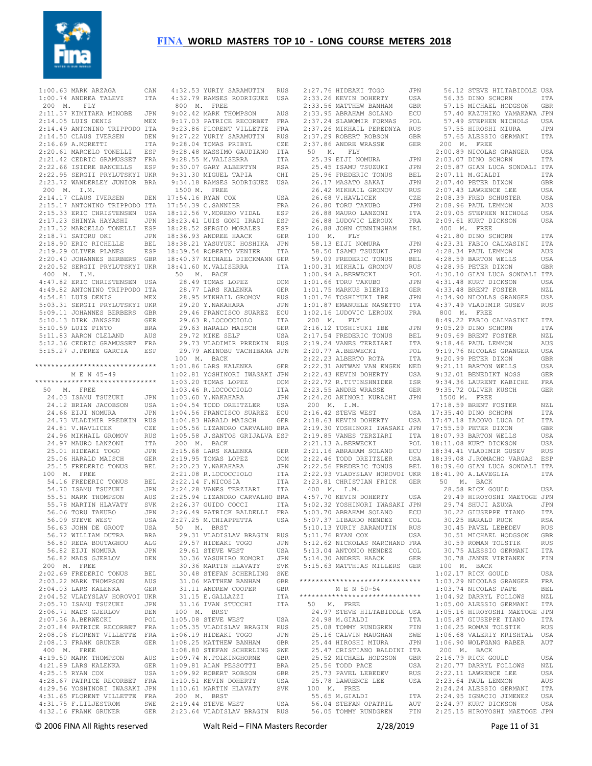

 1:00.63 MARK ARZAGA CAN 1:00.74 ANDREA TALEVI ITA 4:32.53 YURIY SARAMUTIN RUS 4:32.79 RAMSES RODRIGUEZ USA 200 M. FLY 2:11.37 KIMITAKA MINOBE JPN 2:14.05 LUIS DENIS MEX 2:14.49 ANTONINO TRIPPODO ITA 2:14.50 CLAUS IVERSEN DEN 2:16.69 A.MORETTI ITA<br>2:20.61 MARCELO TONELLI ESP 2:20.61 MARCELO TONELLIT 2:21.42 CEDRIC GRAMUSSET FRA 2:22.66 ISIDRE BANCELLS ESP 2:22.95 SERGII PRYLUTSKYI UKR 2:23.72 WANDERLEY JUNIOR BRA 200 M. I.M. 2:14.17 CLAUS IVERSEN DEN 17:54.16 RYAN COX USA 2:15.17 ANTONINO TRIPPODO ITA 2:15.33 ERIC CHRISTENSEN USA 18:12.56 V.MORENO VIDAL ESP 2:17.23 SHINYA HAYASHI JPN 2:17.32 MARCELLO TONELLI ESP 18:23.41 LUIS GONI IRADI ESP 18:28.52 SERGIO MORALES ESP 2:18.71 SATORU OKI JPN 2:18.90 ERIC RICHELLE 2:19.29 OLIVER PLANES ESP 2:20.40 JOHANNES BERBERS GBR 18:39.54 ROBERTO VENIER ITA 18:40.37 MICHAEL DIECKMANN GER 2:20.52 SERGII PRYLUTSKYI UKR 18:41.60 M.VALISERRA ITA 400 M. I.M. 4:47.82 ERIC CHRISTENSEN USA 4:49.82 ANTONINO TRIPPODO ITA 4:54.81 LUIS DENIS MEX 5:03.31 SERGII PRYLUTSKYI UKR 5:09.11 JOHANNES BERBERS GBR 5:10.13 DIRK JANSSEN GER 5:10.59 LUIZ PINTO BRA 5:11.83 AARON CLELAND AUS 5:12.36 CEDRIC GRAMUSSET FRA 5:15.27 J.PEREZ GARCIA ESP \*\*\*\*\*\*\*\*\*\*\*\*\*\*\*\*\*\*\*\*\*\*\*\*\*\*\*\*\*\* 100 M. BACK 1:01.86 LARS KALENKA GER M E N 45-49 \*\*\*\*\*\*\*\*\*\*\*\*\*\*\*\*\*\*\*\*\*\*\*\*\*\*\*\*\*\* 50 M. FREE 24.03 ISAMU TSUZUKI JPN 24.12 BRIAN JACOBSON USA 24.66 EIJI NOMURA JPN 24.73 VLADIMIR PREDKIN RUS 24.81 V.HAVLICEK CZE 24.96 MIKHAIL GROMOV RUS 24.97 MAURO LANZONI ITA 25.01 HIDEAKI TOGO JPN 25.06 HARALD MAISCH GER 25.15 FREDERIC TONUS BEL 100 M. FREE 54.16 FREDERIC TONUS BEL 54.70 ISAMU TSUZUKI JPN 55.51 MARK THOMPSON AUS 55.78 MARTIN HLAVATY SVK 56.06 TORU TAKUBO JPN 56.09 STEVE WEST USA 56.63 JOHN DE GROOT USA 56.72 WILLIAM DUTRA BRA<br>56.80 REDA BOUTAGHOU ALG 56.80 REDA BOUTAGHOU ALG 56.82 EIJI NOMURA JPN 56.82 MADS GJERLOV DEN 200 M. FREE 2:02.69 FREDERIC TONUS BEL 2:03.22 MARK THOMPSON AUS 2:04.03 LARS KALENKA GER 2:04.52 VLADYSLAV HOROVOI UKR 2:05.70 ISAMU TSUZUKI JPN 2:06.71 MADS GJERLOV DEN 2:07.36 A.BERWECKI 2:07.84 PATRICE RECORBET FRA 2:08.06 FLORENT VILLETTE FRA 2:08.13 FRANK GRUNER GER 400 M. FREE 4:19.50 MARK THOMPSON AUS 4:21.89 LARS KALENKA GER 4:25.15 RYAN COX USA 4:28.67 PATRICE RECORBET FRA 4:29.56 YOSHINORI IWASAKI JPN 4:31.65 FLORENT VILLETTE FRA<br>4:31.75 F.LILJESTROM SWE 4:31.75 F.LILJESTROM SWE 4:32.16 FRANK GRUNER GER 2:19.44 STEVE WEST USA 2:23.64 VLADISLAV BRAGIN RUS

 800 M. FREE 9:02.42 MARK THOMPSON AUS 9:17.03 PATRICE RECORBET FRA 9:23.86 FLORENT VILLETTE FRA 9:27.22 YURIY SARAMUTIN RUS 9:28.04 TOMAS PRIBYL CZE 9:28.48 MASSIMO GAUDIANO ITA 9:28.55 M.VALISERRA ITA 9:30.07 GARY ALBERTYN RSA 9:31.30 MIGUEL TAPIA CHI 9:34.18 RAMSES RODRIGUEZ USA 1500 M. FREE 17:54.39 C.SANNIER FRA 18:36.93 ANDREE HAACK GER 18:38.21 YASUYUKI HOSHIKA JPN 50 M. BACK<br>28.49 TOMAS LOPEZ DOM<br>28.77 LARS KALENKA GER<br>28.95 MIKHAIL GROMOV RUS<br>29.20 Y.NAKAHARA JPN 29.46 FRANCISCO SUAREZ ECU 29.63 R.LOCOCCIOLO ITA 29.63 HARALD MAISCH GER 29.72 MIKE SELF USA 29.73 VLADIMIR PREDKIN RUS 29.79 AKINOBU TACHIBANA JPN 1:02.81 YOSHINORI IWASAKI JPN 1:03.20 TOMAS LOPEZ DOM 1:03.46 R.LOCOCCIOLO ITA 1:03.60 Y.NAKAHARA JPN 1:04.54 TODD DREITZLER USA 1:04.56 FRANCISCO SUAREZ ECU 1:04.83 HARALD MAISCH GER 1:05.56 LIZANDRO CARVALHO BRA 1:05.58 J.SANTOS GRIJALVA ESP 200 M. BACK 2:15.68 LARS KALENKA GER 2:19.95 TOMAS LOPEZ DOM 2:20.23 Y.NAKAHARA JPN 2:21.08 R.LOCOCCIOLO ITA 2:22.14 F.NICOSIA ITA 2:24.28 VANES TERZIARI ITA 2:25.94 LIZANDRO CARVALHO BRA 2:26.37 GUIDO COCCI ITA 2:26.49 PATRICK BALDELLI FRA 2:27.25 M.CHIAPPETTA USA 50 M. BRST 29.31 VLADISLAV BRAGIN RUS 29.57 HIDEAKI TOGO JPN 29.61 STEVE WEST USA 30.36 YASUHIRO KOMORI JPN 30.36 MARTIN HLAVATY SVK 30.48 STEFAN SCHERLING SWE 31.06 MATTHEW BANHAM GBR 31.11 ANDREW COOPER GBR<br>31.15 E.GALLAZZI ITA 31.16 IVAN STUCCHI ITA 100 M. BRST 1:05.08 STEVE WEST USA 1:05.35 VLADISLAV BRAGIN RUS 1:06.19 HIDEAKI TOGO JPN 1:08.25 MATTHEW BANHAM GBR 1:08.80 STEFAN SCHERLING SWE 1:09.74 N.POLKINGHORNE GBR 1:09.81 ALAN PESSOTTI BRA 1:09.92 ROBERT ROBSON GBR 1:10.51 KEVIN DOHERTY USA 1:10.61 MARTIN HLAVATY SVK 2:19.44 STEVE WEST

2:27.76 HIDEAKI TOGO 2:33.26 KEVIN DOHERTY USA 2:33.56 MATTHEW BANHAM GBR 2:33.95 ABRAHAM SOLANO ECU 2:37.24 SLAWOMIR FORMAS POL 2:37.26 MIKHAIL PEREDNYA RUS 2:37.29 ROBERT ROBSON GBR<br>2:37.86 ANDRE WRASSE GER 2:37.86 ANDRE WRASSE 50 M. FLY 25.39 EIJI NOMURA JPN 25.45 ISAMU TSUZUKI JPN 25.96 FREDERIC TONUS BEL 26.17 MASATO SAKAI JPN 26.42 MIKHAIL GROMOV RUS 26.68 V.HAVLICEK CZE 26.80 TORU TAKUBO JPN 26.88 MAURO LANZONI ITA 26.88 LUDOVIC LEROUX FRA 26.88 JOHN CUNNINGHAM IRL 100 M. FLY  $58.13$  EIJI NOMURA 58.50 ISAMU TSUZUKI 59.09 FREDERIC TONUS BEL 1:00.31 MIKHAIL GROMOV RUS<br>1:00.94 A.BERWECKI POL 1:00.94 A.BERWECKI POL 1:01.66 TORU TAKUBO JPN 1:01.75 MARKUS BIERIG GER 1:01.76 TOSHIYUKI IBE JPN 1:01.87 EMANUELE MASETTO ITA 1:02.16 LUDOVIC LEROUX FRA 200 M. FLY 2:16.12 TOSHIYUKI IBE JPN 2:17.54 FREDERIC TONUS BEL 2:19.24 VANES TERZIARI ITA<br>2:20.77 A.BERWECKI POL 2:20.77 A.BERWECKI 2:22.23 ALBERTO ROTA ITA 2:22.31 ANTWAN VAN ENGEN NED 2:22.43 KEVIN DOHERTY USA 2:22.72 R.TITINSHNIDER ISR  $2:16.42$  STEVE WEST 2:21.16 ABRAHAM SOLANO ECU 2:23.81 CHRISTIAN FRICK GER 50 M. BACK 400 M. I.M. سيس سيس بيس بيس بيس بيس بيس<br>4:57.70 KEVIN DOHERTY USA 5:02.32 YOSHINORI IWASAKI JPN 5:03.70 ABRAHAM SOLANO ECU 5:07.37 LIBARDO MENDEZ COL 5:10.13 YURIY SARAMUTIN RUS 5:11.76 RYAN COX USA 5:12.62 NICKOLAS MARCHAND FRA 5:13.04 ANTONIO MENDEZ COL 5:14.30 ANDREE HAACK GER 5:15.63 MATTHIAS MILLERS GER \*\*\*\*\*\*\*\*\*\*\*\*\*\*\*\*\*\*\*\*\*\*\*\*\*\*\*\*\*\* M E N 50-54 \*\*\*\*\*\*\*\*\*\*\*\*\*\*\*\*\*\*\*\*\*\*\*\*\*\*\*\*\*\* 50 M. FREE 24.97 STEVE HILTABIDDLE USA 25.08 TOMMY RUNDGREN FIN<br>25.16 CALVIN MAUGHAN SWE<br>25.44 HIROSHI MIURA JPN 25.44 HIROSHI MIURA 25.47 CRISTIANO BALDINI ITA 25.52 MICHAEL HODGSON GBR 25.56 TODD PACE USA<br>25.73 PAVEL LEBEDEV RUS 100 M. FREE

 2:23.55 ANDRE WRASSE GER 2:24.20 AKINORI KURACHI JPN 200 M. I.M. 1500 M. FREE 17:18.59 BRENT FOSTER NZL 2:18.63 KEVIN DOHERTY USA 17:47.18 IACOVO LUCA DI ITA<br>2:19.30 YOSHINORI IWASAKI JPN 17:55.59 PETER DIXON GBR 2:19.85 VANES TERZIARI ITA 2:21.13 A.BERWECKI POL 18:07.93 BARTON WELLS USA 18:11.08 KURT DICKSON USA 2:22.46 TODD DREITZLER USA 18:39.08 J.ROMACHO VARGAS ESP 2:22.56 FREDERIC TONUS BEL 2:22.93 VLADYSLAV HOROVOI UKR 18:39.60 GIAN LUCA SONDALI ITA 18:41.90 A.LAVEGLIA ITA 24.98 M.GIALDI ITA 25.08 TOMMY RUNDGREN FIN 1:05.87 GIUSEPPE TIANO ITA 1:06.25 ROMAN TOLSTIK RUS 25.78 LAWRENCE LEE USA 2:23.64 PAUL LEMMON AUS 55.65 M.GIALDI ITA 56.04 STEFAN OPATRIL AUT 2:24.95 IGNACIO JIMENEZ USA 2:24.97 KURT DICKSON USA 56.05 TOMMY RUNDGREN FIN 2:25.15 HIROYOSHI MAETOGE JPN 56.12 STEVE HILTABIDDLE USA 56.35 DINO SCHORN ITA 57.15 MICHAEL HODGSON GBR 57.40 KAZUHIKO YAMAKAWA JPN 57.49 STEPHEN NICHOLS USA 57.55 HIROSHI MIURA JPN 57.65 ALESSIO GERMANI ITA 200 M. FREE 2:00.89 NICOLAS GRANGER USA 2:03.07 DINO SCHORN ITA 2:05.87 GIAN LUCA SONDALI ITA  $2 \cdot 07$  11 M GTALDI ITA 2:07.40 PETER DIXON GBR 2:07.43 LAWRENCE LEE USA 2:08.39 FRED SCHUSTER USA 2:08.96 PAUL LEMMON AUS 2:09.05 STEPHEN NICHOLS USA 2:09.61 KURT DICKSON USA 400 M. FREE 4:21.80 DINO SCHORN ITA 4:23.31 FABIO CALMASINI ITA 4:28.34 PAUL LEMMON AUS 4:28.59 BARTON WELLS USA 4:28.95 PETER DIXON GBR 4:30.10 GIAN LUCA SONDALI ITA 4:31.48 KURT DICKSON USA 4:33.48 BRENT FOSTER NZL 4:34.90 NICOLAS GRANGER USA 4:37.49 VLADIMIR GUSEV RUS 800 M. FREE 8:49.22 FABIO CALMASINI ITA 9:05.29 DINO SCHORN ITA 9:09.69 BRENT FOSTER NZL 9:18.46 PAUL LEMMON AUS 9:19.76 NICOLAS GRANGER USA 9:20.99 PETER DIXON GBR 9:21 11 BARTON WELLS USA USA 9:32.01 BENEDIKT NOSS GER<br>TSR 9:34.36 LAURENT KABICHE FRA 9:34.36 LAURENT KABICHE FRA 9:35.72 OLIVER KUSCH GER USA 17:35.40 DINO SCHORN ITA 18:34.41 VLADIMIR GUSEV RUS 28.58 RICK GOULD USA 29.49 HIROYOSHI MAETOGE JPN 29.74 SHUJI AZUMA JPN 30.22 GIUSEPPE TIANO ITA 30.25 HARALD RUCK RSA 30.45 PAVEL LEBEDEV RUS 30.51 MICHAEL HODGSON GBR 30.59 ROMAN TOLSTIK RUS 30.75 ALESSIO GERMANI ITA 30.78 JANNE VIRTANEN FIN GER 30.78 UP....<br>
TER 100 M. BACK<br>
TER 100 M. BACK 1:02.17 RICK GOULD USA 1:03.29 NICOLAS GRANGER FRA 1:03.74 NICOLAS PAPE BEL 1:04.92 DARRYL FOLLOWS NZL 1:05.00 ALESSIO GERMANI ITA 1:05.16 HIROYOSHI MAETOGE JPN 1:06.68 VALERIY KRISHTAL USA 1:06.90 WOLFGANG RABER AUT 200 M. BACK 2:16.79 RICK GOULD USA 2:20.77 DARRYL FOLLOWS NZL 2:22.11 LAWRENCE LEE USA 2:24.24 ALESSIO GERMANI ITA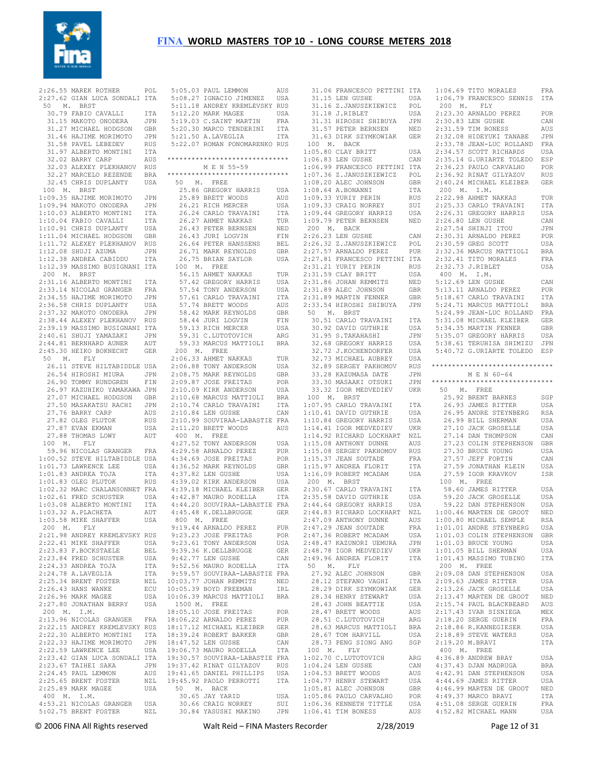

|             | 2:26.55 MAREK ROTHER                                                                   | POL                      | 5:05.03                  |
|-------------|----------------------------------------------------------------------------------------|--------------------------|--------------------------|
|             | 2:27.62 GIAN LUCA SONDALI ITA                                                          |                          | 5:08.2'                  |
| 50          | <b>BRST</b>                                                                            |                          |                          |
| $M_{\star}$ |                                                                                        |                          | 5:11.18                  |
|             | 30.79 FABIO CAVALLI                                                                    | ITA                      | 5:12.2                   |
|             | 31.15 MAKOTO ONODERA                                                                   | JPN                      | 5:19.03                  |
|             | 31.27 MICHAEL HODGSON                                                                  | GBR                      | 5:20.30                  |
|             |                                                                                        |                          |                          |
|             | 31.46 HAJIME MORIMOTO                                                                  | JPN                      | 5:21.50                  |
|             | 31.58 PAVEL LEBEDEV                                                                    | <b>RUS</b>               | 5:22.0                   |
|             | 31.97 ALBERTO MONTINI                                                                  | ITA                      |                          |
|             |                                                                                        |                          |                          |
|             | 32.02 BARRY CARP                                                                       | AUS                      | ********                 |
|             | 32.03 ALEXEY PLEKHANOV                                                                 | RUS                      |                          |
|             | 32.27 MARCELO REZENDE                                                                  | <b>BRA</b>               | ********                 |
|             | 32.45 CHRIS DUPLANTY                                                                   |                          |                          |
|             |                                                                                        | USA                      | 50<br>$\mathbf{I}$       |
| 100 M.      | <b>BRST</b>                                                                            |                          | 25.8                     |
|             | 1:09.35 HAJIME MORIMOTO                                                                | JPN                      | 25.89                    |
|             |                                                                                        |                          |                          |
|             | 1:09.94 MAKOTO ONODERA                                                                 | JPN                      | 26.21                    |
|             | 1:10.03 ALBERTO MONTINI                                                                | ITA                      | 26.24                    |
|             | 1:10.04 FABIO CAVALLI                                                                  | ITA                      | 26.2'                    |
|             |                                                                                        |                          |                          |
|             | 1:10.91 CHRIS DUPLANTY                                                                 | USA                      | 26.43                    |
|             | 1:11.04 MICHAEL HODGSON                                                                | GBR                      | 26.41                    |
|             | 1:11.72 ALEXEY PLEKHANOV                                                               | RUS                      | 26.64                    |
|             |                                                                                        |                          |                          |
|             | 1:12.08 SHUJI AZUMA                                                                    | JPN                      | 26.7                     |
|             | 1:12.38 ANDREA CABIDDU                                                                 | ITA                      | 26.75                    |
|             | 1:12.39 MASSIMO BUSIGNANI ITA                                                          |                          | 100 l                    |
|             |                                                                                        |                          |                          |
| 200 M.      | <b>BRST</b>                                                                            |                          | 56.1!                    |
|             | 2:31.16 ALBERTO MONTINI                                                                | ITA                      | 57.42                    |
|             |                                                                                        |                          |                          |
|             | 2:33.14 NICOLAS GRANGER                                                                | FRA                      | 57.54                    |
|             | 2:34.55 HAJIME MORIMOTO                                                                | JPN                      | 57.6                     |
|             | 2:36.58 CHRIS DUPLANTY                                                                 | USA                      | 57.74                    |
|             |                                                                                        |                          |                          |
|             | 2:37.32 MAKOTO ONODERA                                                                 | JPN                      | 58.42                    |
|             | 2:38.44 ALEXEY PLEKHANOV                                                               | RUS                      | 58.44                    |
|             | 2:39.19 MASSIMO BUSIGNANI ITA                                                          |                          | 59.1                     |
|             |                                                                                        |                          |                          |
|             | 2:40.61 SHUJI YAMAZAKI                                                                 | JPN                      | 59.3                     |
|             | 2:44.81 BERNHARD AUNER                                                                 | AUT                      | 59.3                     |
|             | 2:45.30 HEIKO BOKNECHT                                                                 | GER                      | $200$ $1$                |
|             |                                                                                        |                          |                          |
| 50<br>М.    | FLY                                                                                    |                          | 2:06.3                   |
|             | 26.11 STEVE HILTABIDDLE USA                                                            |                          | 2:06.88                  |
|             | 26.54 HIROSHI MIURA                                                                    | JPN                      | 2:08.7!                  |
|             |                                                                                        |                          |                          |
|             | 26.90 TOMMY RUNDGREN                                                                   | FIN                      | 2:09.8                   |
|             | 26.97 KAZUHIKO YAMAKAWA JPN                                                            |                          | 2:10.05                  |
|             | 27.07 MICHAEL HODGSON                                                                  | GBR                      | 2:10.68                  |
|             |                                                                                        |                          |                          |
|             | 27.50 MASAKATSU RACHI                                                                  | JPN                      | 2:10.74                  |
|             | 27.76 BARRY CARP                                                                       | AUS                      | 2:10.84                  |
|             | 27.82 OLEG PLUTOK                                                                      | RUS                      | 2:10.99                  |
|             |                                                                                        |                          |                          |
| 27.87       | EVAN EKMAN                                                                             | USA                      | 2:11.20                  |
| 27.88       | THOMAS LOWY                                                                            | AUT                      | 400 1                    |
| 100 M.      |                                                                                        |                          | 4:27.52                  |
|             | FLY                                                                                    |                          |                          |
|             | 59.96 NICOLAS GRANGER                                                                  | FRA                      | 4:29.58                  |
|             | 1:00.52 STEVE HILTABIDDLE USA                                                          |                          | 4:34.69                  |
|             |                                                                                        |                          |                          |
|             | 1:01.73 LAWRENCE LEE                                                                   | USA                      | 4:36.52                  |
|             | 1:01.83 ANDREA TOJA                                                                    | ITA                      | 4:37.82                  |
|             | 1:01.83 OLEG PLUTOK                                                                    | <b>RUS</b>               | 4:39.02                  |
|             |                                                                                        |                          |                          |
|             | 1:02.32 MARC CHALANSONNET FRA                                                          |                          | 4:39.18                  |
|             |                                                                                        |                          |                          |
|             | 1:02.61 FRED SCHUSTER                                                                  | USA                      | 4:42.8'                  |
|             |                                                                                        |                          |                          |
|             | 1:03.08 ALBERTO MONTINI                                                                | ITA                      | 4:44.20                  |
|             | 1:03.32 A.PLACHETA                                                                     | AUT                      | 4:45.48                  |
|             | 1:03.58 MIKE SHAFFER                                                                   | USA                      | 800 M                    |
|             |                                                                                        |                          |                          |
| 200 M. FLY  |                                                                                        |                          | 9:19.4                   |
|             | 2:21.98 ANDREY KREMLEVSKY RUS                                                          |                          | 9:23.2                   |
|             | 2:22.41 MIKE SHAFFER                                                                   | USA                      | 9:23.6                   |
|             |                                                                                        |                          |                          |
|             | 2:23.83 F.BOCKSTAELE                                                                   | $\operatorname{BEL}$     | 9:39.3                   |
|             | 2:23.84 FRED SCHUSTER                                                                  | USA                      | 9:42.7                   |
|             | 2:24.33 ANDREA TOJA                                                                    | ITA                      | 9:52.56                  |
|             |                                                                                        |                          |                          |
|             | 2:24.78 A.LAVEGLIA                                                                     | ITA                      | 9:59.5'                  |
|             | 2:25.34 BRENT FOSTER                                                                   | NZL                      | 10:03.7                  |
|             | 2:26.43 HANS WANKE                                                                     | ECU                      | 10:05.39                 |
|             |                                                                                        |                          | 10:06.39                 |
|             | 2:26.96 MARK MAGEE                                                                     | USA                      |                          |
|             | 2:27.80 JONATHAN BERRY                                                                 | USA                      | 1500 1                   |
| 200 M. I.M. |                                                                                        |                          | 18:05.10                 |
|             |                                                                                        |                          | 18:06.22                 |
|             |                                                                                        |                          |                          |
|             | 200<br>2:13.96 NICOLAS GRANGER FRA<br>2:22.15 ANDREY KREMLEVSKY RUS                    |                          |                          |
|             | 2:22.30 ALBERTO MONTINI ITA                                                            |                          | $18:17.12$<br>$18:39.24$ |
|             |                                                                                        |                          | 18:47.52                 |
|             |                                                                                        |                          |                          |
|             | 2.22.33 HAJIME MORIMOTO JPN<br>2:22.33 HAJIME MORIMOTO JPN<br>2:22.59 LAWRENCE LEE USA |                          |                          |
|             | 2:23.42 GIAN LUCA SONDALI ITA                                                          |                          | $19:06.7$<br>$19:30.5$   |
|             |                                                                                        |                          |                          |
|             | 2:23.67 TAIHEI SAKA                                                                    |                          | 19:37.42                 |
|             | 2:24.45 PAUL LEMMON                                                                    |                          | 19:41.6!                 |
|             | 2:25.65 BRENT FOSTER                                                                   |                          |                          |
|             |                                                                                        | JPN<br>AUS<br>NZL<br>USA | 19:45.92<br>50 I         |
|             | 2:25.89 MARK MAGEE                                                                     |                          |                          |
| 400 M. I.M. |                                                                                        |                          | 30.6!                    |
|             | 4:53.21 NICOLAS GRANGER USA                                                            |                          | 30.66                    |
|             | 5:02.75 BRENT FOSTER                                                                   | NZL                      | 30.84                    |

|     |  |  | 5:05.03 PAUL LEMMON AUS<br>5:08.27 IGNACIO JIMENEZ USA<br>5:11.18 ANDREY KREMLEVSKY RUS<br>5:11.18 ANDREY KREMLEVSKY RUS                                                                                                |                    |
|-----|--|--|-------------------------------------------------------------------------------------------------------------------------------------------------------------------------------------------------------------------------|--------------------|
|     |  |  |                                                                                                                                                                                                                         |                    |
|     |  |  |                                                                                                                                                                                                                         |                    |
|     |  |  |                                                                                                                                                                                                                         |                    |
|     |  |  | 5:19.03 C.SAINT MARTIN FRA<br>5:20.30 MARCO TENDERINI ITA<br>5:21.50 A.LAVEGLIA ITA                                                                                                                                     |                    |
|     |  |  |                                                                                                                                                                                                                         |                    |
|     |  |  | 5:22.07 ROMAN PONOMARENKO RUS                                                                                                                                                                                           |                    |
|     |  |  |                                                                                                                                                                                                                         |                    |
|     |  |  | ******************************                                                                                                                                                                                          |                    |
|     |  |  | M E N 55-59                                                                                                                                                                                                             |                    |
|     |  |  | ******************************                                                                                                                                                                                          |                    |
|     |  |  | 50 M. FREE                                                                                                                                                                                                              |                    |
|     |  |  | 25.86 GREGORY HARRIS<br>25.89 BRETT WOODS                                                                                                                                                                               | USA<br>AUS         |
|     |  |  | 25.89 BRETT WOODS<br>26.21 RICH MERCER                                                                                                                                                                                  | USA                |
|     |  |  | 26.24 CARLO TRAVAINI                                                                                                                                                                                                    | ITA                |
|     |  |  |                                                                                                                                                                                                                         | TUR                |
|     |  |  |                                                                                                                                                                                                                         | NED                |
|     |  |  |                                                                                                                                                                                                                         | FIN                |
|     |  |  |                                                                                                                                                                                                                         | BEL<br>GBR         |
|     |  |  | 26.24 CARLO TRAVAINT<br>26.43 BETER BERNSEN<br>26.43 BETER BERNSEN<br>26.43 JURI LOGVIN<br>26.64 PETER HANSSENS<br>26.75 BERAN SAYLOR<br>20.75 BERAN SAYLOR                                                             | USA                |
|     |  |  | 100 M. FREE                                                                                                                                                                                                             |                    |
|     |  |  |                                                                                                                                                                                                                         | TUR                |
|     |  |  |                                                                                                                                                                                                                         | USA                |
|     |  |  |                                                                                                                                                                                                                         | USA                |
|     |  |  |                                                                                                                                                                                                                         | ITA                |
|     |  |  |                                                                                                                                                                                                                         | AUS<br>GBR         |
|     |  |  |                                                                                                                                                                                                                         | FTN                |
|     |  |  |                                                                                                                                                                                                                         | USA                |
|     |  |  | .00 M. FREE<br>56.15 AHMET NAKKAS<br>57.42 GREGORY HARRIS<br>57.54 TONY ANDERSON<br>57.61 CARLO TRAVAINI<br>57.74 BRETT WOODS<br>58.42 MARK REYNOLDS<br>58.44 JURI LOGVIN<br>59.13 RICH MERCER<br>59.33 MARCUS MATTIOIT | ARG                |
|     |  |  | 59.33 MARCUS MATTIOLI BRA                                                                                                                                                                                               |                    |
|     |  |  | 200 M. FREE                                                                                                                                                                                                             |                    |
|     |  |  | 2:06.33 AHMET NAKKAS<br>2:06.88 TONY ANDERSON                                                                                                                                                                           | TUR                |
|     |  |  |                                                                                                                                                                                                                         | USA<br>GBR         |
|     |  |  |                                                                                                                                                                                                                         | POR                |
|     |  |  | -<br>2:08.75 MARK REYNOLDS<br>2:09.87 JOSE FREITAS<br>2:10.09 KIRK ANDERSON                                                                                                                                             | USA                |
|     |  |  |                                                                                                                                                                                                                         | <b>BRA</b>         |
|     |  |  | 2:10.09 KIRK ANDEROOM<br>2:10.68 MARCUS MATTIOLI<br>2:10.74 CARLO TRAVAINI                                                                                                                                              | ITA                |
|     |  |  | 2:10.84 LEN GUSHE                                                                                                                                                                                                       | CAN                |
|     |  |  | 2:10.99 SOUVIRAA-LABASTIE FRA<br>2:11.20 BRETT WOODS AUS                                                                                                                                                                |                    |
|     |  |  | $400$ M. FREE                                                                                                                                                                                                           |                    |
|     |  |  |                                                                                                                                                                                                                         | USA                |
|     |  |  | 4:27.52 TONY ANDERSON<br>4:29.58 ARNALDO PEREZ<br>4:34.69 JOSE FREITAS                                                                                                                                                  | PUR                |
|     |  |  |                                                                                                                                                                                                                         | POR                |
|     |  |  | 4:36.52 MARK REYNOLDS                                                                                                                                                                                                   | GBR                |
|     |  |  | 1977.82 LEN GUSHE<br>4:37.82 LEN GUSHE<br>4:39.02 KIRK ANDERSON<br>4:39.18 MICHAEL KLEIBER<br>4:42.87 MAURO RODELLA                                                                                                     | USA                |
|     |  |  |                                                                                                                                                                                                                         | USA<br>GER         |
|     |  |  |                                                                                                                                                                                                                         | ITA                |
|     |  |  |                                                                                                                                                                                                                         |                    |
|     |  |  | 4:44.20 SOUVIRAA-LABASTIE FRA<br>4:45.48 K.DELLBRUGGE GER                                                                                                                                                               |                    |
| 800 |  |  | M. FREE                                                                                                                                                                                                                 |                    |
|     |  |  | 9:19.44 ARNALDO PEREZ<br>9:23.23 JOSE FREITAS                                                                                                                                                                           | PUR                |
|     |  |  |                                                                                                                                                                                                                         | ${\tt POR}$<br>USA |
|     |  |  | 9:23.61 TONY ANDERSON<br>9:39.36 K.DELLBRUGGE<br>9:42.77 LEN GUSHE                                                                                                                                                      | GER                |
|     |  |  |                                                                                                                                                                                                                         | CAN                |
|     |  |  | 9:52.56 MAURO RODELLA                                                                                                                                                                                                   | ITA                |
|     |  |  | 9:59.57 SOUVIRAA-LABASTIE FRA<br>10:03.77 JOHAN REMMITS NED<br>10:03.77 JOHAN REMMITS NED                                                                                                                               |                    |
|     |  |  |                                                                                                                                                                                                                         |                    |
|     |  |  | 10:06.39 MARCUS MATTIOLI BRA                                                                                                                                                                                            |                    |
|     |  |  | 1500 M. FREE                                                                                                                                                                                                            |                    |
|     |  |  | 18:05.10 JOSE FREITAS                                                                                                                                                                                                   | POR                |
|     |  |  |                                                                                                                                                                                                                         |                    |
|     |  |  | 18:06.22 ARNALDO PEREZ PUR<br>18:17.12 MICHAEL KLEIBER GER                                                                                                                                                              |                    |
|     |  |  | 18:39.24 ROBERT BARKER<br>18:47.52 LEN GUSHE<br>19:06.73 MAURO RODELLA                                                                                                                                                  | GBR                |
|     |  |  |                                                                                                                                                                                                                         | CAN                |
|     |  |  | 18:47.52 LEN GUORE<br>19:06.73 MAURO RODELLA ITA<br>19:30.57 SOUVIRAA-LABASTIE FRA<br>19:37.42 RINAT GILYAZOV RUS<br>19:41.65 DANIEL PHILLIPS USA<br>19:45.92 PAOLO PERROTTI ITA                                        |                    |
|     |  |  |                                                                                                                                                                                                                         |                    |
|     |  |  |                                                                                                                                                                                                                         |                    |
|     |  |  |                                                                                                                                                                                                                         |                    |
|     |  |  | 50 M. BACK                                                                                                                                                                                                              |                    |
|     |  |  | 30.65 JAY YARID<br>JU.0J JAY YAKID<br>30.66 CRAIG NORREY                                                                                                                                                                | USA                |
|     |  |  | 30.84 YASUSHI MAKINO                                                                                                                                                                                                    | SUI                |
|     |  |  |                                                                                                                                                                                                                         | JPN                |

|                                              | ITA        | 1:06.69 TITO MORALES                         | FRA        |
|----------------------------------------------|------------|----------------------------------------------|------------|
| 31.06 FRANCESCO PETTINI<br>31.15 LEN GUSHE   | USA        | 1:06.79 FRANCESCO SENNIS                     | ITA        |
| 31.16 Z.JANUSZKIEWICZ                        | POL        | 200 M.<br>FLY                                |            |
| 31.18 J.RIBLET                               |            |                                              |            |
|                                              | USA        | 2:23.30 ARNALDO PEREZ                        | PUR        |
| 31.31 HIROSHI SHIBUYA                        | JPN        | 2:30.83 LEN GUSHE                            | CAN        |
| 31.57 PETER BERNSEN                          | NED        | 2:31.59 TIM BONESS                           | AUS        |
| 31.63 DIRK SZYMKOWIAK                        | GER        | 2:32.08 HIDEYUKI TANABE                      | JPN        |
| 100 M.<br>BACK                               |            | 2:33.78 JEAN-LUC ROLLAND                     | FRA        |
| $1:05.80$ CLAY BRITT                         | USA        | 2:34.57 SCOTT RICHARDS                       | USA        |
| 1:06.83 LEN GUSHE                            | CAN        | 2:35.14 G.URIARTE TOLEDO                     | ESP        |
| 1:06.99 FRANCESCO PETTINI ITA                |            | 2:36.23 PAULO CARVALHO                       | POR        |
| 1:07.36 Z.JANUSZKIEWICZ                      | POL        | 2:36.92 RINAT GILYAZOV                       | RUS        |
| 1:08.20 ALEC JOHNSON                         | GBR        | 2:40.24 MICHAEL KLEIBER                      | GER        |
| 1:08.64 A.BONANNI                            | ITA        | I.M.<br>200<br>М.                            |            |
| 1:09.33 YURIY PERIN                          | RUS        | 2:22.98 AHMET NAKKAS                         | TUR        |
| 1:09.33 CRAIG NORREY                         | SUI        | 2:25.33 CARLO TRAVAINI                       | ITA        |
| 1:09.44 GREGORY HARRIS                       | USA        | 2:26.31 GREGORY HARRIS                       | USA        |
| 1:09.79 PETER BERNSEN                        | NED        | 2:26.80 LEN GUSHE                            | CAN        |
| 200 M. BACK                                  |            | 2:27.54 SHINJI ITOU                          | JPN        |
| 2:26.23 LEN GUSHE                            | CAN        | 2:30.31 ARNALDO PEREZ                        | PUR        |
|                                              |            |                                              |            |
| 2:26.32 Z.JANUSZKIEWICZ                      | POL        | 2:30.59 GREG SCOTT                           | USA        |
| 2:27.57 ARNALDO PEREZ                        | PUR        | 2:32.36 MARCUS MATTIOLI                      | BRA        |
| 2:27.81 FRANCESCO PETTINI ITA                |            | 2:32.41 TITO MORALES                         | FRA        |
| 2:31.21 YURIY PERIN                          | RUS        | 2:32.73 J.RIBLET                             | USA        |
| 2:31.59 CLAY BRITT                           | USA        | 400 M.<br>I.M.                               |            |
| 2:31.86 JOHAN REMMITS                        | NED        | 5:12.69 LEN GUSHE                            | CAN        |
| 2:31.89 ALEC JOHNSON                         | <b>GBR</b> | 5:13.11 ARNALDO PEREZ                        | PUR        |
| 2:31.89 MARTIN FENNER                        | GBR        | 5:18.67 CARLO TRAVAINI                       | ITA        |
| 2:33.54 HIROSHI SHIBUYA                      | JPN        | 5:24.71 MARCUS MATTIOLI                      | BRA        |
| 50<br>M. BRST                                |            | 5:24.99 JEAN-LUC ROLLAND                     | FRA        |
| 30.51 CARLO TRAVAINI                         | ITA        | 5:31.08 MICHAEL KLEIBER                      | GER        |
| 30.92 DAVID GUTHRIE                          | USA        | 5:34.35 MARTIN FENNER                        | GBR        |
| 31.95 S. TAKAHASHI                           | JPN        | 5:35.07 GREGORY HARRIS                       | USA        |
| 32.68 GREGORY HARRIS                         | USA        | 5:38.61 TERUHISA SHIMIZU                     | JPN        |
| 32.72 J.KOCHENDORFER                         |            |                                              | ESP        |
|                                              | USA        | 5:40.72 G.URIARTE TOLEDO                     |            |
| 32.73 MICHAEL AUBREY                         | USA        | ******************************               |            |
| 32.89 SERGEY PAKHOMOV                        | RUS        |                                              |            |
| 33.28 KAZUMASA DATE                          | JPN        | M E N 60-64                                  |            |
| 33.30 MASAAKI OTSUKI                         | JPN        | ******************************               |            |
| 33.32 IGOR MEDVEDIEV                         | UKR        | 50<br>М.<br>FREE                             |            |
| 100 M.<br>BRST                               |            | 25.92 BRENT BARNES                           | SGP        |
| 1:07.95 CARLO TRAVAINI                       | ITA        | 26.93 JAMES RITTER                           | USA        |
| 1:10.41 DAVID GUTHRIE                        | USA        | 26.95 ANDRE STEYNBERG                        | RSA        |
|                                              |            |                                              | USA        |
| 1:10.84 GREGORY HARRIS                       | USA        | 26.99 BILL SHERMAN                           |            |
|                                              |            |                                              |            |
| 1:14.41 IGOR MEDVEDIEV                       | UKR        | 27.10 JACK GROSELLE                          | USA        |
| 1:14.92 RICHARD LOCKHART                     | NZL        | 27.14 DAN THOMPSON                           | CAN        |
| 1:15.08 ANTHONY DUNNE                        | AUS        | 27.23 COLIN STEPHENSON                       | GBR        |
| 1:15.08 SERGEY PAKHOMOV                      | RUS        | 27.30 BRUCE YOUNG                            | USA        |
| 1:15.37 JEAN SOUTADE                         | FRA        | 27.57 JEFF FORTIN                            | CAN        |
| 1:15.97 ANDREA FLORIT                        | ITA        | 27.59 JONATHAN KLEIN                         | USA        |
| 1:16.09 ROBERT MCADAM                        | USA        | 27.59 IGOR KRAVKOV                           | ISR        |
| 200<br>Μ.<br>BRST                            |            | 100<br>Μ.<br>FREE                            |            |
| 2:30.67 CARLO TRAVAINI                       | ITA        | 58.60 JAMES RITTER                           | USA        |
| 2:35.58 DAVID GUTHRIE                        | USA        | 59.20 JACK GROSELLE                          | USA        |
| 2:44.64 GREGORY HARRIS                       | USA        | 59.22 DAN STEPHENSON                         | USA        |
| 2:44.83 RICHARD LOCKHART                     | NZL        | 1:00.46 MARTEN DE GROOT                      | NED        |
| 2:47.09 ANTHONY DUNNE                        | AUS        | 1:00.80 MICHAEL SEMPLE                       | RSA        |
| 2:47.29 JEAN SOUTADE                         | FRA        | 1:01.01 ANDRE STEYNBERG                      | USA        |
| 2:47.36 ROBERT MCADAM                        | USA        | 1:01.03 COLIN STEPHENSON                     | GBR        |
| 2:48.47 KAZUNORI UEMURA                      | JPN        | 1:01.03 BRUCE YOUNG                          | USA        |
| 2:48.78 IGOR MEDVEDIEV                       | UKR        | 1:01.05 BILL SHERMAN                         | USA        |
| 2:49.96 ANDREA FLORIT                        | ITA        | 1:01.43 MASSIMO TUBINO                       | ITA        |
| 50<br>М.<br>FLY                              |            | 200 M.<br>FREE                               |            |
| 27.92 ALEC JOHNSON                           | GBR        | 2:09.08 DAN STEPHENSON                       | USA        |
| 28.12 STEFANO VAGHI                          | ITA        | 2:09.63 JAMES RITTER                         | USA        |
| 28.29 DIRK SZYMKOWIAK                        | GER        | 2:13.26 JACK GROSELLE                        | USA        |
| 28.34 HENRY STEWART                          | USA        | 2:13.47 MARTEN DE GROOT                      | NED        |
|                                              |            |                                              |            |
| 28.43 JOHN BEATTIE                           | USA        | 2:15.74 PAUL BLACKBEARD                      | AUS        |
| 28.47 BRETT WOODS                            | AUS        | 2:17.43 IVAR SISNIEGA                        | MEX        |
| 28.51 C.LUTOTOVICH                           | ARG        | 2:18.20 SERGE GUERIN                         | FRA        |
| 28.63 MARCUS MATTIOLI                        | BRA        | 2:18.86 R.KANNEGIESER                        | USA        |
| 28.67 TOM HARVILL                            | USA        | 2:18.89 STEVE WATERS                         | USA        |
| 28.73 PENG SIONG ANG                         | SGP        | 2:19.20 M.BRAVI                              | ITA        |
| 100 M.<br>${\rm FLY}$                        |            | М.<br>400<br>FREE                            |            |
| 1:02.70 C.LUTOTOVICH                         | ARG        | 4:36.89 ANDREW BRAY                          | USA        |
| 1:04.24 LEN GUSHE                            | CAN        | 4:37.43 DJAN MADRUGA                         | BRA        |
| 1:04.53 BRETT WOODS                          | AUS        | 4:42.91 DAN STEPHENSON                       | USA        |
| 1:04.77 HENRY STEWART                        | USA        | 4:44.69 JAMES RITTER                         | USA        |
| 1:05.81 ALEC JOHNSON                         | GBR        | 4:46.99 MARTEN DE GROOT                      | NED        |
| 1:05.86 PAULO CARVALHO                       | POR        | 4:49.37 MARCO BRAVI                          | ITA        |
| 1:06.36 KENNETH TITTLE<br>1:06.41 TIM BONESS | USA<br>AUS | 4:51.08 SERGE GUERIN<br>4:52.82 MICHAEL MANN | FRA<br>USA |

© 2006 FINA All Rights reserved Walt Reid – FINA Masters Recorder 2/28/2019 Page 12 of 31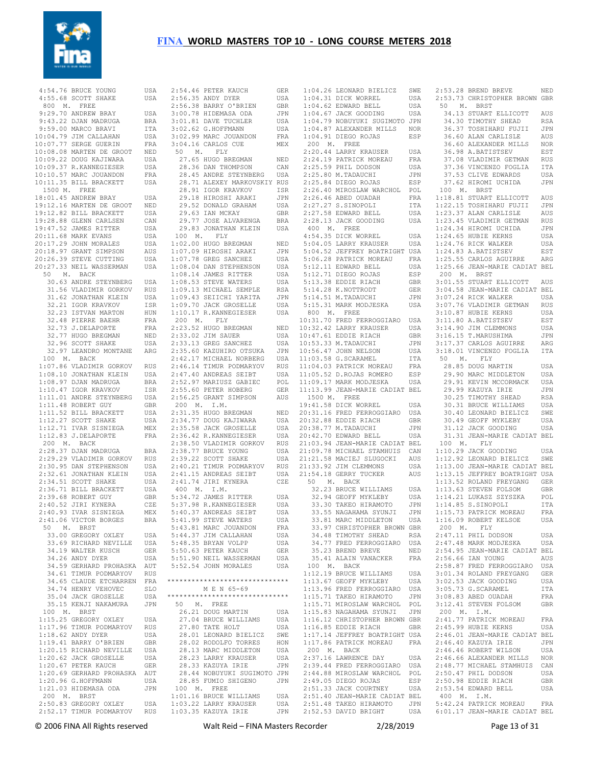

 4:54.76 BRUCE YOUNG USA 4:55.68 SCOTT SHAKE USA 800 M. FREE 9:29.70 ANDREW BRAY USA 9:43.22 DJAN MADRUGA BRA 9:59.00 MARCO BRAVI ITA  $10 \cdot 04$  79 JIM CALLAHAN USA 10:07.77 SERGE GUERIN FRA 10:08.08 MARTEN DE GROOT NED 10:09.22 DOUG KAJIWARA USA 10:09.37 R.KANNEGIESER USA 10:10.57 MARC JOUANDON FRA 10:11.35 BILL BRACKETT USA 1500 M. FREE 18:01.45 ANDREW BRAY USA 19:12.16 MARTEN DE GROOT NED 19:12.82 BILL BRACKETT USA 19:28.88 GLENN CARLSEN CAN 19:47.52 JAMES RITTER USA 20:11.68 MARK EVANS USA 20:17.29 JOHN MORALES USA 20:18.97 GRANT SIMPSON AUS  $20 \cdot 26$  39 STEVE CUTTING USA 20:27.33 NEIL WASSERMAN USA 50 M. BACK 30.63 ANDRE STEYNBERG USA 31.56 VLADIMIR GORKOV RUS 31.62 JONATHAN KLEIN USA 32.21 IGOR KRAVKOV ISR 32.23 ISTVAN MARTON HUN 32.48 PIERRE BAEHR FRA 32.73 J.DELAPORTE FRA 32.77 HUGO BREGMAN NED 32.96 SCOTT SHAKE USA 32.97 LEANDRO MONTANE ARG 100 M. BACK 1:07.86 VLADIMIR GORKOV RUS 1:08.10 JONATHAN KLEIN USA 1:08.97 DJAN MADRUGA BRA 1:10.47 IGOR KRAVKOV ISR 1:11.01 ANDRE STEYNBERG USA 1:11.48 ROBERT GUY GBR 1:11.52 BILL BRACKETT USA 1:12.27 SCOTT SHAKE USA 1:12.71 IVAR SISNIEGA MEX 1:12.83 J.DELAPORTE FRA 200 M. BACK 2:28.37 DJAN MADRUGA BRA 2:29.29 VLADIMIR GORKOV RUS 2:30.95 DAN STEPHENSON USA 2:32.61 JONATHAN KLEIN USA 2:34.51 SCOTT SHAKE USA 2:36.71 BILL BRACKETT USA 2:39.68 ROBERT GUY GBR 2:40.52 JIRI KYNERA CZE 2:40.93 IVAR SISNIEGA MEX 2:41.06 VICTOR BORGES BRA 50 M. BRST 33.00 GREGORY OXLEY USA 33.69 RICHARD NEVILLE USA 34.19 WALTER KUSCH GER<br>34.26 ANDY DYER USA 34.26 ANDY DYER 34.59 GERHARD PROHASKA AUT 34.61 TIMUR PODMARYOV RUS 34.65 CLAUDE ETCHARREN FRA 34.74 HENRY VEHOVEC SLO 35.04 JACK GROSELLE USA 35.15 KENJI NAKAMURA JPN 100 M. BRST 1:15.25 GREGORY OXLEY USA 1:17.96 TIMUR PODMARYOV RUS 1:18.62 ANDY DYER USA 1:19.41 BARRY O'BRIEN GBR 1:20.15 RICHARD NEVILLE USA 1:20.62 JACK GROSELLE USA 1:20.67 PETER KAUCH GER 1:20.69 GERHARD PROHASKA AUT 1:20.96 G.HOFFMANN USA 1:21.03 HIDEMASA ODA JPN 200 M. BRST 2:50.83 GREGORY OXLEY USA 2:52.17 TIMUR PODMARYOV RUS

| 2:54.46 PETER KAUCH                                                                                | GER        |
|----------------------------------------------------------------------------------------------------|------------|
| 2:56.35 ANDY DYER                                                                                  | USA        |
| 2:56.38 BARRY O'BRIEN                                                                              | <b>GBR</b> |
|                                                                                                    | JPN        |
| 3:00.78 HIDEMASA ODA<br>3:01.81 DAVE TUCHLER                                                       |            |
|                                                                                                    | USA        |
| 3:02.62 G.HOFFMANN                                                                                 | USA        |
| 3:02.99 MARC JOUANDON                                                                              | FRA        |
| $3:04.16$ CARLOS CUE                                                                               | MEX        |
| 50 M. FLY                                                                                          |            |
| 27.65 HUGO BREGMAN                                                                                 |            |
| 28.36 DAN THOMPSON<br>28.36 DAN THOMPSON                                                           | NED        |
|                                                                                                    | CAN        |
| 28.45 ANDRE STEYNBERG USA                                                                          |            |
|                                                                                                    |            |
| 28.71 ALEXEY MARKOVSKIY RUS<br>28.91 IGOR KRAVKOV ISR<br>29.18 HIROSHI ARAKI JPN                   |            |
|                                                                                                    |            |
|                                                                                                    |            |
|                                                                                                    | USA        |
| 29.52 DONALD GRAHAM<br>29.63 IAN MCKAY                                                             | <b>GBR</b> |
| 29.77 JOSE ALVARENGA                                                                               | <b>BRA</b> |
| 29.83 JONATHAN KLEIN                                                                               | USA        |
| 100 M. FLY                                                                                         |            |
| $1:02.00$ HUGO BREGMAN                                                                             |            |
|                                                                                                    | NED        |
| 1:07.09 HIROSHI ARAKI<br>1:07.78 GREG SANCHEZ                                                      | JPN        |
|                                                                                                    | USA        |
| $1:08.04$ DAN STEPHENSON                                                                           | USA        |
|                                                                                                    | USA        |
| 1:08.14 JAMES RITTER<br>1:08.53 STEVE WATERS<br>1:09.13 MICHAEL SEMPLE                             | USA        |
|                                                                                                    |            |
|                                                                                                    | RSA        |
|                                                                                                    | JPN        |
|                                                                                                    | USA        |
| 1:09.43 SEIICHI YARITA<br>1:09.70 JACK GROSELLE<br>1:10.17 R.KANNEGIESER                           | USA        |
| 200 M. FLY                                                                                         |            |
|                                                                                                    |            |
| 2:23.52 HUGO BREGMAN                                                                               | NED        |
| 2:33.02 JIM SAUER                                                                                  | USA        |
|                                                                                                    | USA        |
|                                                                                                    | JPN        |
| 2:33.13 GREG SANCHEZ<br>2:33.13 GREG SANCHEZ<br>2:35.60 KAZUHIRO OTSUKA<br>2:42.17 MICHAEL NORBERG | USA        |
|                                                                                                    |            |
|                                                                                                    | RUS        |
|                                                                                                    | USA        |
| 2:46.14 TIMUR PODMARYOV<br>2:47.40 ANDREAS SEIBT<br>2:52.97 MARIUSZ GABIEC                         | POL        |
| 2:55.60 PETER HOBERG                                                                               | GER        |
| 2:56.25 GRANT SIMPSON                                                                              | AUS        |
| $200$ M. I.M.                                                                                      |            |
|                                                                                                    |            |
| 2:31.35 HUGO BREGMAN                                                                               | NED        |
| 2:34.77 DOUG KAJIWARA                                                                              | USA        |
| 2:35.58 JACK GROSELLE                                                                              | USA        |
| 2:36.42 R.KANNEGIESER                                                                              | USA        |
| 2:38.50 VLADIMIR GORKOV                                                                            | RUS        |
| 2:38.77 BRUCE YOUNG                                                                                |            |
|                                                                                                    | USA        |
| 2:39.22 SCOTT SHAKE                                                                                | USA        |
|                                                                                                    | RUS        |
| 2:40.21 TIMUR PODMARYOV<br>2:41.15 ANDREAS SEIBT                                                   | USA        |
| $2:41.74$ JIRI KYNERA                                                                              | CZE        |
| 400 M. I.M.                                                                                        |            |
| 5:34.72 JAMES RITTER                                                                               |            |
|                                                                                                    | USA        |
| 5:37.98 R.KANNEGIESER                                                                              | USA        |
| 5:40.37 ANDREAS SEIBT                                                                              | USA        |
| 5:41.99 STEVE WATERS                                                                               | USA        |
| 5:43.81 MARC JOUANDON                                                                              | <b>FRA</b> |
| 5:44.37 JIM CALLAHAN                                                                               | USA        |
|                                                                                                    |            |
| 5:48.35 BRYAN VOLPP                                                                                | USA        |
| 5:50.63 PETER KAUCH                                                                                |            |
| 5:51.90 NEIL WASSERMAN                                                                             | GER        |
| 5:52.54 JOHN MORALES                                                                               | USA        |
|                                                                                                    | USA        |
|                                                                                                    |            |
| *******************************                                                                    |            |
|                                                                                                    |            |
| M E N 65-69                                                                                        |            |
| ******************************                                                                     |            |
| 50 M. FREE                                                                                         |            |
| 26.21 DOUG MARTIN                                                                                  | USA        |
|                                                                                                    | USA        |
| 27.04 BRUCE WILLIAMS                                                                               |            |
| 27.80 TATE HOLT                                                                                    | USA        |
| 28.01 LEONARD BIELICZ                                                                              | SWE        |
| 28.02 RODOLFO TORRES                                                                               | HON        |
| 28.13 MARC MIDDLETON                                                                               | USA        |
| 28.23 LARRY KRAUSER                                                                                | USA        |
| 28.33 KAZUYA IRIE                                                                                  | JPN        |
|                                                                                                    |            |
| 28.44 NOBUYUKI SUGIMOTO JPN                                                                        |            |
| 28.85 FUMIO SHIGENO                                                                                | JPN        |
|                                                                                                    |            |
| 100 M. FREE<br>1:01.16 BRUCE WILLIAMS                                                              | USA        |
|                                                                                                    | USA        |
| 1:03.22 LARRY KRAUSER<br>1:03.35 KAZUYA IRIE                                                       | JPN        |

|              | 1:04.26 LEONARD BIELICZ SWE                                                                                                                                                                                                                    |     | 2:                                    |
|--------------|------------------------------------------------------------------------------------------------------------------------------------------------------------------------------------------------------------------------------------------------|-----|---------------------------------------|
|              |                                                                                                                                                                                                                                                | USA | 2:                                    |
|              |                                                                                                                                                                                                                                                | USA | 5                                     |
|              | 1:04.31 DICK WORREL<br>1:04.62 EDWARD BELL<br>1:04.67 JACK GOODING<br>1:04.79 MODING                                                                                                                                                           | USA |                                       |
|              | 1:04.79 NOBUYUKI SUGIMOTO JPN                                                                                                                                                                                                                  |     |                                       |
|              |                                                                                                                                                                                                                                                |     |                                       |
|              | 1:04.87 ALEXANDER MILLS NOR<br>1:04.91 DIEGO POJAS RSP                                                                                                                                                                                         |     |                                       |
|              | 1:04.91 DIEGO ROJAS                                                                                                                                                                                                                            | ESP |                                       |
| 200 M. FREE  |                                                                                                                                                                                                                                                |     |                                       |
|              | 2:20.44 LARRY KRAUSER                                                                                                                                                                                                                          | USA |                                       |
|              | 2:24.19 PATRICK MOREAU                                                                                                                                                                                                                         | FRA |                                       |
|              |                                                                                                                                                                                                                                                | USA |                                       |
|              | 2:25.59 PHIL DODSON<br>2:25.80 M.TADAUCHI<br>2:25.84 DIEGO ROJAS                                                                                                                                                                               | JPN |                                       |
|              |                                                                                                                                                                                                                                                | ESP |                                       |
|              |                                                                                                                                                                                                                                                |     | $\overline{1}$                        |
|              | 2:26.40 MIROSLAW WARCHOL POL                                                                                                                                                                                                                   |     |                                       |
|              |                                                                                                                                                                                                                                                | FRA | $1: \,$                               |
|              |                                                                                                                                                                                                                                                | ITA | 1:                                    |
|              | 2:26.46 ABED OUADAH<br>2:27.27 S.SINOPOLI<br>2:27.58 EDWARD BELL<br>2:28.13 JACK GOODING                                                                                                                                                       | USA | 1:                                    |
|              |                                                                                                                                                                                                                                                | USA | 1:                                    |
| 400 M. FREE  |                                                                                                                                                                                                                                                |     | 1:                                    |
|              |                                                                                                                                                                                                                                                |     |                                       |
|              |                                                                                                                                                                                                                                                |     |                                       |
|              |                                                                                                                                                                                                                                                |     |                                       |
|              |                                                                                                                                                                                                                                                |     |                                       |
|              |                                                                                                                                                                                                                                                |     |                                       |
|              |                                                                                                                                                                                                                                                |     |                                       |
|              |                                                                                                                                                                                                                                                |     |                                       |
|              |                                                                                                                                                                                                                                                |     |                                       |
|              |                                                                                                                                                                                                                                                |     |                                       |
|              |                                                                                                                                                                                                                                                |     |                                       |
|              |                                                                                                                                                                                                                                                |     |                                       |
|              | 400 M. FREE<br>5:04.05 DICK WORREL USA 1:<br>5:04.05 LARRY KRAUSER USA 1:<br>5:04.52 JEFFREY BOATRIGHT USA 1:<br>5:06.28 PATRICK MOREAU FRA 1:<br>5:12.11 EDWARD BELL USA 1:<br>5:12.71 DIEGO ROJAS ESP 2<br>5:12.71 DIEGO ROJAS ESP 2<br>5:12 |     |                                       |
| 800 M. FREE  |                                                                                                                                                                                                                                                |     | 3:                                    |
|              | 0000 M. THE FERROGGIARO USA<br>10:32.42 LARRY KRAUSER USA<br>10:47.61 EDDIE RIACH GBR<br>10:53.33 M.TADAUCHI JPN<br>10:56.47 JOHN NELSON USA<br>11:03.58 G.SCARAMEL TTA<br>11:03.58 G.SCARAMEL TTA                                             |     | 3:                                    |
|              |                                                                                                                                                                                                                                                |     | 3:                                    |
|              |                                                                                                                                                                                                                                                |     |                                       |
|              |                                                                                                                                                                                                                                                |     | 3:                                    |
|              |                                                                                                                                                                                                                                                |     | 3:                                    |
|              |                                                                                                                                                                                                                                                |     | 3:                                    |
|              |                                                                                                                                                                                                                                                |     | 5                                     |
|              | 11:04.03 PATRICK MOREAU FRA<br>11:05.52 D.ROJAS ROMERO ESP<br>11:09.17 MARK MODJESKA USA                                                                                                                                                       |     |                                       |
|              |                                                                                                                                                                                                                                                |     |                                       |
|              |                                                                                                                                                                                                                                                |     |                                       |
|              |                                                                                                                                                                                                                                                |     |                                       |
|              | 11:13.99 JEAN-MARIE CADIAT BEL                                                                                                                                                                                                                 |     |                                       |
| 1500 M. FREE |                                                                                                                                                                                                                                                |     |                                       |
|              | 19:41.58 DICK WORREL                                                                                                                                                                                                                           | USA |                                       |
|              | 20:31.16 FRED FERROGGIARO                                                                                                                                                                                                                      | USA |                                       |
|              |                                                                                                                                                                                                                                                | GBR |                                       |
|              | 20:32.88 EDDIE RIACH<br>20:38.77 M.TADAUCHI<br>20:42.70 EDWARD BELL                                                                                                                                                                            | JPN |                                       |
|              |                                                                                                                                                                                                                                                | USA |                                       |
|              |                                                                                                                                                                                                                                                |     |                                       |
|              | 21:03.94 JEAN-MARIE CADIAT BEL<br>21:03.94 JEAN-MARIE CADIAT BEL                                                                                                                                                                               |     | $\begin{array}{c} 1 \\ 1 \end{array}$ |
|              |                                                                                                                                                                                                                                                |     |                                       |
|              |                                                                                                                                                                                                                                                |     | 1:                                    |
|              |                                                                                                                                                                                                                                                |     | 1:                                    |
|              | 21:09.78 MICHAEL STAMHUIS CAN<br>21:21.58 MACIEJ SLUGOCKI AUS<br>21:33.92 JIM CLEMMONS USA<br>21:54.18 GERRY TUCKER AUS                                                                                                                        |     | 1:                                    |
|              | 50 M. BACK                                                                                                                                                                                                                                     |     | $1$ :                                 |
|              | 32.23 BRUCE WILLIAMS USA<br>32.94 GEOFF MYKLEBY USA<br>33.30 TAKEO HIRAMOTO JPN<br>33.55 NAGAHAMA SYUNJI JPN                                                                                                                                   |     | 1:                                    |
|              |                                                                                                                                                                                                                                                |     | $1:$                                  |
|              |                                                                                                                                                                                                                                                |     |                                       |
|              |                                                                                                                                                                                                                                                |     | $1:$                                  |
|              |                                                                                                                                                                                                                                                |     | 1:                                    |
|              | 33.81 MARC MIDDLETON                                                                                                                                                                                                                           | USA | 1:                                    |
|              | 33.97 CHRISTOPHER BROWN GBR                                                                                                                                                                                                                    |     | $\overline{c}$                        |
|              | 34.48 TIMOTHY SHEAD                                                                                                                                                                                                                            | RSA | 2:                                    |
|              | 34.77 FRED FERROGGIARO                                                                                                                                                                                                                         | USA | 2:                                    |
|              | 35.23 BREND BREVE                                                                                                                                                                                                                              | NED | 2:                                    |
|              |                                                                                                                                                                                                                                                |     |                                       |
|              | 35.41 ALAIN VANACKER                                                                                                                                                                                                                           | FRA | 2:                                    |
| 100 M.       | <b>BACK</b>                                                                                                                                                                                                                                    |     | 2:                                    |
|              | 1:12.19 BRUCE WILLIAMS                                                                                                                                                                                                                         | USA | 3:                                    |
|              | 1:13.67 GEOFF MYKLEBY                                                                                                                                                                                                                          | USA | 3:                                    |
| 1:13.96      | FRED FERROGGIARO                                                                                                                                                                                                                               | USA | 3:                                    |
|              | 1:15.71 TAKEO HIRAMOTO                                                                                                                                                                                                                         | JPN | 3:                                    |
|              | 1:15.71 MIROSLAW WARCHOL                                                                                                                                                                                                                       | POL | 3:                                    |
|              |                                                                                                                                                                                                                                                |     |                                       |
|              | 1:15.83 NAGAHAMA SYUNJI                                                                                                                                                                                                                        | JPN | $\overline{c}$                        |
|              | 1:16.12 CHRISTOPHER BROWN GBR                                                                                                                                                                                                                  |     | 2:                                    |
|              | 1:16.85 EDDIE RIACH                                                                                                                                                                                                                            | GBR | 2:                                    |
|              | 1:17.14 JEFFREY BOATRIGHT USA                                                                                                                                                                                                                  |     | 2:                                    |
|              | 1:17.86 PATRICK MOREAU                                                                                                                                                                                                                         | FRA | 2:                                    |
| 200 M. BACK  |                                                                                                                                                                                                                                                |     | 2:                                    |
|              | 2:37.16 LAWRENCE DAY                                                                                                                                                                                                                           | USA | 2:                                    |
|              |                                                                                                                                                                                                                                                |     |                                       |
|              | 2:39.44 FRED FERROGGIARO                                                                                                                                                                                                                       | USA | 2:                                    |
|              | 2:44.88 MIROSLAW WARCHOL                                                                                                                                                                                                                       | POL | 2:                                    |
|              | 2:49.05 DIEGO ROJAS                                                                                                                                                                                                                            | ESP | 2:                                    |
|              | 2:51.33 JACK COURTNEY                                                                                                                                                                                                                          | USA | 2:                                    |
|              | 2:51.40 JEAN-MARIE CADIAT BEL                                                                                                                                                                                                                  |     | $\overline{4}$                        |
|              | 2:51.48 TAKEO HIRAMOTO JPN                                                                                                                                                                                                                     |     | 5:                                    |
|              |                                                                                                                                                                                                                                                |     |                                       |

| 2:53.28 BREND BREVE                                                                                                                                                                                                         | NED        |
|-----------------------------------------------------------------------------------------------------------------------------------------------------------------------------------------------------------------------------|------------|
| 2:53.73 CHRISTOPHER BROWN GBR                                                                                                                                                                                               |            |
| 50 M. BRST                                                                                                                                                                                                                  |            |
|                                                                                                                                                                                                                             | AUS        |
|                                                                                                                                                                                                                             | RSA        |
| 34.13 STUART ELLICOTT<br>34.30 TIMOTHY SHEAD<br>36.37 TOSHIHARU FUJII                                                                                                                                                       | JPN        |
| 36.60 ALAN CARLISLE                                                                                                                                                                                                         | AUS        |
| 36.60 ALEXANDER MILLS<br>36.98 A.BATISTSEV                                                                                                                                                                                  | NOR        |
|                                                                                                                                                                                                                             | EST        |
| 37.08 VLADIMIR GETMAN<br>37.36 VINCENZO FOGLIA<br>37.53 CLIVE EDWARDS                                                                                                                                                       | <b>RUS</b> |
|                                                                                                                                                                                                                             |            |
| 37.53 CLIVE EDWARDS                                                                                                                                                                                                         | ITA<br>USA |
| 37.62 HIROMI UCHIDA                                                                                                                                                                                                         | JPN        |
| 100 M. BRST                                                                                                                                                                                                                 |            |
| $1:18.81$ $1:18.81$ $1:22.15$ $1:22.15$ $1:23.37$ $1:23.37$ $1:23.37$ $1:23.37$ $1:23.45$ $1:24.34$ $1:24.34$ $1:24.65$ $1:24.65$ $1:24.65$ $1:24.65$ $1:24.65$ $1:24.68$ $1:24.76$ $1:24.88$ $1:24.76$ $1:25.55$ $1:25.52$ |            |
|                                                                                                                                                                                                                             |            |
|                                                                                                                                                                                                                             |            |
|                                                                                                                                                                                                                             |            |
|                                                                                                                                                                                                                             |            |
|                                                                                                                                                                                                                             |            |
|                                                                                                                                                                                                                             |            |
|                                                                                                                                                                                                                             |            |
| 1:25.55 CARLOS AGUIRRE                                                                                                                                                                                                      | ARG        |
| 1:25.66 JEAN-MARIE CADIAT BEL                                                                                                                                                                                               |            |
| 200 M. BRST                                                                                                                                                                                                                 |            |
| 3:01.55 STUART ELLICOTT AUS                                                                                                                                                                                                 |            |
| 3:04.58 JEAN-MARIE CADIAT BEL<br>3:07.24 RICK WALKER USA                                                                                                                                                                    |            |
|                                                                                                                                                                                                                             |            |
| 3:07.76 VLADIMIR GETMAN<br>3:10.87 HUBIE KERNS<br>3:11.80 A.BATISTSEV                                                                                                                                                       | RUS        |
|                                                                                                                                                                                                                             | USA        |
|                                                                                                                                                                                                                             | EST        |
| 3:14.90 JIM CLEMMONS                                                                                                                                                                                                        | USA        |
|                                                                                                                                                                                                                             | JPN        |
| 3:16.15 T.MARUSHIMA<br>3:17.37 CARLOS AGUIRRE                                                                                                                                                                               | ARG        |
| 3:18.01 VINCENZO FOGLIA                                                                                                                                                                                                     | ITA        |
| 50 M. FLY                                                                                                                                                                                                                   |            |
| 28.85 DOUG MARTIN                                                                                                                                                                                                           | USA        |
| 29.90 MARC MIDDLETON                                                                                                                                                                                                        | USA        |
|                                                                                                                                                                                                                             | USA        |
|                                                                                                                                                                                                                             | JPN        |
| 29.91 KEVIN MCCORMACK<br>29.99 KAZUYA IRIE<br>30.25 TIMOTHY SHEAD<br>30.31 BRUCE WILLIAMS<br>30.40 LEONARD BIELICZ<br>30.40 LEONARD BIELICZ                                                                                 | RSA        |
|                                                                                                                                                                                                                             | USA        |
|                                                                                                                                                                                                                             | SWE        |
|                                                                                                                                                                                                                             |            |
|                                                                                                                                                                                                                             |            |
|                                                                                                                                                                                                                             | USA<br>USA |
| 30.49 GEOFF MYKLEBY<br>31.12 JACK GOODING                                                                                                                                                                                   |            |
| 31.31 JEAN-MARIE CADIAT BEL                                                                                                                                                                                                 |            |
| 100 M. FLY<br>1:10.29 JACK GOODING                                                                                                                                                                                          | USA        |
|                                                                                                                                                                                                                             |            |
| 1:12.92 LEONARD BIELICZ SWE                                                                                                                                                                                                 |            |
| 1:13.00 JEAN-MARIE CADIAT BEL                                                                                                                                                                                               |            |
| 1:13.15 JEFFREY BOATRIGHT USA                                                                                                                                                                                               |            |
|                                                                                                                                                                                                                             |            |
| 1:13.52 ROLAND FREYGANG GER<br>1:13.63 STEVEN FOLSOM GBR                                                                                                                                                                    | POL        |
| $1:14.21$ LUKASZ SZYSZKA                                                                                                                                                                                                    |            |
|                                                                                                                                                                                                                             |            |
| 1:14.85 S.SINOPOLI ITA<br>1:15.73 PATRICK MOREAU FRA<br>1:16.09 ROBERT KELSOE                                                                                                                                               | USA        |
| $200$ M. FLY                                                                                                                                                                                                                |            |
| 2:47.11 PHIL DODSON                                                                                                                                                                                                         | USA        |
|                                                                                                                                                                                                                             | USA        |
| $2:47.48$ MARK MODJESKA                                                                                                                                                                                                     |            |
| 2:54.95 JEAN-MARIE CADIAT BEL<br>2:56.66 IAN YOUNG AUS                                                                                                                                                                      |            |
|                                                                                                                                                                                                                             |            |
|                                                                                                                                                                                                                             |            |
|                                                                                                                                                                                                                             |            |
|                                                                                                                                                                                                                             |            |
|                                                                                                                                                                                                                             |            |
|                                                                                                                                                                                                                             |            |
| 2:58.87 FRED FERROGGIARO USA<br>3:01.34 ROLAND FREYGANG GER<br>3:02.53 JACK GOODING USA<br>3:05.73 G.SCARAMEL ITA<br>3:08.83 ABED OUADAH FRA<br>3:12.41 STEVEN FOLSOM GBR                                                   |            |
|                                                                                                                                                                                                                             |            |
|                                                                                                                                                                                                                             |            |
|                                                                                                                                                                                                                             |            |
|                                                                                                                                                                                                                             |            |
|                                                                                                                                                                                                                             |            |
|                                                                                                                                                                                                                             |            |
|                                                                                                                                                                                                                             |            |
|                                                                                                                                                                                                                             |            |
|                                                                                                                                                                                                                             |            |
|                                                                                                                                                                                                                             |            |
| 400 M. I.M.                                                                                                                                                                                                                 |            |
| 5:42.24 PATRICK MOREAU FRA                                                                                                                                                                                                  |            |
| 6:01.17 JEAN-MARIE CADIAT BEL                                                                                                                                                                                               |            |

2:52.53 DAVID BRIGHT USA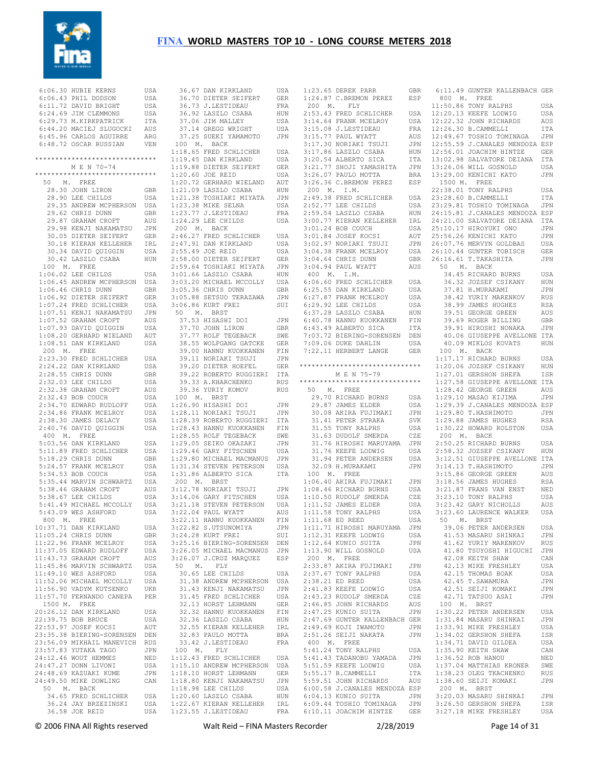

| 6:06.30 HUBIE KERNS                          | USA        |                  |
|----------------------------------------------|------------|------------------|
| 6:06.43 PHIL DODSON                          | USA        |                  |
| 6:11.72 DAVID BRIGHT                         | USA        |                  |
| 6:24.69 JIM CLEMMONS                         |            |                  |
|                                              | USA        |                  |
| $6:29.73$ M.KIRKPATRICK                      | ITA        |                  |
| 6:44.20 MACIEJ SLUGOCKI                      | AUS        |                  |
| 6:45.96 CARLOS AGUIRRE                       | ARG        |                  |
| 6:48.72 OSCAR RUSSIAN                        | VEN        | ĵ                |
|                                              |            | $\mathbf{1}$ :   |
| ******************************               |            | $1$ :            |
| M E N 70-74                                  |            | $\mathbf{1}$ :   |
| *******************************              |            |                  |
|                                              |            | 1:               |
| 50 M. FREE                                   |            | $\mathbf{1}$ :   |
| 28.30 JOHN LIRON                             | GBR        | $\mathbf{1}$ :   |
| 28.90 LEE CHILDS                             | USA        | $\mathbf{1}$ :   |
| 29.35 ANDREW MCPHERSON USA                   |            | $\mathbf{1}$     |
| 29.62 CHRIS DUNN                             | GBR        | $\mathbf{1}$ :   |
| 29.87 GRAHAM CROFT                           | AUS        | 1:               |
| 29.98 KENJI NAKAMATSU JPN                    |            | ź                |
| 30.05 DIETER SEIFERT                         |            |                  |
|                                              | GER        | $\mathbf{2}:$    |
| 30.18 KIERAN KELLEHER<br>30.34 DAVID QUIGGIN | IRL        | $\overline{2}$ : |
|                                              | USA        | $\overline{2}$ : |
| 30.42 LASZLO CSABA                           | HUN        | $\mathbf{2}$ :   |
| 100 M. FREE                                  |            | 2:               |
| $1:06.02$ LEE CHILDS                         | USA        | $\mathbf{3}:$    |
| 1:06.45 ANDREW MCPHERSON                     | USA        | 3:               |
|                                              |            | $\mathbf{3}:$    |
| $1:06.46$ CHRIS DUNN                         | GBR        |                  |
| 1:06.92 DIETER SEIFERT                       | GER        | 3:               |
| 1:07.24 FRED SCHLICHER                       | USA        | $\mathbf{3}:$    |
| 1:07.51 KENJI NAKAMATSU                      | JPN        | Ĵ                |
| 1:07.52 GRAHAM CROFT                         | AUS        |                  |
| $1:07.93$ DAVID QUIGGIN                      | USA        |                  |
|                                              |            |                  |
| 1:08.20 GERHARD WIELAND                      | AUT        |                  |
| 1:08.51 DAN KIRKLAND                         | USA        |                  |
| 200 M. FREE                                  |            |                  |
| 2:23.30 FRED SCHLICHER                       | USA        |                  |
| 2:24.22 DAN KIRKLAND                         | USA        |                  |
| 2:28.55 CHRIS DUNN                           | GBR        |                  |
| 2:32.03 LEE CHILDS                           | USA        |                  |
|                                              | AUS        |                  |
| 2:32.03 PER CHILL.<br>2:32.38 GRAHAM CROFT   |            |                  |
| 2:32.43 BOB COUCH                            | USA        | Ĵ                |
| 2:34.70 EDWARD RUDLOFF                       | USA        | $1\,$            |
| 2:34.86 FRANK MCELROY                        | USA        | 1:               |
| 2:38.30 JAMES DELACY                         | USA        | 1:               |
| 2:40.76 DAVID QUIGGIN                        | USA        | $\mathbf{1}$ :   |
| 400 M. FREE                                  |            | 1:               |
| 5:03.56 DAN KIRKLAND                         | USA        |                  |
|                                              |            | 1:               |
| 5:11.89 FRED SCHLICHER                       | USA        | $\mathbf{1}$ :   |
| 5:18.29 CHRIS DUNN                           | GBR        | $\mathbf{1}$ :   |
| 5:24.57 FRANK MCELROY                        | USA        | $\mathbf{1}$ :   |
| 5:34.53 BOB COUCH                            | USA        | $\mathbf{1}$ :   |
| 5:35.44 MARVIN SCHWARTZ                      | USA        | ź                |
| 5:38.46 GRAHAM CROFT                         | AUS        | 3:               |
| 5:38.67 LEE CHILDS                           | USA        | 3:               |
| 5:41.49 MICHAEL MCCOLLY                      | USA        | $\mathbf{3}:$    |
|                                              |            |                  |
| 5:43.09 WES ASHFORD                          | USA        | 3:               |
| 800 M. FREE                                  |            | 3:               |
| 10:37.71 DAN KIRKLAND                        | USA        | 3:               |
| 11:05.24 CHRIS DUNN                          | <b>GBR</b> | 3:               |
| 11:22.96 FRANK MCELROY                       | USA        | 3:               |
| 11:37.05 EDWARD RUDLOFF                      | USA        | 3:               |
| 11:43.73 GRAHAM CROFT                        | AUS        | 3:               |
| 11:45.86 MARVIN SCHWARTZ                     | USA        | Ş                |
|                                              |            |                  |
| 11:49.10 WES ASHFORD                         | USA        |                  |
| 11:52.06 MICHAEL MCCOLLY                     | USA        |                  |
| 11:56.90 VADYM KUTSENKO                      | UKR        |                  |
| 11:57.70 FERNANDO CANEPA                     | PER        |                  |
| 1500 M. FREE                                 |            |                  |
| 20:26.12 DAN KIRKLAND                        | USA        |                  |
| 22:39.75 BOB BRUCE                           | USA        |                  |
| 22:53.97 JOSEF KOCSI                         | AUT        |                  |
| 23:35.38 BIERING-SORENSEN                    |            |                  |
|                                              | DEN        |                  |
| 23:56.09 MIKHAIL MANEVICH                    | RUS        |                  |
| 23:57.83 YUTAKA TAGO                         | JPN        | Ĵ                |
| 24:12.46 WOUT HEMMES                         | NED        | $1$ :            |
| 24:47.27 DONN LIVONI                         | USA        | 1:               |
| 24:48.69 KAZUAKI KUME                        | JPN        | $\mathbf{1}$ :   |
| 24:49.50 MIKE DOWLING                        | CAN        | 1:               |
| 50 M. BACK                                   |            | $\mathbf{1}$ :   |
|                                              |            |                  |
| 34.65 FRED SCHLICHER                         | USA        | 1:               |
| 36.24 JAY BRZEZINSKI                         | USA        | $\mathbf{1}$ :   |
| 36.58 JOE REID                               | USA        | $\mathbf{1}$ :   |

| 36.67 DAN KIRKLAND                                                                       | USA          |
|------------------------------------------------------------------------------------------|--------------|
| 36.70 DIETER SEIFERT                                                                     | GER          |
|                                                                                          | FRA          |
|                                                                                          |              |
| 36.73 J.LESTIDEAU<br>36.92 LASZLO CSABA<br>37.06 JIM MALLEY<br>37.14 GREGG WRIGHT        | HUN          |
|                                                                                          | USA          |
|                                                                                          | USA          |
| 37.25 SUEKI YAMAMOTO                                                                     | JPN          |
| 100 M. BACK                                                                              |              |
|                                                                                          |              |
| 1:18.65 FRED SCHLICHER                                                                   | USA          |
| 1:19.45 DAN KIRKLAND                                                                     | USA          |
| 1:19.88 DIETER SEIFERT                                                                   | GER          |
| 1:20.60 JOE REID                                                                         | USA          |
|                                                                                          |              |
|                                                                                          | AUT          |
| 1:20.72 GERHARD WIELAND<br>1:21.09 LASZLO CSABA<br>1:21.38 TOSHIAKI MIYATA               | HUN          |
|                                                                                          | $_{\rm JPN}$ |
| 1:23.38 MIKE SELNA                                                                       | USA          |
| 1:23.77 J.LESTIDEAU<br>1:24.29 LEE CHILDS                                                | FRA          |
|                                                                                          |              |
|                                                                                          | USA          |
| 200 M. BACK                                                                              |              |
|                                                                                          | USA          |
|                                                                                          | USA          |
| 2:46.27 FRED SCHLICHER<br>2:47.91 DAN KIRKLAND<br>2:55.49 JOE REID                       |              |
| 2:55.49 JOE REID USA<br>2:58.00 DIETER SEIFERT GER<br>2:59.64 TOSHIAKI MIYATA JPN        |              |
|                                                                                          |              |
|                                                                                          |              |
| 3:01.66 LASZLO CSABA                                                                     | HUN          |
| 3:03.20 MICHAEL MCCOLLY                                                                  | USA          |
| 3:05.36 CHRIS DUNN                                                                       | GBR          |
|                                                                                          |              |
| 3:05.88 SETSUO TERAZAWA                                                                  | JPN          |
| 3:06.86 KURT FREI                                                                        | SUI          |
| 50 M. BRST                                                                               |              |
|                                                                                          | $_{\rm JPN}$ |
| 37.53 HISASHI DOI<br>37.70 JOHN LIRON                                                    | GBR          |
|                                                                                          |              |
| 37.77 ROLF TEGEBACK<br>37.77 ROLF TEGEBACK<br>38.55 WOLFGANG GATCKE                      | SWE          |
|                                                                                          | GER          |
|                                                                                          |              |
|                                                                                          | FIN<br>JPN   |
| 39.00 HANNU KUOKKANEN<br>39.11 NORIAKI TSUJI<br>39.20 DIETER HOEFEL                      | GER          |
|                                                                                          |              |
| 39.22 ROBERTO RUGGIERI<br>39.22 RUDDING<br>39.33 A.KHARCHENKO<br>39.33 A.KHARCHENKO      | ITA          |
|                                                                                          | <b>RUS</b>   |
| 39.36 YURIY KOMOV                                                                        | RUS          |
| 100 M. BRST                                                                              |              |
|                                                                                          |              |
|                                                                                          |              |
|                                                                                          | JPN          |
| 1:26.90 HISASHI DOI<br>1:28.11 NORIAKI TSUJI                                             | JPN          |
|                                                                                          |              |
|                                                                                          |              |
|                                                                                          |              |
| 1:28.39 ROBERTO RUGGIERI ITA<br>1:28.43 HANNU KUOKKANEN FIN<br>1:28.55 ROLF TEGEBACK SWE |              |
|                                                                                          | JPN          |
|                                                                                          | USA          |
| 1:29.05 SEIKO OKAZAKI<br>1:29.46 GARY FITSCHEN<br>1:29.80 MICHAEL MACMANUS               | JPN          |
|                                                                                          | USA          |
| 1:31.34 STEVEN PETERSON                                                                  |              |
| 1:31.86 ALBERTO SICA                                                                     | ITA          |
| $200$ M. BRST                                                                            |              |
| 3:12.78 NORIAKI TSUJI                                                                    | JPN          |
| 3:14.06 GARY FITSCHEN                                                                    | USA          |
|                                                                                          |              |
| 3:21.18 STEVEN PETERSON USA<br>3:22.04 PAUL WYATT                                        | AUS          |
| 3:22.11                                                                                  | FIN          |
| HANNU KUOKKANEN                                                                          |              |
| 3:22.82 S.UTSUNOMIYA                                                                     | JPN          |
| 3:24.28 KURT FREI                                                                        | SUI          |
| 3:25.16 BIERING-SORENSEN                                                                 | DEN          |
| 3:26.05 MICHAEL MACMANUS                                                                 | JPN          |
|                                                                                          | ESP          |
| 3:26.07 J.CRUZ MARQUEZ                                                                   |              |
| 50 M. FLY                                                                                |              |
| 30.65 LEE CHILDS                                                                         | USA          |
| 31.38 ANDREW MCPHERSON                                                                   | USA          |
|                                                                                          | JPN          |
|                                                                                          | USA          |
|                                                                                          | <b>GER</b>   |
| 31.43 KENJI NAKAMATSU<br>31.45 FRED SCHLICHER<br>32.13 HORST LEHMANN                     |              |
| 32.32 HANNU KUOKKANEN                                                                    | ${\rm FIN}$  |
|                                                                                          | HUN          |
| 32.36 LASZLO CSABA<br>32.55 KIERAN KELLEHER                                              | IRL          |
| 32.83 PAULO MOTTA                                                                        | BRA          |
|                                                                                          | FRA          |
| 33.42 J.LESTIDEAU                                                                        |              |
| 100 M. FLY                                                                               |              |
| 1:12.43 FRED SCHLICHER                                                                   | USA          |
| 1:15.10 ANDREW MCPHERSON                                                                 | USA          |
| 1:18.10 HORST LEHMANN                                                                    | GER          |
|                                                                                          | JPN          |
| $1:18.80$ KENJI NAKAMATSU                                                                |              |
|                                                                                          | USA          |
| 1:18.98 LEE CHILDS<br>1:20.60 LASZLO CSABA                                               | HUN          |
| $1:22.67$ KIERAN KELLEHER<br>1:23.55 J.LESTIDEAU                                         | IRL<br>FRA   |

| 1:23.65 DEREK PARR                                                                                                                                                                       | GBR                 |
|------------------------------------------------------------------------------------------------------------------------------------------------------------------------------------------|---------------------|
| 1:24.87 C.BREMON PEREZ ESP                                                                                                                                                               |                     |
| 200 M. FLY                                                                                                                                                                               |                     |
|                                                                                                                                                                                          | USA                 |
| 2:53.43 FRED SCHLICHER<br>3:14.64 FRANK MCELROY<br>2:15.09 I IESTIDEAU                                                                                                                   | USA                 |
| 3:15.08 J.LESTIDEAU<br>3:15.77 PAUL WYATT                                                                                                                                                | FRA                 |
|                                                                                                                                                                                          | AUS                 |
| 3:15.77 PAUL WILLI<br>3:17.30 NORIAKI TSUJI<br>$3:17.86$ LASZLO CSABA                                                                                                                    | JPN                 |
|                                                                                                                                                                                          | HUN                 |
|                                                                                                                                                                                          |                     |
| 3:20.54 ALBERTO SICA ITA<br>3:21.77 SHOJI YAMASHITA JPN<br>3:26.07 PAULO MOTTA BRA                                                                                                       |                     |
| 3:26.36 C.BREMON PEREZ                                                                                                                                                                   | ESP                 |
| 200 M. I.M.                                                                                                                                                                              |                     |
| 2:49.38 FRED SCHLICHER                                                                                                                                                                   | USA                 |
| 2:52.77 LEE CHILDS<br>2:52.77 LEE CHILDS<br>3:00.77 KIERAN KELLEHER                                                                                                                      | USA                 |
|                                                                                                                                                                                          | HUN                 |
|                                                                                                                                                                                          | IRL                 |
| 3:01.24 BOB COUCH                                                                                                                                                                        | USA                 |
| 3:01.84 JOSEF KOCSI<br>3:02.97 NORIAKI TSUJI<br>3:04.38 FRANK MCELROY<br>3:04.64 CHRIS DUNN<br>3:04.94 PAUL WYATT                                                                        | AUT                 |
|                                                                                                                                                                                          | JPN                 |
|                                                                                                                                                                                          | USA                 |
|                                                                                                                                                                                          | GBR<br>AUS          |
| $400$ $\,$ M, $\,$ I.M.                                                                                                                                                                  |                     |
| 400 M. I.M.<br>6:25.55 DAN KIRKLAND<br>6:25.55 DAN KIRKLAND<br>6:27.87 FRANK MCELROY<br>6:29.92 LEE CHILDS<br>6:37.28 LASZLO CSABA<br>6:40.78 HANNU KUOKKANEN<br>6:40.78 HANNU KUOKKANEN | USA                 |
|                                                                                                                                                                                          | USA                 |
|                                                                                                                                                                                          | USA                 |
|                                                                                                                                                                                          | USA                 |
|                                                                                                                                                                                          | HUN                 |
|                                                                                                                                                                                          | FIN                 |
| 6:43.49 ALBERTO SICA                                                                                                                                                                     | ITA                 |
| 7:03.72 BIERING-SORENSEN DEN<br>7:09.06 DUKE DAHLIN USA                                                                                                                                  |                     |
|                                                                                                                                                                                          |                     |
| 7:22.11 HERBERT LANGE                                                                                                                                                                    | <b>GER</b>          |
|                                                                                                                                                                                          |                     |
| *****************************                                                                                                                                                            |                     |
| M E N 75-79<br>*****************************                                                                                                                                             |                     |
|                                                                                                                                                                                          |                     |
|                                                                                                                                                                                          |                     |
| 50 M. FREE                                                                                                                                                                               |                     |
|                                                                                                                                                                                          | USA                 |
| 29.70 RICHARD BURNS<br>29.87 JAMES ELDER                                                                                                                                                 | USA                 |
| 30.08 AKIRA FUJIMAKI                                                                                                                                                                     | JPN<br>SVK          |
|                                                                                                                                                                                          | USA                 |
| 31.41 PETER STRAKA<br>31.55 TONY RALPHS<br>31.63 DUDOLF SMERDA                                                                                                                           | CZE                 |
| 31.76 HIROSHI MARUYAMA                                                                                                                                                                   | JPN                 |
| 31.76 KEEFE LODWIG                                                                                                                                                                       | USA                 |
| 31.94 PETER ANDERSEN                                                                                                                                                                     | USA                 |
| 32.09 H.MURAKAMI                                                                                                                                                                         | JPN                 |
|                                                                                                                                                                                          |                     |
|                                                                                                                                                                                          | JPN                 |
|                                                                                                                                                                                          | USA                 |
|                                                                                                                                                                                          | CZE                 |
|                                                                                                                                                                                          | USA                 |
| 100 M. FREE<br>1:06.40 AKIRA FUJIMAKI<br>1:08.46 RICHARD BURNS<br>1:10.50 RUDOLF SMERDA<br>1:11.52 JAMES ELDER<br>11.52 JAMES ELDER                                                      | USA                 |
| $1:11.68$ ED REED                                                                                                                                                                        | USA<br>JPN          |
|                                                                                                                                                                                          | USA                 |
| 1:11.71 HIROSHI MARUYAMA<br>1:12.31 KEEFE LODWIG<br>1:12.64 KUNIO SUITA                                                                                                                  | JPN                 |
| 1:13.90 WILL GOSNOLD                                                                                                                                                                     | USA                 |
| 200 M. FREE                                                                                                                                                                              |                     |
| 2:33.87 AKIRA FUJIMAKI                                                                                                                                                                   | JPN                 |
| $2:37.67$ TONY RALPHS                                                                                                                                                                    | USA                 |
|                                                                                                                                                                                          | USA                 |
| 2:38.21 ED REED<br>2:38.21 ED REED<br>2:41.83 KEEFE LODWIG                                                                                                                               | USA                 |
| 2:43.23 RUDOLF SMERDA                                                                                                                                                                    | CZE                 |
| 2:46.85 JOHN RICHARDS                                                                                                                                                                    | AUS                 |
| 2:47.25 KUNIO SUITA                                                                                                                                                                      | JPN                 |
| 2:47.69 GUNTER KALLENBACH GER<br>2:49.69 KOJI IWAMOTO                                                                                                                                    | JPN                 |
| 2:51.26 SEIJI NAKATA                                                                                                                                                                     | JPN                 |
|                                                                                                                                                                                          |                     |
| 400 M. FREE<br>5:41.24 TONY RALPHS                                                                                                                                                       | USA                 |
| 5:41.43 TADANOBU YAMADA                                                                                                                                                                  | JPN                 |
| 5:51.59 KEEFE LODWIG                                                                                                                                                                     | USA                 |
|                                                                                                                                                                                          |                     |
|                                                                                                                                                                                          |                     |
| 5:55.17 B.CAMMELLI ITA<br>5:55.17 B.CAMMELLI ITA<br>6:00.58 J.CANALES MENDOZA ESP                                                                                                        |                     |
| $6:04.13$ KUNIO SUITA<br>6:04.13 KUNIO SUITA<br>6:09.44 TOSHIO TOMINAGA                                                                                                                  | $_{\rm JPN}$<br>JPN |

| 6:11.49 GUNTER KALLENBACH GER                                                                  |            |
|------------------------------------------------------------------------------------------------|------------|
| 800 M. FREE                                                                                    | USA        |
| 11:50.86 TONY RALPHS<br>12:20.13 KEEFE LODWIG                                                  | USA        |
| 12:22.32 JOHN RICHARDS<br>12.26.38 D GAMMUIIT                                                  | AUS        |
| 12:26.30 B.CAMMELLI                                                                            | ITA        |
| 12:49.67 TOSHIO TOMINAGA                                                                       | <b>JPN</b> |
| 12:55.59 J.CANALES MENDOZA ESP                                                                 |            |
| 12:56.01 JOACHIM HINTZE                                                                        | GER        |
| 13:02.98 SALVATORE DEIANA                                                                      | ITA        |
| 13:26.06 WILL GOSNOLD<br>13:29.00 KENICHI KATO                                                 | USA        |
|                                                                                                | JPN        |
| 1500 M. FREE<br>22:38.01 TONY RALPHS                                                           | USA        |
| 23:28.60 B.CAMMELLI                                                                            | ITA        |
| 23:29.81 TOSHIO TOMINAGA JPN                                                                   |            |
| 24:15.81 J.CANALES MENDOZA ESP                                                                 |            |
| 24:21.00 SALVATORE DEIANA ITA                                                                  |            |
| 25:10.17 HIROYUKI ONO<br>25:56.26 KENICHI KATO                                                 | JPN        |
|                                                                                                | JPN        |
| 25:56.26 NERVYN GOLDBAS<br>26:07.76 MERVYN GOLDBAS<br>26:10.44 GUNTER TOBISCH                  | USA        |
|                                                                                                | GER        |
| 26:16.61 T.TAKASHITA<br>50 M. BACK                                                             | JPN        |
|                                                                                                | USA        |
| 34.45 RICHARD BURNS<br>36.32 JOZSEF CSIKANY<br>37.81 H.MURAKAMI                                | HUN        |
|                                                                                                | JPN        |
| 36.32 J.<br>37.81 H.MURAKAMI<br>38.42 YURIY MARENKOV<br>38.99 JAMES HUGHES                     | RUS        |
| 38.99 JAMES HUGHES<br>39.51 GEORGE GREEN                                                       | RSA        |
|                                                                                                | AUS        |
| 39.69 ROGER BILLING<br>39.91 HIROSHI NONAKA                                                    | GBR        |
|                                                                                                | JPN        |
| 40.06 GIUSEPPE AVELLONE<br>40.09 MIKLOS KOVATS HUN                                             | ITA        |
| 100 M. BACK                                                                                    |            |
| 1:17.17 RICHARD BURNS                                                                          | USA        |
| 1:17.1/ KIURAND DULLET<br>1:20.06 JOZSEF CSIKANY                                               | HUN        |
| 1:27.01 GERSHON SHEFA                                                                          | ISR        |
| 1:27.58 GIUSEPPE AVELLONE                                                                      | ITA        |
| 1:28.42 GEORGE GREEN<br>1·29 10 MASAO KIJIMA                                                   | AUS        |
| 1:29.10 MASAO KIJIMA                                                                           | JPN        |
| 1:29.39 J.CANALES MENDOZA ESP                                                                  | JPN        |
| -ov T.HASHIMOTO<br>1:29.88 JAMES HUGHES<br>1:30.22 Merri                                       | <b>RSA</b> |
| 1:30.22 HOWARD ROLSTON                                                                         | USA        |
| 200 M. BACK                                                                                    |            |
| 2:50.25 RICHARD BURNS<br>2:58.32 JOZSEF CSIKANY                                                | USA<br>HUN |
|                                                                                                |            |
| 3:12.51 GIUSEPPE AVELLONE ITA                                                                  |            |
|                                                                                                | JPN<br>AUS |
|                                                                                                | <b>RSA</b> |
|                                                                                                | NED        |
|                                                                                                | USA        |
| 3:23.10 TONY KALFRS OSA<br>3:23.42 GARY NICHOLLS AUS<br>3:23.60 LAURENCE WALKER USA            |            |
|                                                                                                |            |
| 50 M. BRST                                                                                     |            |
| 39.06 PETER ANDERSEN                                                                           | USA<br>JPN |
| 41.53 MASARU SHINKAI<br>41.62 YURIY MARENKOV                                                   | RUS        |
|                                                                                                | JPN        |
|                                                                                                | CAN        |
| 11.80 TSUYOSHI HIGUCHI<br>42.08 KEITH SHAW<br>42.13 MIKE FRESHLEY<br>42.15 THOMAS BOAK         | USA        |
| 42.15 THOMAS BOAK<br>42.45 T.SAWAMURA                                                          | USA        |
|                                                                                                | JPN        |
| 42.51 SEIJI KOMAKI                                                                             | JPN        |
| 42.71 TATSUO ASAI<br>100 M. BRST                                                               | JPN        |
| 1:30.22 PETER ANDERSEN USA                                                                     |            |
|                                                                                                | JPN        |
|                                                                                                | USA        |
| 1:31.84 MASARU SHINKAI<br>1:33.91 MIKE FRESHLEY<br>1:34.02 GERSHON SHEFA<br>2010 CERSHON SHEFA | ISR        |
| 1:34.71 DAVID GILDEA<br>1:35.90 KEITH SHAW<br>1:36.52 ROB HANOU                                | USA        |
|                                                                                                | CAN        |
|                                                                                                | NED<br>SWE |
|                                                                                                | RUS        |
| 1:37.04 MATTHIAS KRONER<br>1:38.23 OLEG TKACHENKO<br>1:38.60 SEIJI KOMAKI                      | JPN        |
|                                                                                                |            |
| 200 M. BRST<br>3:20.03 MASARU SHINKAI<br>3:26.50 GERSHON SHEFA<br>3:27.18 MIKE FRESHLEY        | JPN        |
|                                                                                                | ISR        |
|                                                                                                | USA        |
|                                                                                                |            |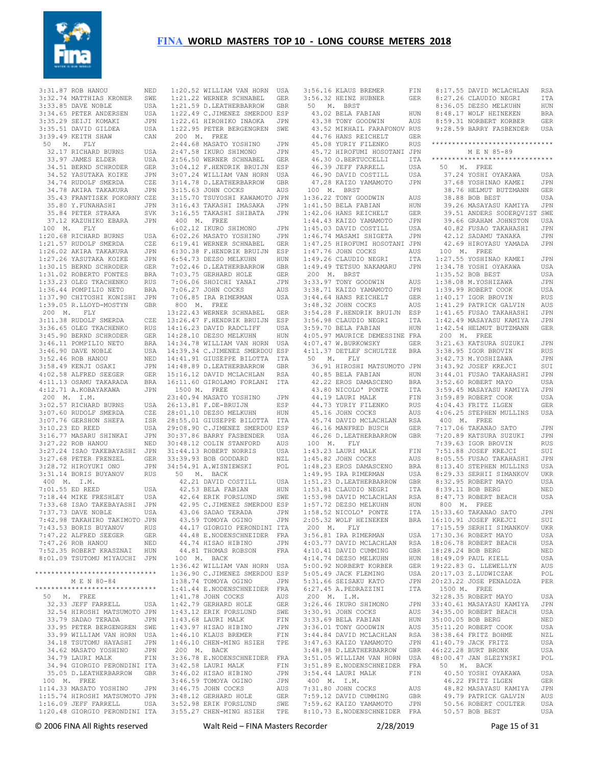

 $1:4$  $1:4$ 

3:31.87 ROB HANOU 3:32.74 MATTHIAS KRONER SWE 3:33.85 DAVE NOBLE USA 3:34.65 PETER ANDERSEN USA 3:35.29 SEIJI KOMAKI JPN 3:35.51 DAVID GILDEA USA 3:39.49 KEITH SHAW CAN 50 M. FLY 32.17 RICHARD BURNS 33.97 JAMES ELDER 34.51 BERND SCHRODER GER 34.52 YASUTAKA KOIKE JPN 34.74 RUDOLF SMERDA CZE 34.78 AKIRA TAKAKURA JPN 35.43 FRANTISEK POKORNY CZE 35.80 Y.FUNAHASHI JPN 35.84 PETER STRAKA SVK 37.12 KAZUHIKO EBARA JPN 100 M. FLY 1:20.68 RICHARD BURNS USA 1:21.57 RUDOLF SMERDA CZE<br>1:26.02 AKIRA TAKAKURA JPN  $1:26.02$  AKIRA TAKAKURA 1:27.26 YASUTAKA KOIKE JPN 1:30.15 BERND SCHRODER GER 1:31.02 ROBERTO FONTES BRA 1:33.23 OLEG TKACHENKO RUS 1:36.44 POMPILIO NETO BRA 1:37.90 CHITOSHI KONISHI JPN 1:39.05 R.LLOYD-MOSTYN GBR 200 M. FLY 3:11.38 RUDOLF SMERDA 3:36.65 OLEG TKACHENKO RUS 3:45.90 BERND SCHRODER GER 3:46.11 POMPILIO NETO BRA  $3:46.90$  DAVE NOBLE 3:52.46 ROB HANOU NED 3:58.49 KENJI OSAKI JPN  $4 \cdot 02$ .58 ALFRED SEEGER 4:11.13 OSAMU TAKARADA BRA<br>4:12.71 A.KOBAYAKAWA JPN  $4:12.71$  A.KOBAYAKAWA 200 M. I.M. 3:02.57 RICHARD BURNS USA 3:07.60 RUDOLF SMERDA CZE 3:07.76 GERSHON SHEFA ISR  $3 \cdot 10.23$  ED REED 3:16.77 MASARU SHINKAI JPN 3:27.22 ROB HANOU 3:27.24 ISAO TAKEBAYASHI JPN 3:27.68 PETER FRENZEL GER 3:28.72 HIROYUKI ONO 3:31.14 BORIS BUYANOV RUS 400 M. I.M. 7:01.55 ED REED USA 7:18.44 MIKE FRESHLEY 7:33.68 ISAO TAKEBAYASHI JPN 7:37.73 DAVE NOBLE 7:42.98 TAKAHIRO TAKIMOTO JPN 7:43.53 BORIS BUYANOV RUS 7:47.22 ALFRED SEEGER GER 7:47.26 ROB HANOU NED 7:52.35 ROBERT KRASZNAI HUN 8:01.09 TSUTOMU MIYAUCHI JPN \*\*\*\*\*\*\*\*\*\*\*\*\*\*\*\*\*\*\*\*\*\*\*\*\*\*\*\*\*\* M E N 80-84 \*\*\*\*\*\*\*\*\*\*\*\*\*\*\*\*\*\*\*\*\*\*\*\*\*\*\*\*\*\* 50 M. FREE 32.33 JEFF FARRELL USA 32.54 HIROSHI MATSUMOTO JPN 33.79 SADAO TERADA JPN 33.95 PETER BERGENGREN SWE 33.99 WILLIAM VAN HORN USA 34.18 TSUTOMU HAYASHI JPN 34.62 MASATO YOSHINO JPN 34.79 LAURI MALK FIN 35.05 D.LEATHERBARROW GBR 100 M. FREE 100 M. FRAA<br>1:14.33 MASATO YOSHINO JPN

 34.94 GIORGIO PERONDINI ITA 3:42.58 LAURI MALK FIN 3:46.02 HISAO HIBINO JPN 1:15.74 HIROSHI MATSUMOTO JPN 3:48.12 GERHARD HOLE GER<br>1:16.09 JEFF FARRELL USA 3:52.98 ERIK FORSLUND SWE 1:20.48 GIORGIO PERONDINI ITA 3:55.27 CHEN-MING HSIEH TPE 1:20.52 WILLIAM VAN HORN USA 1:21.22 WERNER SCHNABEL GER 1:21.59 D.LEATHERBARROW GBR 1:22.49 C.JIMENEZ SMERDOU ESP 1:22.61 HIROHIKO INAOKA JPN 1:22.95 PETER BERGENGREN SWE 200 M. FREE 2:44.68 MASATO YOSHINO JPN 2:47.58 IKURO SHIMONO JPN 2:56.50 WERNER SCHNABEL GER 3:04.12 F.HENDRIK BRUIJN ESP 3:07.24 WILLIAM VAN HORN USA 3:14.78 D.LEATHERBARROW GBR 3:15.63 JOHN COCKS AUS 3:15.70 TSUYOSHI KAWAMOTO JPN 3:16.43 TAKASHI IMASAKA JPN 3:16.55 TAKASHI SHIBATA JPN 400 M. FREE 6:02.12 IKURO SHIMONO JPN 6:02.26 MASATO YOSHINO JPN CZE 6:19.41 WERNER SCHNABEL GER 6:30.38 F.HENDRIK BRUIJN ESP 6:54.73 DEZSO MELKUHN HUN 7:02.46 D.LEATHERBARROW GBR 7:03.75 GERHARD HOLE GER 7:06.06 SHOICHI YANAI JPN 7:06.27 JOHN COCKS AUS 7:06.85 IRA RIMERMAN USA 800 M. FREE 13:22.43 WERNER SCHNABEL GER  $CZE$  13:26.47 F.HENDRIK BRUIJN ESP 14:16.23 DAVID RADCLIFF USA 14:28.10 DEZSO MELKUHN HUN 14:34.78 WILLIAM VAN HORN USA 14:39.34 C.JIMENEZ SMERDOU ESP 14:41.91 GIUSEPPE BILOTTA ITA 14:48.89 D.LEATHERBARROW GBR 15:16.12 DAVID MCLACHLAN RSA 16:11.60 GIROLAMO FORLANI ITA 1500 M. FREE 23:40.94 MASATO YOSHINO JPN USA 26:13.81 F.DE-BRUIJN ESP 28:01.10 DEZSO MELKUHN HUN 28:55.01 GIUSEPPE BILOTTA ITA 29:08.90 C.JIMENEZ SMERDOU ESP 30:37.86 BARRY FASBENDER USA 30:48.12 COLIN STANFORD AUS 31:44.13 ROBERT NORRIS USA 33:39.93 BOB GODDARD NZL 34:54.91 A.WISNIEWSKI POL 50 M. BACK 42.21 DAVID COSTILL USA 42.53 BELA FABIAN HUN 42.95 C.JIMENEZ SMERDOU ESP 43.06 SADAO TERADA JPN 43.59 TOMOYA OGINO JPN 44.48 E.NODENSCHNEIDER FRA 44.74 HISAO HIBINO JPN 44.81 THOMAS ROBSON FRA 100 M. BACK 1:36.42 WILLIAM VAN HORN USA 1:36.90 C.JIMENEZ SMERDOU ESP 1:38.74 TOMOYA OGINO JPN 1:41.44 E.NODENSCHNEIDER FRA 1:41.78 JOHN COCKS AUS 1:42.79 GERHARD HOLE GER 1:43.12 ERIK FORSLUND SWE 1:43.68 LAURI MALK FIN 1:43.97 HISAO HIBINO JPN 1:46.10 KLAUS BREMER FIN 1:46.10 CHEN-MING HSIEH TPE 200 M. BACK 3:36.78 E.NODENSCHNEIDER FRA 3:46.59 TOMOYA OGINO JPN 3:46.75 JOHN COCKS AUS

| 3:56.16 KLAUS BREMER<br>3:56.32 HEINZ HUBNER |            |                            |
|----------------------------------------------|------------|----------------------------|
|                                              | FIN        | 8:17.55<br>DZ              |
|                                              |            |                            |
|                                              | GER        | 8:27.26<br>CI              |
| 50<br>Μ.<br>BRST                             |            | 8:36.05<br>DE              |
|                                              |            | W.                         |
| 43.02 BELA FABIAN                            | HUN        | 8:48.17                    |
| 43.38 TONY GOODWIN                           | AUS        | 8:59.31<br>N               |
| 43.52 MIKHAIL FARAFONOV                      | RUS        | 9:28.59 B                  |
|                                              |            |                            |
| 44.76 HANS REICHELT                          | GER        |                            |
| 45.08<br>YURIY FILENKO                       | <b>RUS</b> | ************               |
|                                              |            |                            |
| 45.72 HIROFUMI HOSOTANI JPN                  |            | М                          |
| 46.30<br>O.BERTUCCELLI                       | ITA        | ***********                |
| 46.39<br>JEFF FARRELL                        | USA        | 50 M.                      |
|                                              |            |                            |
| 46.90 DAVID COSTILL                          | USA        | Y<br>37.24                 |
| 47.28 KAIZO YAMAMOTO                         | JPN        | 37.68 YO                   |
| 100 M.<br><b>BRST</b>                        |            | 38.76<br>HE                |
|                                              |            |                            |
| 1:36.22<br>TONY GOODWIN                      | AUS        | 38.88<br>B                 |
| 1:41.50 BELA FABIAN                          | HUN        | 39.26 MZ                   |
|                                              |            |                            |
| 1:42.06 HANS REICHELT                        | GER        | 39.51<br>ΑN                |
| 1:44.43 KAIZO YAMAMOTO                       | JPN        | 39.66 GF                   |
| 1:45.03 DAVID COSTILL                        | USA        | 40.82<br>F                 |
|                                              |            |                            |
| 1:46.74 MASAMI SHIGETA                       | JPN        | 42.12<br>SI                |
| 1:47.25 HIROFUMI HOSOTANI                    | JPN        | 42.69<br>H                 |
| 1:47.76<br>JOHN COCKS                        | AUS        | 100<br>М.                  |
|                                              |            |                            |
| 1:49.26<br>CLAUDIO NEGRI                     | ITA        | 1:27.55<br>Y               |
| 1:49.49<br>TETSUO NAKAMARU                   | JPN        | 1:34.78<br>Y               |
|                                              |            |                            |
| 200 M.<br>BRST                               |            | 1:35.52<br>B               |
| 3:33.97 TONY GOODWIN                         | AUS        | 1:38.08<br>М.              |
| 3:38.71 KAIZO YAMAMOTO                       | JPN        | 1:39.99<br>R(              |
|                                              |            |                            |
| 3:44.64 HANS REICHELT                        | GER        | 1:40.17<br>I               |
| 3:48.32 JOHN COCKS                           | AUS        | $1:41.29$ PA               |
| 3:54.28 F.HENDRIK BRUIJN                     | ESP        | 1:41.65<br>F               |
|                                              |            |                            |
| 3:56.98 CLAUDIO NEGRI                        | ITA        | $1:42.49$ MZ               |
| 3:59.70 BELA FABIAN                          | HUN        | 1:42.54<br>HE              |
| 4:05.97 MAURICE DEMESSINE FRA                |            | 200<br>М.                  |
| 4:07.47 W.BURKOWSKY                          |            | 3:21.63<br>KI              |
|                                              | GER        |                            |
| 4:11.37<br>DETLEF SCHULTZE                   | BRA        | 3:38.95<br>I)              |
| 50<br>М.<br>FLY                              |            | 3:42.73<br>$\mathbb M$ .   |
| 36.91 HIROSHI MATSUMOTO                      | JPN        | 3:43.92<br>J)              |
|                                              |            |                            |
| 40.85 BELA FABIAN                            | HUN        | 3:44.01<br>F               |
| 42.22 EROS DAMASCENO                         | BRA        | 3:52.60<br>R(              |
| 43.80 NICOLO' PONTE                          | ITA        | 3:59.45<br>MZ              |
| 44.19 LAURI MALK                             | FIN        | 3:59.89<br>R.              |
|                                              |            |                            |
| 44.73<br>YURIY FILENKO                       | RUS        | 4:04.43<br>F <sub>F</sub>  |
| 45.16<br>JOHN COCKS                          | AUS        | 4:06.25<br>S1              |
| 45.74 DAVID MCLACHLAN                        | RSA        | 400<br>М.                  |
|                                              |            |                            |
|                                              | GER        | 7:17.06<br>ΤI              |
| 46.16 MANFRED BUSCH                          |            |                            |
|                                              |            |                            |
| 46.26 D.LEATHERBARROW                        | GBR        | 7:20.89<br>KI              |
| 100 M.<br>FLY                                |            | 7:39.63<br>I(              |
| 1:43.23<br>LAURI MALK                        | FIN        | 7:51.88<br>J(              |
| 1:45.82<br>JOHN COCKS                        |            | 8:05.55                    |
|                                              | AUS        | F                          |
| 1:48.23<br>EROS DAMASCENO                    | BRA        | 8:13.40<br>S1              |
| 1:49.95<br>IRA RIMERMAN                      | USA        | 8:29.33<br>SE              |
|                                              |            | R(                         |
| 1:51.23 D.LEATHERBARROW                      | GBR        | 8:32.95                    |
| 1:53.81 CLAUDIO NEGRI                        | ITA        | 8:39.11<br>B)              |
| 1:53.98 DAVID MCLACHLAN                      | RSA        | 8:47.73<br>R(              |
| 1:57.72 DEZSO MELKUHN                        | HUN        | 800<br>М.                  |
|                                              |            |                            |
| 1:58.52 NICOLO' PONTE                        | ITA        | 15:33.60 TA                |
| 2:05.32 WOLF HEINEKEN                        | BRA        | 16:10.91<br>J)             |
| 200 M.<br>FLY                                |            | 17:15.59<br>SE             |
| IRA RIMERMAN                                 |            |                            |
| 3:56.81                                      | USA        | 17:30.36 RO                |
| 4:03.77 DAVID MCLACHLAN                      | RSA        | 18:06.78 RO                |
| 4:10.41 DAVID CUMMING                        | GBR        | 18:28.24<br>B              |
|                                              |            |                            |
| 4:14.74 DEZSO MELKUHN                        | HUN        | 18:49.09<br>PI             |
| 5:00.92 NORBERT KORBER                       | GER        | 19:22.83 G.                |
| 5:05.49 JACK FLEMING                         | USA        | 20:17.03<br>Ζ.             |
|                                              |            |                            |
| 5:31.66 SEISAKU KATO                         | JPN        | 20:23.22<br>J)             |
| 6:27.45 A.PEDRAZZINI                         | ITA        | 1500 M.                    |
| 200 M.<br>I.M.                               |            | 32:28.35<br>R(             |
| 3:26.46<br>IKURO SHIMONO                     | JPN        | 33:40.61<br>M              |
|                                              |            |                            |
| 3:30.91 JOHN COCKS                           | AUS        | 34:35.00 RO                |
| 3:33.69 BELA FABIAN                          | HUN        | 35:00.05<br>B              |
| 3:36.01 TONY GOODWIN                         | AUS        | 35:11.20<br>R0             |
|                                              |            |                            |
| 3:44.84 DAVID MCLACHLAN                      | RSA        | 38:38.64<br>F <sub>I</sub> |
| 3:47.63 KAIZO YAMAMOTO                       | JPN        | 41:40.79<br>JI             |
| 3:48.98 D.LEATHERBARROW                      | GBR        | 46:22.28<br>Βl             |
|                                              |            | JI                         |
| 3:51.05 WILLIAM VAN HORN                     | USA        | 48:00.47                   |
| 3:51.89 E.NODENSCHNEIDER                     | FRA        | 50<br>Μ.                   |
| 3:54.44 LAURI MALK                           | FIN        | 40.50<br>Y                 |
| 400 M.<br>I.M.                               |            | 46.22<br>F <sub>F</sub>    |
|                                              |            |                            |
| 7:31.80 JOHN COCKS                           | AUS        | 48.82<br>MZ                |
| 7:59.12 DAVID CUMMING                        | GBR        | 49.79<br>PI                |
| 7:59.62 KAIZO YAMAMOTO                       | JPN        | 50.56 RO                   |
| 8:10.73 E.NODENSCHNEIDER                     | FRA        | 50.57<br>B                 |

© 2006 FINA All Rights reserved Walt Reid – FINA Masters Recorder 2/28/2019 Page 15 of 31 AVID MCLACHLAN RSA ..<br>LAUDIO NEGRI ITA 8:36.05 DEZSO MELKUHN HUN ole heineken bra 8:59.31 NORBERT KORBER GER 9:28.59 BARRY FASBENDER USA \*\*\*\*\*\*\*\*\*\*\*\*\*\*\*\*\*\*\*\*\*\*\*\*\*\*\*\*\*\* M E N 85-89 \*\*\*\*\*\*\*\*\*\*\*\*\*\*\*\*\*\*\*\*\*\*\*\*\*\*\*\*\*\* 50 M. FREE .<br>28 Ayakama usa OSHINAO KAMEI JPN 38.76 HELMUT BUTZMANN GER OB BEST USA 39.26 MASAYASU KAMIYA JPN NDERS SODEROVIST SWE AAHAM JOHNSTON USA 40.82 FUSAO TAKAHASHI JPN adamu tanaka JPN 42.69 HIROYASU YAMADA JPN 100 M. FREE .<br>CSHINAO KAMEI JPN OSHI OYAKAWA USA OB BEST USA 1:38.08 M.YOSHIZAWA JPN OBERT COOK USA GOR BROVIN RIJS ATRICK GALVIN AUS 1:41.65 FUSAO TAKAHASHI JPN 1:42.49 MASAYASU KAMIYA JPN 1:54 HELMUT BUTZMANN GER 200 M. FREE atsura suzuki JPN GOR BROVIN RUS 3:42.73 M.YOSHIZAWA JPN OSEF KREJCI SUIT 3:44.01 FUSAO TAKAHASHI JPN OBERT MAYO USA 3:59.45 MASAYASU KAMIYA JPN 3:59.89 ROBERT COOK USA 4:04.43 FRITZ ILGEN GER TEPHEN MULLINS USA 400 M. FREE 7:17.06 TAKANAO SATO JPN .<br>2. ATSURA SUZUKI JPN 11199111 I.I<br>GOR BROVIN RUS osee Krejtot Suit 8:05.55 FUSAO TAKAHASHI JPN TEPHEN MULLINS USA 8:29.33 SERHII SIMANKOV UKR --<br>OBERT MAYO USA OB BERG NED OBERT BEACH USA 800 M. FREE 15:33.60 TAKANAO SATO JPN OSEF KREJCI SUI **ERHII SIMANKOV UKR** 17:30.<br>35 REPORT MAYO USA OBERT BEACH USA 18:28.24 BOB BERG NED AUL KIELL USA 19:22.83 G. LLEWELLYN AUS 20:17.03 Z.LUDWICZAK POL OSE PENALOZA PER 1500 M. FREE OBERT MAYO USA asayasu kamiya JPN OBERT BEACH USA OB BERG NED OBERT COOK USA RTTZ BOHME NZL 41:40.79 JACK FRITZ USA 46:22.28 BURT BRONK USA an slezynski pol 50 M. BACK 40.50 YOSHI OYAKAWA USA 46.22 FRITZ ILGEN GER 48.82 MASAYASU KAMIYA JPN atrick Galvin aus OBERT COULTER USA 30B BEST USA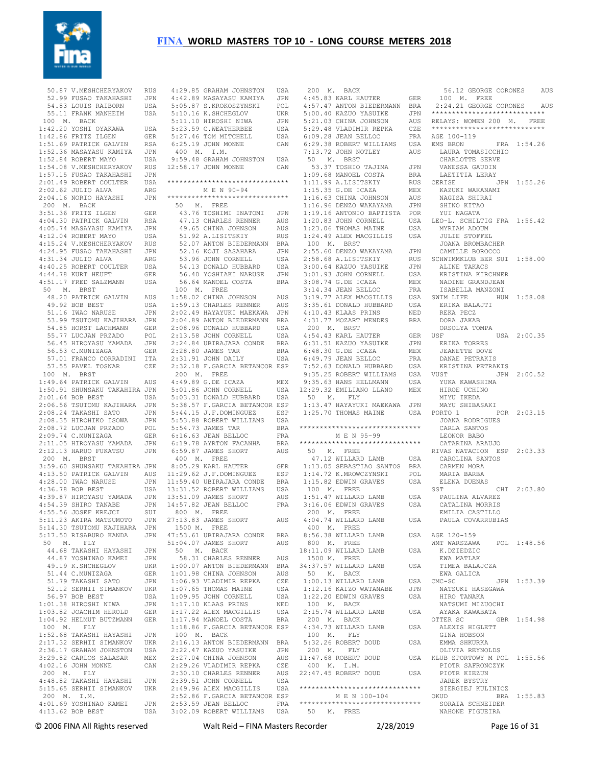

 50.87 V.MESHCHERYAKOV RUS 52.99 FUSAO TAKAHASHI JPN 54.83 LOUIS RAIBORN USA 55.11 FRANK MANHEIM USA 100 M. BACK 1:42.20 YOSHI OYAKAWA USA 1:42.86 FRITZ ILGEN GER 1:51.69 PATRICK GALVIN RSA 1:52.36 MASAYASU KAMIYA JPN 1:52.84 ROBERT MAYO USA 1:54.08 V.MESHCHERYAKOV RUS 1:57.15 FUSAO TAKAHASHI JPN 2:01.49 ROBERT COULTER USA  $2 \cdot 02.62$  JULIO ALVA ARG 2:04.16 NORIO HAYASHI JPN 200 M. BACK 3:51.36 FRITZ ILGEN GER 4:04.30 PATRICK GALVIN RSA 4:05.74 MASAYASU KAMIYA JPN 4:12.04 ROBERT MAYO USA 4:15.24 V.MESHCHERYAKOV RUS 4:24.95 FUSAO TAKAHASHI JPN 4:31.34 JULIO ALVA ARG 4:40.25 ROBERT COULTER USA 4:44.78 KURT HEUFT GER 4:51.17 FRED SALZMANN USA 50 M. BRST 48.20 PATRICK GALVIN AUS 49.92 BOB BEST USA 51.16 IWAO NARUSE JPN 53.99 TSUTOMU KAJIHARA JPN 54.85 HORST LACHMANN GER 55.77 LUCJAN PRZADO POL 56.45 HIROYASU YAMADA JPN 56.53 C.MUNIZAGA GER 57.01 FRANCO CORRADINI ITA 57.55 PAVEL TOSNAR CZE 100 M. BRST 1:49.64 PATRICK GALVIN AUS 1:50.91 SHUNSAKU TAKAHIRA JPN 2:01.64 BOB BEST USA 2:06.56 TSUTOMU KAJIHARA JPN 2:08.24 TAKASHI SATO JPN 2:08.35 HIROHIKO ISOWA JPN 2:08.72 LUCJAN PRZADO POL 2:09.74 C.MUNIZAGA GER 2:11.05 HIROYASU YAMADA JPN 2:12.13 HARUO FUKATSU JPN 200 M. BRST 3:59.60 SHUNSAKU TAKAHIRA JPN 4:28.00 IWAO NARUSE JPN  $4.36$  78 BOB BEST USA 4:39.87 HIROYASU YAMADA JPN 4:54.39 SHIRO TANABE JPN 4:55.56 JOSEF KREJCI SUI<br>5:11.23 AKIRA MATSUMOTO JPN 5:11.23 AKIRA MATSUMOTO 5:14.30 TSUTOMU KAJIHARA JPN 5:17.50 RISABURO KANDA JPN 50 M. FLY 44.68 TAKASHI HAYASHI JPN 44.87 YOSHINAO KAMEI JPN 49.19 K.SHCHEGLOV UKR 51.44 C.MUNIZAGA GER 51.79 TAKASHI SATO JPN 52.12 SERHII SIMANKOV UKR 56.97 BOB BEST USA 1:01.38 HIROSHI NIWA JPN 1:03.82 JOACHIM HEROLD GER 1:04.92 HELMUT BUTZMANN GER 100 M. FLY 1:52.68 TAKASHI HAYASHI JPN 2:17.32 SERHII SIMANKOV UKR 2:36.17 GRAHAM JOHNSTON USA 3:29.82 CARLOS SALASAR MEX 4:02.16 JOHN MONNE CAN 200 M. FLY 4:48.82 TAKASHI HAYASHI JPN<br>5·15.65 SERHII SIMANKOV UKR 5:15.65 SERHII SIMANKOV 200 M. I.M. 4:01.69 YOSHINAO KAMEI 4:13.62 BOB BEST

 4:13.50 PATRICK GALVIN AUS 11:29.62 J.F.DOMINGUEZ ESP 4:29.85 GRAHAM JOHNSTON USA 4:42.89 MASAYASU KAMIYA JPN 5:05.87 S.KROKOSZYNSKI POL 5:10.16 K.SHCHEGLOV UKR 5:11.10 HIROSHI NIWA JPN 5:23.59 C.WEATHERBEE USA 5:27.46 TOM MITCHELL USA 6:25.19 JOHN MONNE CAN 400 M. I.M. 9:59.48 GRAHAM JOHNSTON USA 12:58.17 JOHN MONNE CAN \*\*\*\*\*\*\*\*\*\*\*\*\*\*\*\*\*\*\*\*\*\*\*\*\*\*\*\*\*\* M E N 90-94 \*\*\*\*\*\*\*\*\*\*\*\*\*\*\*\*\*\*\*\*\*\*\*\*\*\*\*\*\*\* 50 M. FREE 43.76 TOSHIMI INATOMI JPN 47.13 CHARLES RENNER AUS 49.65 CHINA JOHNSON AUS 51.92 A.LISITSKIY RUS 52.07 ANTON BIEDERMANN BRA 52.16 KOJI SASAHARA JPN 53.96 JOHN CORNELL USA 54.13 DONALD HUBBARD USA 56.40 YOSHIAKI NARUSE JPN 56.64 MANOEL COSTA BRA 100 M. FREE  $1:58.02$  CHINA JOHNSON AUS 1:59.13 CHARLES RENNER AUS 2:02.49 HAYAYUKI MAEKAWA JPN 2:04.89 ANTON BIEDERMANN BRA 2:08.96 DONALD HUBBARD USA 2:13.58 JOHN CORNELL USA 2:24.84 UBIRAJARA CONDE BRA 2:28.80 JAMES TAR BRA 2:31.91 JOHN DAILY USA 2:32.18 F.GARCIA BETANCOR ESP 200 M. FREE  $4 \cdot 49.89$  G DE ICAZA MEX 5:01.86 JOHN CORNELL USA 5:03.31 DONALD HUBBARD USA 5:38.57 F.GARCIA BETANCOR ESP 5:44.15 J.F.DOMINGUEZ ESP 5:53.88 ROBERT WILLIAMS USA 5:54.73 JAMES TAR BRA 6:16.63 JEAN BELLOC FRA 6:19.78 AYRTON FACANHA BRA 6:59.87 JAMES SHORT AUS 400 M. FREE 8:05.29 KARL HAUTER GER 11:59.40 UBIRAJARA CONDE BRA 13:31.52 ROBERT WILLIAMS USA 13:51.09 JAMES SHORT AUS 14:57.82 JEAN BELLOC FRA 800 M. FREE 27:13.83 JAMES SHORT AUS 1500 M. FREE 47:53.61 UBIRAJARA CONDE BRA<br>51:04.07 JAMES SHORT ALLS 51:04.07 JAMES SHORT AUS 50 M. BACK 58.31 CHARLES RENNER AUS 1:00.07 ANTON BIEDERMANN BRA<br>1:01.98 CHINA JOHNSON AUS  $1:01.98$  CHINA JOHNSON 1:06.93 VLADIMIR REPKA CZE 1:07.65 THOMAS MAINE USA 1:09.95 JOHN CORNELL USA 1:17.10 KLAAS PRINS NED<br>1:17.22 ALEX MACGILLIS USA 1:17.22 ALEX MACGILLIS 1:17.94 MANOEL COSTA BRA 1:18.86 F.GARCIA BETANCOR ESP 100 M. BACK 2:16.13 ANTON BIEDERMANN BRA 2:22.47 KAZUO YASUIKE JPN 2:27.04 CHINA JOHNSON AUS 2:29.26 VLADIMIR REPKA CZE 2:30.10 CHARLES RENNER AUS<br>2:39.51 JOHN CORNELL USA  $2:39.51$  JOHN CORNELL 2:49.96 ALEX MACGILLIS USA 2:52.86 F.GARCIA BETANCOR ESP JPN 2:53.59 JEAN BELLOC 3:02.09 ROBERT WILLIAMS USA

 200 M. BACK 4:45.83 KARL HAUTER GER 4:57.47 ANTON BIEDERMANN BRA 5:00.40 KAZUO YASUIKE JPN 5:21.03 CHINA JOHNSON AUS 5:29.48 VLADIMIR REPKA CZE  $6.09.28$  JEAN BELLOC 6:29.38 ROBERT WILLIAMS USA 7:13.72 JOHN NOTLEY AUS 50 M. BRST 53.37 TOSHIO TAJIMA JPN 1:09.68 MANOEL COSTA BRA 1:11.99 A.LISITSKIY RUS  $1 \cdot 15.35$  G.DE ICAZA 1:16.63 CHINA JOHNSON AUS 1:16.96 DENZO WAKAYAMA JPN 1:19.16 ANTONIO BAPTISTA POR 1:20.83 JOHN CORNELL USA 1:23.06 THOMAS MAINE USA 1:24.49 ALEX MACGILLIS USA 100 M. BRST 2:55.60 DENZO WAKAYAMA JPN  $2.58.68$  A LISITSKIY 3:00.64 KAZUO YASUIKE JPN 3:01.93 JOHN CORNELL USA 3:08.74 G.DE ICAZA MEX 3:14.34 JEAN BELLOC FRA ISABELLA MA<br>3:19.77 ALEX MACGILLIS USA SWIM LIFE 3:19.77 ALEX MACGILLIS 3:35.61 DONALD HUBBARD USA 4:10.43 KLAAS PRINS NED 4:31.77 MOZART MENDES BRA 200 M. BRST 4:54.43 KARL HAUTER GER 6:31.51 KAZUO YASUIKE 6:48.30 G.DE ICAZA MEX 6:49.79 JEAN BELLOC<br>7.50 CO 7:52.63 DONALD HUBBARD USA 9:35.25 ROBERT WILLIAMS USA 9:35.63 HANS HELLMANN USA 12:29.32 EMILIANO LLANO MEX 50 M. FLY 1:13.47 HAYAYUKI MAEKAWA JPN \*\*\*\*\*\*\*\*\*\*\*\*\*\*\*\*\*\*\*\*\*\*\*\*\*\*\*\*\*\* M E N 95-99 \*\*\*\*\*\*\*\*\*\*\*\*\*\*\*\*\*\*\*\*\*\*\*\*\*\*\*\*\*\* 50 M. FREE 47.12 WILLARD LAMB USA 1:13.05 SEBASTIAO SANTOS BRA 1:14.72 K.MROWCZYNSKI POL 1:15.82 EDWIN GRAVES USA 100 M. FREE  $1 \cdot 51$  47 WILLARD LAMB USA 3:16.06 EDWIN GRAVES USA 200 M. FREE 4:04.74 WILLARD LAMB USA 400 M. FREE 8:56.38 WILLARD LAMB 800 M. FREE 18:11.09 WILLARD LAMB USA 1500 M. FREE 34:37.57 WILLARD LAMB USA 50 M. BACK 1:00.13 WILLARD LAMB USA CMC-SC 1:12.16 KAIZO WATANABE JPN 1:22.20 EDWIN GRAVES USA 100 M. BACK 2:15.74 WILLARD LAMB USA 200 M. BACK 4:34.73 WILLARD LAMB USA 100 M. FLY 5:32.26 ROBERT DOUD USA 200 M. FLY  $11:47.68$  ROBERT DOUD 400 M. I.M. 22:47.45 ROBERT DOUD USA \*\*\*\*\*\*\*\*\*\*\*\*\*\*\*\*\*\*\*\*\*\*\*\*\*\*\*\*\*\* M E N 100-104 \*\*\*\*\*\*\*\*\*\*\*\*\*\*\*\*\*\*\*\*\*\*\*\*\*\*\*\*\*\* 50 M. FREE

© 2006 FINA All Rights reserved Walt Reid – FINA Masters Recorder 2/28/2019 Page 16 of 31 1:25.70 THOMAS MAINE USA PORTO 1 POR 2:03.15 56.12 GEORGE CORONES AUS 100 M. FREE 2:24.21 GEORGE CORONES AUS \*\*\*\*\*\*\*\*\*\*\*\*\*\*\*\*\*\*\*\*\*\*\*\*\*\*\*\* AUS RELAYS: WOMEN 200 M. FREE \*\*\*\*\*\*\*\*\*\*\*\*\*\*\*\*\*\*\*\*\*\*\*\*\*\*\*\* FRA AGE 100-119 EMS BRON FRA 1:54.26 LAURA TOMASICCHIO CHARLOTTE SERVE VANESSA GAUDIN LAETITIA LERAY JPN 1:55.26 MEX KAZUKI WAKANAMI NAGISA SHIRAI SHINO KITAO YUI NAGATA LEO-L. SCHILTIG FRA 1:56.42 MYRIAM ADOUM JULIE STOFFEL JOANA BROMBACHER CAMILLE BOROCCO RUS SCHWIMMKLUB BER SUI 1:58.00 ALINE TAKACS KRISTINA KIRCHNER NADINE GRANDJEAN ISABELLA MANZONI HUN 1:58.08 ERIKA BALAJTI REKA PECZ DORA JAKAB ORSOLYA TOMPA USA 2:00.35 ERIKA TORRES JEANETTE DOVE DANAE PETRAKIS KRISTINA PETRAKIS JPN 2:00.52 YUKA KAWASHIMA HIROE UCHINO MIYU IKEDA MAYU SHIBASAKI JOANA RODRIGUES CARLA SANTOS LEONOR BABO CATARINA ARAUJO RIVAS NATACION ESP 2:03.33 CAROLINA SANTOS CARMEN MORA MARIA BARBA ELENA DUENAS  $SST$  CHI  $2 \cdot 03.80$  PAULINA ALVAREZ CATALINA MORRIS EMILIA CASTILLO PAULA COVARRUBIAS USA AGE 120-159 WMT WARSZAWA POL 1:48.56 K. DZIEDZIC EWA MATLAK TIMEA BALAJCZA EWA GALICA CMC-SC JPN 1:53.39 NATSUKI HASEGAWA HIRO TANAKA NATSUMI MIZUOCHI AYAKA KAWABATA OTTER SC GBR 1:54.98 ALEXIS HIGLETT GINA HOBSON EMMA SHKURKA OLIVIA REYNOLDS USA KLUB SPORTOWY M POL 1:55.56 PIOTR SAFRONCZYK PIOTR KIEZUN JAREK BYSTRY SIERGIEJ KULINICZ<br>OKUD BRA BRA 1:55.83 SORAIA SCHNEIDER NAHONE FIGUEIRA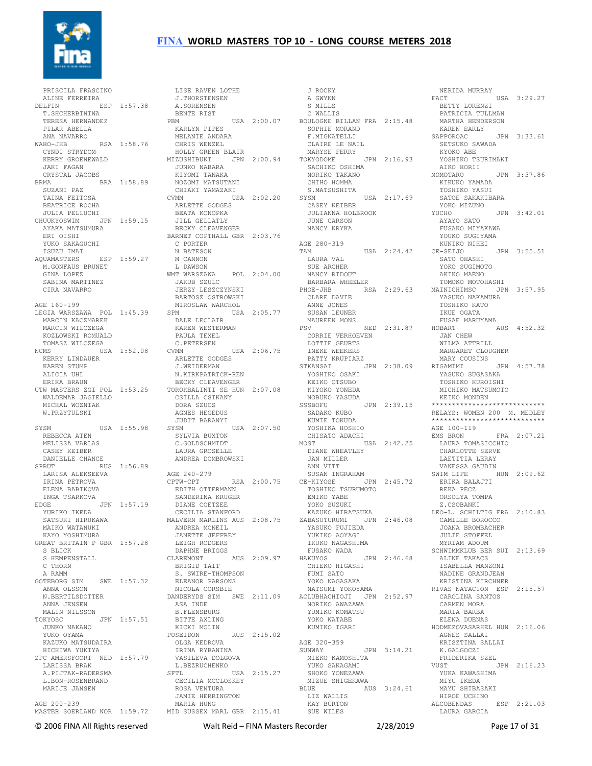

 PRISCILA FRASCINO ALINE FERREIRA DELFIN ESP 1:57.38 T.SHCHERBININA TERESA HERNANDEZ PILAR ABELLA ANA NAVARRO WAHO-JHB RSA 1:58.76 CHRIS WENZEL HOLLY GREEN BLAIR CYNDI STRYDOM KERRY GROENEWALD JAKI FAGAN CRYSTAL JACOBS BRMA BRA 1:58.89 SUZANI PAZ SUZANI PAZ<br>TAINA FEITOSA BEATRICE ROCHA JULIA PELLUCHI CHUUKYOSWIM JPN 1:59.15 AYAKA MATSUMURA ERI OISHI YUKO SAKAGUCHI ISUZU IMAI AQUAMASTERS ESP 1:59.27 M.GONFAUS BRUNET GINA LOPEZ SABINA MARTINEZ CIRA NAVARRO AGE 160-199 LEGIA WARSZAWA POL 1:45.39 MARCIN KACZMAREK MARCIN WILCZEGA KOZLOWSKI ROMUALD KERRY LINDAUER KAREN STUMP ALICIA UHL ERIKA BRAUN UTW MASTERS ZGI POL 1:53.25 WALDEMAR JAGIELLO MICHAL WOZNIAK W.PRZYTULSKI SYSM USA 1:55.98 REBECCA ATEN REBECCA ATEN<br>MELISSA VARLAS CASEY KEIBER DANIELLE CHANCE SPRUT RUS 1:56.89 LARISA ALEKSEEVA IRINA PETROVA ELENA BABIKOVA INGA TSARKOVA EDGE JPN 1:57.19 YURIKO IKEDA SATSUKI HIRUKAWA MAIKO WATANUKI KAYO YOSHIMURA GREAT BRITAIN P GBR 1:57.28 S BLICK S HEMPENSTALL C THORN A RAMM GOTEBORG SIM SWE 1:57.32 ANNA OLSSON N.BERTILSDOTTER ANNA JENSEN MALIN NILSSON TOKYOSC JPN 1:57.51 JUNKO NAKANO YUKO OYAMA KAZUKO MATSUDAIRA HICHIWA YUKIYA ZPC AMERSFOORT NED 1:57.79 VASILEVA DOLGOVA LARISSA BRAK A.PIJTAK-RADERSMA L.BON-ROSENBRAND MARIJE JANSEN AGE 200-239

 TOMASZ WILCZEGA NCMS USA 1:52.08 C.PETERSEN CVMM USA 2:06.75 LOTTIE GEURTS INEKE WEEKERS MASTER SOERLAND NOR 1:59.72 MID SUSSEX MARL GBR 2:15.41 LISE RAVEN LOTHE J.THORSTENSEN A.SORENSEN BENTE RIST PBM USA 2:00.07 BOULOGNE BILLAN FRA 2:15.48 KARLYN PIPES MELANIE ANDARA MIZUSHIBUKI JPN 2:00.94 JUNKO NABARA KIYOMI TANAKA NOZOMI MATSUTANI CHIAKI YAMAZAKI CVMM USA 2:02.20 ARLETTE GODGES BEATA KONOPKA JILL GELLATLY BECKY CLEAVENGER BARNET COPTHALL GBR 2:03.76 C PORTER N BATESON M CANNON L DAWSON WMT WARSZAWA POL 2:04.00 JAKUB SZULC JERZY LESZCZYNSKI BARTOSZ OSTROWSKI MIROSLAW WARCHOL SPM USA 2:05.77 DALE LECLAIR KAREN WESTERMAN PAULA TEXEL ARLETTE GODGES J.WEIDERMAN N.KIRKPATRICK-REN BECKY CLEAVENGER TOROKBALINTI SE HUN 2:07.08 KIYOKO YONEDA CSILLA CSIKANY DORA SZUCS AGNES HEGEDUS JUDIT BARANYI SYSM USA 2:07.50 SYLVIA BUXTON C.GOLDSCHMIDT CHISATO ADACHI MOST USA 2:42.25 LAURA GROSELLE ANDREA DOMBROWSKI AGE 240-279 CPTW-CPT RSA 2:00.75 EDITH OTTERMANN SANDERINA KRUGER DIANE COETZEE CECILIA STANFORD MALVERN MARLINS AUS 2:08.75 ANDREA MCNEIL ZABASUTURUMI JPN 2:46.08 YASUKO FUJIEDA JANETTE JEFFREY LEIGH RODGERS DAPHNE BRIGGS CLAREMONT AUS 2:09.97 BRIGID TAIT S. SWIRE-THOMPSON S. SWILL ALL NICOLA CORSBIE DANDERYDS SIM SWE 2:11.09 ASA INDE B.FLENSBURG BITTE AXLING KICKI MOLIN<br>POSEIDON RUS 2:15.02 OLGA KEDROVA IRINA RYBANINA L.BEZRUCHENKO USA 2:15.27 CECILIA MCCLOSKEY ROSA VENTURA JAMIE HERRINGTON MARIA HUNG 

 J ROCKY A GWYNN S MILLS C WALLIS SOPHIE MORAND F.MIGNATELLI CLAIRE LE NAIL MARYSE FERRY TOKYODOME JPN 2:16.93 SACHIKO OSHIMA<br>SACHIKO OSHIMA NORIKO TAKANO CHIHO HOMMA<br>S MATSUSHITA S.MATSUSHITA SYSM USA 2:17.69 CASEY KEIBER JULIANNA HOLBROOK JULIANNA HOLBROOK<br>JULIANNA HOLBROOK<br>JUNE CARSON NANCY KRYKA AGE 280-319 TAM USA 2:24.42 CE-SEIJO LAURA VAL SUE ARCHER NANCY RIDOUT BARBARA WHEELER PHOE-JHB RSA 2:29.63 CLARE DAVIE ANNE JONES SUSAN LEUNER MAUREEN MONS<br>PSV  $NED$  2:31.87 HOBART CORRIE VERHOEVEN<br>CORRIE VERHOEVEN<br>LOTTIE GEURTS PATTY KRUPIARZ STKANSAI JPN 2:38.09 YOSHIKO OSAKI KEIKO OTSUBO NOBUKO YASUDA SSSBOFU JPN 2:39.15 SADAKO KUBO KUMIE TOKUDA YOSHIKA HOSHIO USA<br>DIANE WHEATLEY<br>TAN MILLEY JAN MILLER ANN VITT<br>
SUSAN INGRAHAM<br>CE-KIYOSE JPN 2:45.72<br>
TOSHIKO TSURUMOTO<br>
EMIKO YABE YOKO SUZUKI KAZUKO HIRATSUKA YUKIKO AOYAGI IKUKO NAGASHIMA FUSAKO WADA HAKUYOS JPN 2:46.68 CHIEKO HIGASHI FUMI SATO YOKO NAGASAKA NATSUMI YOKOYAMA ACLUBHACHIOJI JPN 2:52.97 NORIKO AWAZAWA YUMIKO KOMATSU YOKO WATABE KUMIKO IGARI AGE 320-359 JPN 3:14.21 MIEKO KAMOSHITA YUKO SAKAGAMI SHOKO YONEZAWA MIZUE SHIGEKAWA BLUE AUS 3:24.61 LIZ WALLIS KAY BURTON SUE WILES

 NERIDA MURRAY FACT USA 3:29.27 BETTY LORENZI PATRICIA TULLMAN MARTHA HENDERSON KAREN EARLY SAPPOROAC JPN 3:33.61 SETSUKO SAWADA KYOKO ABE YOSHIKO TSURIMAKI AIKO HORII MOMOTARO JPN 3:37.86 KIKUKO YAMADA TOSHIKO YASUI SATOE SAKAKIBARA YOKO MIZUNO<br>YUCHO  $JPN$  3:42.01 AYAYO SATO FUSAKO MIYAKAWA YOUKO SUGIYAMA KUNIKO NIHEI CE-SEIJO JPN 3:55.51 SATO OHASHI YOKO SUGIMOTO AKIKO MAENO TOMOKO MOTOHASHI MAINICHIMSC JPN 3:57.95 YASUKO NAKAMURA TOSHIKO KATO IKUE OGATA FUSAE MARUYAMA AUS 4:52.32 JAN CHEW WILMA ATTRILL MARGARET CLOUGHER MARY COUSINS<br>TGAMIMI JPN 4:57 78 RIGAMIMI JPN 4:57.78 YASUKO SUGASAKA TOSHIKO KUROISHI MICHIKO MATSUMOTO KEIKO MONDEN \*\*\*\*\*\*\*\*\*\*\*\*\*\*\*\*\*\*\*\*\*\*\*\*\*\*\*\* RELAYS: WOMEN 200 M. MEDLEY \*\*\*\*\*\*\*\*\*\*\*\*\*\*\*\*\*\*\*\*\*\*\*\*\*\*\*\* AGE 100-119<br>EMS BRON  $FRA = 2:07.21$  LAURA TOMASICCHIO CHARLOTTE SERVE LAETITIA LERAY VANESSA GAUDIN SWIM LIFE HUN 2:09.62 ERIKA BALAJTI REKA PECZ ORSOLYA TOMPA Z.CSOBANKI LEO-L. SCHILTIG FRA 2:10.83 CAMILLE BOROCCO JOANA BROMBACHER JULIE STOFFEL MYRIAM ADOUM SCHWIMMKLUB BER SUI 2:13.69 ALINE TAKACS ISABELLA MANZONI NADINE GRANDJEAN KRISTINA KIRCHNER RIVAS NATACION ESP 2:15.57 CAROLINA SANTOS CARMEN MORA MARIA BARBA ELENA DUENAS HODMEZOVASARHEL HUN 2:16.06 AGNES SALLAI KRISZTINA SALLAI K.GALGOCZI FRIDERIKA SZEL VUST JPN 2:16.23 YUKA KAWASHIMA MIYU IKEDA MAYU SHIBASAKI HIROE UCHINO ALCOBENDAS ESP 2:21.03 LAURA GARCIA

© 2006 FINA All Rights reserved Walt Reid – FINA Masters Recorder 2/28/2019 Page 17 of 31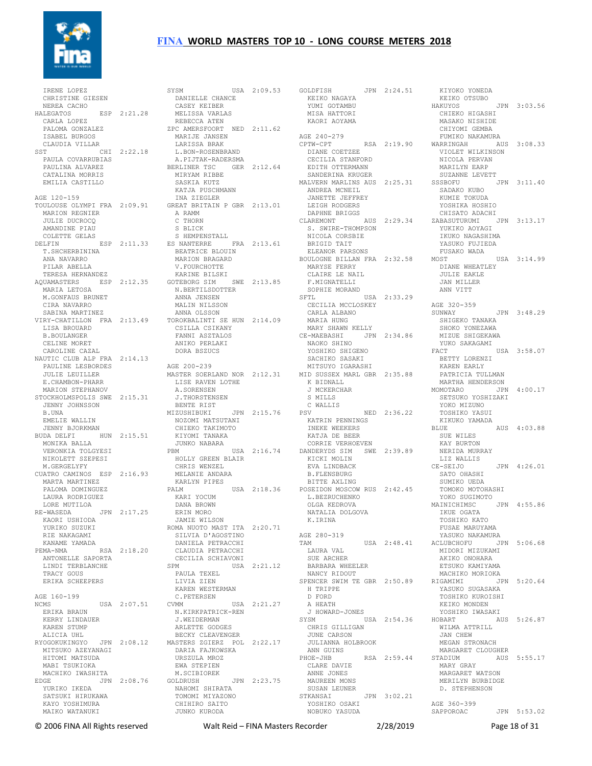

 IRENE LOPEZ CHRISTINE GIESEN NEREA CACHO HALEGATOS ESP 2:21.28 CARLA LOPEZ PALOMA GONZALEZ ISABEL BURGOS CLAUDIA VILLAR SST CHI 2:22.18 PAULA COVARRUBIAS PAULINA ALVAREZ CATALINA MORRIS EMILIA CASTILLO AGE 120-159 TOULOUSE OLYMPI FRA 2:09.91 MARION REGNIER JULIE DUCROCQ AMANDINE PIAU COLETTE GELAS T.SHCHERBININA ANA NAVARRO PILAR ABELLA TERESA HERNANDEZ AQUAMASTERS ESP 2:12.35 MARIA LETOSA M.GONFAUS BRUNET CIRA NAVARRO SABINA MARTINEZ LISA BROUARD B.BOULANGER CELINE MORET CAROLINE CAZAL NAUTIC CLUB ALP FRA 2:14.13 PAULINE LESBORDES AGE 200-239 JULIE LEUILLER<br>
E.CHAMBON-PHARR<br>
MARION STEPHANOV<br>STOCKHOLMSPOLIS SWE 2:15.31<br>
JENNY JOHNSSON<br>
B.UNA EMELIE WALLIN JENNY BJORKMAN BUDA DELFI HUN 2:15.51 MONIKA BALLA VERONKIA BALLA UN JUNE UNITED STATES ON THE PERSONAL PROPERTY OF THE SERVICE OF THE SERVICE OF THE SERVICE OF THE SERVICE OF THE SERVICE OF THE SERVICE OF THE SERVICE OF THE SERVICE OF THE SERVICE OF THE SERVICE OF THE SER NIKOLETT SZEPESI M.GERGELYFY CUATRO CAMINOS ESP 2:16.93 MARTA MARTINEZ PALOMA DOMINGUEZ LAURA RODRIGUEZ LORE MUTILOA<br>RE-WASEDA RE-WASEDA JPN 2:17.25 KAORI USHIODA YURIKO SUZUKI RIE NAKAGAMI KANAME YAMADA PEMA-NMA RSA 2:18.20 CLAUDIA PETRACCHI ANTONELLE SAPORTA LINDI TERBLANCHE TRACY GOUS ERIKA SCHEEPERS AGE 160-199 NCMS USA 2:07.51 ERIKA BRAUN ERIKA BRAUN<br>KERRY LINDAUER KAREN STUMP ALICIA UHL MITSUKO AZEYANAGI HITOMI MATSUDA MABI TSUKIOKA MACHIKO IWASHITA EDGE JPN 2:08.76 YURIKO IKEDA SATSUKI HIRUKAWA KAYO YOSHIMURA MAIKO WATANUKI

DELFIN ESP 2:11.33 ES NANTERRE FRA 2:13.61 VIRY-CHATILLON FRA 2:13.49 TOROKBALINTI SE HUN 2:14.09 RYOGOKUKINGYO JPN 2:08.12 MASTERS ZGIERZ POL 2:22.17 SYSM USA 2:09.53<br>
DANIELLE CHANCE<br>
CASEY KEIBER<br>
MELISSA VARLAS<br>
REBECCA ATEN REBECCA ATEN<br>ZPC AMERSFOORT NED 2:11.62 MARIJE JANSEN LARISSA BRAK L.BON-ROSENBRAND A.PIJTAK-RADERSMA BERLINER TSC GER 2:12.64 MIRYAM RIBBE SASKIA KUTZ KATJA PUSCHMANN INA ZIEGLER GREAT BRITAIN P GBR 2:13.01 A RAMM A RAMM<br>C THORN S BLICK S HEMPENSTALL BEATRICE BLOUIN MARION BRAGARD V.FOURCHOTTE KARINE BILSKI GOTEBORG SIM SWE 2:13.85<br>
N.BERTILSDOTTER<br>
ANNA JENSEN<br>
MALIN NILSSON<br>
ANNA OLSSON CSILLA CSIKANY FANNI ASZTALOS ANIKO PERLAKI DORA BSZUCS MASTER SOERLAND NOR 2:12.31<br>
LISE RAVEN LOTHE<br>
A.SORENSEN<br>
J.THORSTENSEN<br>
BENTE RIST<br>
BENTE RIST<br>
MIZUSHIBUKI JPN 2:15.76 NOZOMI MATSUTANI CHIEKO TAKIMOTO KIYOMI TANAKA JUNKO NABARA PBM USA 2:16.74 CORRIE VERHOEVEN DANDERYDS SIM SWE 2:39.89 KICKI MOLIN HOLLY GREEN BLAIR CHRIS WENZEL MELANIE ANDARA KARLYN PIPES PALM USA 2:18.36 BITTE AXLING POSEIDON MOSCOW RUS 2:42.45 KARI YOCUM DANA BROWN ERIN MORO JAMIE WILSON ROMA NUOTO MAST ITA 2:20.71 SILVIA D'AGOSTINO DANIELA PETRACCHI CECILIA SCHIAVONI USA 2:21.12 PAULA TEXEL LIVIA ZIEN KAREN WESTERMAN C.PETERSEN CVMM USA 2:21.27 A HEATH N.KIRKPATRICK-REN J.WEIDERMAN ARLETTE GODGES BECKY CLEAVENGER DARIA FAJKOWSKA<br>URSZULA MROZ URSZULA MROZ<br>
EWA STEPIEN<br>M.SCIBIOREK<br>GOLDRUSH JPN 2:23.75<br>
MAHOMI SHIRATA TOMOMI MIYAZONO CHIHIRO SAITO JUNKO KURODA MASTER SOERLAND NOR 2:12.31 MID SUSSEX MARL GBR 2:35.88  $\begin{array}{c}\n\text{A} \\
\text{A} \\
\text{B} \\
\text{B} \\
\text{C} \\
\text{D} \\
\text{A}\n\end{array}$ 

GOLDFISH JPN 2:24.51 KEIKO NAGAYA KIYOKO YONEDA KEIKO OTSUBO YUMI GOTAMBU MISA HATTORI KAORI AOYAMA AGE 240-279<br>CPTW-CPT CPTW-CPT RSA 2:19.90 DIANE COETZEE CECILIA STANFORD EDITH OTTERMANN SANDERINA KRUGER MALVERN MARLINS AUS 2:25.31 SSSBOFU ANDREA MCNEIL JANETTE JEFFREY LEIGH RODGERS DAPHNE BRIGGS CLAREMONT AUS 2:29.34 S. SWIRE-THOMPSON NICOLA CORSBIE BRIGID TAIT ELEANOR PARSONS BOULOGNE BILLAN FRA 2:32.58 MARYSE FERRY CLAIRE LE NAIL F.MIGNATELLI<br>SOPHIE MORAND<br>SFTL WORAND<br>CECILIA MCCLOSKEY<br>CARLA ALBANO MARIA HUNG MARY SHAWN KELLY MARI SHAWN REELI<br>CE-MAEBASHI JPN 2:34.86<br>NAOKO SHINO SACHIKO SASAKI MITSUYO IGARASHI K BIDNALL J MCKERCHAR S MILLS C WALLIS PSV NED 2:36.22 TOSHIKO YASUI KATRIN PENNINGS INEKE WEEKERS KATJA DE BEER EVA LINDBACK B.FLENSBURG L.BEZRUCHENKO OLGA KEDROVA NATALIA DOLGOVA K.IRINA AGE 280-319 LAURA VAL SUE ARCHER BARBARA WHEELER NANCY RIDOUT H TRIPPE D FORD CHRIS GILLIGAN JUNE CARSON JULIANNA HOLBROOK UULL...<br>ANN GUINS<br>PHOE-JHB RSA 2:59.44 STADIUM CLARE DAVIE ANNE JONES MAUREEN MONS SUSAN LEUNER STKANSAI JPN 3:02.21 YOSHIKO OSAKI NOBUKO YASUDA

 NAOKO SHINO YOSHIKO SHIGENO YUKO SAKAGAMI FACT USA 3:58.07 TAM USA 2:48.41 ACLUBCHOFU JPN 5:06.68 SPENCER SWIM TE GBR 2:50.89 RIGAMIMI JPN 5:20.64 J HOWARD-JONES SYSM USA 2:54.36 YOSHIKO IWASAKI HOBART AUS 5:26.87 HAKUYOS JPN 3:03.56 CHIEKO HIGASHI MASAKO NISHIDE CHIYOMI GEMBA FUMIKO NAKAMURA WARRINGAH AUS 3:08.33<br>
VIOLET WILKINSON<br>
NICOLA PERVAN<br>MARILYN EARP<br>SUZANNE LEVETT SSSBOFU JPN 3:11.40 SADAKO KUBO<br>KUMIE TOKUDA<br>YOSHIKA HOSHIO CHISATO ADACHI ZABASUTURUMI JPN 3:13.17 YUKIKO AOYAGI IKUKO NAGASHIMA YASUKO FUJIEDA FUSAKO WADA  $IISA$  3:14.99 DIANE WHEATLEY JULIE EAKLE JAN MILLER ANN VITT AGE 320-359 SUNWAY JPN 3:48.29 SHIGEKO TANAKA SHOKO YONEZAWA MIZUE SHIGEKAWA BETTY LORENZI KAREN EARLY PATRICIA TULLMAN MARTHA HENDERSON MOMOTARO JPN 4:00.17 SETSUKO YOSHIZAKI YOKO MIZUNO XIKUKO YAMADA BLUE BLUE AUS 4:03.88 SUE WILES<br>KAY BURTON KAY BURTON NERIDA MURRAY LIZ WALLIS 112 WALLIS<br>CE-SEIJO JPN 4:26.01 SATO OHASHI SUMIKO UEDA TOMOKO MOTOHASHI YOKO SUGIMOTO JPN 4:55.86 IKUE OGATA TOSHIKO KATO FUSAE MARUYAMA YASUKO NAKAMURA<br>CLUBCHOFU – JPN – 5:06 68 MIDORI MIZUKAMI AKIKO ONOHARA ETSUKO KAMIYAMA MACHIKO MORIOKA<br>ICAMIMI 1PN 5:20.64 YASUKO SUGASAKA TOSHIKO KUROISHI KEIKO MONDEN WILMA ATTRILL JAN CHEW MEGAN STRONACH MARGARET CLOUGHER AUS 5:55.17 MARY GRAY MARGARET WATSON MERILYN BURBIDGE D. STEPHENSON AGE 360-399<br>SAPPOROAC JPN 5:53.02

© 2006 FINA All Rights reserved Walt Reid – FINA Masters Recorder 2/28/2019 Page 18 of 31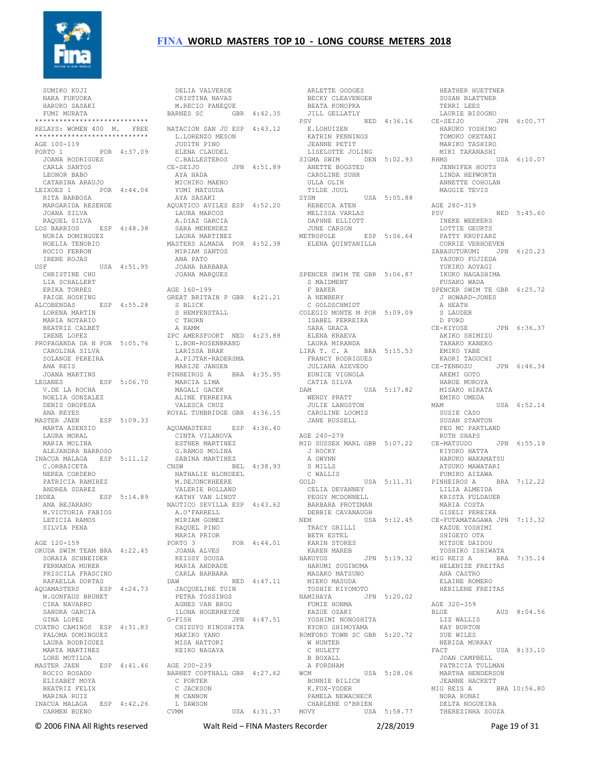

 SUMIKO KUJI NAKA FUKUOKA HARUKO SASAKI FUMI MURATA \*\*\*\*\*\*\*\*\*\*\*\*\*\*\*\*\*\*\*\*\*\*\*\*\*\* RELAYS: WOMEN 400 M. FREE \*\*\*\*\*\*\*\*\*\*\*\*\*\*\*\*\*\*\*\*\*\*\*\*\*\*\*\* AGE 100-119 PORTO 1 POR 4:37.09 JOANA RODRIGUES CARLA SANTOS LEONOR BABO CATARINA ARAUJO<br>LEIXOES 1990 POR 4:44.04<br>RITA BARBOSA MARGARIDA RESENDE AQUATICO AVILES ESP 4:52.20 JOANA SILVA RAQUEL SILVA LOS BARRIOS ESP 4:48.38 NURIA DOMINGUEZ NORIA DOMINGUEZ<br>NURIA DOMINGUEZ ROCIO FERRON IRENE ROJAS USF USA 4:51.95 JOANA BARBARA CHRISTINE CHU LIA SCHALLERT ERIKA TORRES PAIGE HOSKING ALCOBENDAS ESP 4:55.28 LORENA MARTIN MARIA NOTARIO BEATRIZ CALBET IRENE LOPEZ PROPAGANDA DA N POR 5:05.76 CAROLINA SILVA SOLANGE PEREIRA ANA REIS JOANA MARTINS LEGANES ESP 5:06.70 V.DE LA ROCHA NOELIA GONZALEZ DENIS OROPESA ANA REYES MASTER JAEN ESP 5:09.33 MARTA ASENSIO LAURA MORAL MARIA MOLINA ALEJANDRA BARROSO INACUA MALAGA ESP 5:11.12 G.RAMOS MOLINA SABINA MARTINEZ C.ORBAICETA NEREA CORDERO PATRICIA RAMIREZ ANDREA SUAREZ INDEA ESP 5:14.89 ANA BEJARANO M.VICTORIA FABIOS NAUTICO SEVILLA ESP 4:43.62 A.O'FARRELL LETICIA RAMOS SILVIA PENA AGE 120-159 OKUDA SWIM TEAM BRA 4:22.45 SORAIA SCHNEIDER FERNANDA MURER PRISCILA FRASCINO RAFAELLA DORTAS AQUAMASTERS ESP 4:24.73 M.GONFAUS BRUNET CIRA NAVARRO SANDRA GARCIA GINA LOPEZ CUATRO CAMINOS ESP 4:31.83 PALOMA DOMINGUEZ LAURA RODRIGUEZ MARTA MARTINEZ LORE MUTILOA MASTER JAEN ESP 4:41.46 ROCIO ROSADO ELISABET MOYA BEATRIZ FELIX MARINA RUIZ INACUA MALAGA ESP 4:42.26 CARMEN BUENO

 DELIA VALVERDE CRISTINA NAVAS M.RECIO PANEQUE BARNES SC GBR 4:42.35 NATACION SAN JU ESP 4:43.12 L.LORENZO MESON JUDITH PINO ELENA CLAUDEL C.BALLESTEROS CE-SEIJO JPN 4:51.89 AYA HADA MICHIKO MAENO YUMI MATSUDA AYA SASAKI LAURA MARCOS A.DIAZ GARCIA SARA MENENDEZ LAURA MARTINEZ MASTERS ALMADA POR 4:52.38 MIRIAM SANTOS ANA PATO JOANA MARQUES AGE 160-199 GREAT BRITAIN P GBR 4:21.21 S BLICK S HEMPENSTALL COLEGIO MONTE M POR 5:09.09 C THORN A RAMM ZPC AMERSFOORT NED 4:23.88 L.BON-ROSENBRAND LARISSA BRAK A.PIJTAK-RADERSMA MARIJE JANSEN PINHEIROS A BRA 4:35.95 MARCIA LIMA MAGALI GACEK ALINE FERREIRA VALESCA CRUZ ROYAL TUNBRIDGE GBR 4:36.15 AQUAMASTERS F.S.P 4:36.40 CINTA VILANOVA ESTHER MARTINEZ CNSW BEL 4:38.93 S MILLS<br>
NATHALIE BLONDEEL C WALLIS<br>
M.DEJONCKHERRE GOLD GOLD<br>
VALERIE ROLLAND CELIA DEVANNEY<br>
VARIHY VAN LINDT PEGGY MCDONNELL M.DEJONCKHEERE VALERIE ROLLAND KATHY VAN LINDT A.O'FARRELL<br>MIRIAM GOMEZ RAQUEL PINO MARIA PRIOR<br>PORTO 3 POR  $4:44.01$  JOANA ALVES KEISSY SOUSA MARIA ANDRADE CARLA BARBARA DAW NED 4:47.11<br>
JACQUELINE TUIN<br>
PETRA TOSSINGS<br>
AGNES VAN BRUG<br>
ILONA HOGERHEYDE G-FISH JPN 4:47.51 CHIZUYO KINOSHITA MAKIKO YANO MISA HATTORI KEIKO NAGAYA AGE 200-239 BARNET COPTHALL GBR 4:27.62 WCM C PORTER C JACKSON M CANNON L DAWSON CVMM USA 4:31.37

 ARLETTE GODGES BECKY CLEAVENGER BEATA KONOPKA JILL GELLATLY PSV NED 4:36.16 E.LOHUIZEN KATRIN PENNINGS JEANNE PETIT LISELOTTE JOLING SIGMA SWIM DEN 5:02.93 RHMS USA 6:10.07<br>ANETTE BOGSTED JENNIFER HOUTS<br>CAROLINE SUHR LINDA HEPWORTH CAROLINE SUHR ULLA OLIN TILDE JUUL SYSM USA 5:05.88 REBECCA ATEN MELISSA VARLAS DAPHNE ELLIOTT JUNE CARSON METROPOLE ESP 5:06.64 ELENA QUINTANILLA SPENCER SWIM TE GBR 5:06.87 S MAIDMENT F BAKER A NEWBERY C GOLDSCHMIDT ISABEL FERREIRA SARA GRACA ELENA KRAEVA LAURA MIRANDA LIRA T. C. A BRA 5:15.53 EMIKO YABE FRANCY RODRIGUES JULIANA AZEVEDO KAORI TAGUCHI EUNICE VIGNOLA<br>CATTA SILVA CATIA SILVA DAM USA 5:17.82 WENDY PRATT WENDY PRATT ENLERGY ON THE STATE STAND MAM CAROLINE LOOMIS JANE RUSSELL AGE 240-279 MID SUSSEX MARL GBR 5:07.22 CE-MATSUDO J ROCKY A GWYNN S MILLS C WALLIS ------ *Peyrannei*<br>PEGGY MCDONNELL<br>BARBARA PROTZMAN DEBBIE CAVANAUGH NEM USA 5:12.45 CE-FUTAMATAGAWA JPN 7:13.32 TRACY GRILLI BETH ESTEL KARIN STOKES KAREN MAREB HAKUYOS JPN 5:19.32 HARUMI SUGINUMA MASAKO MATSUNO MIEKO MASUDA TOSHIE KIYOMOTO NAMIHAYA JPN 5:20.02 FUMIE HONMA KAZUE OZAKI YOSHIMI NONOSHITA KYOKO SHIMOYAMA ROMFORD TOWN SC GBR 5:20.72 W HUNTER  $C$  HULETT B BOXALL A FORDHAM WCM USA 5:28.06 BONNIE BILICH K.FOX-YODER MIG REIS A BRA 10:56.80 PAMELA NEWACHECK CHARLENE O'BRIEN MOVY USA 5:58.77

 SUSAN BLATTNER TERRI LEES LAURIE BISOGNO CE-SEIJO JPN 6:00.77 HARUKO YOSHINO TOMOKO OKETANI MARIKO TASHIRO<br>MIKI TAKANASHI ANNETTE COHOLAN MAGGIE TEVIS AGE 280-319 PSV NED 5:45.60 INEKE WEEKERS LOTTIE GEURTS PATTY KRUPIARZ CORRIE VERHOEVEN ZABASUTURUMI JPN 6:20.23 YASUKO FUJIEDA YUKIKO AOYAGI IKUKO NAGASHIMA FUSAKO WADA SPENCER SWIM TE GBR 6:25.72 J HOWARD-JONES<br>J HOWARD-JONES A HEATH S LAUDER D FORD<br>CE-KIYOSE  $TPN 6:36.37$  AKIKO SHIMIZU TAKAKO KANEKO JPN 6:46.34 AKEMI GOTO HARUE MUROYA MISAKO HIRATA EMIKO UMEDA  $IISA$  6:52.14 SUSIE CASO SUSAN STANTON PEG MC PARTLAND RUTH SHAPS JPN 6:55.19 KIYOKO HATTA HARUKO WAKAMATSU ATSUKO MAWATARI FUMIKO AIZAWA USA 5:11.31 PINHEIROS A BRA 7:12.22 LILIA ALMEIDA KRISTA FULDAUER MARIA COSTA MARIA COSTA<br>GISELI PEREIRA KAZUE YOSHIMI SHIGEYO OTA MITSUE DAIDOU YOSHIKO ISHIWATA MIG REIS A BRA 7:35.14 HELENIZE FREITAS ANA CASTRO ELAINE ROMERO HERILENE FREITAS AGE 320-359 BLUE AUS 8:04.56 LIZ WALLIS KAY BURTON SUE WILES NERIDA MURRAY<br>FACT USA 8:33.10 JOAN CAMPBELL PATRICIA TULLMAN MARTHA HENDERSON JEANNE HACKETT NORA RONAI DELTA NOGUEIRA THEREZINHA SOUZA

HEATHER HUETTNER

© 2006 FINA All Rights reserved Walt Reid – FINA Masters Recorder 2/28/2019 Page 19 of 31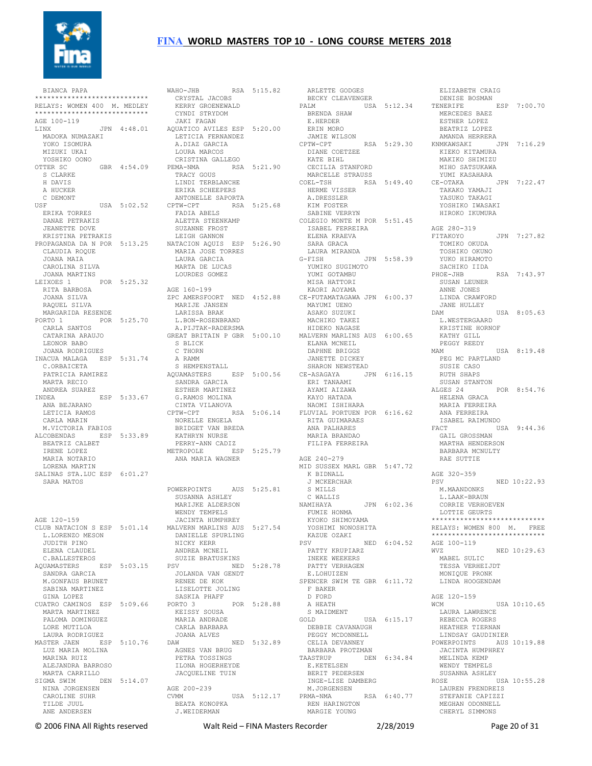

 BIANCA PAPA \*\*\*\*\*\*\*\*\*\*\*\*\*\*\*\*\*\*\*\*\*\*\*\*\*\*\*\* RELAYS: WOMEN 400 M. MEDLEY \*\*\*\*\*\*\*\*\*\*\*\*\*\*\*\*\*\*\*\*\*\*\*\*\*\*\*\* AGE 100-119 LINX JPN 4:48.01 MADOKA NUMAZAKI YOKO ISOMURA MIZUKI UKAI YOSHIKO OONO<br>OTTER SC GBR 4:54.09 S CLARKE H DAVIS A HUCKER C DEMONT<br>USF  $USSA$  5:02.52 ERIKA TORRES DANAE PETRAKIS JEANETTE DOVE KRISTINA PETRAKIS CLAUDIA ROQUE JOANA MAIA CAROLINA SILVA JOANA MARTINS LEIXOES 1 POR 5:25.32 RITA BARBOSA JOANA SILVA RAQUEL SILVA MARGARIDA RESENDE PORTO 1 POR 5:25.70 CARLA SANTOS CATARINA ARAUJO LEONOR BABO JOANA RODRIGUES INACUA MALAGA ESP 5:31.74 C.ORBAICETA PATRICIA RAMIREZ MARTA RECIO ANDREA SUAREZ INDEA ESP 5:33.67 ANA BEJARANO G.RAMOS MOLINA CINTA VILANOVA LETICIA RAMOS CARLA MARIN M.VICTORIA FABIOS ALCOBENDAS ESP 5:33.89 BEATRIZ CALBET IRENE LOPEZ MARIA NOTARIO LORENA MARTIN SALINAS STA.LUC ESP 6:01.27 SARA MATOS AGE 120-159 CLUB NATACION S ESP 5:01.14 L.LORENZO MESON JUDITH PINO ELENA CLAUDEL C.BALLESTEROS AQUAMASTERS ESP 5:03.15 SANDRA GARCIA M GONFAUS BRUNET SABINA MARTINEZ GINA LOPEZ CUATRO CAMINOS ESP 5:09.66 MARTA MARTINEZ PALOMA DOMINGUEZ LORE MUTILOA LAURA RODRIGUEZ MASTER JAEN ESP 5:10.76 ASIER Under ---<br>LUZ MARIA MOLINA MARINA RUIZ ALEJANDRA BARROSO MARTA CARRILLO SIGMA SWIM DEN 5:14.07 IGMA SWIFI<br>NINA JORGENSEN CAROLINE SUHR TILDE JUUL ANE ANDERSEN

PROPAGANDA DA N POR 5:13.25 NATACION AQUIS ESP 5:26.90 WAHO-JHB RSA 5:15.82 ARLETTE GODGES CRYSTAL JACOBS KERRY GROENEWALD CYNDI STRYDOM JAKI FAGAN AQUATICO AVILES ESP 5:20.00 LETICIA FERNANDEZ A.DIAZ GARCIA LOURA MARCOS CRISTINA GALLEGO PEMA-NMA RSA 5:21.90 TRACY GOUS LINDI TERBLANCHE ERIKA SCHEEPERS ANTONELLE SAPORTA CPTW-CPT RSA 5:25.68  $\begin{array}{ll}\n\cdot & \cdot & \cdot & \cdot & \cdot \\
\text{FADIA} & \text{ABELS} \\
\text{A I P.} & \text{B E LS}\n\end{array}$  ALETTA STEENKAMP SUZANNE FROST LEIGH GANNON MARIA JOSE TORRES LAURA GARCIA MARTA DE LUCAS LOURDES GOMEZ AGE 160-199 ZPC AMERSFOORT NED 4:52.88 CE-FUTAMATAGAWA JPN 6:00.37 MARIJE JANSEN LARISSA BRAK L.BON-ROSENBRAND A.PIJTAK-RADERSMA GREAT BRITAIN P GBR 5:00.10 MALVERN MARLINS AUS 6:00.65 S BLICK C THORN A RAMM S HEMPENSTALL AQUAMASTERS ESP 5:00.56 SANDRA GARCIA ESTHER MARTINEZ CPTW-CPT RSA 5:06.14 FLUVIAL PORTUEN POR 6:16.62 NORELLE ENGELA BRIDGET VAN BREDA KATHRYN NURSE PERRY-ANN CADIZ PERRY-ANN CADIZ<br>METROPOLE ESP 5:25.79 ANA MARIA WAGNER POWERPOINTS AUS 5:25.81 SUSANNA ASHLEY MARIJKE ALDERSON WENDY TEMPELS JACINTA HUMPHREY MALVERN MARLINS AUS 5:27.54 YO:<br>DANIELLE SPURLING KAN<br>ANIELLE SPURLING PSV DANIELLE SPURLING NICKY KERR ANDREA MCNEIL SUZIE BRATUSKINS NED 5:28.78 JOLANDA VAN GENDT RENEE DE KOK LISELOTTE JOLING SASKIA PHAFF PORT  $5:28.88$  A HE<br>A<br>S MA<br>GOLD KEISSY SOUSA MARIA ANDRADE CARLA BARBARA JOANA ALVES<br>DAW NED 5:32.89 AGNES VAN BRUG PETRA TOSSINGS ILONA HOGERHEYDE JACQUELINE TUIN AGE 200-239 CVMM USA 5:12.17 PRMA-NMA BEATA KONOPKA J.WEIDERMAN

 BECKY CLEAVENGER BRENDA SHAW E.HERDER ERIN MORO JAMIE WILSON<br>CPTW-CPT DIANE COETZEE KIEKO KITAMURA KATE BIHL CECILIA STANFORD MARCELLE STRAUSS COEL-TSH RSA 5:49.40 C<br>
HERME VISSER<br>
A.DRESSLER<br>
KIM FOSTER<br>
SABINE VERRYN<br>
COLEGIO MONTE M POR 5:51.45 SABINE VERKYN<br>COLEGIO MONTE M POR 5:51.45<br>ISABEL FERREIRA<br>INGLIFEREIRA ELENA KRAEVA SARA GRACA LAURA MIRANDA G-FISH JPN 5:58.39 YUMIKO SUGIMOTO YUMI GOTAMBU MISA HATTORI KAORI AOYAMA MAYUMI UENO ASAKO SUZUKI MACHIKO TAKEI HIDEKO NAGASE ELANA MCNEIL DAPHNE BRIGGS JANETTE DICKEY<br>SHARON NEWSTEAD SHARON NEWSTEAD CE-ASAGAYA JPN 6:16.15 ERI TANAAMI AYAMI AIZAWA KAYO HATADA NAOMI ISHIHARA RITA GUIMARAES ANA PALHARES MARIA BRANDAO FILIPA FERREIRA AGE 240-279 MID SUSSEX MARL GBR 5:47.72 K BIDNALL. J MCKERCHAR S MILLS C WALLIS NAMIHAYA JPN 6:02.36 FUMIE HONMA KYOKO SHIMOYAMA YOSHIMI NONOSHITA KAZUE OZAKI PSV NED 6:04.52 AGE 100-119 PATTY KRUPIARZ INEKE WEEKERS PATTY VERHAGEN E.LOHUIZEN SPENCER SWIM TE GBR 6:11.72 F BAKER D FORD A HEATH S MAIDMENT GOLD USA 6:15.17 DEBBIE CAVANAUGH PEGGY MCDONNELL CELIA DEVANNEY BARBARA PROTZMAN TAASTRUP DEN 6:34.84 E.KETELSEN BERIT PEDERSEN INGE-LISE DAMBERG M.JORGENSEN RSA 6:40.77 REN HARINGTON MARGIE YOUNG

PALM USA 5:12.34 TENERIFE ESP 7:00.70 CPTW-CPT RSA 5:29.30 KNMKAWSAKI JPN 7:16.29 ELIZABETH CRAIG DENISE BOSMAN MERCEDES BAEZ ESTHER LOPEZ BEATRIZ LOPEZ AMANDA HERRERA MAKIKO SHIMIZU MIHO SATSUKAWA YUMI KASAHARA CE-OTAKA JPN 7:22.47 TAKAKO YAMAJI YASUKO TAKAGI YOSHIKO IWASAKI HIROKO IKUMURA AGE 280-319 FITAKOYO JPN 7:27.82 TOMIKO OKUDA TOSHIKO OKUNO YUKO HIRAMOTO SACHIKO IIDA<br>PHOE-JHB RSA 7:43.97 SUSAN LEUNER ANNE JONES LINDA CRAWFORD JANE HULLEY<br>DAM  $IISA$   $8:05.63$  L.WESTERGAARD KRISTINE HORNOF KATHY GILL PEGGY REEDY<br>MAM  $IISA$   $8.19.48$ PEG MC PARTLAND SUSIE CASO RUTH SHAPS SUSAN STANTON ALGES 24 POR 8:54.76 HELENA GRACA MARIA FERREIRA ANA FERREIRA<br>ISABEL RAIMUNDO ISABEL RAIMUNDO FACT USA 9:44.36 GAIL GROSSMAN MARTHA HENDERSON BARBARA MCNIILTY RAE SUTTIE AGE 320-359 PSV NED 10:22.93 M.MAANDONKS L. LAAK-BRAUN CORRIE VERHOEVEN LOTTIE GEURTS \*\*\*\*\*\*\*\*\*\*\*\*\*\*\*\*\*\*\*\*\*\*\*\*\*\*\*\* RELAYS: WOMEN 800 M. FREE \*\*\*\*\*\*\*\*\*\*\*\*\*\*\*\*\*\*\*\*\*\*\*\*\*\*\*\* WVZ NED 10:29.63 MABEL SULIC TESSA VERHEIJDT MONIQUE PRONK LINDA HOOGENDAM AGE 120-159 WCM USA 10:10.65 LAURA LAWRENCE REBECCA ROGERS HEATHER TIERNAN LINDSAY GAUDINIER POWERPOINTS AUS 10:19.88 JACINTA HUMPHREY MELINDA KEMP WENDY TEMPELS SUSANNA ASHLEY USA 10:55.28 LAUREN FRENDREIS STEFANIE CAPIZZI MEGHAN ODONNELL CHERYL SIMMONS

© 2006 FINA All Rights reserved Walt Reid – FINA Masters Recorder 2/28/2019 Page 20 of 31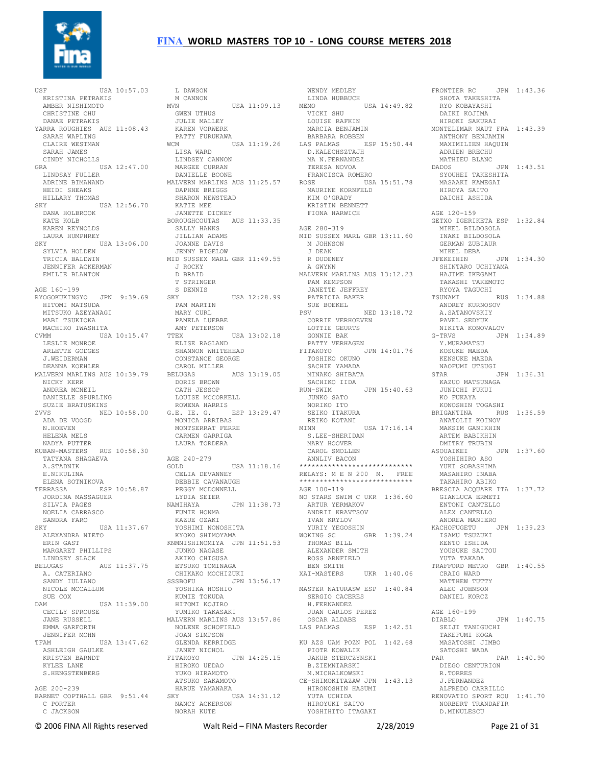

USF USA 10:57.03 KRISTINA PETRAKIS AMBER NISHIMOTO CHRISTINE CHU DANAE PETRAKIS YARRA ROUGHIES AUS 11:08.43 SARAH WAPLING CLAIRE WESTMAN SARAH JAMES CINDY NICHOLLS GRA USA 12:47.00 LINDSEY CANNON MARGEE CURRAN ...<br>LINDSAY FULLER ADRINE BIMANAND<br>
HEIDI SHEAKS<br>
HILLARY THOMAS<br>SKY<br>
DANA HOLBROOK<br>
KATE KOLB KAREN REYNOLDS LAURA HUMPHREY SKY USA 13:06.00 SYLVIA HOLDEN TRICIA BALDWIN JENNIFER ACKERMAN EMILIE BLANTON AGE 160-199 RYOGOKUKINGYO JPN 9:39.69 HITOMI MATSUDA MITSUKO AZEYANAGI MABI TSUKIOKA MACHIKO IWASHITA CVMM USA 10:15.47 LESLIE MONROE ARLETTE GODGES J.WEIDERMAN DEANNA KOEHLER MALVERN MARLINS AUS 10:39.79 NICKY KERR ANDREA MCNEIL DANIELLE SPURLING SUZIE BRATUSKINS ZVVS NED 10:58.00 ADA DE VOOGD N.HOEVEN<br>HELENA MELS HELENA MELS<br>NADYA PUTTER<br>KUBAN-MASTERS RUS 10:58.30<br>TATYANA SHAGAEVA A.STADNIK E.NIKULINA ELENA SOTNIKOVA TERRASSA ESP 10:58.87 JORDINA MASSAGUER SILVIA PAGES NOELIA CARRASCO SANDRA FARO SKY USA 11:37.67 ALEXANDRA NIETO ERIN GAST KNMNISHINOMIYA JPN 11:51.53 MARGARET PHILLIPS JUNKO NAGASE LINDSEY SLACK BELUGAS AUS 11:37.75 AKIKO CHIGUSA ETSUKO TOMINAGA A. CATERIANO SANDY IULIANO NICOLE MCCALLUM SUE COX DAM USA 11:39.00 HITOMI KOJIRO CECILY SPROUSE JANE RUSSELL YUMIKO TAKASAKI MALVERN MARLINS AUS 13:57.86 EMMA GARFORTH JENNIFER MOHN TFAM USA 13:47.62 ASHLEIGH GAULKE KRISTEN BARNDT KYLEE LANE S.HENGSTENBERG AGE 200-239 BARNET COPTHALL GBR 9:51.44 C PORTER C JACKSON

 L DAWSON M CANNON MVN USA 11:09.13 LINDA HUBBUCH MEMO USA 14:49.82 VICKI SHU RYO KOBAYASHI DAIKI KOJIMA GWEN UTHUS JULIE MALLEY KAREN VORWERK PATTY FURUKAWA WCM USA 11:19.26 BARBARA ROBBEN LAS PALMAS ESP 15:50.44 D.KALECHSZTAJH LISA WARD DANIELLE BOONE MALVERN MARLINS AUS 11:25.57 DAPHNE BRIGGS SHARON NEWSTEAD KATIE MEE JANETTE DICKEY JANETTE DICKET<br>BOROUGHCOUTAS AUS 11:33.35 SALLY HANKS<br>SALLY HANKS JILLIAN ADAMS JOANNE DAVIS JENNY BIGELOW JENNY BIGELOW<br>MID SUSSEX MARL GBR 11:49.55 J ROCKY D BRAID T STRINGER S DENNIS<br>SKY USA 12:28.99 PAM MARTIN MARY CURL PAMELA LUEBBE AMY PETERSON<br>
TTEX<br>
ELISE RAGLAND<br>
SHANNON WHITEHEAD<br>
CONSTANCE GEORGE<br>
CAROL MILLER BELUGAS AUS 13:19.05 DORIS BROWN CATH JESSOP LOUISE MCCORKELL<br>ROWENA HARRIS ROWENA HARRIS G.E. IE. G. ESP 13:29.47 NORIKO ITO SEIKO ITAKURA KONOSHIN TOGASHI BRIGANTINA RUS 1:36.59 MONICA ARRIBAS<br>MONTGERRAT EERRE MONTSERRAT FERRE CARMEN GARRIGA LAURA TORDERA AGE 240-279 GOLD USA 11:18.16 CELIA DEVANNEY DEBBIE CAVANAUGH PEGGY MCDONNELL LYDIA SEIER NAMIHAYA JPN 11:38.73<br>FUMIE HONMA<br>KAZUE OZAKI<br>YOSHIMI NONOSHITA<br>KYOKO SHIMOYAMA CHIKAKO MOCHIZUKI SSSBOFU JPN 13:56.17 XAI-MASTERS UKR 1:40.06 CRAIG WARD MATTHEW TUTTY YOSHIKA HOSHIO KUMIE TOKUDA NOLENE SCHOFIELD JOAN SIMPSON GLENDA KERRIDGE JANET NICHOL FITAKOYO JPN 14:25.15 HIROKO UEDAO YUKO HIRAMOTO ATSUKO SAKAMOTO HARUE YAMANAKA SKY USA 14:31.12 NANCY ACKERSON NANCY ACKERSON<br>NORAH KUTE

 WENDY MEDLEY FRONTIER RC JPN 1:43.36 SHOTA TAKESHITA LOUISE RAFKIN MARCIA BENJAMIN MA FALECHSZTAJH<br>D.KALECHSZTAJH<br>MA N.FERNANDEZ TERESA NOVOA FRANCISCA ROMERO ROSE USA 15:51.78 MAURINE KORNFELD<br> *KIM OLO*DIDY KIM O'GRADY KRISTIN BENNETT FIONA HARWICH AGE 280-319 MID SUSSEX MARL GBR 13:11.60 M JOHNSON J DEAN R DUDENEY A GWYNN MALVERN MARLINS AUS 13:12.23 PAM KEMPSON JANETTE JEFFREY PATRICIA BAKER SUE BOEKEL PAIRICEL<br>SUE BOEKEL<br>PSV NED 13:18.72 CORRIE VERHOEVEN<br>
LOTTIE GEURTS<br>
GONNIE BAK<br>
PATTY VERHAGEN<br>
FITAKOYO<br>
TOSHIKO OKUNO<br>
SACHIE YAMADA MINAKO SHIBATA SACHIKO IIDA<br>RUN-SWIM RUN-SWIM JPN 15:40.63 JUNKO SATO REIKO KOTANI MINN USA 17:16.14 ANATOLII KOINOV MAKSIM GANIKHIN S.LEE-SHERIDAN MARY HOOVER CAROL SMOLLEN ANNLIV BACON \*\*\*\*\*\*\*\*\*\*\*\*\*\*\*\*\*\*\*\*\*\*\*\*\*\*\*\* RELAYS: M E N 200 M. FREE \*\*\*\*\*\*\*\*\*\*\*\*\*\*\*\*\*\*\*\*\*\*\*\*\*\*\*\* AGE 100-119 NO STARS SWIM C UKR 1:36.60 ARTUR YERMAKOV ANDRII KRAVTSOV IVAN KRYLOV YURIY YEGOSHIN WOKING SC GBR 1:39.24 THOMAS BILL ALEXANDER SMITH ROSS ARNFIELD BEN SMITH MASTER NATURASW ESP 1:40.84 SERGIO CACERES H.FERNANDEZ JUAN CARLOS PEREZ OSCAR ALDABE LAS PALMAS ESP 1:42.51 SEIJI TANIGUCHI KU AZS UAM POZN POL 1:42.68 PIOTR KOWALIK JAKUB STERCZYNSKI B.ZIEMNIARSKI M.MICHALKOWSKI CE-SHIMOKITAZAW JPN 1:43.13 HIRONOSHIN HASUMI YUTA UCHIDA HIROYUKI SAITO YOSHIHITO ITAGAKI

 HIROKI SAKURAI MONTELIMAR NAUT FRA 1:43.39 ANTHONY BENJAMIN MAXIMILIEN HAQUIN<br>ADRIEN BRECHU ADRIEN BRECHU MATHIEU BLANC DADOS JPN 1:43.51 SYOUHEI TAKESHITA MASAAKI KAMEGAI HIROYA SAITO DAICHI ASHIDA AGE 120-159 GETXO IGERIKETA ESP 1:32.84 MIKEL BILDOSOLA INAKI BILDOSOLA GERMAN ZUBIAUR MIKEL DEBA<br>JEEKEIHIN  $JPN$  1:34.30 SHINTARO UCHIYAMA HAJIME IKEGAMI TAKASHI TAKEMOTO RYOYA TAGUCHI TSUNAMI RUS 1:34.88 ANDREY KURNOSOV A.SATANOVSKIY<br>PAVEL SEDYUK PAVEL SEDYUK NIKITA KONOVALOV JPN 1:34.89 Y.MURAMATSU KOSUKE MAEDA KENSUKE MAEDA NAOFUMI UTSUGI STAR JPN 1:36.31 KAZUO MATSUNAGA JUNICHI FUKUI KO FUKAYA ARTEM BABIKHIN DMITRY TRUBIN ASOUAIKEI JPN 1:37.60 YOSHIHIRO ASO YUKI SOBASHIMA MASAHIRO INABA TAKAHIRO ABIKO BRESCIA ACQUARE ITA 1:37.72 GIANLUCA ERMETI ENTONI CANTELLO ALEX CANTELLO ANDREA MANIERO KACHOFUGETU JPN 1:39.23 ISAMU TSUZUKI KENTO ISHIDA YOUSUKE SAITOU YUTA TAKADA TRAFFORD METRO GBR 1:40.55 ALEC JOHNSON DANIEL KORCZ AGE 160-199 DIABLO JPN 1:40.75 TAKEFUMI KOGA MASATOSHI JIMBO SATOSHI WADA PAR PAR 1:40.90 DIEGO CENTURION R.TORRES J.FERNANDEZ<br>ALFREDO CARRILLO ALFREDO CARRILLO RENOVATIO SPORT ROU 1:41.70 NORBERT TRANDAFIR D.MINULESCU

© 2006 FINA All Rights reserved Walt Reid – FINA Masters Recorder 2/28/2019 Page 21 of 31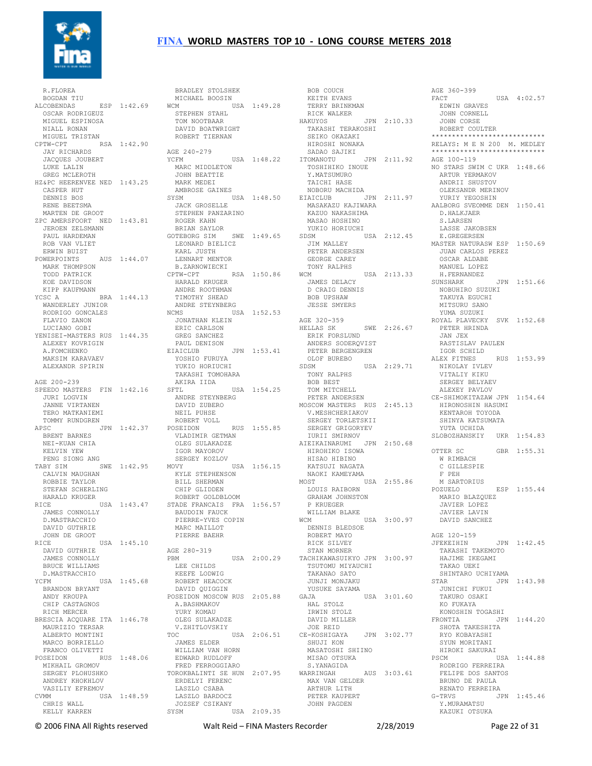

 R.FLOREA BOGDAN TIU ALCOBENDAS ESP 1:42.69 OSCAR RODRIGEUZ MIGUEL ESPINOSA NIALL RONAN MIGUEL TRISTAN CPTW-CPT RSA 1:42.90 JAY RICHARDS JACQUES JOUBERT LUKE LALIN GREG MCLEROTH HZ&PC HEERENVEE NED 1:43.25 CASPER HUT DENNIS BOS RENE BEETSMA MARTEN DE GROOT ZPC AMERSFOORT NED 1:43.81 JEROEN ZELSMANN PAUL HARDEMAN ROB VAN VLIET ERWIN BUIST POWERPOINTS AUS 1:44.07 KARL JUSTH LENNART MENTOR MARK THOMPSON TODD PATRICK<br>
KOE DAVIDSON<br>
KIPP KAUFMANN<br>
YCSC A BRA 1:44.13<br>
WANDERLEY JUNIOR<br>
RODRIGO GONCALES<br>
FLAVIO ZANON<br>
LUCIANO GOBI YENISEI-MASTERS RUS 1:44.35 GREG SANCHEZ ALEXEY KOVRIGIN A.FOMCHENKO MAKSIM KARAVAEV ALEXANDR SPIRIN AGE 200-239 SPEEDO MASTERS FIN 1:42.16 SFTL JURI LOGVIN JANNE VIRTANEN TERO MATKANIEMI TOMMY RUNDGREN APSC JPN 1:42.37 ROBERT VOLL BRENT BARNES NEI-KUAN CHIA KELVIN YEW PENG SIONG ANG TABY SIM SWE 1:42.95 MOVY CALVIN MAUGHAN ROBBIE TAYLOR STEFAN SCHERLING HARALD KRUGER JAMES CONNOLLY D.MASTRACCHIO DAVID GUTHRIE JOHN DE GROOT RICE USA 1:45.10 DAVID GUTHRIE JAMES CONNOLLY BRUCE WILLIAMS D.MASTRACCHIO YCFM USA 1:45.68 BRANDON BRYANT ANDY KROUPA CHIP CASTAGNOS RICH MERCER BRESCIA ACQUARE ITA 1:46.78 YURY KOMAU OLEG SULAKADZE MAURIZIO TERSAR ALBERTO MONTINI MARCO BORRIELLO FRANCO OLIVETTI POSEIDON RUS 1:48.06 MIKHAIL GROMOV SERGER<br>MIKHAIL GROMOV<br>SERGEY PLOHUSHKO ANDREY KHOKHLOV VASILIY EFREMOV CVMM USA 1:48.59 CHRIS WALL LASZLO BARDOCZ JOZSEF CSIKANY KELLY KARREN

RICE USA 1:43.47 STADE FRANCAIS FRA 1:56.57 BRADLEY STOLSHEK<br>
MICHAEL BOOSIN<br>WCM<br>
STEPHEN STAHL<br>
TOM NOOTBAAR<br>
TOM NOOTBAAR DAVID BOATWRIGHT ROBERT TIERNAN AGE 240-279 AGE 240-279 YCFM USA 1:48.22 MARC MIDDLETON JOHN BEATTIE MARK MEDEI AMBROSE GAINES SYSM USA 1:48.50 JACK GROSELLE STEPHEN PANZARINO ROGER KAHN BRIAN SAYLOR<br>GOTEBORG SIM SWE 1:49.65 SDSM LEONARD BIELICZ B.ZARNOWIECKI CPTW-CPT RSA 1:50.86 HARALD KRUGER<br>
ANDRE ROOTHMAN<br>
TIMOTHY SHEAD<br>
ANDRE STEYNBERG<br>
NCMS<br>
JONATHAN KLEIN<br>
ERIC CARLSON<br>
ERIC CARLSON PAUL DENISON EIAICLUB JPN 1:53.41 PETER BERGENGREN YOSHIO FURUYA YUKIO HORIUCHI TAKASHI TOMOHARA AKIRA IIDA SFTL USA 1:54.25 ANDRE STEYNBERG DAVID ZUBERO NEIL PUHSE POSEIDON RUS 1:55.85 VLADIMIR GETMAN OLEG SULAKADZE IGOR MAYOROV SERGEY KOZLOV MOVY USA 1:56.15 KYLE STEPHENSON BILL SHERMAN CHIP GLIDDEN ROBERT GOLDBLOOM BAUDOIN FAUCK STRING ANGELIA E COPIN<br>PIERRE-YVES COPIN MARC MAILLOT PIERRE BAEHR AGE 280-319 PBM USA 2:00.29 LEE CHILDS KEEFE LODWIG ROBERT HEACOCK DAVID QUIGGIN POSEIDON MOSCOW RUS 2:05.88 A.BASHMAKOV<br>A.BASHMAKOV<br>vidi V.ZHITLOVSKIY TOC USA 2:06.51 JOE REID CE-KOSHIGAYA JPN 3:02.77 SHUJI KON JAMES ELDER WILLIAM VAN HORN EDWARD RUDLOFF FRED FERROGGIARO TOROKBALINTI SE HUN 2:07.95 ERDELYI FERENC LASZLO CSABA JOZSEF CSINANT<br>SYSM USA 2:09.35

BOB COUCH<br>KEITH EVANS<br>TERRY BRINKMAN<br>RICK WALKER<br>HAKUYOS JPN 2:10.33 TAKASHI TERAKOSHI SEIKO OKAZAKI HIROSHI NONAKA SADAO SAJIKI ITOMANOTU JPN 2:11.92 TOSHIHIKO INOUE Y.MATSUMURO TAICHI HASE NOBORU MACHIDA EIAICLUB JPN 2:11.97 MASAKAZU KAJIWARA KAZUO NAKASHIMA MASAO HOSHINO MASAO HOSHINO<br>YUKIO HORIUCHI JIM MALLEY PETER ANDERSEN GEORGE CAREY TONY RALPHS WCM USA 2:13.33 JAMES DELACY D CRAIG DENNIS BOB UPSHAW JESSE SMYERS AGE 320-359<br>HELLAS SK SWE 2:26.67 ERIK FORSLUND **ANDERS SODERQVIST** OLOF BUREBO<br>SDSM  $USA$   $2:29.71$  TONY RALPHS BOB BEST TOM MITCHELL PETER ANDERSEN MOSCOW MASTERS RUS 2:45.13 V.MESHCHERIAKOV SERGEY TORLETSKII<br>SERGEY TORLETSKII SERGEY GRIGORYEV<br>TURTT SMTRNOV IURII SMIRNOV<br>AIEIKAINARUMI JPN 2:50.68<br>HIROHIKO ISOWA<br>HISAO HIBINO KATSUJI NAGATA NAOKI KAMEYAMA MOST USA 2:55.86 LOUIS RAIBORN GRAHAM JOHNSTON P KRUEGER WILLIAM BLAKE WCM USA 3:00.97 DENNIS BLEDSOE ROBERT MAYO RICK SILVEY STAN MORNER TACHIKAWASUIKYO JPN 3:00.97 TSUTOMU MIYAUCHI TAKANAO SATO JUNJI MONJAKU YUSUKE SAYAMA<br>GAJA GAJA USA 3:01.60 HAL STOLZ IRWIN STOLZ DAVID MILLER SHUJI KON ATALITIKO<br>MASATOSHI SHIINO MISAO OTSUKA S.YANAGIDA WARRINGAH AUS 3:03.61 RODRIGO FERREIRA FELIPE DOS SANTOS MAX VAN GELDER ARTHUR LITH PETER KAUPERT JOHN PAGDEN

SDSM USA 2:12.45 E.GREGERSEN MASTER NATURASW ESP 1:50.69 AGE 360-399<br>FACT USA 4:02.57 EDWIN GRAVES JOHN CORNELL JOHN CORSE ROBERT COULTER \*\*\*\*\*\*\*\*\*\*\*\*\*\*\*\*\*\*\*\*\*\*\*\*\*\*\*\* RELAYS: M E N 200 M. MEDLEY \*\*\*\*\*\*\*\*\*\*\*\*\*\*\*\*\*\*\*\*\*\*\*\*\*\*\*\* AGE 100-119 NO STARS SWIM C UKR 1:48.66 ARTUR YERMAKOV ARTUR YERMAKOV<br>ANDRII SHUSTOV OLEKSANDR MERINOV YURIY YEGOSHIN AALBORG SVEOMME DEN 1:50.41 D.HALKJAER S.LARSEN LASSE JAKOBSEN JUAN CARLOS PEREZ OSCAR ALDABE MANUEL LOPEZ H.FERNANDEZ  $JPN$  1:51.66 NOBUHIRO SUZUKI TAKUYA EGUCHI MITSURU SANO YUMA SUZUKI ROYAL PLAVECKY SVK 1:52.68 PETER HRINDA JAN JEX RASTISLAV PAULEN IGOR SCHILD ALEX FITNES RUS 1:53.99 NIKOLAY IVLEV VITALIY KIKU SERGEY BELYAEV ALEXEY PAVLOV CE-SHIMOKITAZAW JPN 1:54.64 HIRONOSHIN HASUMI KENTAROH TOYODA SHINYA KATSUMATA YUTA UCHIDA SLOBOZHANSKIY UKR 1:54.83 OTTER SC GBR 1:55.31 W RIMBACH C GILLESPIE F PEH M SARTORIUS<br>POZUELO  $RSP$  1:55.44 MARIO BLAZQUEZ JAVIER LOPEZ JAVIER LAVIN DAVID SANCHEZ AGE 120-159 JFEKEIHIN JPN 1:42.45 TAKASHI TAKEMOTO HAJIME IKEGAMI TAKAO UEKI SHINTARO UCHIYAMA STAR JPN 1:43.98 JUNICHI FUKUI TAKURO OSAKI KO FUKAYA KONOSHIN TOGASHI FRONTIA JPN 1:44.20 SHOTA TAKESHITA RYO KOBAYASHI SYUN MORITANI SYUN MORITANI<br>HIROKI SAKURAI PSCM USA 1:44.88 BRUNO DE PAULA RENATO FERREIRA G-TRVS JPN 1:45.46 Y.MURAMATSU KAZUKI OTSUKA

© 2006 FINA All Rights reserved Walt Reid – FINA Masters Recorder 2/28/2019 Page 22 of 31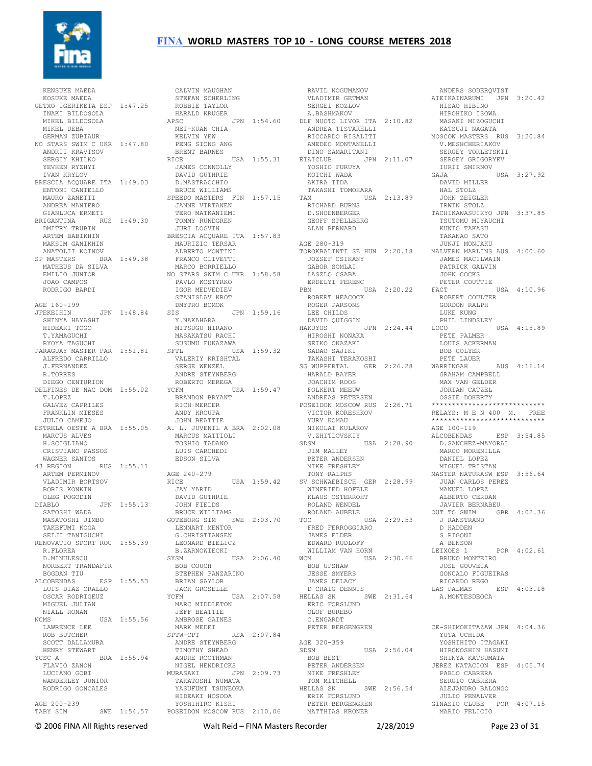

 KENSUKE MAEDA KOSUKE MAEDA GETXO IGERIKETA ESP 1:47.25 STEFAN SCHERLING ROBBIE TAYLOR HARALD KRUGER INAKI BILDOSOLA MIKEL BILDOSOLA MIKEL DEBA GERMAN ZUBIAUR NO STARS SWIM C UKR 1:47.80 ANDRII KRAVTSOV SERGIY KHILKO YEVHEN RYZHYI IVAN KRYLOV BRESCIA ACQUARE ITA 1:49.03 ENTONI CANTELLO MAURO ZANETTI ANDREA MANIERO GIANLUCA ERMETI BRIGANTINA RUS 1:49.30 DMITRY TRUBIN ARTEM BABIKHIN MAKSIM GANIKHIN ANATOLII KOINOV SP MASTERS BRA 1:49.38 MATHEUS DA SILVA EMILIO JUNIOR JOAO CAMPOS RODRIGO BARDI AGE 160-199 JFEKEIHIN JPN 1:48.84 SIS SHINYA HAYASHI HIDEAKI TOGO T.YAMAGUCHI RYOYA TAGUCHI PARAGUAY MASTER PAR 1:51.81 ALFREDO CARRILLO J.FERNANDEZ R.TORRES DIEGO CENTURION T.LOPEZ GALVEZ CAPRILES FRANKLIN MIESES JULIO CAMEJO MARCUS ALVES H.SCIGLIANO CRISTIANO PASSOS WAGNER SANTOS 43 REGION RUS 1:55.11 ARTEM PERMINOV AGE 240-279 VLADIMIR BORTSOV BORIS KONKIN OLEG POGODIN DIABLO JPN 1:55.13 SATOSHI WADA MASATOSHI JIMBO<br>TAKEFUMI KOGA<br>SEIJI TANIGUCHI<br>RENOVATIO SPORT ROU 1:55.39<br>R.FLOREA D.MINULESCU NORBERT TRANDAFIR BOB COUCH BOGDAN TIU ALCOBENDAS ESP 1:55.53 LUIS DIAZ ORALLO OSCAR RODRIGEUZ MIGUEL JULIAN NIALL RONAN NCMS USA 1:55.56 LAWRENCE LEE IN<br>LAWRENCE LEE<br>ROB BUTCHER SCOTT DALLAMURA HENRY STEWART YCSC A BRA 1:55.94 FLAVIO ZANON ANDRE ROOTHMAN LUCIANO GOBI WANDERLEY JUNIOR RODRIGO GONCALES AGE 200-239

DELFINES DE NAC DOM 1:55.02 YCFM USA 1:59.47 FOLKERT MEEUW ESTRELA OESTE A BRA 1:55.05 A. L. JUVENIL A BRA 2:02.08 TABY SIM SWE 1:54.57 POSEIDON MOSCOW RUS 2:10.06 CALVIN MAUGHAN APSC JPN 1:54.60 DLF NUOTO LIVOR ITA 2:10.82 AFSC<br>NEI-KUAN CHIA<br>KELVIN YEW KELVIN YEW PENG SIONG ANG BRENT BARNES RICE USA 1:55.31 JAMES CONNOLLY DAVID GUTHRIE D.MASTRACCHIO BRUCE WILLIAMS SPEEDO MASTERS FIN 1:57.15<br>
ENTONI CANTELLO<br>
SPEEDO MASTERS FIN 1:57.15<br>
SPEEDO MASTERS FIN 1:57.15 JANNE VIRTANEN TERO MATKANIEMI TOMMY RUNDGREN JURI LOGVIN BRESCIA ACQUARE ITA 1:57.83 MAURIZIO TERSAR ALBERTO MONTINI FRANCO OLIVETTI MARCO BORRIELLO NO STARS SWIM C UKR 1:58.58 PAVLO KOSTYRKO IGOR MEDVEDIEV STANISLAV KROT<br>DMYTRO BOMOK DMYTRO BOMOK SIS JPN 1:59.16 Y.NAKAHARA MITSUGU HIRANO MASAKATSU RACHI SUSUMU FUKAZAWA SFTL USA 1:59.32 SADAO SAJIKI VALERIY KRISHTAL SERGE WENZEL ANDRE STEYNBERG ROBERTO MEREGA YCFM USA 1:59.47 BRANDON BRYANT RICH MERCER ANDY KROUPA JOHN BEATTIE MARCUS MATTIOLI TOSHIO TADANO LUIS CARCHEDI EDSON SILVA RICE USA 1:59.42 JAY YARID SV SCHWAEBISCH GER 2:28.99 WINFRIED HOFELE JUAN CARLOS PEREZ MANUEL LOPEZ DAVID GUTHRIE JOHN FIELDS BRUCE WILLIAMS GOTEBORG SIM SWE 2:03.70 TOC USA 2:29.53 LENNART MENTOR G.CHRISTIANSEN LEONARD BIELICZ B.ZARNOWIECKI SYSM USA 2:06.40 STEPHEN PANZARINO BRIAN SAYLOR JACK GROSELLE YCFM USA 2:07.58 MARC MIDDLETON JEFF BEATTIE AMBROSE GAINES MARK MEDEI SPTW-CPT RSA 2:07.84 ANDRE STEYNBERG TIMOTHY SHEAD NIGEL HENDRICKS MURASAKI JPN 2:09.73 TAKATOSHI NUMATA YASUFUMI TSUNEOKA HIDEAKI HOSODA YOSHIHIRO KISHI

 RAVIL NOGUMANOV VLADIMIR GETMAN SERGEI KOZLOV A.BASHMAKOV ANDREA TISTARELLI RICCARDO RISALITI AMEDEO MONTANELLI DINO SAMARITANI EIAICLUB JPN 2:11.07 YOSHIO FURUYA KOICHI WADA AKIRA IIDA TAKASHI TOMOHARA TAM USA 2:13.89 RICHARD BURNS D.SHOENBERGER GEOFF SPELLBERG ALAN BERNARD AGE 280-319 JOZSEF CSIKANY GABOR SOMLAI LASZLO CSABA ERDELYI FERENC PBM USA 2:20.22 ROBERT HEACOCK ROGER PARSONS LEE CHILDS DAVID QUIGGIN HAKUYOS JPN 2:24.44 HIROSHI NONAKA SEIKO OKAZAKI PETE PALMER LOUIS ACKERMAN TAKASHI TERAKOSHI SG WUPPERTAL GER 2:26.28 HARALD BAYER JOACHIM ROOS FOLKERT MEEUW ANDREAS PETERSEN POSEIDON MOSCOW RUS 2:26.71 VICTOR KORESHKOV YURY KOMAU NIKOLAI KULAKOV V.ZHITLOVSKIY SDSM USA 2:28.90 JIM MALLEY PETER ANDERSEN MIKE FRESHLEY TONY RALPHS V SURWALLING<br>WINFRIED HOFELE<br>KLAUS OSTERROHT<br>ROLAND WENDEL ROLAND WENDEL ROLAND AUBELE FRED FERROGGIARO JAMES ELDER EDWARD RUDLOFF WILLIAM VAN HORN WCM USA 2:30.66 BOB UPSHAW JESSE SMYERS JAMES DELACY D CRAIG DENNIS HELLAS SK SWE 2:31.64 ERIC FORSLUND OLOF BUREBO C.ENGARDT PETER BERGENGREN AGE 320-359 USA 2:56.04 BOB BEST PETER ANDERSEN MIKE FRESHLEY TOM MITCHELL<br>HELLAS SK SWE 2:56.54 ERIK FORSLUND PETER BERGENGREN MATTHIAS KRONER

TOROKBALINTI SE HUN 2:20.18 MALVERN MARLINS AUS 4:00.60 ANDERS SODERQVIST AIEIKAINARUMI JPN 3:20.42 HISAO HIBINO HIROHIKO ISOWA MASAKI MIZOGUCHI KATSUJI NAGATA MOSCOW MASTERS RUS 3:20.84 V.MESHCHERIAKOV SERGEY TORLETSKII SERGEY GRIGORYEV IURII SMIRNOV 10811 SPILLERY VSA 3:27.92 DAVID MILLER HAL STOLZ JOHN ZEIGLER IRWIN STOLZ TACHIKAWASUIKYO JPN 3:37.85 TSUTOMU MIYAUCHI KUNIO TAKASU TAKANAO SATO JUNJI MONJAKU JAMES MACILWAIN PATRICK GALVIN JOHN COCKS PETER COUTTIE FACT USA 4:10.96 ROBERT COULTER GORDON RALPH LUKE KUNG PHIL LINDSLEY LOCO USA 4:15.89 BOB COLYER PETE LAUER WARRINGAH AUS 4:16.14 GRAHAM CAMPBELL MAX VAN GELDER JORIAN CATZEL OSSIE DOHERTY \*\*\*\*\*\*\*\*\*\*\*\*\*\*\*\*\*\*\*\*\*\*\*\*\*\*\*\* RELAYS: M E N 400 M. FREE \*\*\*\*\*\*\*\*\*\*\*\*\*\*\*\*\*\*\*\*\*\*\*\*\*\*\*\* AGE 100-119 ALCOBENDAS ESP 3:54.85 D.SANCHEZ-MAYORAL MARCO MORENILLA DANIEL LOPEZ MIGUEL TRISTAN MASTER NATURASW ESP 3:56.64 ALBERTO CERDAN JAVIER BERNABEU<br>OUT TO SWIM GI GBR 4:02.36 J RANSTRAND D HADDEN S RIGONI A BENSON LEIXOES 1 POR 4:02.61 BRUNO MONTEIRO JOSE GOUVEIA GONCALO FIGUEIRAS RICARDO REGO<br>LAS PALMAS ESP 4:03.18 A.MONTESDEOCA CE-SHIMOKITAZAW JPN 4:04.36 YUTA UCHIDA YOSHIHITO ITAGAKI HIRONOSHIN HASUMI SHINYA KATSUMATA JEREZ NATACION ESP 4:05.74 PABLO CABRERA SERGIO CABRERA ALEJANDRO BALONGO JULIO PENALVER GINASIO CLUBE POR 4:07.15 MARIO FELICIO

© 2006 FINA All Rights reserved Walt Reid – FINA Masters Recorder 2/28/2019 Page 23 of 31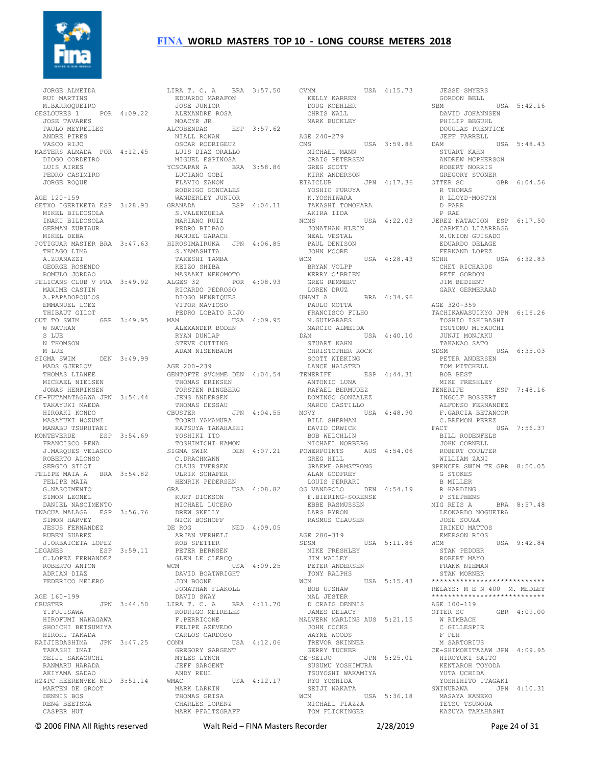

 JORGE ALMEIDA RUI MARTINS M.BARROQUEIRO GESLOURES 1 POR 4:09.22 JOSE TAVARES PAULO MEYRELLES ANDRE PIRES VASCO RIJO MASTERS ALMADA POR 4:12.45 DIOGO CORDEIRO LUIS AIRES PEDRO CASIMIRO JORGE ROQUE AGE 120-159 GETXO IGERIKETA ESP 3:28.93 MIKEL BILDOSOLA INAKI BILDOSOLA GERMAN ZUBIAUR MIKEL DEBA THIAGO LIMA A.ZUANAZZI GEORGE ROSENDO ROMULO JORDAO MAXIME CASTIN A.PAPADOPOULOS EMMANUEL LOEZ THIBAUT GILOT OUT TO SWIM GBR 3:49.95 W NATHAN S LUE N THOMSON M LUE SIGMA SWIM DEN 3:49.99 MADS GJERLOV THOMAS LIANEE MICHAEL NIELSEN<br>JONAS HENRIKSEN<br>CE-FUTAMATAGAWA JPN 3:54.44<br>TAKAYUKI MAEDA<br>HIROAKI KONDO MASAYUKI HOZUMI MANABU TSURUTANI MONTEVERDE ESP 3:54.69 FRANCISCO PENA J.MARQUES VELASCO ROBERTO ALONSO<br>ROBERTO ALONSO SERGIO SILOT FELIPE MAIA A BRA 3:54.82 FELIPE MAIA G.NASCIMENTO<br>
SIMON LEONEL<br>
DANIEL NASCIMENTO<br>
INACUA MALAGA ESP 3:56.76<br>
SIMON HARVEY<br>
JESUS FERNANDEZ RUBEN SUAREZ J.ORBAICETA LOPEZ LEGANES ESP 3:59.11 C.LOPEZ FERNANDEZ EGANES<br>
C.LOPEZ FERNANDEZ<br>
C.LOPEZ FERNANDEZ<br>
WCM ADRIAN DIAZ FEDERICO MELERO AGE 160-199 CBUSTER JPN 3:44.50 Y.FUJISAWA HIROFUMI NAKAGAWA SHOICHI BETSUMIYA HIROKI TAKADA SEIJI SAKAGUCHI RANMARU HARADA AKIYAMA SADAO HZ&PC HEERENVEE NED 3:51.14 MARTEN DE GROOT DENNIS BOS RENé BEETSMA CASPER HUT

POTIGUAR MASTER BRA 3:47.63 HIROSIMAIRUKA JPN 4:06.85 PELICANS CLUB V FRA 3:49.92 ALGES 32 POR 4:08.93 KAIJIEDASHIMA JPN 3:47.25 TAKASHI IMAI CONN USA 4:12.06 GREGORY SARGENT LIRA T. C. A BRA 3:57.50 EDUARDO MARAFON JOSE JUNIOR ALEXANDRE ROSA MOACYR JR<br>ALCOBENDAS ALEANNER<br>MOACYR JR<br>COBENDAS ESP 3:57.62 NIALL RONAN OSCAR RODRIGEUZ LUIS DIAZ ORALLO MIGUEL ESPINOSA YCSCAPAN A BRA 3:58.86 LUCIANO GOBI FLAVIO ZANON RODRIGO GONCALES WANDERLEY JUNIOR ESP 4:04.11 TAK<br>AKI<br>NCMS S.VALENZUELA MARIANO RUIZ PEDRO BILBAO MANUEL GARACH S.YAMASHITA TAKESHI TAMBA KEIZO SHIBA MASAAKI NEKOMOTO RICARDO PEDROSO DIOGO HENRIQUES VITOR MAVIOSO PEDRO LOBATO RIJO MAM USA 4:09.95 ALEXANDER BODEN RYAN DUNLAP STEVE CUTTING ADAM NISENBAUM AGE 200-239 GENTOFTE SVOMME DEN 4:04.54 THOMAS ERIKSEN TORSTEN RINGBERG JENS ANDERSEN THOMAS DESSAU CBUSTER JPN 4:04.55 TOORU YAMAMURA KATSUYA TAKAHASHI YOSHIKI ITO TOSHIMICHI KAMON SIGMA SWIM DEN 4:07.21 POWERPOINTS AUS 4:54.06<br>C.DRACHMANN GREG HILL CLAUS IVERSEN ULRIK SCHAFER HENRIK PEDERSEN<br>GRA US GRA USA 4:08.82 KURT DICKSON MICHAEL LUCERO DREW SKELLY NICK BOSHOFF DE ROG NED 4:09.05 ARJAN VERHEIJ ROB SPETTER PETER BERNSEN GLEN LE CLERCQ WCM USA 4:09.25 DAVID BOATWRIGHT JON BOONE JONATHAN FLAKOLL DAVID SWAY LIRA T. C. A BRA 4:11.70 RODRIGO MEIRELES F.PERRICONE FELIPE AZEVEDO CARLOS CARDOSO CONN USA 4:12.06<br>GREGORY SARGENT<br>MYLES LYNCH JEFF SARGENT ANDY REUL WMAC USA 4:12.17 MARK LARKIN THOMAS GRISA CHARLES LORENZ MARK PFALTZGRAFF

USA 4:15.73 ---<br>KELLY KARREN<br>DOILE DOUG KOEHLER CHRIS WALL MARK BUCKLEY AGE 240-279 CMS USA 3:59.86 MICHAEL MANN CRAIG PETERSEN GREG SCOTT KIRK ANDERSON EIAICLUB JPN 4:17.36 YOSHIO FURUYA K.YOSHIWARA TAKASHI TOMOHARA AKIRA IIDA USA 4:22.03 JONATHAN KLEIN NEAL VESTAL PAUL DENISON JOHN MOORE<br>WCM BRYAN VOLPP KERRY O'BRIEN GREG REMMERT LOREN DRUZ BRA 4:34.96 PAULO MOTTA PAULO MOTTA<br>FRANCISCO FILHO FRANCISCO FILAO<br>M.GUIMARAES<br>MARCIO ALMEIDA SCOTT WIEKING LANCE HALSTED TENERIFE ESP 4:44.31 ANTONIO LUNA BOB BEST RAFAEL BERMUDEZ DOMINGO GONZALEZ MARCO CASTILLO MOVY USA 4:48.90 BILL SHERMAN DAVID ORWICK BOB WELCHLIN MICHAEL NORBERG GREG HILL GRAEME ARMSTRONG ALAN GODFREY LOUIS FERRARI USA 4:08.82 OG VANDPOLO DEN 4:54.19 F.BIERING-SORENSE EBBE RASMUSSEN P STEPHENS LARS BYRON RASMUS CLAUSEN AGE 280-319<br>SDSM USA 5:11.86 MIKE FRESHLEY JIM MALLEY PETER ANDERSEN TONY RALPHS BOB UPSHAW MAL JESTER D CRAIG DENNIS JAMES DELACY MALVERN MARLINS AUS 5:21.15 JOHN COCKS WAYNE WOODS TREVOR SKINNER GERRY TUCKER CE-SEIJO JPN 5:25.01 SUSUMU YOSHIMURA<br>TSUYOSHI WAKAMIYA RYO YOSHIDA SEIJI NAKATA<br>WCM USA 5:36.18<br>MICHAEL PIAZZA<br>TOM FLICKINGER

WCM USA 4:28.43 SCHH USA 6:32.83 MARCIO ALMEIDA DAM USA 4:40.10 STUART KAHN CHRISTOPHER ROCK TAKANAO SATO SDSM USA 6:35.03 WCM USA 5:15.43 \*\*\*\*\*\*\*\*\*\*\*\*\*\*\*\*\*\*\*\*\*\*\*\*\*\*\*\* JESSE SMYERS GORDON BELL SBM USA 5:42.16 DAVID JOHANNSEN PHILIP BEGUHL DOUGLAS PRENTICE JEFF FARRELL<br>DAM  $USA = 5:48.43$ STUART KAHN STUART KAHN STUART KAHN ANDREW MCPHERSON ROBERT NORRIS GREGORY STONER OTTER SC GBR 6:04.56<br>
R THOMAS<br>
R LLOYD-MOSTYN<br>
D PARR<br>
F RAE JEREZ NATACION ESP 6:17.50 CARMELO LIZARRAGA M.UNION GUISADO EDUARDO DELAGE FERNAND LOPEZ CHET RICHARDS PETE GORDON JIM BEDIENT GARY GERMERAAD AGE 320-359 TACHIKAWASUIKYO JPN 6:16.26 TOSHIO ISHIBASHI TSUTOMU MIYAUCHI JUNJI MONJAKU PETER ANDERSEN TOM MITCHELL MIKE FRESHLEY TENERIFE ESP 7:48.16 INGOLF BOSSERT ALFONSO FERNANDEZ F.GARCIA BETANCOR C.BREMON PEREZ C.BREMON PEREA<br>FACT USA 7:56.37 BILL RODENFELS JOHN CORNELL ROBERT COULTER WILLIAM ZANI SPENCER SWIM TE GBR 8:50.05 G STOKES B MILLER C GIONES<br>B MILLER<br>R HARDING BRA 8:57.48 LEONARDO NOGUEIRA JOSE SOUZA IRINEU MATTOS EMERSON RIOS<br>WCM  $USSA$  9:42.84 STAN PEDDER ROBERT MAYO FRANK NIEMAN STAN MORNER RELAYS: M E N 400 M. MEDLEY \*\*\*\*\*\*\*\*\*\*\*\*\*\*\*\*\*\*\*\*\*\*\*\*\*\*\*\* AGE 100-119 OTTER SC GBR 4:09.00 W RIMBACH C GILLESPIE F PEH M SARTORIUS CE-SHIMOKITAZAW JPN 4:09.95 HIROYUKI SAITO KENTAROH TOYODA YUTA UCHIDA YOSHIHITO ITAGAKI SWINURAWA<br>MASAYA KANEKO JPN 4:10.31<br>TETSU TSUNODA<br>KAZUYA TAKAHASHI

© 2006 FINA All Rights reserved Walt Reid – FINA Masters Recorder 2/28/2019 Page 24 of 31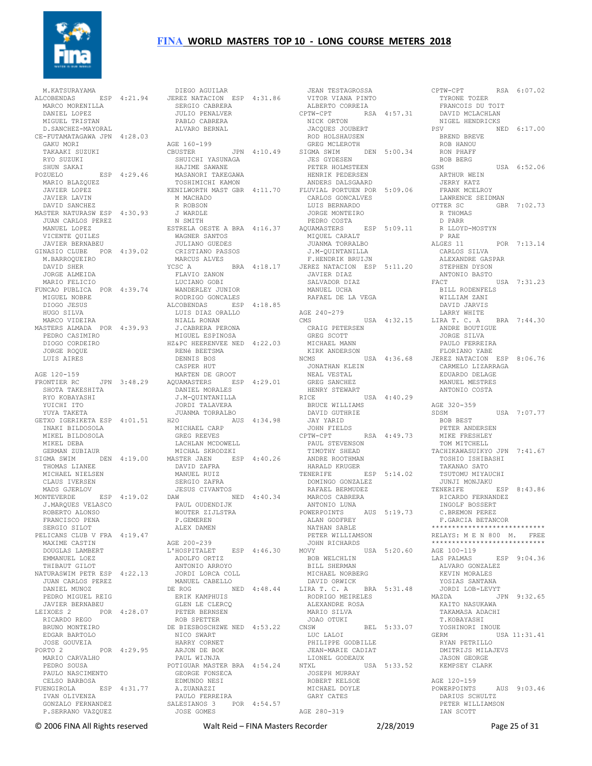

 M.KATSURAYAMA ALCOBENDAS ESP 4:21.94 DIEGO AGUILAR JEREZ NATACION ESP 4:31.86 JEAN TESTAGROSSA VITOR VIANA PINTO MARCO MORENILLA DANIEL LOPEZ SERGIO CABRERA JULIO PENALVER MIGUEL TRISTAN D.SANCHEZ-MAYORAL CE-FUTAMATAGAWA JPN 4:28.03 GAKU MORI TAKAAKI SUZUKI RYO SUZUKI SHUN SAKAI POZUELO ESP 4:29.46 MASANORI TAKEGAWA JAVIER LOPEZ<br>JAVIER LAVIN<br>DAVID SANCHEZ<br>MASTER NATURASW ESP 4:30.93<br>JUAN CARLOS PEREZ<br>MANUEL LOPEZ VICENTE QUILES JAVIER BERNABEU GINASIO CLUBE POR 4:39.02 M.BARROQUEIRO DAVID SHER JORGE ALMEIDA MARIO FELICIO FUNCAO PUBLICA POR 4:39.74 MIGUEL NOBRE DIOGO JESUS HUGO SILVA MARCO VIDEIRA MASTERS ALMADA POR 4:39.93 JORGE ROQUE LUIS AIRES AGE 120-159 SHOTA TAKESHITA RYO KOBAYASHI YUICHI ITO YUYA TAKETA GETXO IGERIKETA ESP 4:01.51 INAKI BILDOSOLA MIKEL BILDOSOLA MIKEL DEBA GERMAN ZUBIAUR THOMAS LIANEE MICHAEL NIELSEN CLAUS IVERSEN J.MARQUES VELASCO ROBERTO ALONSO PAUL OUDENDIJK WOUTER ZIJLSTRA FRANCISCO PENA SERGIO SILOT PELICANS CLUB V FRA 4:19.47 MAXIME CASTIN DOUGLAS LAMBERT EMMANUEL LOEZ THIBAUT GILOT NATURASWIM PETR ESP 4:22.13 JUAN CARLOS PEREZ DANIEL MUNOZ<br>
JAVIER BERNABEU<br>
JAVIER BERNABEU<br>LEIXOES 2 POR 4:28.07<br>
RICARDO REGO BRUNO MONTEIRO EDGAR BARTOLO JOSE GOUVEIA PORTO 2 POR 4:29.95 MARIO CARVALHO PEDRO SOUSA PAULO NASCIMENTO CELSO BARBOSA FUENGIROLA ESP 4:31.77<br>TVAN OLIVENZA IVAN OLIVENZA GONZALO FERNANDEZ P.SERRANO VAZQUEZ

 MARIO BLAZQUEZ TOSHIMICHI KAMON KENILWORTH MAST GBR 4:11.70 PEDRO CASIMIRO DIOGO CORDEIRO MIGUEL ESPINOSA HZ&PC HEERENVEE NED 4:22.03 FRONTIER RC JPN 3:48.29 AQUAMASTERS ESP 4:29.01 GREG SANCHEZ SIGMA SWIM DEN 4:19.00 MASTER JAEN ESP 4:40.26 MADS GJERLOV MONTEVERDE ESP 4:19.02 JESUS CIVANTOS DAW NED 4:40.34 PABLO CABRERA ALVARO BERNAL AGE 160-199 CBUSTER JPN 4:10.49 GREG MCLEROTH SIGMA SWIM DEN 5:00.34 JES GYDESEN PETER HOLMSTEEN SHUICHI YASUNAGA HAJIME SAWANE M MACHADO R ROBSON J WARDLE N SMITH ESTRELA OESTE A BRA 4:16.37 AQUAMASTERS<br>
ESTRELA OESTE A BRA 4:16.37 AQUAMASTERS<br>
MTOUEL CARAL WAGNER SANTOS JULIANO GUEDES CRISTIANO PASSOS MARCUS ALVES YCSC A BRA 4:18.17 JEREZ NATACION ESP 5:11.20 STEPHEN DYSON FLAVIO ZANON LUCIANO GOBI WANDERLEY JUNIOR RODRIGO GONCALES ALCOBENDAS ESP 4:18.85 LUIS DIAZ ORALLO NIALL RONAN J.CABRERA PERONA RENé BEETSMA DENNIS BOS CASPER HUT MARTEN DE GROOT DANIEL MORALES J.M-QUINTANILLA JORDI TALAVERA JUANMA TORRALBO H2O AUS 4:34.98 MICHAEL CARP GREG REEVES LACHLAN MCDOWELL MICHAL SKRODZKI MASTER JAEN ESP 4:40.26 DAVID ZAFRA MANUEL RUIZ SERGIO ZAFRA P.GEMEREN ALEX DAMEN AGE 200-239 L'HOSPITALET ESP 4:46.30 ADOLFO ORTIZ ANTONIO ARROYO JORDI LORCA COLL MANUEL CABELLO DE ROG NED 4:48.44 ERIK KAMPHUIS GLEN LE CLERCQ PETER BERNSEN ROB SPETTER DE BIESBOSCHZWE NED 4:53.22 NICO SWART HARRY CORNET ARJON DE BOK PAUL WIJNJA POTIGUAR MASTER BRA 4:54.24 GEORGE FONSECA EDMUNDO NESI A.ZUANAZZI PAULO FERREIRA SALESIANOS 3 POR 4:54.57 JOSE GOMES

 ALBERTO CORREIA CPTW-CPT RSA 4:57.31 NICK ORTON DAVID MCLACHLAN NIGEL HENDRICKS JACQUES JOUBERT ROD HOLSHAUSEN HENRIK PEDERSEN ANDERS DALSGAARD FLUVIAL PORTUEN POR 5:09.06 CARLOS GONCALVES LUIS BERNARDO JORGE MONTEIRO PEDRO COSTA AQUAMASTERS ESP 5:09.11 MIQUEL CARALT JUANMA TORRALBO J.M-QUINTANILLA F.HENDRIK BRUIJN JAVIER DIAZ SALVADOR DIAZ MANUEL UCHA RAFAEL DE LA VEGA AGE 240-279 CRAIG PETERSEN GREG SCOTT MICHAEL MANN KIRK ANDERSON JONATHAN KLEIN NEAL VESTAL HENRY STEWART RICE USA 4:40.29 BRUCE WILLIAMS DAVID GUTHRIE JAY YARID JOHN FIELDS CPTW-CPT RSA 4:49.73 PAUL STEVENSON TIMOTHY SHEAD ANDRE ROOTHMAN HARALD KRUGER TENERIFE ESP 5:14.02 MARCOS CABRERA ANTONIO LUNA<br>POWERPOINTS POWERPOINTS AUS 5:19.73 ALAN GODFREY NATHAN SABLE PETER WILLIAMSON JOHN RICHARDS MOVY USA 5:20.60 AGE 100-119 BOB WELCHLIN BILL SHERMAN MICHAEL NORBERG DAVID ORWICK<br>
LIRA T. C. A BRA 5:31.48<br>
RODRIGO MEIRELES<br>
ALEXANDRE ROSA<br>
MARIO SILVA<br>
JOAO OTUKI<br>
JOAO OTUKI BEL 5:33.07<br>
CNSW BEL 5:33.07 LUC LALOI PHILIPPE GODBILLE JEAN-MARIE CADIAT LIONEL GODEAUX NTXL USA 5:33.52 JOSEPH MURRAY ROBERT KELSOE MICHAEL DOYLE GARY CATES AGE 280-319

CMS USA 4:32.15 LARRY WHITE LIRA T. C. A BRA 7:44.30 NCMS USA 4:36.68 JEREZ NATACION ESP 8:06.76 DOMINGO GONZALEZ RAFAEL BERMUDEZ JUNJI MONJAKU TENERIFE ESP 8:43.86 RSA 6:07.02 TYRONE TOZER FRANCOIS DU TOIT PSV NED 6:17.00 BREND BREVE ROB HANOU RON PHAFF BOB BERG GSM USA 6:52.06 ARTHUR WEIN JERRY KATZ FRANK MCELROY LAWRENCE SEIDMAN OTTER SC GBR 7:02.73 R THOMAS D PARR R LLOYD-MOSTYN P RAE ALGES 11 POR 7:13.14 CARLOS SILVA ALEXANDRE GASPAR ANTONIO BASTO ANTONIO BASTO<br>FACT USA 7:31.23 BILL RODENFELS WILLIAM ZANI DAVID JARVIS ANDRE BOUTIGUE JORGE SILVA PAULO FERREIRA FLORIANO YABE CARMELO LIZARRAGA EDUARDO DELAGE MANUEL MESTRES ANTONIO COSTA AGE 320-359 SDSM USA 7:07.77<br>
BOB BEST<br>
PETER ANDERSEN<br>
MIKE FRESHLEY<br>
TOM MITCHELL<br>
TACHIKAWASUIKYO JPN 7:41.67<br>
TOSHIO ISHIBASHI TAKANAO SATO TSUTOMU MIYAUCHI RICARDO FERNANDEZ INGOLF BOSSERT C.BREMON PEREZ F.GARCIA BETANCOR \*\*\*\*\*\*\*\*\*\*\*\*\*\*\*\*\*\*\*\*\*\*\*\*\*\*\* RELAYS: M E N 800 M. FREE \*\*\*\*\*\*\*\*\*\*\*\*\*\*\*\*\*\*\*\*\*\*\*\*\*\*\*\* LAS PALMAS ESP 9:04.36 ALVARO GONZALEZ KEVIN MORALES YOSIAS SANTANA JORDI LOB-LEVYT MAZDA JPN 9:32.65 KAITO NASUKAWA TAKAMASA ADACHI T.KOBAYASHI YOSHINORI INOUE<br>ERM USA 11:31.41 GERM USA 11:31.41 RYAN PETRILLO DMITRIJS MILAJEVS JASON GEORGE KEMPSEY CLARK AGE 120-159 POWERPOINTS AUS 9:03.46 DARIUS SCHULTZ PETER WILLIAMSON IAN SCOTT

© 2006 FINA All Rights reserved Walt Reid – FINA Masters Recorder 2/28/2019 Page 25 of 31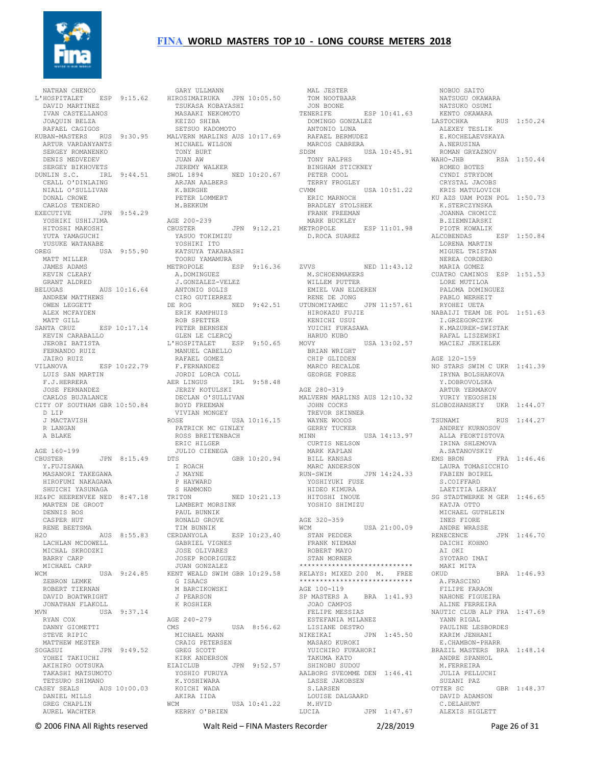

 NATHAN CHENCO L'HOSPITALET ESP 9:15.62 GARY ULLMANN HIROSIMAIRUKA JPN 10:05.50 DAVID MARTINEZ IVAN CASTELLANOS JOAQUIN BELZA RAFAEL CAGIGOS ARTUR VARDANYANTS SERGEY ROMANENKO DENIS MEDVEDEV SERGEY BIKHOVETS CEALL O'DINLAING NIALL O'SULLIVAN DONAL CROWE CARLOS TENDERO EXECUTIVE JPN 9:54.29 YOSHIKI USHIJIMA HITOSHI MAKOSHI YUTA YAMAGUCHI YUSUKE WATANABE OREG USA 9:55.90 MATT MILLER KATSUYA TAKAHASHI TOORU YAMAMURA JAMES ADAMS KEVIN CLEARY GRANT ALDRED BELUGAS AUS 10:16.64 ANDREW MATTHEWS OWEN LEGGETT ALEX MCFAYDEN MATT GILL<br>SANTA CRUZ SANTA CRUZ ESP 10:17.14 KEVIN CARABALLO JEROBI BATISTA FERNANDO RUIZ JAIRO RUIZ VILANOVA ESP 10:22.79 RAFAEL GOMEZ F.FERNANDEZ JOSE FERNANDEZ CARLOS BUJALANCE CITY OF SOUTHAM GBR 10:50.84 D LIP J MACTAVISH R LANGAN A BLAKE AGE 160-199 CBUSTER JPN 8:15.49 Y.FUJISAWA MASANORI TAKEGAWA HIROFUMI NAKAGAWA P HAYWARD SHIITCHT YASUNAGA HZ&PC HEERENVEE NED 8:47.18 TRITON MARTEN DE GROOT DENNIS BOS CASPER HUT LACHLAN MCDOWELL MICHAL SKRODZKI BARRY CARP MICHAEL CARP WCM USA 9:24.85 ZEBRON LEMKE ROBERT TIERNAN DAVID BOATWRIGHT JONATHAN FLAKOLL MVN USA 9:37.14 RYAN COX DANNY GIOMETTI STEVE RIPIC MATTHEW MESTER SOGASUI JPN 9:49.52 YOHEI TAKIUCHI AKIHIRO OOTSUKA  $\begin{array}{ll}\n\text{YOHEI TAKAUCHI} & \text{XOHEI TAKASHI NAKASHI MATSUMOTO} \\
\text{YOHEI ROKOUTSUKA} & \text{EIAICLUB} \\
\text{YOSHIO FURU}\n\end{array}$  TETSURO SHIMANO CASEY SEALS AUS 10:00.03 DANIEL MILLS GREG CHAPLIN AUREL WACHTER

KUBAN-MASTERS RUS 9:30.95 MALVERN MARLINS AUS 10:17.69 DUNLIN S.C. IRL 9:44.51 SWOL 1894 NED 10:20.67 LUIS SAN MARTIN F.J.HERRERA AER LINGUS IRL 9:58.48 RENE BEETSMA H2O AUS 8:55.83 TIM BUNNIK CERDANYOLA ESP 10:23.40 TSUKASA KOBAYASHI MASAAKI NEKOMOTO KEIZO SHIBA SETSUO KADOMOTO MICHAEL WILSON TONY BURT JUAN AW JEREMY WALKER ARJAN AALBERS<br>Kunstensiin K.BERGHE PETER LOMMERT M.BEKKUM AGE 200-239 JPN 9:12.21 YASUO TOKIMIZU YOSHIKI ITO METROPOLE ESP 9:16.36 A.DOMINGUEZ J.GONZALEZ-VELEZ ANTONIO SOLIS CIRO GUTIERREZ DE ROG NED 9:42.51 ERIK KAMPHUIS ROB SPETTER PETER BERNSEN KENICHI USUI GLEN LE CLERCQ L'HOSPITALET ESP 9:50.65 MANUEL CABELLO JORDI LORCA COLL S LINGOS IRL<br>JERZY KOTULSKI<br>DIGIS DECLAN O'SULLIVAN BOYD FREEMAN VIVIAN MONGEY<br>
ROSE USA 10:16.15<br>
PATRICK MC GINLEY<br>
ROSS BREITENBACH<br>
ERIC HILGER<br>
JULIO CIENEGA<br>
DTS GBR 10:20.94 I ROACH J MAYNE S HAMMOND<br>TRITON NED 10:21.13 LAMBERT MORSINK PAUL BUNNIK RONALD GROVE GABRIEL VIGNES JOSE OLIVARES JOSEP RODRIGUEZ<br>JUAN GONZALEZ JUAN GONZALEZ KENT WEALD SWIM GBR 10:29.58 G ISAACS G ISAACS<br>M BARCIKOWSKI J PEARSON K ROSHIER AGE 240-279 USA 8:56.62 MICHAEL MANN CRAIG PETERSEN GREG SCOTT KIRK ANDERSON EIAICLUB JPN 9:52.57 SHINOBU SUDOU AALBORG SVEOMME DEN 1:46.41 YOSHIO FURUYA K.YOSHIWARA KOICHI WADA AKIRA IIDA WCM USA 10:41.22 KERRY O'BRIEN

 MAL JESTER TOM NOOTBAAR JON BOONE TENERIFE ESP 10:41.63 DOMINGO GONZALEZ KENTO OKAWARA LASTOCHKA RUS 1:50.24 ANTONIO LUNA RAFAEL BERMUDEZ MARCOS CABRERA SDSM USA 10:45.91 TONY RALPHS BINGHAM STICKNEY PETER COOL TERRY FROGLEY CVMM USA 10:51.22 ERIC MARNOCH BRADLEY STOLSHEK FRANK FREEMAN MARK BUCKLEY METROPOLE ESP 11:01.98 D.ROCA SUAREZ ZVVS NED 11:43.12 M.SCHOENMAKERS WILLEM PUTTER EMIEL VAN ELDEREN RENE DE JONG UTUNOMIYAMEC JPN 11:57.61 HIROKAZU FUJIE NABAIJI TEAM DE POL 1:51.63 YUICHI FUKASAWA HARUO KUBO MOVY USA 13:02.57 BRIAN WRIGHT CHIP GLIDDEN MARCO RECALDE GEORGE FOREE AGE 280-319 MALVERN MARLINS AUS 12:10.32 JOHN COCKS<br>TREVOR SKINNER TREVOR SKINNER WAYNE WOODS GERRY TUCKER WAYNE WOOL.<br>GERRY TUCKER<br>USA 14:13.97 CURTIS NELSON MARK KAPLAN BILL KANSAS MARC ANDERSON RUN-SWIM JPN 14:24.33 LAURA TOMASICCHIO FABIEN BOIREL YOSHIYUKI FUSE HIDEO KIMURA HITOSHI INOUE YOSHIO SHIMIZU AGE 320-359<br>WCM WCM USA 21:00.09 INES FIORE STAN PEDDER FRANK NIEMAN ROBERT MAYO STAN MORNER<br>\*\*\*\*\*\*\*\*\*\*\*\*\*\*\*\*\*\*\*\*\*\* \*\*\*\*\*\*\*\*\*\*\*\*\*\*\*\*\*\*\*\*\*\*\*\*\*\*\*\* RELAYS: MIXED 200 M. FREE \*\*\*\*\*\*\*\*\*\*\*\*\*\*\*\*\*\*\*\*\*\*\*\*\*\*\*\* AGE 100-119 SP MASTERS A BRA 1:41.93 JOAO CAMPOS FELIPE MESSIAS ESTEFANIA MILANEZ LISIANE DESTRO NIKEIKAI JPN 1:45.50 MASAKO KUROKI YUICHIRO FUKAHORI TAKUMA KATO LASSE JAKOBSEN S.LARSEN LOUISE DALGAARD M.HVID LUCIA JPN 1:47.67

 NOBUO SAITO NATSUGU OKAWARA NATSUKO OSUMI ALEXEY TESLIK<br>E.KOCHELAEVSKAYA A.NERUSINA ROMAN GRYAZNOV RSA 1:50.44 ROMEO BOTES CYNDI STRYDOM CRYSTAL JACOBS KRIS MATULOVICH KU AZS UAM POZN POL 1:50.73 K.STERCZYNSKA K.STERCZYNSKA<br>JOANNA CHOMICZ B.ZIEMNIARSKI PIOTR KOWALIK<br>ALCOBENDAS RSP 1:50.84 LORENA MARTIN MIGUEL TRISTAN NEREA CORDERO MARIA GOMEZ CUATRO CAMINOS ESP 1:51.53 LORE MUTILOA PALOMA DOMINGUEZ PABLO WERHEIT RYOHEI UETA I.GRZEGORCZYK K.MAZUREK-SWISTAK RAFAL LISZEWSKI MACIEJ JEKIELEK AGE 120-159 NO STARS SWIM C UKR 1:41.39 IRYNA BOLSHAKOVA Y. DOBROVOLSKA ARTUR YERMAKOV YURIY YEGOSHIN SLOBOZHANSKIY UKR 1:44.07 TSUNAMI RUS 1:44.27 ANDREY KURNOSOV ALLA FEOKTISTOVA IRINA SHLEMOVA A.SATANOVSKIY EMS BRON FRA 1:46.46 S.COIFFARD LAETITIA LERAY SG STADTWERKE M GER 1:46.65 KATJA OTTO MICHAEL GUTHLEIN ANDRE WRASSE RENECENCE JPN 1:46.70 DAICHI KOHNO AI OKI SYOTARO IMAI MAKI MITA<br>OKUD BRA 1:46.93 A.FRASCINO FILIPE FARAON NAHONE FIGUEIRA ALINE FERREIRA NAUTIC CLUB ALP FRA 1:47.69 YANN RIGAL PAULINE LESBORDES KARIM JENHANI E.CHAMBON-PHARR BRAZIL MASTERS BRA 1:48.14 ANDRE SPANHOL M.FERREIRA JULIA PELLUCHI SUZANI PAZ  $GRR$  1:48.37 DAVID ADAMSON C.DELAHUNT ALEXIS HIGLETT

© 2006 FINA All Rights reserved Walt Reid – FINA Masters Recorder 2/28/2019 Page 26 of 31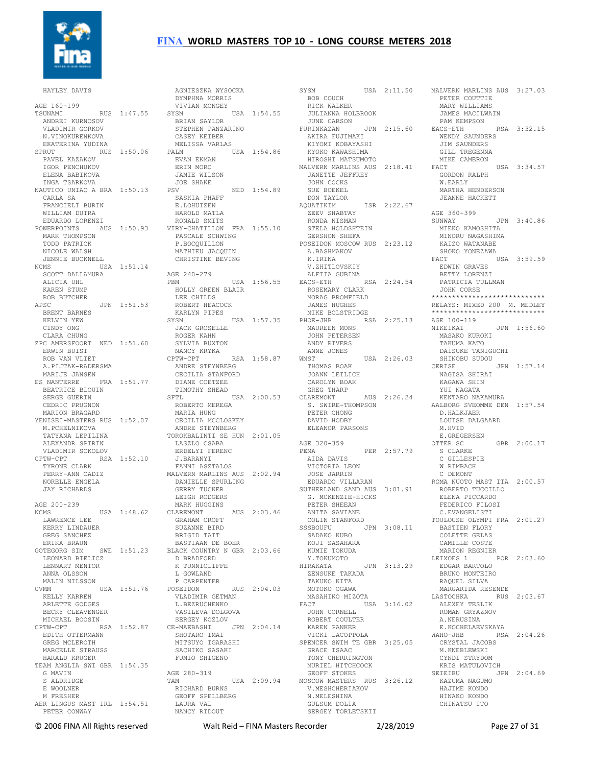

HAYLEY DAVIS

AGE 160-199 TSUNAMI RUS 1:47.55 ANDREI KURNOSOV VLADIMIR GORKOV N.VINOKURENKOVA EKATERINA YUDINA PAVEL KAZAKOV IGOR PENCHUKOV ELENA BABIKOVA INGA TSARKOVA NAUTICO UNIAO A BRA 1:50.13 CARLA SA FRANCIELI BURIN WILLIAM DUTRA EDUARDO LORENZI MARK THOMPSON TODD PATRICK NICOLE WALSH JENNIE BUCKNELL NCMS USA 1:51.14 SCOTT DALLAMURA ALICIA UHL KAREN STUMP<br>ROB BUTCHER ROB BUTCHER APSC JPN 1:51.53 BRENT BARNES KELVIN YEW CINDY ONG CLARA CHUNG ZPC AMERSFOORT NED 1:51.60 ERWIN BUIST ROB VAN VLIET A.PIJTAK-RADERSMA MARIJE JANSEN ES NANTERRE FRA 1:51.77 DIANE COETZEE BEATRICE BLOUIN SERGE GUERIN CEDRIC PRUGNON MARION BRAGARD YENISEI-MASTERS RUS 1:52.07 M.PCHELNIKOVA TATYANA LEPILINA ALEXANDR SPIRIN VLADIMIR SOKOLOV CPTW-CPT RSA 1:52.10 TYRONE CLARK PERRY-ANN CADIZ NORELLE ENGELA JAY RICHARDS AGE 200-239 NCMS USA 1:48.62 CLAREMONT LAWRENCE LEE KERRY LINDAUER GREG SANCHEZ ERIKA BRAUN GOTEGORG SIM SWE 1:51.23 LEONARD BIELICZ LENNART MENTOR ANNA OLSSON MALIN NILSSON CVMM USA 1:51.76 KELLY KARREN ARLETTE GODGES BECKY CLEAVENGER MICHAEL BOOSIN CPTW-CPT RSA 1:52.87 EDITH OTTERMANN GREG MCLEROTH MARCELLE STRAUSS HARALD KRUGER TEAM ANGLIA SWI GBR 1:54.35 G MAVIN AGE 280-319 S ALDRIDGE E WOOLNER M FRESHER M FRESHER<br>AER LINGUS MAST IRL 1:54.51 PETER CONWAY

SPRUT RUS 1:50.06 PALM USA 1:54.86 POWERPOINTS AUS 1:50.93 VIRY-CHATILLON FRA 1:55.10 AGNIESZKA WYSOCKA<br>
DYMPHNA MORRIS<br>
VIVIAN MONGEY<br>
SYSM<br>
BRIAN SAYLOR<br>
STEPHEN PANZARINO CASEY KEIBER MELISSA VARLAS EVAN EKMAN ERIN MORO JAMIE WILSON JOE SHAKE PSV NED 1:54.89 PSV<br>SASKIA PHAFF E.LOHUIZEN HAROLD MATLA RONALD SMITS PASCALE SCHWING P.BOCQUILLON MATHIEU JACQUIN CHRISTINE BEVING AGE 240-279 PBM USA 1:56.55 EACS-ETH RSA 2:24.54 HOLLY GREEN BLAIR ROSEMARY CLARK MORAG BROMFIELD LEE CHILDS ROBERT HEACOCK KARLYN PIPES SYSM USA 1:57.35<br>
JACK GROSELLE<br>
ROGER KAHN<br>
SYLVIA BUXTON<br>
NANCY KRYKA<br>
CPTW-CPT RSA 1:58.87<br>
ANDRE STEYNBERG CECILIA STANFORD TIMOTHY SHEAD SFTL USA 2:00.53 ROBERTO MEREGA MARIA HUNG CECILIA MCCLOSKEY ANDRE STEYNBERG TOROKBALINTI SE HUN 2:01.05 LASZLO CSABA ERDELYI FERENC J.BARANYI FANNI ASZTALOS MALVERN MARLINS AUS 2:02.94 DANIELLE SPURLING GERRY TUCKER LEIGH RODGERS MARK HUGGINS CLAREMONT AUS 2:03.46 PETER SHEEAN ANITA SAVIANE GRAHAM CROFT<br>CHILINIL PIPP SUZANNE BIRD BRIGID TAIT BASTIAAN DE BOER BLACK COUNTRY N GBR 2:03.66 D BRADFORD K TUNNICLIFFE L GOWLAND P CARPENTER POSEIDON RUS 2:04.03 VLADIMIR GETMAN L.BEZRUCHENKO VASILEVA DOLGOVA SERGEY KOZLOV CE-MAEBASHI JPN 2:04.14 SHOTARO IMAI MITSUYO IGARASHI SACHIKO SASAKI FUMIO SHIGENO TAM USA 2:09.94 GEOFF STOKES MOSCOW MASTERS RUS 3:26.12 KAZUMA NAGUMO HAJIME KONDO RICHARD BURNS GEOFF SPELLBERG LAURA VAL NANCY RIDOUT

SYSM USA 2:11.50 BOB COUCH RICK WALKER JULIANNA HOLBROOK JUNE CARSON FURINKAZAN JPN 2:15.60 PAM KEWIFS<br>JUNE CARSON JPN 2:15.60 EACS-ETH<br>WENDY SAU OFN<br>AKIRA FUJIMAKI<br>WIWALI KIYOMI KOBAYASHI KYOKO KAWASHIMA HIROSHI MATSUMOTO JANETTE JEFFREY JOHN COCKS SUE BOEKEL DON TAYLOR<br>AOUATIKIM ISR 2:22.67 ZEEV SHABTAY RONDA NISMAN STELA HOLDSHTEIN GERSHON SHEFA POSEIDON MOSCOW RUS 2:23.12 A.BASHMAKOV K.IRINA V.ZHITLOVSKIY ALFIIA GUBINA JAMES HUGHES MIKE BOLSTRIDGE JOHN PETERSEN ANDY RIVERS ANNE JONES WMST USA 2:26.03 THOMAS BOAK JOANN LEILICH CAROLYN BOAK GREG THARP AUS 2:26.24 S. SWIRE-THOMPSON PETER CHONG DAVID HODBY ELEANOR PARSONS AGE 320-359 PEMA PER 2:57.79 AIDA DAVIS VICTORIA LEON JOSE JARRIN EDUARDO VILLARAN SUTHERLAND SAND AUS 3:01.91 G. MCKENZIE-HICKS COLIN STANFORD SSSBOUFU JPN 3:08.11 SADAKO KUBO KOJI SASAHARA KUMIE TOKUDA Y.TOKUMOTO HIRAKATA JPN 3:13.29 ZENSUKE TAKADA TAKUKO KITA MOTOKO OGAWA<br>MASAHIKO MIZOTA MASAHIKO MIZOTA FACT USA 3:16.02 JOHN CORNELL ALEXEY TESLIK ROMAN GRYAZNOV ROBERT COULTER KAREN PANKER VICKI LACOPPOLA SPENCER SWIM TE GBR 3:25.05 GRACE ISAAC TONY CHERRINGTON MURIEL HITCHCOCK<br>GEOFF STOKES V.MESHCHERIAKOV N.MELESHINA GULSUM DOLTA SERGEY TORLETSKII

MALVERN MARLINS AUS 2:18.41 FACT USA 3:34.57 PHOE-JHB RSA 2:25.13 MAUREEN MONS AGE 100-119 NIKEIKAI JPN 1:56.60 USA 2:11.50 MALVERN MARLINS AUS 3:27.03 PETER COUTTIE MARY WILLIAMS JAMES MACILWAIN PAM KEMPSON EACS-ETH RSA 3:32.15 REALLY SAUNDERS<br>
WENDY SAUNDERS<br>
TTY CO JIM SAUNDERS GILL TREGENNA MIKE CAMERON GORDON RALPH W.EARLY MARTHA HENDERSON JEANNE HACKETT AGE 360-399<br>SUNWAY JPN 3:40.86 MIEKO KAMOSHITA MINORU NAGASHIMA KAIZO WATANABE SHOKO YONEZAWA<br>FACT l USA 3:59.59 EDWIN GRAVES BETTY LORENZI PATRICIA TULLMAN JOHN CORSE \*\*\*\*\*\*\*\*\*\*\*\*\*\*\*\*\*\*\*\*\*\*\*\*\*\*\*\* RELAYS: MIXED 200 M. MEDLEY \*\*\*\*\*\*\*\*\*\*\*\*\*\*\*\*\*\*\*\*\*\*\*\*\*\*\*\* MASAKO KUROKI TAKUMA KATO DAISUKE TANIGUCHI SHINOBU SUDOU JPN 1:57.14 NAGISA SHIRAI KAGAWA SHIN YUI NAGATA KENTARO NAKAMURA AALBORG SVEOMME DEN 1:57.54 D.HALKJAER LOUISE DALGAARD M.HVID E.GREGERSEN OTTER SC GBR 2:00.17 S CLARKE C GILLESPIE W RIMBACH C DEMONT ROMA NUOTO MAST ITA 2:00.57 ROBERTO TUCCILLO<br>REFERENCE TUCCILLO ELENA PICCARDO FEDERICO FILOSI C.EVANGELISTI TOULOUSE OLYMPI FRA 2:01.27 BASTIEN FLORY COLETTE GELAS CAMILLE COSTE MARION REGNIER LEIXOES 1 POR 2:03.60 EDGAR BARTOLO BRUNO MONTEIRO RAQUEL SILVA MARGARIDA RESENDE LASTOCHKA RUS 2:03.67 A.NERUSINA E.KOCHELAEVSKAYA WAHO-JHB RSA 2:04.26 CRYSTAL JACOBS M.KNEBLEWSKI CYNDI STRYDOM KRIS MATULOVICH<br>SEIEIBU JI JPN 2:04.69 HINAKO KONDO CHINATSU ITO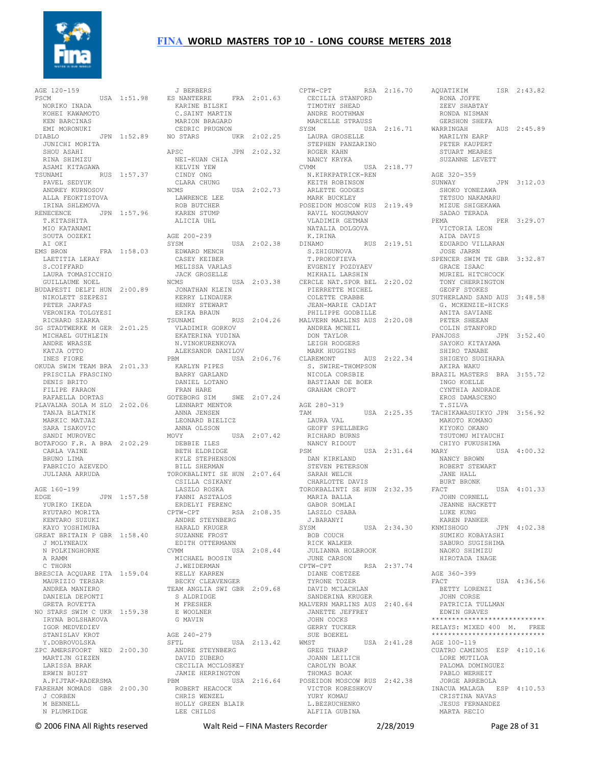

AGE 120-159 PSCM USA 1:51.98 NORIKO INADA KOHEI KAWAMOTO KEN BARCINAS EMI MORONUKI JUNICHI MORITA SHOU ASAHI RINA SHIMIZU ASAMI KITAGAWA TSUNAMI RUS 1:57.37 PAVEL SEDYUK ANDREY KURNOSOV ALLA FEOKTISTOVA IRINA SHLEMOVA RENECENCE JPN 1:57.96 T.KITASHITA MIO KATANAMI SOUTA OOZEKI AI OKI EMS BRON FRA 1:58.03 LAETITIA LERAY S.COIFFARD LAURA TOMASICCHIO GUILLAUME NOEL BUDAPESTI DELFI HUN 2:00.89 NIKOLETT SZEPESI PETER JARFAS VERONIKA TOLGYESI RICHARD SZARKA SG STADTWERKE M GER 2:01.25 MICHAEL GUTHLEIN ANDRE WRASSE KATJA OTTO INES FIORE OKUDA SWIM TEAM BRA 2:01.33 PRISCILA FRASCINO DENIS BRITO FILIPE FARAON RAFAELLA DORTAS PLAVALNA SOLA M SLO 2:02.06 TANJA BLATNIK MARKIC MATJAZ SARA ISAKOVIC SANDI MUROVEC BOTAFOGO F.R. A BRA 2:02.29 DEBBIE ILES CARLA VAINE BRUNO LIMA FABRICIO AZEVEDO JULIANA ARRUDA AGE 160-199 EDGE JPN 1:57.58 YURIKO IKEDA FANNI ASZTALOS ERDELYI FERENC RYUTARO MORITA KENTARO SUZUKI KAYO YOSHIMURA GREAT BRITAIN P GBR 1:58.40 J MOLYNEAUX N POLKINGHORNE A RAMM C THORN BRESCIA ACQUARE ITA 1:59.04 KELLY KARREN MAURIZIO TERSAR ANDREA MANIERO DANIELA DEPONTI GRETA ROVETTA NO STARS SWIM C UKR 1:59.38 IRYNA BOLSHAKOVA IGOR MEDVEDIEV STANISLAV KROT Y.DOBROVOLSKA ZPC AMERSFOORT NED 2:00.30 MARTIJN GIEZEN LARISSA BRAK ERWIN BUIST A.PIJTAK-RADERSMA FAREHAM NOMADS GBR 2:00.30 J CORBEN M BENNELL. N PLUMRIDGE

DIABLO JPN 1:52.89 NO STARS UKR 2:02.25 J BERBERS ES NANTERRE FRA 2:01.63 KARINE BILSKI C.SAINT MARTIN MARION BRAGARD CEDRIC PRUGNON APSC APSC JPN 2:02.32 NEI-KUAN CHIA KELVIN YEW CINDY ONG CLARA CHUNG<br>NCMS USA 2:02.73 LAWRENCE LEE ROB BUTCHER KAREN STUMP ALICIA UHL AGE 200-239 SYSM USA 2:02.38 K.IRINA EDWARD MENCH CASEY KEIBER MELISSA VARLAS JACK GROSELLE NCMS USA 2:03.38 JONATHAN KLEIN KERRY LINDAUER HENRY STEWART ERIKA BRAUN TSUNAMI RUS 2:04.26 VLADIMIR GORKOV EKATERINA YUDINA N.VINOKURENKOVA ALEKSANDR DANILOV PBM USA 2:06.76 KARLYN PIPES BARRY GARLAND DANIEL LOTANO FRAN HARE GOTEBORG SIM SWE 2:07.24 LENNART MENTOR ANNA JENSEN LEONARD BIELICZ ANNA OLSSON USA 2:07.42 BETH ELDRIDGE KYLE STEPHENSON BILL SHERMAN TOROKBALINTI SE HUN 2:07.64 CSILLA CSIKANY LASZLO ROSKA CPTW-CPT RSA 2:08.35 ANDRE STEYNBERG HARALD KRUGER HARALD KRUGER<br>SUZANNE FROST EDITH OTTERMANN CVMM USA 2:08.44 MICHAEL BOOSIN J.WEIDERMAN BECKY CLEAVENGER TEAM ANGLIA SWI GBR 2:09.68 S ALDRIDGE M FRESHER E WOOLNER G MAVIN AGE 240-279 SFTL USA 2:13.42 ANDRE STEYNBERG DAVID ZUBERO CECILIA MCCLOSKEY JAMIE HERRINGTON PBM USA 2:16.64 ROBERT HEACOCK CHRIS WENZEL HOLLY GREEN BLAIR LEE CHILDS

CPTW-CPT RSA 2:16.70 AQUATIKIM CECILIA STANFORD TIMOTHY SHEAD ANDRE ROOTHMAN MARCELLE STRAUSS SYSM USA 2:16.71 LAURA GROSELLE STEPHEN PANZARINO ROGER KAHN NANCY KRYKA<br>CVMM USA 2:18.77 N.KIRKPATRICK-REN KEITH ROBINSON ARLETTE GODGES MARK BUCKLEY POSEIDON MOSCOW RUS 2:19.49 RAVIL NOGUMANOV VLADIMIR GETMAN NATALIA DOLGOVA RUS 2:19.51 S.ZHIGUNOVA T.PROKOFIEVA EVGENIY POZDYAEV MIKHAIL LARSHIN USA 2:03.38 CERCLE NAT. SPOR BEL 2:20.02 PIERRETTE MICHEL<br>2015 BERDER COLETTE CRABBE JEAN-MARIE CADIAT PHILIPPE GODBILLE MALVERN MARLINS AUS 2:20.08 ANDREA MCNEIL DON TAYLOR LEIGH RODGERS MARK HUGGINS CLAREMONT AUS 2:22.34 S. SWIRE-THOMPSON NICOLA CORSBIE BASTIAAN DE BOER GRAHAM CROFT AGE 280-319 TAM USA 2:25.35 LAURA VAL GEOFF SPELLBERG RICHARD BURNS NANCY RIDOUT PSM USA 2:31.64 DAN KIRKLAND STEVEN PETERSON SARAH WELCH CHARLOTTE DAVIS TOROKBALINTI SE HUN 2:32.35 MARIA BALLA GABOR SOMLAT GABOR SOMLAI<br>LASZLO CSABA J.BARANYI USA 2:34.30 BOB COUCH RICK WALKER JULIANNA HOLBROOK JUNE CARSON CPTW-CPT RSA 2:37.74 DIANE COETZEE TYRONE TOZER DAVID MCLACHLAN SANDERINA KRUGER MALVERN MARLINS AUS 2:40.64 JANETTE JEFFREY JOHN COCKS GERRY TUCKER SUE BOEKEL<br>WMST USA 2:41.28 GREG THARP JOANN LEILICH CAROLYN BOAK THOMAS BOAK USA 2:16.64 POSEIDON MOSCOW RUS 2:42.38 VICTOR KORESHKOV YURY KOMAU L.BEZRUCHENKO ALFIIA GUBINA

ISR 2:43.82 RONA JOFFE ZEEV SHABTAY RONDA NISMAN<br>GERSHON SHEFA GERSHON SHEFA WARRINGAH AUS 2:45.89 MARILYN EARP PETER KAUPERT STUART MEARES SUZANNE LEVETT AGE 320-359 SUNWAY JPN 3:12.03 SHOKO YONEZAWA TETSUO NAKAMARU MIZUE SHIGEKAWA SADAO TERADA PEMA PER 3:29.07 VICTORIA LEON AIDA DAVIS EDUARDO VILLARAN JOSE JARRN SPENCER SWIM TE GBR 3:32.87 GRACE ISAAC MURIEL HITCHCOCK TONY CHERRINGTON GEOFF STOKES SUTHERLAND SAND AUS 3:48.58 G. MCKENZIE-HICKS ANITA SAVIANE PETER SHEEAN COLIN STANFORD PANJOSS JPN 3:52.40 SAYOKO KITAYAMA SHIRO TANABE SHIGEYO SUGIHARA AKIRA WAKU BRAZIL MASTERS BRA 3:55.72 INGO KOELLE CYNTHIA ANDRADE EROS DAMASCENO T.STIVA TACHIKAWASUIKYO JPN 3:56.92 MAKOTO KOMANO KIYOKO OKANO TSUTOMU MIYAUCHI CHIYO FUKUSHIMA  $HSA$   $4:00.32$  NANCY BROWN ROBERT STEWART JANE HALL BURT BRONK  $TISA$   $4:01.33$  JOHN CORNELL JEANNE HACKETT LUKE KUNG KAREN PANKER KNMISHOGO SUMIKO KOBAYASHI SABURO SUGISHIMA NAOKO SHIMIZU HIROTADA INAGE AGE 360-399 FACT USA 4:36.56 BETTY LORENZI JOHN CORSE PATRICIA TULLMAN EDWIN GRAVES \*\*\*\*\*\*\*\*\*\*\*\*\*\*\*\*\*\*\*\*\*\*\*\*\*\*\*\* RELAYS: MIXED 400 M. FREE \*\*\*\*\*\*\*\*\*\*\*\*\*\*\*\*\*\*\*\*\*\*\*\* AGE 100-119 CUATRO CAMINOS ESP 4:10.16 LORE MUTILOA PALOMA DOMINGUEZ PABLO WERHEIT JORGE ARREBOLA INACUA MALAGA ESP 4:10.53 CRISTINA NAVAS JESUS FERNANDEZ MARTA RECIO

© 2006 FINA All Rights reserved Walt Reid – FINA Masters Recorder 2/28/2019 Page 28 of 31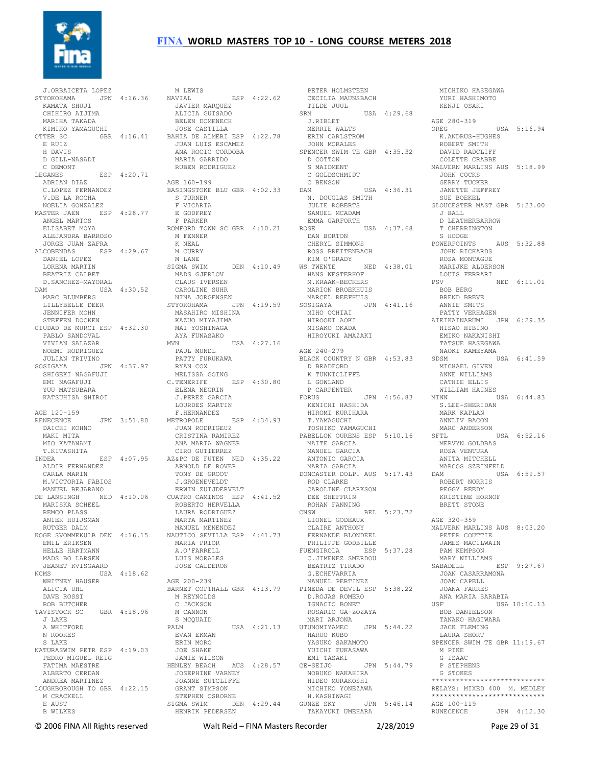

 J.ORBAICETA LOPEZ STYOKOHAMA JPN 4:16.36 KAMATA SHUJI CHIHIRO AIJIMA MARIHA TAKADA KIMIKO YAMAGUCHI E RUIZ H DAVIS D GILL-NASADI C DEMONT LEGANES ESP 4:20.71 ADRIAN DIAZ C.LOPEZ FERNANDEZ V.DE LA ROCHA NOELIA GONZALEZ MASTER JAEN ESP 4:28.77 ANGEL MARTOS E GODFREY F PARKER ELISABET MOYA ALEJANDRA BARROSO JORGE JUAN ZAFRA ALCOBENDAS ESP 4:29.67 DANIEL LOPEZ LORENA MARTIN BEATRIZ CALBET D.SANCHEZ-MAYORAL DAM USA 4:30.52 MARC BLUMBERG LILLYBELLE DEER JENNIFER MOHN STEFFEN DOCKEN CIUDAD DE MURCI ESP 4:32.30 PABLO SANDOVAL VIVIAN SALAZAR NOEMI RODRIGUEZ JULIAN TRIVINO SOSIGAYA JPN 4:37.97 SHIGEKI NAGAFUJI EMI NAGAFUJI YUU MATSUBARA KATSUHISA SHIROI J.PEREZ GARCIA LOURDES MARTIN AGE 120-159 RENECENCE JPN 3:51.80 METROPOLE DAICHI KOHNO MAKI MITA MIO KATANAMI ALDIR FERNANDEZ CARLA MARIN M.VICTORIA FABIOS MANUEL BEJARANO J.GROENEVELDT ERWIN ZUIJDERVELT MARISKA SCHEEL REMCO PLASS ANIEK HUIJSMAN EMIL ERIKSEN HELLE HARTMANN MADS BO LARSEN JEANET KVISGAARD NCMS USA 4:18.62 WHITNEY HAUSER AGE 200-239 ALICIA UHL DAVE ROSSI ROB BUTCHER<br>TAVISTOCK SC GBR 4:18.96<br>J LAKE A WHITFORD N ROOKES S LAKE NATURASWIM PETR ESP 4:19.03 PEDRO MIGUEL REIG FATIMA MAESTRE ALBERTO CERDAN ANDREA MARTINEZ LOUGHBOROUGH TO GBR 4:22.15 M CRACKELL E AUST B WILKES

OTTER SC GBR 4:16.41 JOSE CASTILLA BAHIA DE ALMERI ESP 4:22.78 JUAN LUIS ESCAMEZ T.KITASHITA INDEA ESP 4:07.95 CIRO GUTIERREZ AZ&PC DE FUTEN NED 4:35.22 DE LANSINGH NED 4:10.06 CUATRO CAMINOS ESP 4:41.52 RUTGER DALM KOGE SVOMMEKULB DEN 4:16.15 MANUEL MENENDEZ NAUTICO SEVILLA ESP 4:41.73 M LEWIS NAVIAL ESP 4:22.62 JAVIER MARQUEZ ALICIA GUISADO ALICIA GUISADO<br>BELEN DOMENECH ANA ROCIO CORDOBA SPENCER SWIM TE GBR 4:35.32 MARIA GARRIDO RUBEN RODRIGUEZ AGE 160-199 BASINGSTOKE BLU GBR 4:02.33 S TURNER F VICARIA ROMFORD TOWN SC GBR 4:10.21 M FENNER<br>K NEAL<br>M CURRY<br>M LANE SIGMA SWIM DEN 4:10.49 MADS GJERLOV CLAUS IVERSEN CAROLINE SUHR NINA JORGENSEN STYOKOHAMA JPN 4:19.59 MASAHIRO MISHINA KAZUO MIYAJIMA MAI YOSHINAGA AYA FUNASAKO MVN USA 4:27.16 PAUL MUNDL PATTY FURUKAWA RYAN COX MELISSA GOING C.TENERIFE ESP 4:30.80 ELENA NEGRIN F.HERNANDEZ METROPOLE ESP 4:34.93 JUAN RODRIGEUZ CRISTINA RAMIREZ ANA MARIA WAGNER ARNOLD DE ROVER TONY DE GROOT ROBERTO HERVELLA LAURA RODRIGUEZ MARTA MARTINEZ MARIA PRIOR A.O'FARRELL LUIS MORALES JOSE CALDERON BARNET COPTHALL GBR 4:13.79 PINEDA DE DEVIL ESP 5:38.22 M REYNOLDS C JACKSON M CANNON S MCQUAID PALM USA 4:21.13 EVAN EKMAN ERIN MORO JOE SHAKE JAMIE WILSON HENLEY BEACH AUS 4:28.57 JOSEPHINE VARNEY JOANNE SUTCLIFFE GRANT SIMPSON STEPHEN OSBORNE SIGMA SWIM DEN 4:29.44 GUNZE SKY HENRIK PEDERSEN

 PETER HOLMSTEEN CECILIA MAUNSBACH TILDE JUUL SRM USA 4:29.68 AGE 280-319 J.RIBLET MERRIE WALTS ERIN CARLSTROM JOHN MORALES D COTTON S MAIDMENT C GOLDSCHMIDT C BENSON DAM USA 4:36.31 N. DOUGLAS SMITH JULIE ROBERTS SAMUEL MCADAM EMMA GARFORTH ROSE USA 4:37.68 DAN BORTON T CHERRINGTON S HODGE CHERYL SIMMONS ROSS BREITENBACH KIM O'GRADY WS TWENTE NED 4:38.01 MARIJKE ALDERSON HANS WESTERHOF M.KRAAK-BECKERS MARION BROEKHUIS<br>MARCEL REEFHUIS MARCEL REEFHUIS SOSIGAYA JPN 4:41.16 MIHO OCHIAI HIROOKI AOKI MISAKO OKADA HIROYUKI AMAZAKI AGE 240-279 BLACK COUNTRY N GBR 4:53.83 SDSM<br>D BRADFORD MICHA D BRADFORD K TUNNICLIFFE<br>
L GOWLAND<br>
P CARPENTER<br>FORUS JPN 4:56.83<br>
KENICHI HASHIDA HIROMI KURIHARA T.YAMAGUCHI TOSHIKO YAMAGUCHI PABELLON OURENS ESP 5:10.16 MAITE GARCIA uuke'NS بیت…<br>MAITE GARCIA<br>MANUEL GARCIA ANTONIO GARCIA MARIA GARCIA DONCASTER DOLP. AUS 5:17.43 MARCOS SZEINFELD DAM USA 6:59.57 ROD CLARKE CAROLINE CLARKSON DEE SHEFFRIN ROHAN FANNING<br>
CNSW BEL 5:23.72<br>
LIONEL GODEAUX<br>
CLAIRE ANTHONY<br>
FERNANDE BLONDEEL PHILIPPE GODBILLE FUENGIROLA ESP 5:37.28 C.JIMENEZ SMERDOU BEATRIZ TIRADO G.ECHEVARRIA MANUEL PERTINEZ D.ROJAS ROMERO IGNACIO BONET ROSARIO GA-ZOZAYA MARI ARJONA<br>UTUNOMIYAMEC JPN 5:44.22 HARUO KUBO YASUKO SAKAMOTO YUICHI FUKASAWA EMI TASAKI JPN 5:44.79 NOBUKO NAKAHIRA HIDEO MURAKOSHI MICHIKO YONEZAWA H.KASHIWAGI GUNZE SKY JPN 5:46.14 AGE 100-119 TAKAYUKI UMEHARA

 YURI HASHIMOTO KENJI OSAKI AGE 200 515<br>OREG USA 5:16.94 K.ANDRUS-HUGHES ROBERT SMITH DAVID RADCLIFF COLETTE CRABBE MALVERN MARLINS AUS 5:18.99 JOHN COCKS GERRY TUCKER JANETTE JEFFREY SUE BOEKEL GLOUCESTER MAST GBR 5:23.00 J BALL D LEATHERBARROW S HODGE<br>POWERPOINTS AUS 5:32.88 JOHN RICHARDS ROSA MONTAGUE LOUIS FERRARI NED 6:11.01 BOB BERG BREND BREVE ANNIE SMITS PATTY VERHAGEN AIEIKAINARUMI JPN 6:29.35 HISAO HIBINO EMIKO NAKANISHI TATSUE HASEGAWA NAOKI KAMEYAMA SDSM USA 6:41.59 MICHAEL GIVEN ANNE WILLIAMS CATHIE ELLIS WILLIAM HAINES MINN USA 6:44.83 S.LEE-SHERIDAN MINN<br>S.LEE-SHERIDAN<br>MARK KAPLAN ANNLIV BACON MARC ANDERSON ANNLIV bay.<br>MARC ANDERSON USA 6:52.16 MERVYN GOLDBAS ROSA VENTURA ANITA MITCHELL ROBERT NORRIS PEGGY REEDY KRISTINE HORNOF BRETT STONE AGE 320-359 MALVERN MARLINS AUS 8:03.20 PETER COUTTIE JAMES MACILWAIN PAM KEMPSON MARY WILLIAMS  $ESP$  9:27.67 JOAN CASARRAMONA JOAN CAPELL JOANA FARRES ANA MARIA SARABIA USF USA 10:10.13 BOB DANIELSON TANAKO HAGIWARA JACK FLEMING LAURA SHORT SPENCER SWIM TE GBR 11:19.67 M PIKE G ISAAC P STEPHENS G STOKES \*\*\*\*\*\*\*\*\*\*\*\*\*\*\*\*\*\*\*\*\*\*\*\*\*\*\*\* RELAYS: MIXED 400 M. MEDLEY \*\*\*\*\*\*\*\*\*\*\*\*\*\*\*\*\*\*\*\*\*\*\*\*\* RUNECENCE JPN 4:12.30

MICHIKO HASEGAWA

© 2006 FINA All Rights reserved Walt Reid – FINA Masters Recorder 2/28/2019 Page 29 of 31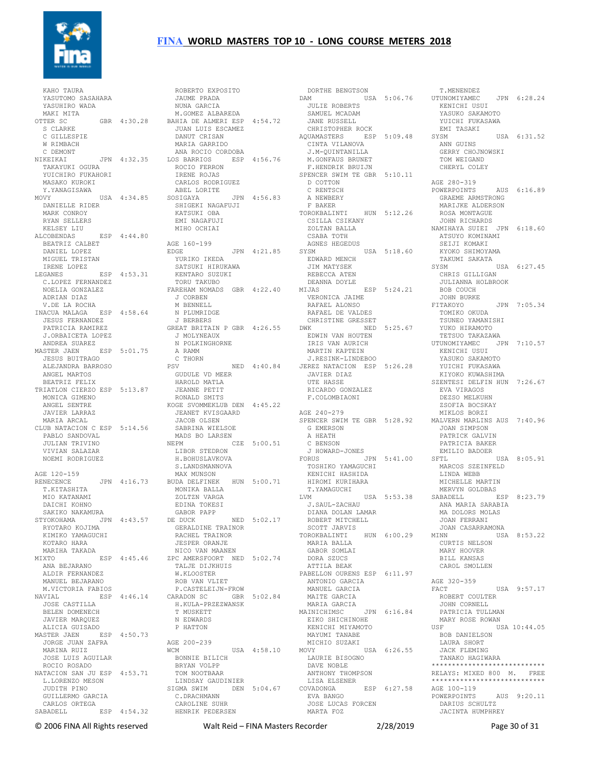

 KAHO TAURA YASUTOMO SASAHARA YASUHIRO WADA ---- .<br>YASUHIRO WADA<br>MAKI MITA OTTER SC GBR 4:30.28 BAHIA DE ALMERI ESP 4:54.72 S CLARKE C GILLESPIE W RIMBACH C DEMONT NIKEIKAI JPN 4:32.35 TAKAYUKI OGURA YUICHIRO FUKAHORI MASAKO KUROKI Y.YANAGISAWA MOVY USA 4:34.85 DANIELLE RIDER MARK CONROY RYAN SELLERS KELSEY LIU ALCOBENDAS ESP 4:44.80 BEATRIZ CALBET DANIEL LOPEZ MIGUEL TRISTAN IRENE LOPEZ LEGANES ESP 4:53.31 C.LOPEZ FERNANDEZ NOELIA GONZALEZ TORU TAKUBO FAREHAM NOMADS GBR 4:22.40 J CORBEN ADRIAN DIAZ V.DE LA ROCHA INACUA MALAGA ESP 4:58.64 JESUS FERNANDEZ PATRICIA RAMIREZ GREAT BRITAIN P GBR 4:26.55 J.ORBAICETA LOPEZ ANDREA SUAREZ MASTER JAEN ESP 5:01.75 JESUS BUITRAGO ALEJANDRA BARROSO ANGEL MARTOS BEATRIZ FELIX TRIATLON CIERZO ESP 5:13.87 JEANNE PETIT MONICA GIMENO ANGEL SENTRE JAVIER LARRAZ MARIA ARCAL CLUB NATACION C ESP 5:14.56 PABLO SANDOVAL JULIAN TRIVINO VIVIAN SALAZAR NOEMI RODRIGUEZ AGE 120-159 RENECENCE JPN 4:16.73 T.KITASHITA MIO KATANAMI DAICHI KOHNO SAKIKO NAKAMURA STYOKOHAMA JPN 4:43.57 DE DUCK RYOTARO KOJIMA<br>KIMIKO YAMAGUCHI KOTARO HARA MARIHA TAKADA MIXTO ESP 4:45.46 ANA BEJARANO ZPC AMERSFOORT NED 5:02.74 ALDIR FERNANDEZ MANUEL BEJARANO M.VICTORIA FABIOS NAVIAL ESP 4:46.14 JOSE CASTILLA BELEN DOMENECH JAVIER MARQUEZ<br>ALICIA GUISADO<br>MASTER JAEN ESP 4:50.73<br>JORGE JUAN ZAFRA<br>MARINA RUIZ JOSE LUIS AGUILAR ROCIO ROSADO NATACION SAN JU ESP 4:53.71 L.LORENZO MESON JUDITH PINO GUILLERMO GARCIA CARLOS ORTEGA C.DRACHMANN CAROLINE SUHR SABADELL ESP  $4:54.32$ 

 ROBERTO EXPOSITO JAUME PRADA NUNA GARCIA M.GOMEZ ALBAREDA JUAN LUIS ESCAMEZ DANUT CRISAN MARIA GARRIDO ANA ROCIO CORDOBA LOS BARRIOS ESP 4:56.76 ROCIO FERRON IRENE ROJAS CARLOS RODRIGUEZ ABEL LORITE SOSIGAYA JPN 4:56.83 SHIGEKI NAGAFUJI KATSUKI OBA EMI NAGAFUJI MIHO OCHIAI AGE 160-199 EDGE JPN 4:21.85 YURIKO IKEDA SATSUKI HIRUKAWA KENTARO SUZUKI M BENNELL N PLUMRIDGE J BERBERS J MOLYNEAUX N POLKINGHORNE A RAMM C THORN GUDULE VD MEER HAROLD MATLA RONALD SMITS KOGE SVOMMEKLUB DEN 4:45.22 JEANET KVISGAARD<br>JACOP OLOFM JACOB OLSEN SABRINA WIELSOE MADS BO LARSEN NEPM CZE 5:00.51 LIBOR STEDRON H.BOHUSLAVKOVA S.LANDSMANNOVA MAX MUNSON BUDA DELFINEK HUN 5:00.71 MONIKA BALLA ZOLTZN VARGA<br>
EDINA TOKESI<br>GABOR PAPP<br>DE DUCK NED 5:02.17<br>
GERALDINE TRAINOR DE DOCK NED J.02.17<br>GERALDINE TRAINOR<br>RACHEL TRAINOR JESPER ORANJE NICO VAN MAANEN TALJE DIJKHUIS<br>WIKICAL W.KLOOSTER ROB VAN VLIET P.CASTELEIJN-FROW CARADON SC GBR 5:02.84 H.KULA-PRZEZWANSK T MUSKETT N EDWARDS P HATTON AGE 200-239 WCM USA 4:58.10 BONNIE BILICH BRYAN VOLPP TOM NOOTBAAR LINDSAY GAUDINIER SIGMA SWIM DEN 5:04.67 HENRIK PEDERSEN

NED 4:40.84 JEREZ NATACION ESP 5:26.28 DORTHE BENGTSON DAM USA 5:06.76 JULIE ROBERTS SAMUEL MCADAM JANE RUSSELL CHRISTOPHER ROCK AQUAMASTERS ESP 5:09.48 SYSM CINTA VILANOVA J.M-QUINTANILLA M.GONFAUS BRUNET F.HENDRIK BRUIJN SPENCER SWIM TE GBR 5:10.11 D COTTON C RENTSCH A NEWBERY F BAKER TOROKBALINTI HUN 5:12.26 CSILLA CSIKANY ZOLTAN BALLA CSABA TOTH AGNES HEGEDUS SYSM USA 5:18.60 EDWARD MENCH JIM MATYSEK REBECCA ATEN DEANNA DOYLE MIJAS ESP 5:24.21 VERONICA JAIME BOB COUCH RAFAEL DE VALDES<br>
CHRISTINE GRESSET<br>
DWK<br>
DWIN VAN HOUTEN<br>
IRIS VAN AURICH<br>
MARTIN KAPTEIN<br>
MARTIN KAPTEIN<br>
J.RESINK-LINDEBOO<br>
J.RESINK-LINDEBOO<br>
JEREZ NATACION ESP 5:26.28 JAVIER DIAZ UTE HASSE RICARDO GONZALEZ F.COLOMBIAONI AGE 240-279 SPENCER SWIM TE GBR 5:28.92 MALVERN MARLINS AUS 7:40.96 G EMERSON A HEATH A HEATH<br>C BENSON<br>I HOILER J HOWARD-JONES FORUS JPN 5:41.00 SFTL USA 8:05.91 TOSHIKO YAMAGUCHI KENICHI HASHIDA HIROMI KURIHARA T.YAMAGUCHI LVM USA 5:53.38 MERVYN GOLDBAS SABADELL ESP 8:23.79 ANA MARIA SARABIA J.SAUL-ZACHAU DIANA DOLAN LAMAR MA DOLORS MOLAS ROBERT MITCHELL SCOTT JARVIS TOROKBALINTI HUN 6:00.29 MARIA BALLA MINN USA 8:53.22 CURTIS NELSON GABOR SOMLAI DORA SZUCS ATTILA BEAK PABELLON OURENS ESP 6:11.97 ANTONIO GARCIA MANUEL GARCIA MAITE GARCIA MARIA GARCIA MAINICHIMSC JPN 6:16.84 EIKO SHICHINOHE KENICHI MIYAMOTO MAYUMI TANABE MICHIO SUZAKI MOVY USA 6:26.55 LAURIE BISOGNO DAVE NOBLE ANTHONY THOMPSON LISA ELSENER ESP 6:27.58 EVA BANGO JOSE LUCAS FORCEN MARTA FOZ

 T.MENENDEZ UTUNOMIYAMEC JPN 6:28.24 KENICHI USUI YASUKO SAKAMOTO YUICHI FUKASAWA EMI TASAKI  $IISA 6:31.52$  ANN GUINS GERRY CHOJNOWSKI TOM WEIGAND CHERYL COLEY AGE 280-319 POWERPOINTS AUS 6:16.89 GRAEME ARMSTRONG MARIJKE ALDERSON ROSA MONTAGUE<br>JOHN RICHARDS JOHN RICHARDS NAMIHAYA SUIEI JPN 6:18.60 ATSUYO KOMINAMI SEIJI KOMAKI KYOKO SHIMOYAMA TAKUMI SAKATA SYSM USA 6:27.45 CHRIS GILLIGAN JULIANNA HOLBROOK JOHN BURKE<br>
FITAKOYO<br>
TOMIKO OKUDA<br>
TSUNEO YAMANISHI<br>
YUKO HIRAMOTO<br>
TETSUO TAKAZAWA<br>
UTUNOMIYAMEC JPN 7:10.57<br>
KENICHI USUI<br>
YASUKO SAKAMOTO<br>
YUICHI FUKASAWA<br>
YUICHI FUKASAWA KIYOKO KUWASHIMA KIYOKO KUWASHIMA<br>SZENTESI DELFIN HUN 7:26.67 EVA VIRAGOS DEZSO MELKUHN ZSOFIA BOCSKAY MIKLOS BORZI JOAN SIMPSON PATRICK GALVIN PATRICIA BAKER EMILIO BADOER MARCOS SZEINFELD LINDA WEBB MICHELLE MARTIN JOAN FERRANI JOAN CASARRAMONA MARY HOOVER BILL KANSAS CAROL SMOLLEN AGE 320-359<br>FACT USA 9:57.17 ROBERT COULTER JOHN CORNELL PATRICIA TULLMAN MARY ROSE ROWAN USA 10:44.05 BOB DANIELSON LAURA SHORT JACK FLEMING TANAKO HAGIWARA \*\*\*\*\*\*\*\*\*\*\*\*\*\*\*\*\*\*\*\*\*\*\*\*\*\*\*\* RELAYS: MIXED 800 M. FREE \*\*\*\*\*\*\*\*\*\*\*\*\*\*\*\*\*\*\*\*\*\*\*\*\*\*\*\* AGE 100-119<br>POWERPOINTS AUS 9:20.11 DARIUS SCHULTZ JACINTA HUMPHREY

© 2006 FINA All Rights reserved Walt Reid – FINA Masters Recorder 2/28/2019 Page 30 of 31